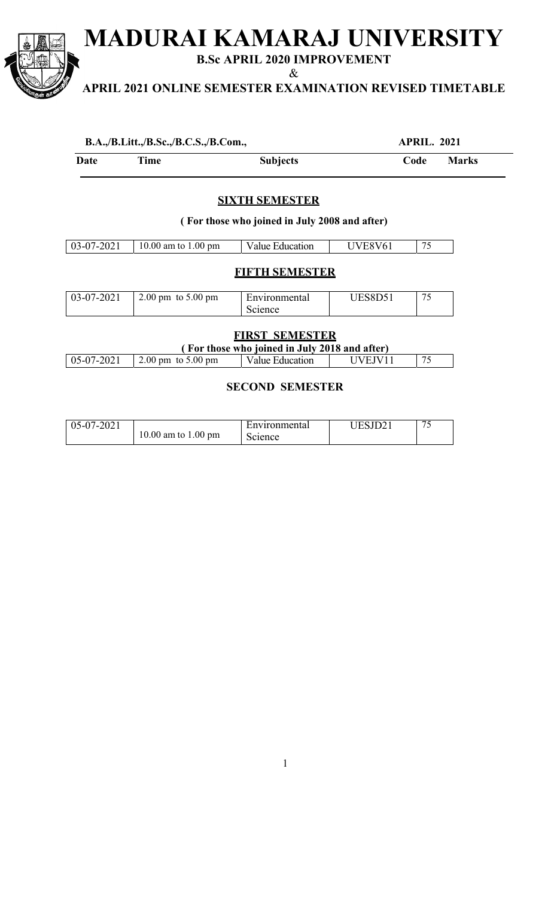**MADURAI KAMARAJ UNIVERSITY** 

**B.Sc APRIL 2020 IMPROVEMENT**  &

**APRIL 2021 ONLINE SEMESTER EXAMINATION REVISED TIMETABLE** 

| B.A.,/B.Litt.,/B.Sc.,/B.C.S.,/B.Com., | <b>APRIL. 2021</b> |
|---------------------------------------|--------------------|
|                                       |                    |

| Date | Time | <b>Subjects</b> | Code | Marks |
|------|------|-----------------|------|-------|
|------|------|-----------------|------|-------|

# **SIXTH SEMESTER**

**( For those who joined in July 2008 and after)** 

| $03-07-202$ | 10.00 am to 1.00 pm | Education<br>Value - | /6 | $\overline{\phantom{a}}$ |
|-------------|---------------------|----------------------|----|--------------------------|

## **FIFTH SEMESTER**

| 03-07-2021 | $2.00 \text{ pm}$ to $5.00 \text{ pm}$ | Environmental | UES8D51 | $\pi$ |
|------------|----------------------------------------|---------------|---------|-------|
|            |                                        | Science       |         |       |

### **FIRST SEMESTER**

|                |                                        | (For those who joined in July 2018 and after) |         |    |
|----------------|----------------------------------------|-----------------------------------------------|---------|----|
| $ 05-07-2021 $ | $2.00 \text{ pm}$ to $5.00 \text{ pm}$ | Value Education                               | UVEJV11 | 75 |

### **SECOND SEMESTER**

| $ 05-07-2021$<br>10.00 am to $1.00 \text{ pm}$ | Environmental<br>Science | JESJD2 <sup>-</sup> |  |
|------------------------------------------------|--------------------------|---------------------|--|
|------------------------------------------------|--------------------------|---------------------|--|

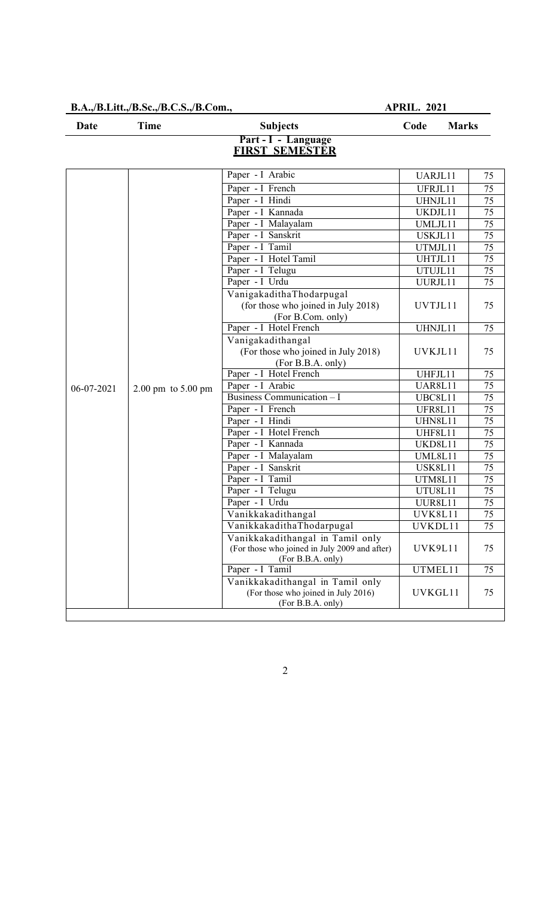**B.A.,/B.Litt.,/B.Sc.,/B.C.S.,/B.Com., APRIL. 2021**

| <b>Date</b> | Time<br><b>Subjects</b>                |                                                                                              | <b>Marks</b><br>Code |                 |
|-------------|----------------------------------------|----------------------------------------------------------------------------------------------|----------------------|-----------------|
|             |                                        | Part - I - Language<br><b>FIRST SEMESTER</b>                                                 |                      |                 |
|             |                                        | Paper - I Arabic                                                                             | UARJL11              | 75              |
|             |                                        | Paper - I French                                                                             | UFRJL11              | 75              |
|             |                                        | Paper - I Hindi                                                                              | UHNJL11              | 75              |
|             |                                        | Paper - I Kannada                                                                            | UKDJL11              | $\overline{75}$ |
|             |                                        | Paper - I Malayalam                                                                          | UMLJL11              | 75              |
|             |                                        | Paper - I Sanskrit                                                                           | USKJL11              | 75              |
|             |                                        | Paper - I Tamil                                                                              | UTMJL11              | 75              |
|             |                                        | Paper - I Hotel Tamil                                                                        | UHTJL11              | 75              |
|             |                                        | Paper - I Telugu                                                                             | UTUJL11              | 75              |
|             |                                        | Paper - I Urdu                                                                               | UURJL11              | 75              |
|             |                                        | VanigakadithaThodarpugal<br>(for those who joined in July 2018)<br>(For B.Com. only)         | UVTJL11              | 75              |
|             |                                        | Paper - I Hotel French                                                                       | UHNJL11              | 75              |
|             |                                        | Vanigakadithangal<br>(For those who joined in July 2018)<br>(For B.B.A. only)                | UVKJL11              | 75              |
|             |                                        | Paper - I Hotel French                                                                       | UHFJL11              | 75              |
| 06-07-2021  | $2.00 \text{ pm}$ to $5.00 \text{ pm}$ | Paper - I Arabic                                                                             | <b>UAR8L11</b>       | 75              |
|             |                                        | Business Communication - I                                                                   | UBC8L11              | 75              |
|             |                                        | Paper - I French                                                                             | UFR8L11              | 75              |
|             |                                        | Paper - I Hindi                                                                              | UHN8L11              | 75              |
|             |                                        | Paper - I Hotel French                                                                       | UHF8L11              | $\overline{75}$ |
|             |                                        | Paper - I Kannada                                                                            | UKD8L11              | 75              |
|             |                                        | Paper - I Malayalam                                                                          | UML8L11              | $\overline{75}$ |
|             |                                        | Paper - I Sanskrit                                                                           | USK8L11              | 75              |
|             |                                        | Paper - I Tamil                                                                              | UTM8L11              | 75              |
|             |                                        | Paper - I Telugu                                                                             | UTU8L11              | $\overline{75}$ |
|             |                                        | Paper - I Urdu<br>Vanikkakadithangal                                                         | UUR8L11<br>UVK8L11   | 75              |
|             |                                        | VanikkakadithaThodarpugal                                                                    |                      | 75              |
|             |                                        | Vanikkakadithangal in Tamil only                                                             | UVKDL11              | 75              |
|             |                                        | (For those who joined in July 2009 and after)<br>(For B.B.A. only)                           | UVK9L11              | 75              |
|             |                                        | Paper - I Tamil                                                                              | UTMEL11              | 75              |
|             |                                        | Vanikkakadithangal in Tamil only<br>(For those who joined in July 2016)<br>(For B.B.A. only) | UVKGL11              | 75              |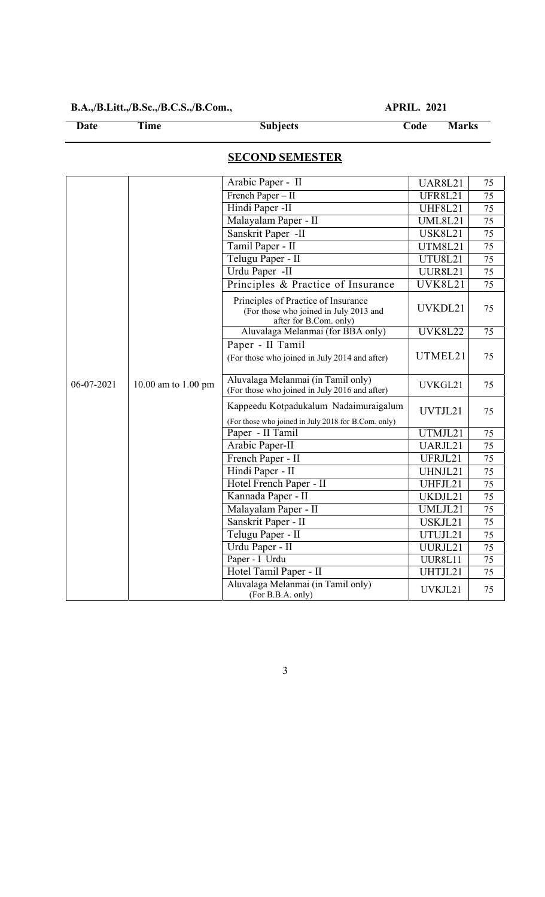# **B.A.,/B.Litt.,/B.Sc.,/B.C.S.,/B.Com., APRIL. 2021**

**Date Time Subjects Code Marks** 

# **SECOND SEMESTER**

|            |                     | Arabic Paper - II                                                                                       | <b>UAR8L21</b> | 75              |
|------------|---------------------|---------------------------------------------------------------------------------------------------------|----------------|-----------------|
|            |                     | French Paper - II                                                                                       | UFR8L21        | 75              |
|            |                     | Hindi Paper -II                                                                                         | <b>UHF8L21</b> | 75              |
|            |                     | Malayalam Paper - II                                                                                    | <b>UML8L21</b> | 75              |
|            |                     | Sanskrit Paper -II                                                                                      | <b>USK8L21</b> | 75              |
|            |                     | Tamil Paper - II                                                                                        | <b>UTM8L21</b> | 75              |
|            |                     | Telugu Paper - II                                                                                       | <b>UTU8L21</b> | 75              |
|            |                     | Urdu Paper -II                                                                                          | <b>UUR8L21</b> | 75              |
|            |                     | Principles & Practice of Insurance                                                                      | <b>UVK8L21</b> | 75              |
|            |                     | Principles of Practice of Insurance<br>(For those who joined in July 2013 and<br>after for B.Com. only) | UVKDL21        | 75              |
|            |                     | Aluvalaga Melanmai (for BBA only)                                                                       | <b>UVK8L22</b> | $\overline{75}$ |
|            |                     | Paper - II Tamil<br>(For those who joined in July 2014 and after)                                       | UTMEL21        | 75              |
| 06-07-2021 | 10.00 am to 1.00 pm | Aluvalaga Melanmai (in Tamil only)<br>(For those who joined in July 2016 and after)                     | UVKGL21        | 75              |
|            |                     | Kappeedu Kotpadukalum Nadaimuraigalum<br>(For those who joined in July 2018 for B.Com. only)            | UVTJL21        | 75              |
|            |                     | Paper - II Tamil                                                                                        | UTMJL21        | 75              |
|            |                     | Arabic Paper-II                                                                                         | UARJL21        | 75              |
|            |                     | French Paper - II                                                                                       | UFRJL21        | 75              |
|            |                     | Hindi Paper - II                                                                                        | UHNJL21        | 75              |
|            |                     | Hotel French Paper - II                                                                                 | UHFJL21        | 75              |
|            |                     | Kannada Paper - II                                                                                      | UKDJL21        | 75              |
|            |                     | Malayalam Paper - II                                                                                    | UMLJL21        | 75              |
|            |                     | Sanskrit Paper - II                                                                                     | USKJL21        | 75              |
|            |                     | Telugu Paper - II                                                                                       | UTUJL21        | 75              |
|            |                     | Urdu Paper - II                                                                                         | UURJL21        | 75              |
|            |                     | Paper - I Urdu                                                                                          | UUR8L11        | 75              |
|            |                     | Hotel Tamil Paper - II                                                                                  | UHTJL21        | 75              |
|            |                     | Aluvalaga Melanmai (in Tamil only)<br>(For B.B.A. only)                                                 | UVKJL21        | 75              |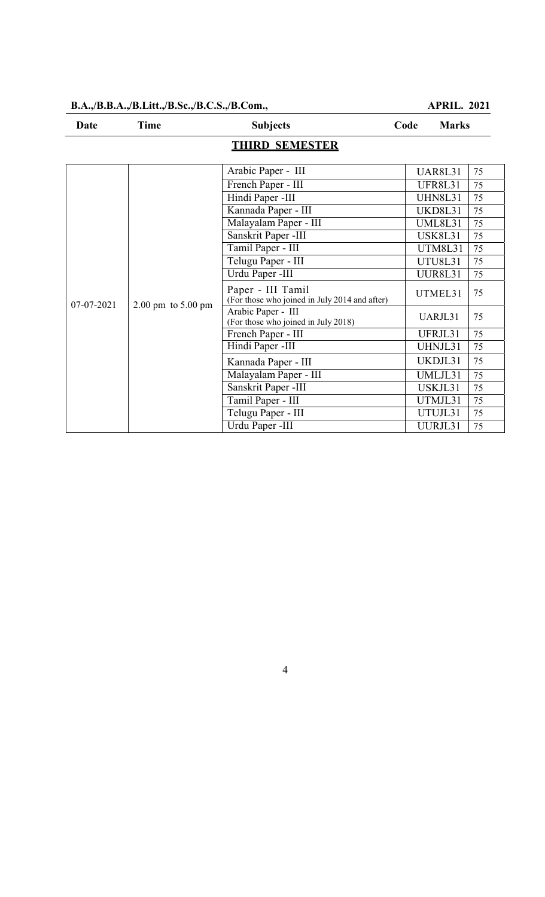#### **B.A.,/B.B.A.,/B.Litt.,/B.Sc.,/B.C.S.,/B.Com., APRIL. 2021**

| Date       | <b>Time</b>                            | <b>Subjects</b>                                                    | Code<br><b>Marks</b> |    |
|------------|----------------------------------------|--------------------------------------------------------------------|----------------------|----|
|            |                                        | <b>THIRD SEMESTER</b>                                              |                      |    |
|            |                                        | Arabic Paper - III                                                 | <b>UAR8L31</b>       | 75 |
|            |                                        | French Paper - III                                                 | <b>UFR8L31</b>       | 75 |
|            |                                        | Hindi Paper -III                                                   | <b>UHN8L31</b>       | 75 |
|            |                                        | Kannada Paper - III                                                | UKD8L31              | 75 |
|            |                                        | Malayalam Paper - III                                              | <b>UML8L31</b>       | 75 |
|            |                                        | Sanskrit Paper -III                                                | <b>USK8L31</b>       | 75 |
|            |                                        | Tamil Paper - III                                                  | <b>UTM8L31</b>       | 75 |
|            |                                        | Telugu Paper - III                                                 | <b>UTU8L31</b>       | 75 |
|            |                                        | Urdu Paper -III                                                    | <b>UUR8L31</b>       | 75 |
| 07-07-2021 | $2.00 \text{ pm}$ to $5.00 \text{ pm}$ | Paper - III Tamil<br>(For those who joined in July 2014 and after) | UTMEL31              | 75 |
|            |                                        | Arabic Paper - III<br>(For those who joined in July 2018)          | UARJL31              | 75 |
|            |                                        | French Paper - III                                                 | UFRJL31              | 75 |
|            |                                        | Hindi Paper -III                                                   | UHNJL31              | 75 |
|            |                                        | Kannada Paper - III                                                | UKDJL31              | 75 |
|            |                                        | Malayalam Paper - III                                              | UMLJL31              | 75 |
|            |                                        | Sanskrit Paper -III                                                | USKJL31              | 75 |
|            |                                        | Tamil Paper - III                                                  | UTMJL31              | 75 |
|            |                                        | Telugu Paper - III                                                 | UTUJL31              | 75 |
|            |                                        | Urdu Paper -III                                                    | UURJL31              | 75 |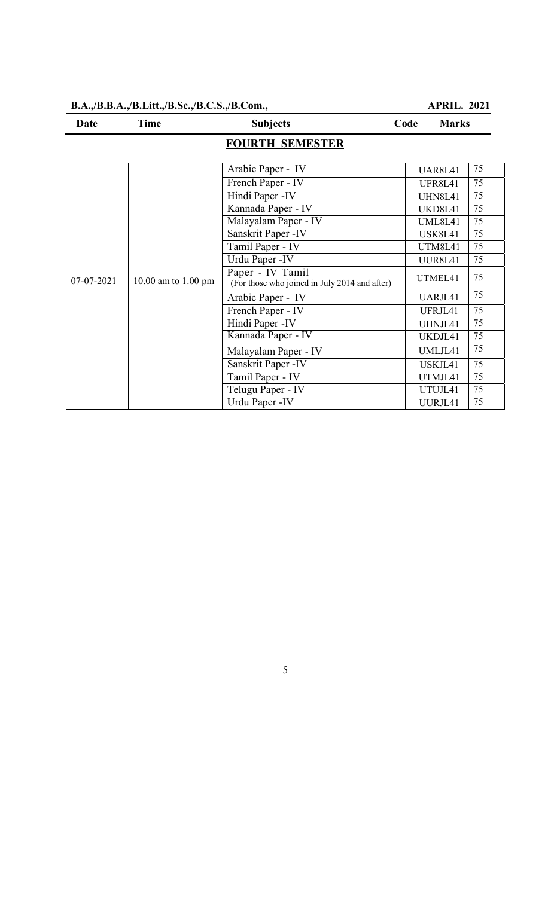#### **B.A.,/B.B.A.,/B.Litt.,/B.Sc.,/B.C.S.,/B.Com., APRIL. 2021**

| Date       | <b>Time</b>         | <b>Subjects</b>                                                   | <b>Marks</b><br>Code |    |
|------------|---------------------|-------------------------------------------------------------------|----------------------|----|
|            |                     | <b>FOURTH SEMESTER</b>                                            |                      |    |
|            |                     | Arabic Paper - IV                                                 | <b>UAR8L41</b>       | 75 |
|            |                     | French Paper - IV                                                 | <b>UFR8L41</b>       | 75 |
|            |                     | Hindi Paper -IV                                                   | <b>UHN8L41</b>       | 75 |
|            |                     | Kannada Paper - IV                                                | UKD8L41              | 75 |
|            |                     | Malayalam Paper - IV                                              | <b>UML8L41</b>       | 75 |
|            |                     | Sanskrit Paper -IV                                                | <b>USK8L41</b>       | 75 |
|            |                     | Tamil Paper - IV                                                  | <b>UTM8L41</b>       | 75 |
|            |                     | Urdu Paper - IV                                                   | <b>UUR8L41</b>       | 75 |
| 07-07-2021 | 10.00 am to 1.00 pm | Paper - IV Tamil<br>(For those who joined in July 2014 and after) | UTMEL41              | 75 |
|            |                     | Arabic Paper - IV                                                 | UARJL41              | 75 |
|            |                     | French Paper - IV                                                 | UFRJL41              | 75 |
|            |                     | Hindi Paper -IV                                                   | UHNJL41              | 75 |
|            |                     | Kannada Paper - IV                                                | UKDJL41              | 75 |
|            |                     | Malayalam Paper - IV                                              | UMLJL41              | 75 |
|            |                     | Sanskrit Paper - IV                                               | USKJL41              | 75 |
|            |                     | Tamil Paper - IV                                                  | UTMJL41              | 75 |
|            |                     | Telugu Paper - IV                                                 | UTUJL41              | 75 |
|            |                     | Urdu Paper - IV                                                   | UURJL41              | 75 |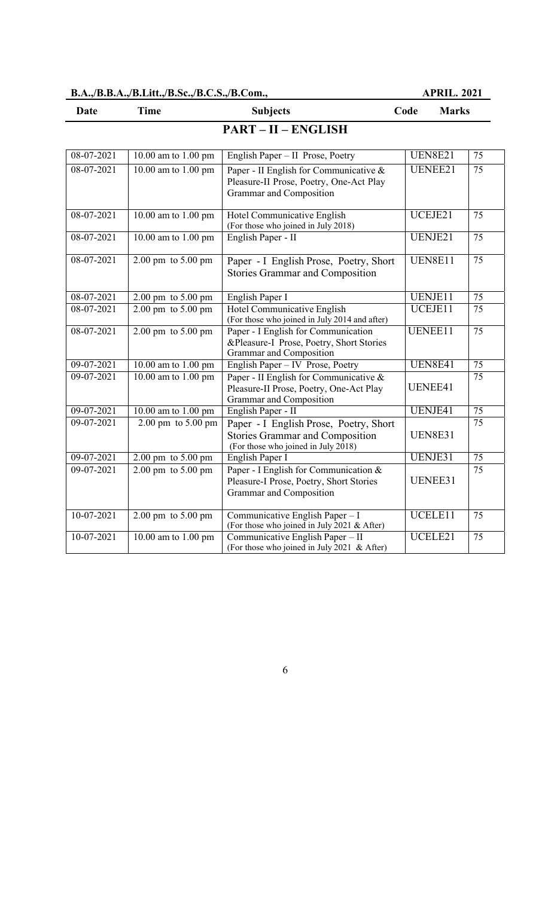| B.A.,/B.B.A.,/B.Litt.,/B.Sc.,/B.C.S.,/B.Com., |  | <b>APRIL, 2021</b> |
|-----------------------------------------------|--|--------------------|
|                                               |  |                    |

| <b>Time</b><br>Date |                                        | <b>Subjects</b>                                                                                                         | Code<br><b>Marks</b> |                 |
|---------------------|----------------------------------------|-------------------------------------------------------------------------------------------------------------------------|----------------------|-----------------|
|                     |                                        | <b>PART - II - ENGLISH</b>                                                                                              |                      |                 |
| 08-07-2021          | 10.00 am to 1.00 pm                    | English Paper - II Prose, Poetry                                                                                        | <b>UEN8E21</b>       | 75              |
| $08-07-2021$        | 10.00 am to 1.00 pm                    | Paper - II English for Communicative &<br>Pleasure-II Prose, Poetry, One-Act Play<br>Grammar and Composition            | <b>UENEE21</b>       | $\overline{75}$ |
| 08-07-2021          | 10.00 am to 1.00 pm                    | Hotel Communicative English<br>(For those who joined in July 2018)                                                      | UCEJE21              | 75              |
| 08-07-2021          | 10.00 am to 1.00 pm                    | English Paper - II                                                                                                      | UENJE21              | 75              |
| 08-07-2021          | $2.00 \text{ pm}$ to $5.00 \text{ pm}$ | Paper - I English Prose, Poetry, Short<br><b>Stories Grammar and Composition</b>                                        | <b>UEN8E11</b>       | 75              |
| 08-07-2021          | $2.00 \text{ pm}$ to $5.00 \text{ pm}$ | English Paper I                                                                                                         | UENJE11              | $\overline{75}$ |
| 08-07-2021          | $2.00 \text{ pm}$ to $5.00 \text{ pm}$ | Hotel Communicative English<br>(For those who joined in July 2014 and after)                                            | UCEJE11              | $\overline{75}$ |
| 08-07-2021          | $2.00 \text{ pm}$ to $5.00 \text{ pm}$ | Paper - I English for Communication<br>&Pleasure-I Prose, Poetry, Short Stories<br>Grammar and Composition              | UENEE11              | $\overline{75}$ |
| 09-07-2021          | 10.00 am to 1.00 pm                    | English Paper - IV Prose, Poetry                                                                                        | <b>UEN8E41</b>       | $\overline{75}$ |
| 09-07-2021          | 10.00 am to 1.00 pm                    | Paper - II English for Communicative &<br>Pleasure-II Prose, Poetry, One-Act Play<br>Grammar and Composition            | UENEE41              | $\overline{75}$ |
| 09-07-2021          | 10.00 am to 1.00 pm                    | English Paper - II                                                                                                      | UENJE41              | $\overline{75}$ |
| 09-07-2021          | 2.00 pm to 5.00 pm                     | Paper - I English Prose, Poetry, Short<br><b>Stories Grammar and Composition</b><br>(For those who joined in July 2018) | <b>UEN8E31</b>       | 75              |
| $09-07-2021$        | $2.00 \text{ pm}$ to $5.00 \text{ pm}$ | English Paper I                                                                                                         | UENJE31              | 75              |
| 09-07-2021          | 2.00 pm to 5.00 pm                     | Paper - I English for Communication &<br>Pleasure-I Prose, Poetry, Short Stories<br>Grammar and Composition             | UENEE31              | 75              |
| 10-07-2021          | $2.00 \text{ pm}$ to $5.00 \text{ pm}$ | Communicative English Paper - I<br>(For those who joined in July 2021 & After)                                          | UCELE11              | 75              |
| 10-07-2021          | 10.00 am to 1.00 pm                    | Communicative English Paper - II<br>(For those who joined in July 2021 & After)                                         | UCELE21              | 75              |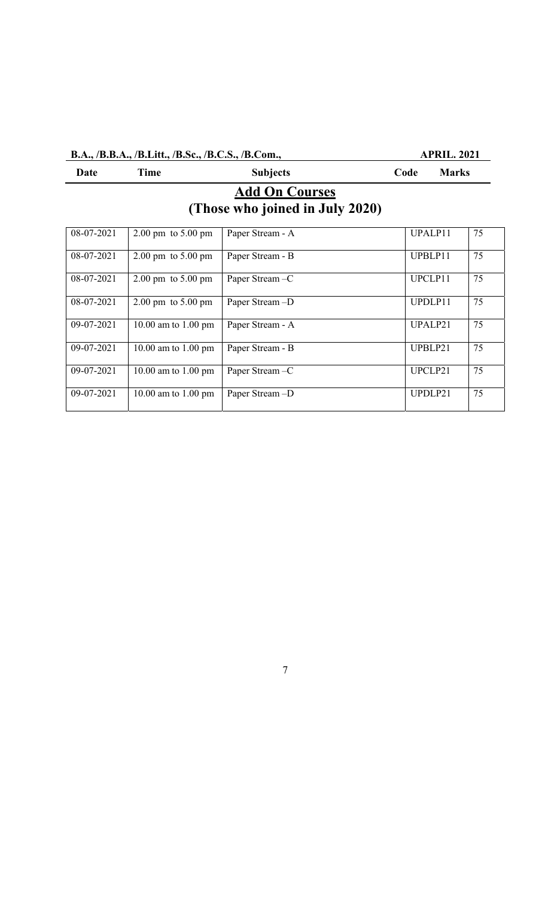# **B.A., /B.B.A., /B.Litt., /B.Sc., /B.C.S., /B.Com., APRIL. 2021**

| Date                                                     | Time                                   | <b>Subjects</b>  | Code    | <b>Marks</b> |  |  |  |
|----------------------------------------------------------|----------------------------------------|------------------|---------|--------------|--|--|--|
| <b>Add On Courses</b><br>(Those who joined in July 2020) |                                        |                  |         |              |  |  |  |
| 08-07-2021                                               | $2.00 \text{ pm}$ to $5.00 \text{ pm}$ | Paper Stream - A | UPALP11 | 75           |  |  |  |
| 08-07-2021                                               | $2.00 \text{ pm}$ to $5.00 \text{ pm}$ | Paper Stream - B | UPBLP11 | 75           |  |  |  |
| 08-07-2021                                               | $2.00 \text{ pm}$ to $5.00 \text{ pm}$ | Paper Stream-C   | UPCLP11 | 75           |  |  |  |
| 08-07-2021                                               | $2.00 \text{ pm}$ to $5.00 \text{ pm}$ | Paper Stream-D   | UPDLP11 | 75           |  |  |  |
| 09-07-2021                                               | 10.00 am to 1.00 pm                    | Paper Stream - A | UPALP21 | 75           |  |  |  |
| 09-07-2021                                               | 10.00 am to 1.00 pm                    | Paper Stream - B | UPBLP21 | 75           |  |  |  |
| 09-07-2021                                               | 10.00 am to 1.00 pm                    | Paper Stream-C   | UPCLP21 | 75           |  |  |  |
| 09-07-2021                                               | 10.00 am to 1.00 pm                    | Paper Stream -D  | UPDLP21 | 75           |  |  |  |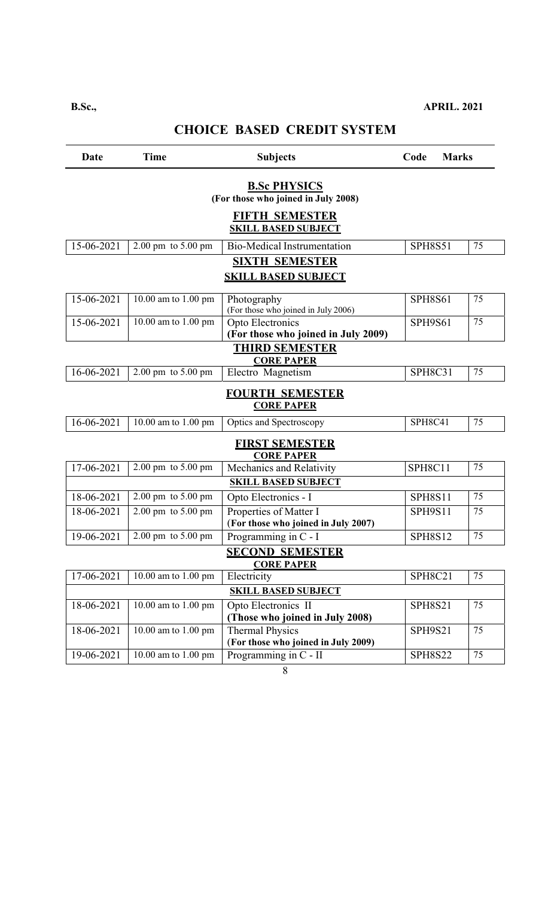# **CHOICE BASED CREDIT SYSTEM**

| Date       | <b>Time</b>                            | <b>Subjects</b>                                               | Code<br><b>Marks</b> |    |
|------------|----------------------------------------|---------------------------------------------------------------|----------------------|----|
|            |                                        | <b>B.Sc PHYSICS</b><br>(For those who joined in July 2008)    |                      |    |
|            |                                        | <b>FIFTH SEMESTER</b><br><b>SKILL BASED SUBJECT</b>           |                      |    |
| 15-06-2021 | 2.00 pm to 5.00 pm                     | <b>Bio-Medical Instrumentation</b>                            | <b>SPH8S51</b>       | 75 |
|            |                                        | <b>SIXTH SEMESTER</b><br><b>SKILL BASED SUBJECT</b>           |                      |    |
| 15-06-2021 | 10.00 am to 1.00 pm                    | Photography<br>(For those who joined in July 2006)            | <b>SPH8S61</b>       | 75 |
| 15-06-2021 | 10.00 am to 1.00 pm                    | Opto Electronics<br>(For those who joined in July 2009)       | SPH9S61              | 75 |
|            |                                        | <b>THIRD SEMESTER</b><br><b>CORE PAPER</b>                    |                      |    |
| 16-06-2021 | $2.00 \text{ pm}$ to $5.00 \text{ pm}$ | Electro Magnetism                                             | SPH8C31              | 75 |
|            |                                        | <b>FOURTH SEMESTER</b><br><b>CORE PAPER</b>                   |                      |    |
| 16-06-2021 | $\overline{10.00}$ am to 1.00 pm       | Optics and Spectroscopy                                       | SPH8C41              | 75 |
|            |                                        | <b>FIRST SEMESTER</b><br><b>CORE PAPER</b>                    |                      |    |
| 17-06-2021 | 2.00 pm to 5.00 pm                     | Mechanics and Relativity                                      | SPH8C11              | 75 |
|            |                                        | <b>SKILL BASED SUBJECT</b>                                    |                      |    |
| 18-06-2021 | 2.00 pm to 5.00 pm                     | Opto Electronics - I                                          | <b>SPH8S11</b>       | 75 |
| 18-06-2021 | 2.00 pm to 5.00 pm                     | Properties of Matter I<br>(For those who joined in July 2007) | <b>SPH9S11</b>       | 75 |
| 19-06-2021 | 2.00 pm to 5.00 pm                     | Programming in C - I                                          | <b>SPH8S12</b>       | 75 |
|            |                                        | <b>SECOND SEMESTER</b><br><b>CORE PAPER</b>                   |                      |    |
| 17-06-2021 | 10.00 am to 1.00 pm                    | Electricity                                                   | SPH8C21              | 75 |
|            |                                        | <b>SKILL BASED SUBJECT</b>                                    |                      |    |
| 18-06-2021 | 10.00 am to 1.00 pm                    | Opto Electronics II<br>(Those who joined in July 2008)        | <b>SPH8S21</b>       | 75 |
| 18-06-2021 | 10.00 am to 1.00 pm                    | <b>Thermal Physics</b><br>(For those who joined in July 2009) | <b>SPH9S21</b>       | 75 |
| 19-06-2021 | 10.00 am to 1.00 pm                    | Programming in C - II                                         | <b>SPH8S22</b>       | 75 |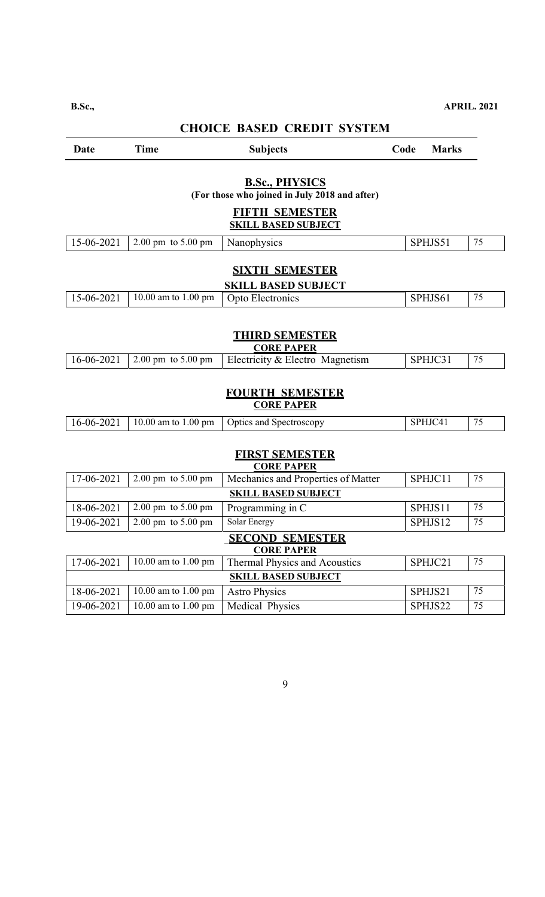# **CHOICE BASED CREDIT SYSTEM**

| Date                                                                   | <b>Time</b>                                | <b>Subjects</b>                                     | Code | <b>Marks</b> |    |  |  |  |
|------------------------------------------------------------------------|--------------------------------------------|-----------------------------------------------------|------|--------------|----|--|--|--|
| <b>B.Sc., PHYSICS</b><br>(For those who joined in July 2018 and after) |                                            |                                                     |      |              |    |  |  |  |
|                                                                        |                                            | <b>FIFTH SEMESTER</b><br><b>SKILL BASED SUBJECT</b> |      |              |    |  |  |  |
| 15-06-2021                                                             | $2.00 \text{ pm}$ to $5.00 \text{ pm}$     | Nanophysics                                         |      | SPHJS51      | 75 |  |  |  |
|                                                                        |                                            | <b>SIXTH SEMESTER</b>                               |      |              |    |  |  |  |
| 15-06-2021                                                             | 10.00 am to 1.00 pm                        | <b>SKILL BASED SUBJECT</b>                          |      | SPHJS61      | 75 |  |  |  |
|                                                                        |                                            | Opto Electronics                                    |      |              |    |  |  |  |
|                                                                        | <b>THIRD SEMESTER</b><br><b>CORE PAPER</b> |                                                     |      |              |    |  |  |  |
| 16-06-2021                                                             | $2.00 \text{ pm}$ to $5.00 \text{ pm}$     | Electricity & Electro Magnetism                     |      | SPHJC31      | 75 |  |  |  |
|                                                                        |                                            | <b>FOURTH SEMESTER</b><br><b>CORE PAPER</b>         |      |              |    |  |  |  |
| 16-06-2021                                                             | 10.00 am to 1.00 pm                        | Optics and Spectroscopy                             |      | SPHJC41      | 75 |  |  |  |
|                                                                        | FIRST SEMESTER<br><b>CORE PAPER</b>        |                                                     |      |              |    |  |  |  |
| 17-06-2021                                                             | $2.00 \text{ pm}$ to $5.00 \text{ pm}$     | Mechanics and Properties of Matter                  |      | SPHJC11      | 75 |  |  |  |
|                                                                        |                                            | <b>SKILL BASED SUBJECT</b>                          |      |              |    |  |  |  |
| 18-06-2021                                                             | 2.00 pm to 5.00 pm                         | Programming in C                                    |      | SPHJS11      | 75 |  |  |  |
| 19-06-2021                                                             | 2.00 pm to 5.00 pm                         | Solar Energy                                        |      | SPHJS12      | 75 |  |  |  |
|                                                                        |                                            | <b>SECOND SEMESTER</b><br><b>CORE PAPER</b>         |      |              |    |  |  |  |
| 17-06-2021                                                             | 10.00 am to 1.00 pm                        | Thermal Physics and Acoustics                       |      | SPHJC21      | 75 |  |  |  |
|                                                                        |                                            | <b>SKILL BASED SUBJECT</b>                          |      |              |    |  |  |  |
| 18-06-2021                                                             | 10.00 am to 1.00 pm                        | <b>Astro Physics</b>                                |      | SPHJS21      | 75 |  |  |  |
| 19-06-2021                                                             | 10.00 am to 1.00 pm                        | Medical Physics                                     |      | SPHJS22      | 75 |  |  |  |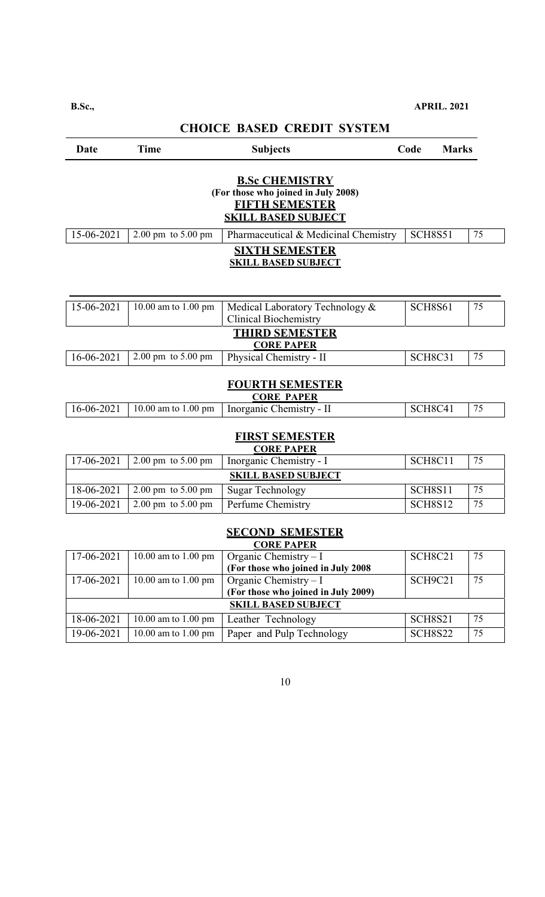# **CHOICE BASED CREDIT SYSTEM**

| Date                                                                                                                | <b>Time</b>                            | <b>Subjects</b>                                                 | Code           | <b>Marks</b> |  |  |  |  |
|---------------------------------------------------------------------------------------------------------------------|----------------------------------------|-----------------------------------------------------------------|----------------|--------------|--|--|--|--|
| <b>B.Sc CHEMISTRY</b><br>(For those who joined in July 2008)<br><b>FIFTH SEMESTER</b><br><b>SKILL BASED SUBJECT</b> |                                        |                                                                 |                |              |  |  |  |  |
| 15-06-2021                                                                                                          | $2.00 \text{ pm}$ to $5.00 \text{ pm}$ | Pharmaceutical & Medicinal Chemistry                            | <b>SCH8S51</b> | 75           |  |  |  |  |
| <b>SIXTH SEMESTER</b><br><b>SKILL BASED SUBJECT</b>                                                                 |                                        |                                                                 |                |              |  |  |  |  |
| 15-06-2021                                                                                                          | $\overline{10.00}$ am to 1.00 pm       | Medical Laboratory Technology &<br><b>Clinical Biochemistry</b> | <b>SCH8S61</b> | 75           |  |  |  |  |
|                                                                                                                     |                                        | <b>THIRD SEMESTER</b><br><b>CORE PAPER</b>                      |                |              |  |  |  |  |
| 16-06-2021                                                                                                          | $2.00 \text{ pm}$ to $5.00 \text{ pm}$ | Physical Chemistry - II                                         | <b>SCH8C31</b> | 75           |  |  |  |  |
|                                                                                                                     |                                        | <b>FOURTH SEMESTER</b><br><b>CORE PAPER</b>                     |                |              |  |  |  |  |
| $16 - 06 - 2021$                                                                                                    | 10.00 am to 1.00 pm                    | Inorganic Chemistry - II                                        | SCH8C41        | 75           |  |  |  |  |
|                                                                                                                     |                                        | <b>FIRST SEMESTER</b><br><b>CORE PAPER</b>                      |                |              |  |  |  |  |
| 17-06-2021                                                                                                          | 2.00 pm to 5.00 pm                     | Inorganic Chemistry - I                                         | SCH8C11        | 75           |  |  |  |  |
|                                                                                                                     |                                        | <b>SKILL BASED SUBJECT</b>                                      |                |              |  |  |  |  |
| 18-06-2021                                                                                                          | 2.00 pm to 5.00 pm                     | <b>Sugar Technology</b>                                         | <b>SCH8S11</b> | 75           |  |  |  |  |
| 19-06-2021                                                                                                          | 2.00 pm to 5.00 pm                     | Perfume Chemistry                                               | <b>SCH8S12</b> | 75           |  |  |  |  |
| <b>SECOND SEMESTER</b><br><u>CORE PAPER</u>                                                                         |                                        |                                                                 |                |              |  |  |  |  |
| 17-06-2021                                                                                                          | 10.00 am to 1.00 pm                    | Organic Chemistry $-I$<br>(For those who joined in July 2008    | SCH8C21        | 75           |  |  |  |  |
| 17-06-2021                                                                                                          | 10.00 am to 1.00 pm                    | Organic Chemistry - I<br>(For those who joined in July 2009)    | SCH9C21        | 75           |  |  |  |  |
| <b>SKILL BASED SUBJECT</b>                                                                                          |                                        |                                                                 |                |              |  |  |  |  |

10

18-06-2021 10.00 am to 1.00 pm Leather Technology SCH8S21 75<br>19-06-2021 10.00 am to 1.00 pm Paper and Pulp Technology SCH8S22 75 19-06-2021 10.00 am to 1.00 pm Paper and Pulp Technology SCH8S22 75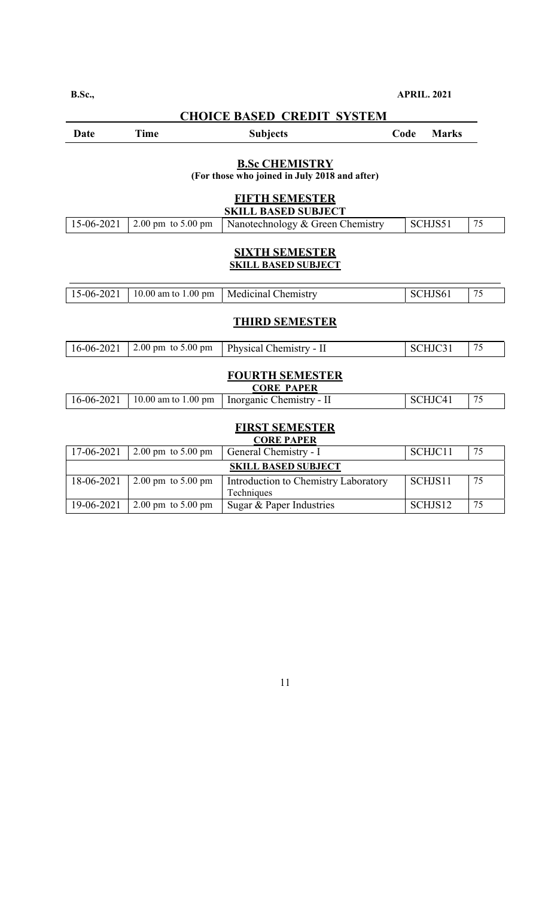| <b>CHOICE BASED CREDIT SYSTEM</b> |                                        |                                                                        |      |              |    |  |  |
|-----------------------------------|----------------------------------------|------------------------------------------------------------------------|------|--------------|----|--|--|
| <b>Date</b>                       | <b>Time</b>                            | <b>Subjects</b>                                                        | Code | <b>Marks</b> |    |  |  |
|                                   |                                        | <b>B.Sc CHEMISTRY</b><br>(For those who joined in July 2018 and after) |      |              |    |  |  |
|                                   |                                        | <b>FIFTH SEMESTER</b><br><b>SKILL BASED SUBJECT</b>                    |      |              |    |  |  |
| 15-06-2021                        | 2.00 pm to 5.00 pm                     | Nanotechnology & Green Chemistry                                       |      | SCHJS51      | 75 |  |  |
| 15-06-2021                        | 10.00 am to 1.00 pm                    | <b>SKILL BASED SUBJECT</b><br><b>Medicinal Chemistry</b>               |      | SCHJS61      | 75 |  |  |
|                                   |                                        | <b>THIRD SEMESTER</b>                                                  |      |              |    |  |  |
| 16-06-2021                        | 2.00 pm to 5.00 pm                     | Physical Chemistry - II                                                |      | SCHJC31      | 75 |  |  |
|                                   |                                        | <b>FOURTH SEMESTER</b><br><b>CORE PAPER</b>                            |      |              |    |  |  |
| 16-06-2021                        | 10.00 am to 1.00 pm                    | Inorganic Chemistry - II                                               |      | SCHJC41      | 75 |  |  |
|                                   |                                        | <b>FIRST SEMESTER</b><br><b>CORE PAPER</b>                             |      |              |    |  |  |
| 17-06-2021                        | $2.00 \text{ pm}$ to $5.00 \text{ pm}$ | General Chemistry - I                                                  |      | SCHJC11      | 75 |  |  |
|                                   |                                        | <b>SKILL BASED SUBJECT</b>                                             |      |              |    |  |  |
| 18-06-2021                        | 2.00 pm to $5.00 \,\rm{pm}$            | Introduction to Chemistry Laboratory                                   |      | SCHJS11      | 75 |  |  |

11

Techniques

19-06-2021 | 2.00 pm to 5.00 pm | Sugar & Paper Industries | SCHJS12 |  $75$ 

### **B.Sc., APRIL. 2021**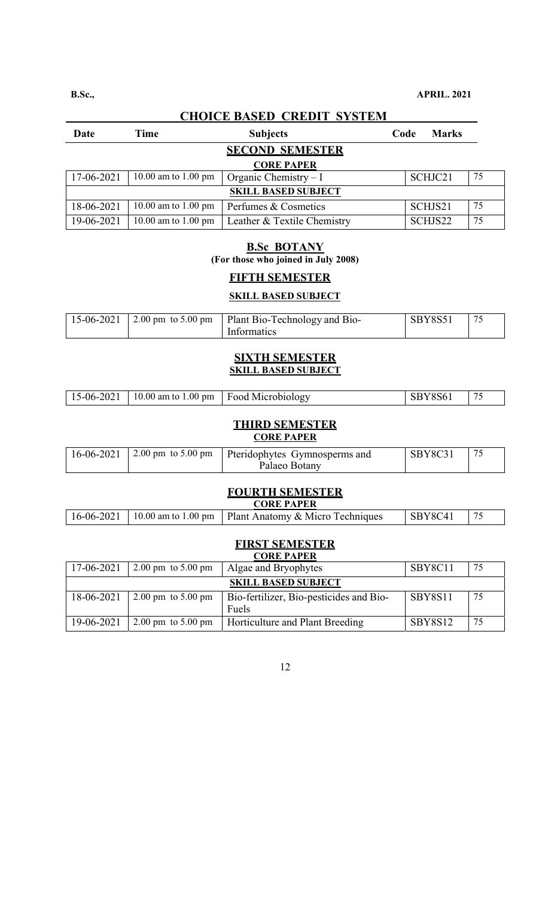**CHOICE BASED CREDIT SYSTEM**  Date Time Subjects Code Marks **SECOND SEMESTER CORE PAPER**  17-06-2021 10.00 am to 1.00 pm Organic Chemistry – I SCHJC21 75 **SKILL BASED SUBJECT**  18-06-2021 | 10.00 am to 1.00 pm | Perfumes & Cosmetics | SCHJS21 | 75

### **B.Sc BOTANY (For those who joined in July 2008)**

### **FIFTH SEMESTER**

19-06-2021 10.00 am to 1.00 pm Leather & Textile Chemistry SCHJS22 75

#### **SKILL BASED SUBJECT**

|  | 15-06-2021   2.00 pm to 5.00 pm   Plant Bio-Technology and Bio- | <b>SBY8S51</b> | 75 |
|--|-----------------------------------------------------------------|----------------|----|
|  | Informatics                                                     |                |    |

### **SIXTH SEMESTER SKILL BASED SUBJECT**

| 15-06-2021   10.00 am to 1.00 pm   Food Microbiology | SBY8S61 | $\frac{75}{ }$ |
|------------------------------------------------------|---------|----------------|
|                                                      |         |                |

# **THIRD SEMESTER**

## **CORE PAPER**

|  | $16-06-2021$ 2.00 pm to 5.00 pm Pteridophytes Gymnosperms and | SBY8C31 |  |
|--|---------------------------------------------------------------|---------|--|
|  | Palaeo Botany                                                 |         |  |

#### **FOURTH SEMESTER CORE PAPER**

| AUND LAL DA |  |                                                                     |                 |  |  |  |
|-------------|--|---------------------------------------------------------------------|-----------------|--|--|--|
|             |  | 16-06-2021   10.00 am to 1.00 pm   Plant Anatomy & Micro Techniques | $\vert$ SBY8C41 |  |  |  |

#### **FIRST SEMESTER CORE PAPER**

| UUKE FAFEK                 |                                        |                                                  |                |    |  |  |  |
|----------------------------|----------------------------------------|--------------------------------------------------|----------------|----|--|--|--|
| 17-06-2021                 | $2.00 \text{ pm}$ to $5.00 \text{ pm}$ | Algae and Bryophytes                             | SBY8C11        | 75 |  |  |  |
| <b>SKILL BASED SUBJECT</b> |                                        |                                                  |                |    |  |  |  |
| 18-06-2021                 | $2.00 \text{ pm}$ to $5.00 \text{ pm}$ | Bio-fertilizer, Bio-pesticides and Bio-<br>Fuels | SBY8S11        | 75 |  |  |  |
| 19-06-2021                 | $2.00 \text{ pm}$ to $5.00 \text{ pm}$ | Horticulture and Plant Breeding                  | <b>SBY8S12</b> | 75 |  |  |  |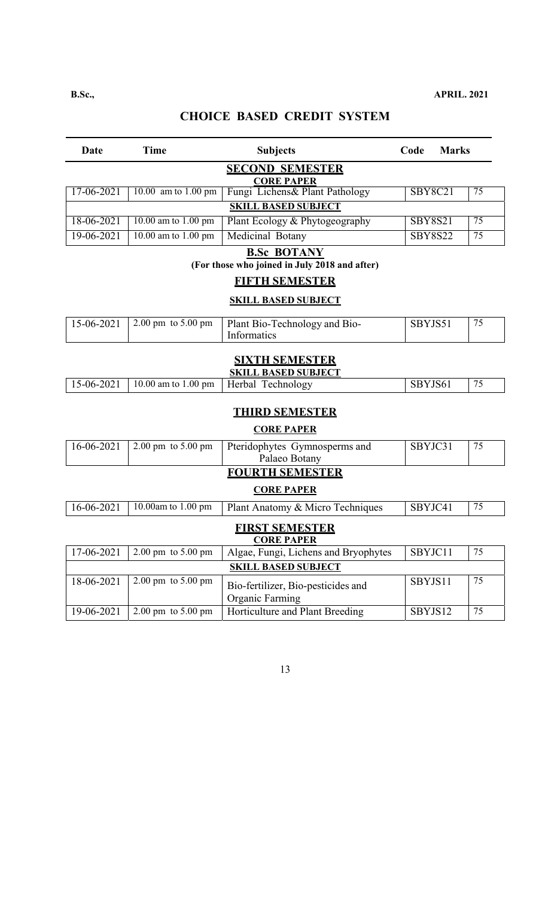# **CHOICE BASED CREDIT SYSTEM**

| Date                                       | <b>Time</b>                                 | <b>Subjects</b>                                                     | Code           | <b>Marks</b> |                 |  |  |  |  |
|--------------------------------------------|---------------------------------------------|---------------------------------------------------------------------|----------------|--------------|-----------------|--|--|--|--|
|                                            | <b>SECOND SEMESTER</b><br><b>CORE PAPER</b> |                                                                     |                |              |                 |  |  |  |  |
| 17-06-2021                                 | 10.00 am to 1.00 pm                         | Fungi Lichens& Plant Pathology                                      | <b>SBY8C21</b> |              | 75              |  |  |  |  |
|                                            | <b>SKILL BASED SUBJECT</b>                  |                                                                     |                |              |                 |  |  |  |  |
| 18-06-2021                                 | 10.00 am to 1.00 pm                         | Plant Ecology & Phytogeography                                      | <b>SBY8S21</b> |              | $\overline{75}$ |  |  |  |  |
| 19-06-2021                                 | 10.00 am to 1.00 pm                         | Medicinal Botany                                                    | <b>SBY8S22</b> |              | 75              |  |  |  |  |
|                                            |                                             | <b>B.Sc BOTANY</b><br>(For those who joined in July 2018 and after) |                |              |                 |  |  |  |  |
|                                            |                                             | <b>FIFTH SEMESTER</b>                                               |                |              |                 |  |  |  |  |
|                                            |                                             | <b>SKILL BASED SUBJECT</b>                                          |                |              |                 |  |  |  |  |
| 15-06-2021                                 | $2.00 \text{ pm}$ to $5.00 \text{ pm}$      | Plant Bio-Technology and Bio-<br><b>Informatics</b>                 | SBYJS51        |              | 75              |  |  |  |  |
|                                            |                                             | <b>SIXTH SEMESTER</b><br><b>SKILL BASED SUBJECT</b>                 |                |              |                 |  |  |  |  |
| 15-06-2021                                 | 10.00 am to 1.00 pm                         | Herbal Technology                                                   | SBYJS61        |              | 75              |  |  |  |  |
|                                            |                                             | <b>THIRD SEMESTER</b>                                               |                |              |                 |  |  |  |  |
|                                            |                                             | <b>CORE PAPER</b>                                                   |                |              |                 |  |  |  |  |
| 16-06-2021                                 | $2.00 \text{ pm}$ to $5.00 \text{ pm}$      | Pteridophytes Gymnosperms and<br>Palaeo Botany                      | SBYJC31        |              | 75              |  |  |  |  |
|                                            |                                             | <b>FOURTH SEMESTER</b>                                              |                |              |                 |  |  |  |  |
|                                            |                                             | <b>CORE PAPER</b>                                                   |                |              |                 |  |  |  |  |
| 16-06-2021                                 | 10.00am to 1.00 pm                          | Plant Anatomy & Micro Techniques                                    | SBYJC41        |              | 75              |  |  |  |  |
| <b>FIRST SEMESTER</b><br><b>CORE PAPER</b> |                                             |                                                                     |                |              |                 |  |  |  |  |
| 17-06-2021                                 | $2.00 \text{ pm}$ to $5.00 \text{ pm}$      | Algae, Fungi, Lichens and Bryophytes                                | SBYJC11        |              | 75              |  |  |  |  |
|                                            |                                             | <b>SKILL BASED SUBJECT</b>                                          |                |              |                 |  |  |  |  |
| 18-06-2021                                 | 2.00 pm to 5.00 pm                          | Bio-fertilizer, Bio-pesticides and<br><b>Organic Farming</b>        | SBYJS11        |              | 75              |  |  |  |  |
| 19-06-2021                                 | $2.00 \text{ pm}$ to $5.00 \text{ pm}$      | Horticulture and Plant Breeding                                     | SBYJS12        |              | 75              |  |  |  |  |
|                                            |                                             |                                                                     |                |              |                 |  |  |  |  |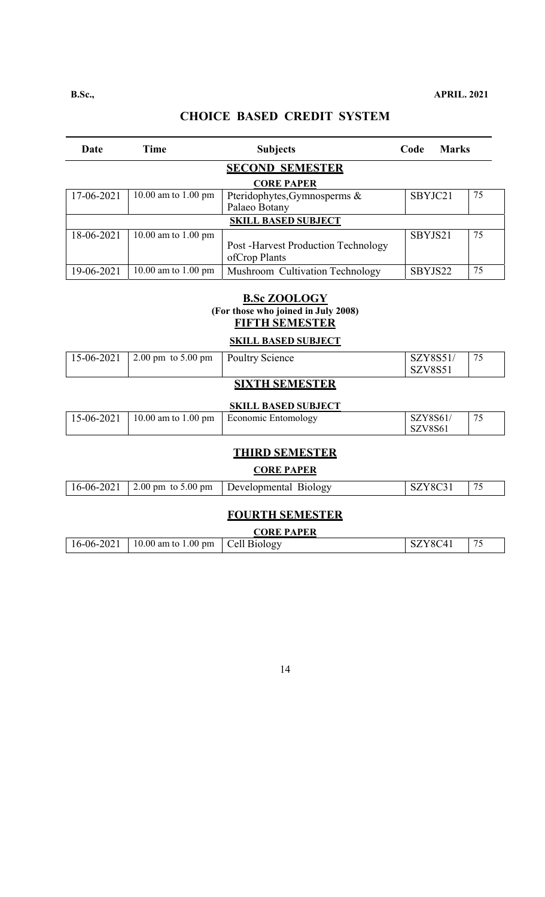| Date       | Time                          | <b>Subjects</b>                            | Code    | <b>Marks</b> |    |
|------------|-------------------------------|--------------------------------------------|---------|--------------|----|
|            |                               | <b>SECOND SEMESTER</b>                     |         |              |    |
|            |                               | <b>CORE PAPER</b>                          |         |              |    |
| 17-06-2021 | 10.00 am to 1.00 pm           | Pteridophytes, Gymnosperms &               | SBYJC21 |              | 75 |
|            |                               | Palaeo Botany                              |         |              |    |
|            |                               | <b>SKILL BASED SUBJECT</b>                 |         |              |    |
| 18-06-2021 | 10.00 am to 1.00 pm           |                                            | SBYJS21 |              | 75 |
|            |                               | <b>Post -Harvest Production Technology</b> |         |              |    |
|            |                               | ofCrop Plants                              |         |              |    |
| 19-06-2021 | 10.00 am to $1.00 \text{ pm}$ | Mushroom Cultivation Technology            | SBYJS22 |              | 75 |
|            |                               |                                            |         |              |    |

### **B.Sc ZOOLOGY (For those who joined in July 2008) FIFTH SEMESTER**

**SKILL BASED SUBJECT** 

| $15-06-2021$ | $2.00 \text{ pm}$ to $5.00 \text{ pm}$<br>Poultry Science | $\mathsf{L}$<br>SZ | 75<br>Y8S51<br><b>V8S5</b> |
|--------------|-----------------------------------------------------------|--------------------|----------------------------|
|--------------|-----------------------------------------------------------|--------------------|----------------------------|

# **SIXTH SEMESTER**

### **SKILL BASED SUBJECT**

| 15-06-2021 | 10.00 am to 1.00 pm | Economic Entomology | <b>SZY8S61</b><br>5Z.      | 7c |
|------------|---------------------|---------------------|----------------------------|----|
|            |                     |                     | SZV8S61<br>SL <sub>1</sub> |    |

# **THIRD SEMESTER**

### **CORE PAPER**

| $16 - 06 - 2021$<br>$\frac{1}{2.00}$ pm to 5.00 pm<br>Developmental<br>B10l0gV |
|--------------------------------------------------------------------------------|
|--------------------------------------------------------------------------------|

### **FOURTH SEMESTER**

|            |                                          | <b>CORE PAPER</b> |         |                               |
|------------|------------------------------------------|-------------------|---------|-------------------------------|
| 16-06-2021 | 10.00 am to 1.00 pm $\vert$ Cell Biology |                   | SZY8C41 | $\overline{\phantom{a}}$<br>ر |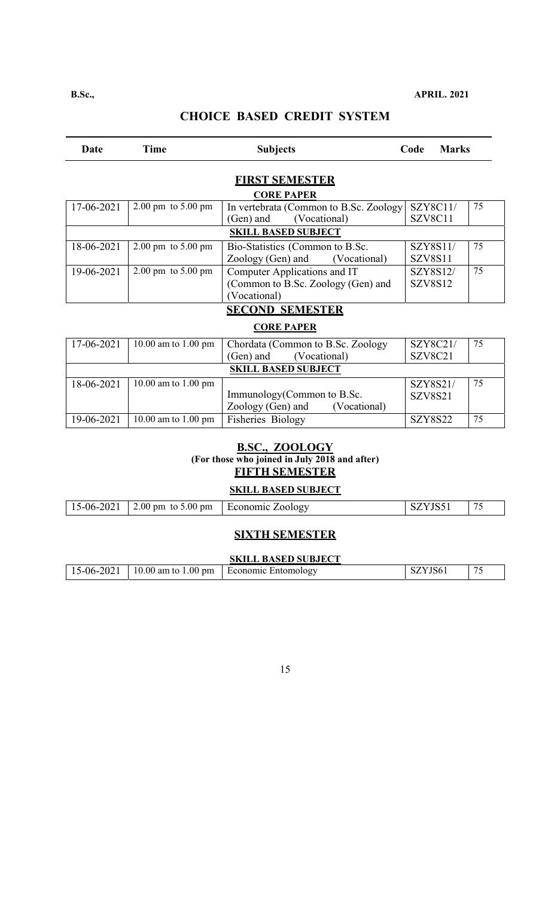#### Date Time Subjects Code Marks **FIRST SEMESTER CORE PAPER**  17-06-2021 2.00 pm to 5.00 pm In vertebrata (Common to B.Sc. Zoology (Gen) and (Vocational) SZY8C11/ SZV8C11 75 **SKILL BASED SUBJECT**  18-06-2021 2.00 pm to 5.00 pm Bio-Statistics (Common to B.Sc.<br>Zoology (Gen) and (Vocational) Zoology (Gen) and SZY8S11/ SZV8S11 75 19-06-2021 2.00 pm to 5.00 pm Computer Applications and IT (Common to B.Sc. Zoology (Gen) and (Vocational) SZY8S12/ SZV8S12 75 **SECOND SEMESTER CORE PAPER**   $17-06-2021$  10.00 am to 1.00 pm Chordata (Common to B.Sc. Zoology (Gen) and (Vocational) (Vocational) SZY8C21/ SZV8C21 75 **SKILL BASED SUBJECT**

|            | эмше разер эсрэес і   |                                   |                |    |  |  |
|------------|-----------------------|-----------------------------------|----------------|----|--|--|
| 18-06-2021 | $10.00$ am to 1.00 pm |                                   | SZY8S21/       | 75 |  |  |
|            |                       | Immunology (Common to B.Sc.       | SZV8S21        |    |  |  |
|            |                       | Zoology (Gen) and<br>(Vocational) |                |    |  |  |
| 19-06-2021 | $10.00$ am to 1.00 pm | <b>Fisheries Biology</b>          | <b>SZY8S22</b> | 75 |  |  |

### **B.SC., ZOOLOGY (For those who joined in July 2018 and after) FIFTH SEMESTER**

# **SKILL BASED SUBJECT**

| $15-06-2021$ | 2.00 pm to 5.00 pm | Economic Zoology | $\overline{\phantom{a}}$ |
|--------------|--------------------|------------------|--------------------------|

#### **SIXTH SEMESTER**

| <b>SKILL BASED SUBJECT</b> |  |                                                                         |         |  |
|----------------------------|--|-------------------------------------------------------------------------|---------|--|
|                            |  | $\mid$ 15-06-2021 $\mid$ 10.00 am to 1.00 pm $\mid$ Economic Entomology | SZYJS61 |  |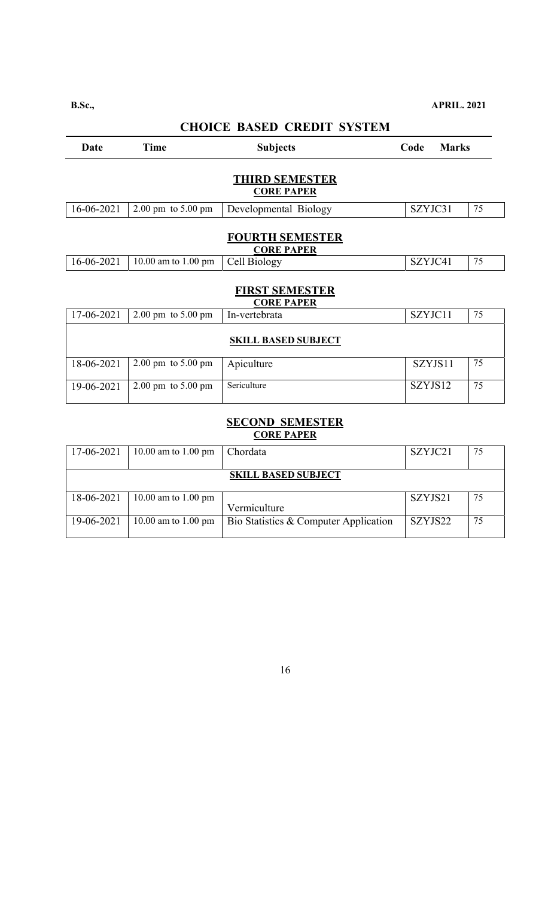| Date                                        | <b>Time</b>                            | <b>Subjects</b>                            | Code    | <b>Marks</b> |    |  |
|---------------------------------------------|----------------------------------------|--------------------------------------------|---------|--------------|----|--|
| <b>THIRD SEMESTER</b><br><b>CORE PAPER</b>  |                                        |                                            |         |              |    |  |
| 16-06-2021                                  | $2.00 \text{ pm}$ to $5.00 \text{ pm}$ | Developmental Biology                      | SZYJC31 |              | 75 |  |
| <b>FOURTH SEMESTER</b><br><b>CORE PAPER</b> |                                        |                                            |         |              |    |  |
| 16-06-2021                                  | 10.00 am to 1.00 pm                    | Cell Biology                               | SZYJC41 |              | 75 |  |
|                                             |                                        | <b>FIRST SEMESTER</b><br><b>CORE PAPER</b> |         |              |    |  |
| 17-06-2021                                  | $2.00 \text{ pm}$ to $5.00 \text{ pm}$ | In-vertebrata                              | SZYJC11 |              | 75 |  |
| <b>SKILL BASED SUBJECT</b>                  |                                        |                                            |         |              |    |  |
| 18-06-2021                                  | $2.00 \text{ pm}$ to $5.00 \text{ pm}$ | Apiculture                                 | SZYJS11 |              | 75 |  |
| 19-06-2021                                  | $2.00 \text{ pm}$ to $5.00 \text{ pm}$ | Sericulture                                | SZYJS12 |              | 75 |  |

#### **SECOND SEMESTER CORE PAPER**

| 17-06-2021 | 10.00 am to 1.00 pm | Chordata                              | SZYJC21 | 75 |
|------------|---------------------|---------------------------------------|---------|----|
|            |                     | <b>SKILL BASED SUBJECT</b>            |         |    |
| 18-06-2021 | 10.00 am to 1.00 pm | Vermiculture                          | SZYJS21 | 75 |
| 19-06-2021 | 10.00 am to 1.00 pm | Bio Statistics & Computer Application | SZYJS22 | 75 |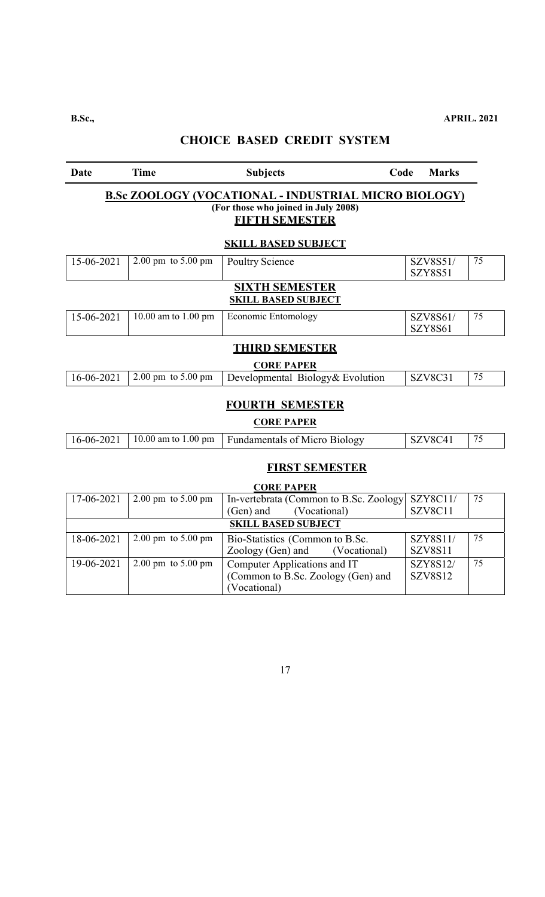| Date             | <b>Time</b>                                | <b>Subjects</b>                                                                                                                                           | Code | <b>Marks</b>               |    |  |  |
|------------------|--------------------------------------------|-----------------------------------------------------------------------------------------------------------------------------------------------------------|------|----------------------------|----|--|--|
|                  |                                            | <b>B.Sc ZOOLOGY (VOCATIONAL - INDUSTRIAL MICRO BIOLOGY)</b><br>(For those who joined in July 2008)<br><b>FIFTH SEMESTER</b><br><b>SKILL BASED SUBJECT</b> |      |                            |    |  |  |
| 15-06-2021       | $2.00 \text{ pm}$ to $5.00 \text{ pm}$     | <b>Poultry Science</b>                                                                                                                                    |      | SZV8S51/<br><b>SZY8S51</b> | 75 |  |  |
|                  |                                            | <b>SIXTH SEMESTER</b><br><b>SKILL BASED SUBJECT</b>                                                                                                       |      |                            |    |  |  |
| 15-06-2021       | 10.00 am to 1.00 pm                        | <b>Economic Entomology</b>                                                                                                                                |      | SZV8S61/<br><b>SZY8S61</b> | 75 |  |  |
|                  |                                            | <b>THIRD SEMESTER</b><br><b>CORE PAPER</b>                                                                                                                |      |                            |    |  |  |
| 16-06-2021       | $2.00 \text{ pm}$ to $5.00 \text{ pm}$     | Developmental Biology& Evolution                                                                                                                          |      | SZV8C31                    | 75 |  |  |
|                  |                                            | <b>FOURTH SEMESTER</b><br><b>CORE PAPER</b>                                                                                                               |      |                            |    |  |  |
| $16 - 06 - 2021$ | 10.00 am to 1.00 pm                        | <b>Fundamentals of Micro Biology</b>                                                                                                                      |      | SZV8C41                    | 75 |  |  |
|                  | <b>FIRST SEMESTER</b><br><b>CORE PAPER</b> |                                                                                                                                                           |      |                            |    |  |  |
| 17-06-2021       | $2.00 \text{ pm}$ to $5.00 \text{ pm}$     | In-vertebrata (Common to B.Sc. Zoology<br>$(Gen)$ and<br>(Vocational)                                                                                     |      | SZY8C11/<br>SZV8C11        | 75 |  |  |

|                            |                                        | (Vocational)<br>(Gen) and          | SZV8C11        |    |  |
|----------------------------|----------------------------------------|------------------------------------|----------------|----|--|
| <b>SKILL BASED SUBJECT</b> |                                        |                                    |                |    |  |
| 18-06-2021                 | $2.00 \text{ pm}$ to 5.00 pm           | Bio-Statistics (Common to B.Sc.)   | SZY8S11/       | 75 |  |
|                            |                                        | Zoology (Gen) and (Vocational)     | <b>SZV8S11</b> |    |  |
| 19-06-2021                 | $2.00 \text{ pm}$ to $5.00 \text{ pm}$ | Computer Applications and IT       | SZY8S12/       | 75 |  |
|                            |                                        | (Common to B.Sc. Zoology (Gen) and | <b>SZV8S12</b> |    |  |
|                            |                                        | (Vocational)                       |                |    |  |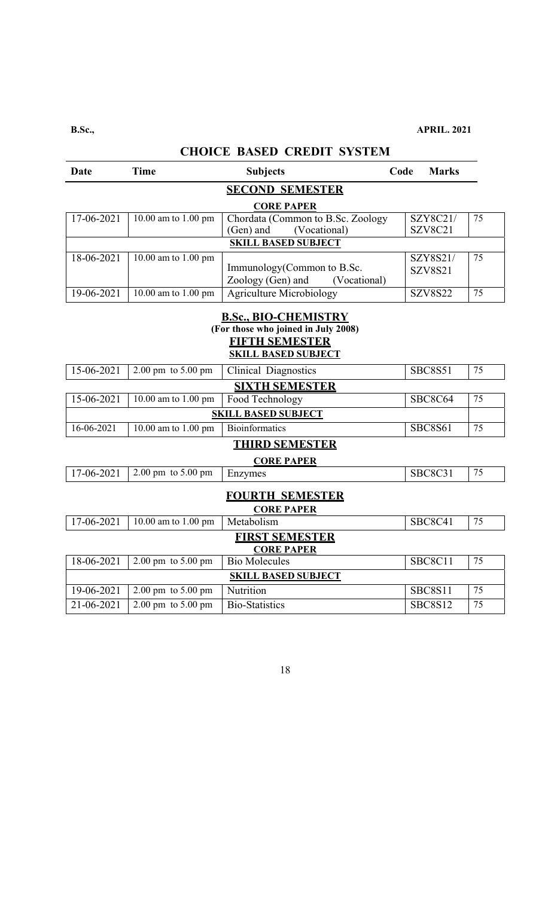| <b>CHOICE BASED CREDIT SYSTEM</b>                                                                                  |                                        |                                             |      |                |    |  |
|--------------------------------------------------------------------------------------------------------------------|----------------------------------------|---------------------------------------------|------|----------------|----|--|
| Date                                                                                                               | <b>Time</b>                            | <b>Subjects</b>                             | Code | <b>Marks</b>   |    |  |
|                                                                                                                    |                                        | <b>SECOND SEMESTER</b>                      |      |                |    |  |
|                                                                                                                    |                                        | <b>CORE PAPER</b>                           |      |                |    |  |
| 17-06-2021                                                                                                         | 10.00 am to 1.00 pm                    | Chordata (Common to B.Sc. Zoology           |      | SZY8C21/       | 75 |  |
|                                                                                                                    |                                        | (Vocational)<br>(Gen) and                   |      | SZV8C21        |    |  |
|                                                                                                                    |                                        | <b>SKILL BASED SUBJECT</b>                  |      |                |    |  |
| 18-06-2021                                                                                                         | 10.00 am to 1.00 pm                    |                                             |      | SZY8S21/       | 75 |  |
|                                                                                                                    |                                        | Immunology(Common to B.Sc.                  |      | <b>SZV8S21</b> |    |  |
|                                                                                                                    |                                        | Zoology (Gen) and<br>(Vocational)           |      |                |    |  |
| 19-06-2021                                                                                                         | 10.00 am to 1.00 pm                    | <b>Agriculture Microbiology</b>             |      | <b>SZV8S22</b> | 75 |  |
| <b>B.Sc., BIO-CHEMISTRY</b><br>(For those who joined in July 2008)<br>FIFTH SEMESTER<br><b>SKILL BASED SUBJECT</b> |                                        |                                             |      |                |    |  |
| 15-06-2021                                                                                                         | 2.00 pm to 5.00 pm                     | <b>Clinical Diagnostics</b>                 |      | <b>SBC8S51</b> | 75 |  |
|                                                                                                                    |                                        | <b>SIXTH SEMESTER</b>                       |      |                |    |  |
| 15-06-2021                                                                                                         | 10.00 am to 1.00 pm                    | Food Technology                             |      | SBC8C64        | 75 |  |
|                                                                                                                    |                                        | <b>SKILL BASED SUBJECT</b>                  |      |                |    |  |
| 16-06-2021                                                                                                         | $\overline{10.00}$ am to 1.00 pm       | Bioinformatics                              |      | <b>SBC8S61</b> | 75 |  |
|                                                                                                                    |                                        | <b>THIRD SEMESTER</b>                       |      |                |    |  |
|                                                                                                                    |                                        | <b>CORE PAPER</b>                           |      |                |    |  |
| 17-06-2021                                                                                                         | $2.00 \text{ pm}$ to $5.00 \text{ pm}$ | Enzymes                                     |      | <b>SBC8C31</b> | 75 |  |
|                                                                                                                    |                                        | <b>FOURTH SEMESTER</b><br><b>CORE PAPER</b> |      |                |    |  |
| 17-06-2021                                                                                                         | 10.00 am to 1.00 pm                    | Metabolism                                  |      | SBC8C41        | 75 |  |
|                                                                                                                    |                                        | <b>FIRST SEMESTER</b><br><b>CORE PAPER</b>  |      |                |    |  |
| 18-06-2021                                                                                                         | $2.00 \text{ pm}$ to $5.00 \text{ pm}$ | <b>Bio Molecules</b>                        |      | SBC8C11        | 75 |  |
|                                                                                                                    |                                        | <b>SKILL BASED SUBJECT</b>                  |      |                |    |  |
| 19-06-2021                                                                                                         | 2.00 pm to 5.00 pm                     | Nutrition                                   |      | SBC8S11        | 75 |  |
| 21-06-2021                                                                                                         | $2.00 \text{ pm}$ to $5.00 \text{ pm}$ | <b>Bio-Statistics</b>                       |      | <b>SBC8S12</b> | 75 |  |
|                                                                                                                    |                                        |                                             |      |                |    |  |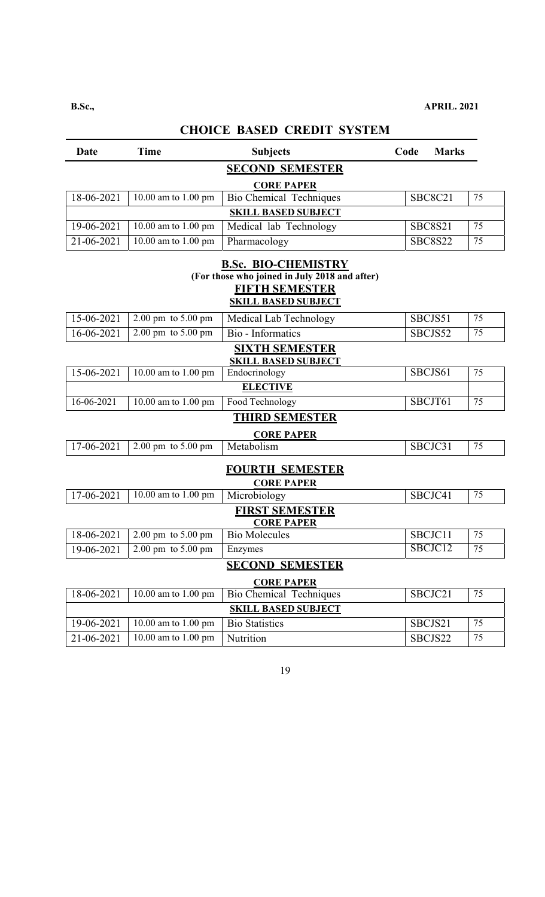| Date                   | <b>Time</b>                            | <b>Subjects</b>                               | Code | <b>Marks</b>   |    |  |  |
|------------------------|----------------------------------------|-----------------------------------------------|------|----------------|----|--|--|
|                        | <b>SECOND SEMESTER</b>                 |                                               |      |                |    |  |  |
| <b>CORE PAPER</b>      |                                        |                                               |      |                |    |  |  |
| 18-06-2021             | 10.00 am to 1.00 pm                    | <b>Bio Chemical Techniques</b>                |      | <b>SBC8C21</b> | 75 |  |  |
|                        |                                        | <b>SKILL BASED SUBJECT</b>                    |      |                |    |  |  |
| 19-06-2021             | 10.00 am to 1.00 pm                    | Medical lab Technology                        |      | <b>SBC8S21</b> | 75 |  |  |
| 21-06-2021             | 10.00 am to 1.00 pm                    | Pharmacology                                  |      | <b>SBC8S22</b> | 75 |  |  |
|                        |                                        | <b>B.Sc. BIO-CHEMISTRY</b>                    |      |                |    |  |  |
|                        |                                        | (For those who joined in July 2018 and after) |      |                |    |  |  |
|                        |                                        | <b>FIFTH SEMESTER</b>                         |      |                |    |  |  |
|                        |                                        | <b>SKILL BASED SUBJECT</b>                    |      |                |    |  |  |
| 15-06-2021             | $2.00 \text{ pm}$ to $5.00 \text{ pm}$ | Medical Lab Technology                        |      | SBCJS51        | 75 |  |  |
| 16-06-2021             | $2.00 \text{ pm}$ to $5.00 \text{ pm}$ | Bio - Informatics                             |      | SBCJS52        | 75 |  |  |
|                        |                                        | <b>SIXTH SEMESTER</b>                         |      |                |    |  |  |
| 15-06-2021             | 10.00 am to 1.00 pm                    | <b>SKILL BASED SUBJECT</b><br>Endocrinology   |      | SBCJS61        | 75 |  |  |
|                        |                                        | <b>ELECTIVE</b>                               |      |                |    |  |  |
| 16-06-2021             | $\overline{10.00}$ am to 1.00 pm       | Food Technology                               |      | SBCJT61        | 75 |  |  |
|                        |                                        | <b>THIRD SEMESTER</b>                         |      |                |    |  |  |
|                        |                                        | <b>CORE PAPER</b>                             |      |                |    |  |  |
| 17-06-2021             | 2.00 pm to 5.00 pm                     | Metabolism                                    |      | SBCJC31        | 75 |  |  |
|                        |                                        | <b>FOURTH SEMESTER</b>                        |      |                |    |  |  |
|                        |                                        | <b>CORE PAPER</b>                             |      |                |    |  |  |
| 17-06-2021             | $\overline{10.00}$ am to 1.00 pm       | Microbiology                                  |      | SBCJC41        | 75 |  |  |
|                        |                                        | <b>FIRST SEMESTER</b>                         |      |                |    |  |  |
|                        |                                        | <b>CORE PAPER</b>                             |      |                |    |  |  |
| 18-06-2021             | 2.00 pm to 5.00 pm                     | <b>Bio Molecules</b>                          |      | SBCJC11        | 75 |  |  |
| 19-06-2021             | $2.00 \text{ pm}$ to $5.00 \text{ pm}$ | Enzymes                                       |      | SBCJC12        | 75 |  |  |
| <b>SECOND SEMESTER</b> |                                        |                                               |      |                |    |  |  |
| <b>CORE PAPER</b>      |                                        |                                               |      |                |    |  |  |
| 18-06-2021             | 10.00 am to 1.00 pm                    | <b>Bio Chemical Techniques</b>                |      | SBCJC21        | 75 |  |  |
|                        |                                        | <b>SKILL BASED SUBJECT</b>                    |      |                |    |  |  |
| 19-06-2021             | 10.00 am to 1.00 pm                    | <b>Bio Statistics</b>                         |      | SBCJS21        | 75 |  |  |
| 21-06-2021             | 10.00 am to 1.00 pm                    | Nutrition                                     |      | SBCJS22        | 75 |  |  |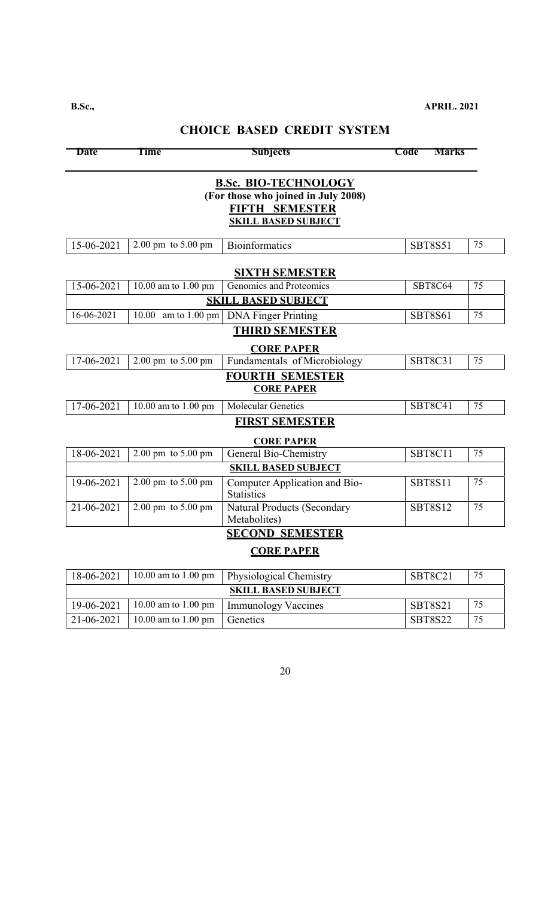| <b>Date</b>                                                                                                        | <b>Time</b>                            | <b>Subjects</b>                                    | <b>Marks</b><br>Code |    |  |  |
|--------------------------------------------------------------------------------------------------------------------|----------------------------------------|----------------------------------------------------|----------------------|----|--|--|
| <b>B.Sc. BIO-TECHNOLOGY</b><br>(For those who joined in July 2008)<br>FIFTH SEMESTER<br><b>SKILL BASED SUBJECT</b> |                                        |                                                    |                      |    |  |  |
| 15-06-2021                                                                                                         | 2.00 pm to 5.00 pm                     | <b>Bioinformatics</b>                              | <b>SBT8S51</b>       | 75 |  |  |
|                                                                                                                    |                                        | <b>SIXTH SEMESTER</b>                              |                      |    |  |  |
| 15-06-2021                                                                                                         | 10.00 am to 1.00 pm                    | Genomics and Proteomics                            | SBT8C64              | 75 |  |  |
|                                                                                                                    |                                        | <b>SKILL BASED SUBJECT</b>                         |                      |    |  |  |
| 16-06-2021                                                                                                         | am to $1.00$ pm<br>10.00               | <b>DNA Finger Printing</b>                         | <b>SBT8S61</b>       | 75 |  |  |
|                                                                                                                    |                                        | <b>THIRD SEMESTER</b>                              |                      |    |  |  |
|                                                                                                                    |                                        | <b>CORE PAPER</b>                                  |                      |    |  |  |
| 17-06-2021                                                                                                         | 2.00 pm to 5.00 pm                     | Fundamentals of Microbiology                       | <b>SBT8C31</b>       | 75 |  |  |
|                                                                                                                    |                                        | <b>FOURTH SEMESTER</b><br><b>CORE PAPER</b>        |                      |    |  |  |
| 17-06-2021                                                                                                         | $\overline{10.00}$ am to 1.00 pm       | <b>Molecular Genetics</b>                          | <b>SBT8C41</b>       | 75 |  |  |
|                                                                                                                    |                                        | <b>FIRST SEMESTER</b>                              |                      |    |  |  |
|                                                                                                                    |                                        | <b>CORE PAPER</b>                                  |                      |    |  |  |
| 18-06-2021                                                                                                         | 2.00 pm to 5.00 pm                     | General Bio-Chemistry                              | SBT8C11              | 75 |  |  |
|                                                                                                                    |                                        | <b>SKILL BASED SUBJECT</b>                         |                      |    |  |  |
| 19-06-2021                                                                                                         | 2.00 pm to 5.00 pm                     | Computer Application and Bio-<br><b>Statistics</b> | <b>SBT8S11</b>       | 75 |  |  |
| 21-06-2021                                                                                                         | $2.00 \text{ pm}$ to $5.00 \text{ pm}$ | <b>Natural Products (Secondary</b><br>Metabolites) | <b>SBT8S12</b>       | 75 |  |  |
|                                                                                                                    |                                        | <b>SECOND SEMESTER</b>                             |                      |    |  |  |
|                                                                                                                    |                                        | <b>CORE PAPER</b>                                  |                      |    |  |  |
| 18-06-2021                                                                                                         | 10.00 am to 1.00 pm                    | Physiological Chemistry                            | <b>SBT8C21</b>       | 75 |  |  |
|                                                                                                                    |                                        | <b>SKILL BASED SUBJECT</b>                         |                      |    |  |  |
| 19-06-2021                                                                                                         | 10.00 am to 1.00 pm                    | <b>Immunology Vaccines</b>                         | <b>SBT8S21</b>       | 75 |  |  |
| 21-06-2021                                                                                                         | 10.00 am to 1.00 pm                    | Genetics                                           | <b>SBT8S22</b>       | 75 |  |  |

# **CHOICE BASED CREDIT SYSTEM**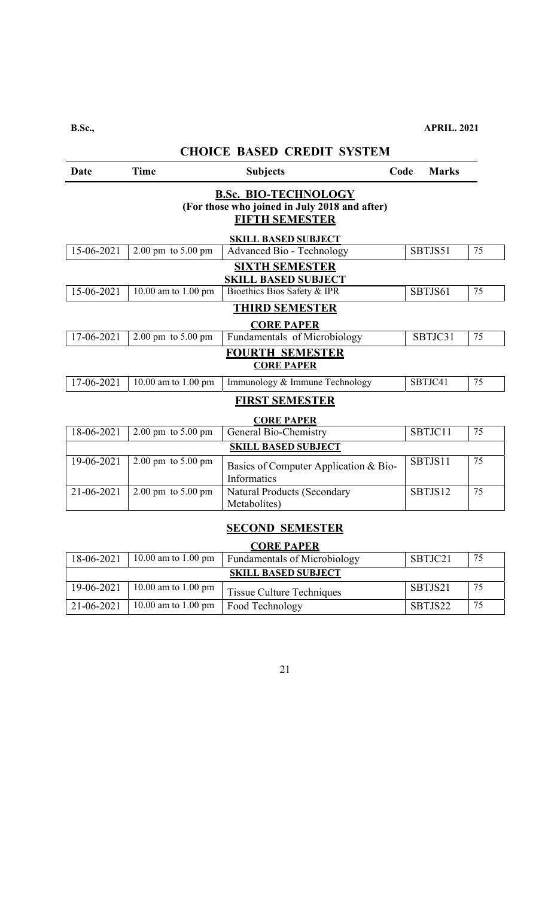| <b>CHOICE BASED CREDIT SYSTEM</b>                                                                     |                                             |                                                      |      |              |    |  |  |
|-------------------------------------------------------------------------------------------------------|---------------------------------------------|------------------------------------------------------|------|--------------|----|--|--|
| Date                                                                                                  | <b>Time</b>                                 | <b>Subjects</b>                                      | Code | <b>Marks</b> |    |  |  |
| <b>B.Sc. BIO-TECHNOLOGY</b><br>(For those who joined in July 2018 and after)<br><b>FIFTH SEMESTER</b> |                                             |                                                      |      |              |    |  |  |
|                                                                                                       |                                             | <b>SKILL BASED SUBJECT</b>                           |      |              |    |  |  |
| $15 - 06 - 2021$                                                                                      | $2.00 \text{ pm}$ to $5.00 \text{ pm}$      | Advanced Bio - Technology                            |      | SBTJS51      | 75 |  |  |
|                                                                                                       |                                             | <b>SIXTH SEMESTER</b><br><b>SKILL BASED SUBJECT</b>  |      |              |    |  |  |
| 15-06-2021                                                                                            | 10.00 am to 1.00 pm                         | Bioethics Bios Safety & IPR                          |      | SBTJS61      | 75 |  |  |
|                                                                                                       |                                             | <b>THIRD SEMESTER</b><br><b>CORE PAPER</b>           |      |              |    |  |  |
| 17-06-2021                                                                                            | $2.00 \text{ pm}$ to $5.00 \text{ pm}$      | Fundamentals of Microbiology                         |      | SBTJC31      | 75 |  |  |
| <b>FOURTH SEMESTER</b><br><b>CORE PAPER</b>                                                           |                                             |                                                      |      |              |    |  |  |
| 17-06-2021                                                                                            | 10.00 am to 1.00 pm                         | Immunology & Immune Technology                       |      | SBTJC41      | 75 |  |  |
|                                                                                                       |                                             | <b>FIRST SEMESTER</b><br><b>CORE PAPER</b>           |      |              |    |  |  |
| 18-06-2021                                                                                            | $2.00$ pm to 5.00 pm                        | General Bio-Chemistry                                |      | SBTJC11      | 75 |  |  |
|                                                                                                       |                                             | <b>SKILL BASED SUBJECT</b>                           |      |              |    |  |  |
| 19-06-2021                                                                                            | $2.00 \text{ pm}$ to $5.00 \text{ pm}$      | Basics of Computer Application & Bio-<br>Informatics |      | SBTJS11      | 75 |  |  |
| 21-06-2021                                                                                            | $2.00 \text{ pm}$ to $5.00 \text{ pm}$      | <b>Natural Products (Secondary</b><br>Metabolites)   |      | SBTJS12      | 75 |  |  |
|                                                                                                       | <b>SECOND SEMESTER</b><br><b>CORE PAPER</b> |                                                      |      |              |    |  |  |
| 18-06-2021                                                                                            | 10.00 am to 1.00 pm                         | <b>Fundamentals of Microbiology</b>                  |      | SBTJC21      | 75 |  |  |

|                            |                     | $18-06-2021$   10.00 am to 1.00 pm   Fundamentals of Microbiology | SBTJC21 |    |  |  |  |
|----------------------------|---------------------|-------------------------------------------------------------------|---------|----|--|--|--|
| <b>SKILL BASED SUBJECT</b> |                     |                                                                   |         |    |  |  |  |
| 19-06-2021                 | 10.00 am to 1.00 pm | Tissue Culture Techniques                                         | SBTJS21 | 75 |  |  |  |
| 21-06-2021                 | 10.00 am to 1.00 pm | <b>Food Technology</b>                                            | SBTJS22 | 75 |  |  |  |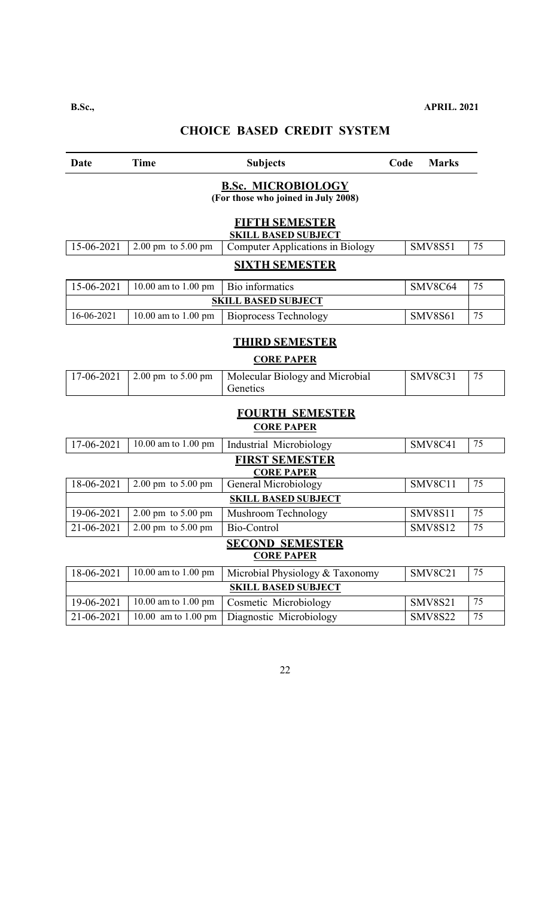| Date             | <b>Time</b>                                                      | <b>Subjects</b>                                     | Code | <b>Marks</b>   |    |  |  |
|------------------|------------------------------------------------------------------|-----------------------------------------------------|------|----------------|----|--|--|
|                  | <b>B.Sc. MICROBIOLOGY</b><br>(For those who joined in July 2008) |                                                     |      |                |    |  |  |
|                  |                                                                  | <b>FIFTH SEMESTER</b><br><b>SKILL BASED SUBJECT</b> |      |                |    |  |  |
| 15-06-2021       | $2.00 \text{ pm}$ to $5.00 \text{ pm}$                           | <b>Computer Applications in Biology</b>             |      | <b>SMV8S51</b> | 75 |  |  |
|                  |                                                                  | <b>SIXTH SEMESTER</b>                               |      |                |    |  |  |
| 15-06-2021       | 10.00 am to 1.00 pm                                              | Bio informatics                                     |      | SMV8C64        | 75 |  |  |
|                  |                                                                  | <b>SKILL BASED SUBJECT</b>                          |      |                |    |  |  |
| 16-06-2021       | 10.00 am to 1.00 pm                                              | <b>Bioprocess Technology</b>                        |      | <b>SMV8S61</b> | 75 |  |  |
|                  |                                                                  | <b>THIRD SEMESTER</b>                               |      |                |    |  |  |
|                  |                                                                  | <b>CORE PAPER</b>                                   |      |                |    |  |  |
| $17 - 06 - 2021$ | $2.00 \text{ pm}$ to $5.00 \text{ pm}$                           | Molecular Biology and Microbial<br>Genetics         |      | <b>SMV8C31</b> | 75 |  |  |
|                  |                                                                  | <b>FOURTH SEMESTER</b><br><b>CORE PAPER</b>         |      |                |    |  |  |
| 17-06-2021       | 10.00 am to 1.00 pm                                              | Industrial Microbiology                             |      | SMV8C41        | 75 |  |  |
|                  |                                                                  | <b>FIRST SEMESTER</b><br><b>CORE PAPER</b>          |      |                |    |  |  |
| 18-06-2021       | 2.00 pm to 5.00 pm                                               | <b>General Microbiology</b>                         |      | SMV8C11        | 75 |  |  |
|                  |                                                                  | <b>SKILL BASED SUBJECT</b>                          |      |                |    |  |  |
| 19-06-2021       | 2.00 pm to 5.00 pm                                               | Mushroom Technology                                 |      | <b>SMV8S11</b> | 75 |  |  |
| 21-06-2021       | 2.00 pm to 5.00 pm                                               | Bio-Control                                         |      | <b>SMV8S12</b> | 75 |  |  |
|                  | <b>SECOND SEMESTER</b><br><b>CORE PAPER</b>                      |                                                     |      |                |    |  |  |
| 18-06-2021       | 10.00 am to 1.00 pm                                              | Microbial Physiology & Taxonomy                     |      | SMV8C21        | 75 |  |  |
|                  |                                                                  | <b>SKILL BASED SUBJECT</b>                          |      |                |    |  |  |
| 19-06-2021       | 10.00 am to 1.00 pm                                              | Cosmetic Microbiology                               |      | <b>SMV8S21</b> | 75 |  |  |
| 21-06-2021       | 10.00 am to 1.00 pm                                              | Diagnostic Microbiology                             |      | <b>SMV8S22</b> | 75 |  |  |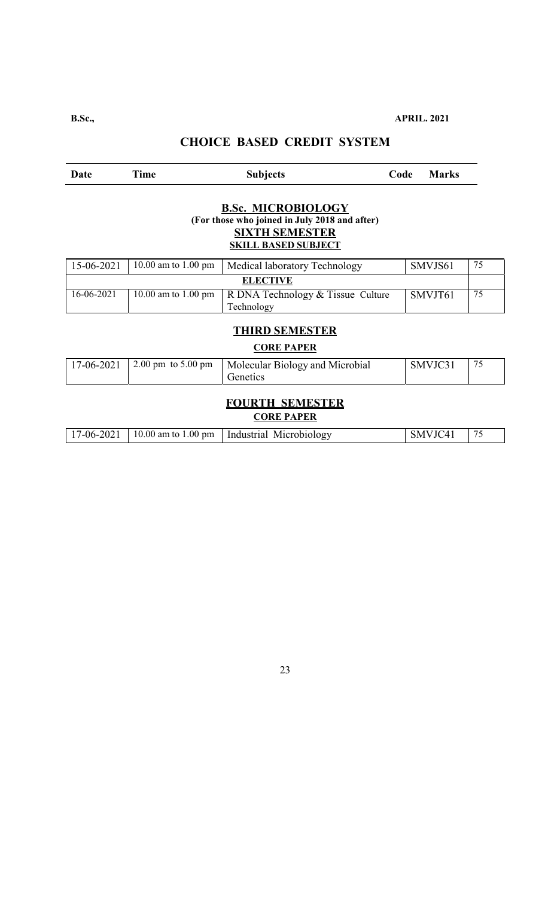| Date                                                                                                                              | Time                                   | <b>Subjects</b>                                 | Code | <b>Marks</b> |    |  |  |
|-----------------------------------------------------------------------------------------------------------------------------------|----------------------------------------|-------------------------------------------------|------|--------------|----|--|--|
| <b>B.Sc. MICROBIOLOGY</b><br>(For those who joined in July 2018 and after)<br><b>SIXTH SEMESTER</b><br><b>SKILL BASED SUBJECT</b> |                                        |                                                 |      |              |    |  |  |
| 15-06-2021                                                                                                                        | 10.00 am to 1.00 pm                    | Medical laboratory Technology                   |      | SMVJS61      | 75 |  |  |
|                                                                                                                                   |                                        | <b>ELECTIVE</b>                                 |      |              |    |  |  |
| 16-06-2021                                                                                                                        | 10.00 am to $1.00 \text{ pm}$          | R DNA Technology & Tissue Culture<br>Technology |      | SMVJT61      | 75 |  |  |
| <b>THIRD SEMESTER</b><br><b>CORE PAPER</b>                                                                                        |                                        |                                                 |      |              |    |  |  |
| 17-06-2021                                                                                                                        | $2.00 \text{ pm}$ to $5.00 \text{ pm}$ | Molecular Biology and Microbial<br>Genetics     |      | SMVJC31      | 75 |  |  |
| <b>FOURTH SEMESTER</b><br><b>CORE PAPER</b>                                                                                       |                                        |                                                 |      |              |    |  |  |
| 17-06-2021                                                                                                                        | 10.00 am to 1.00 pm                    | Industrial Microbiology                         |      | SMVJC41      | 75 |  |  |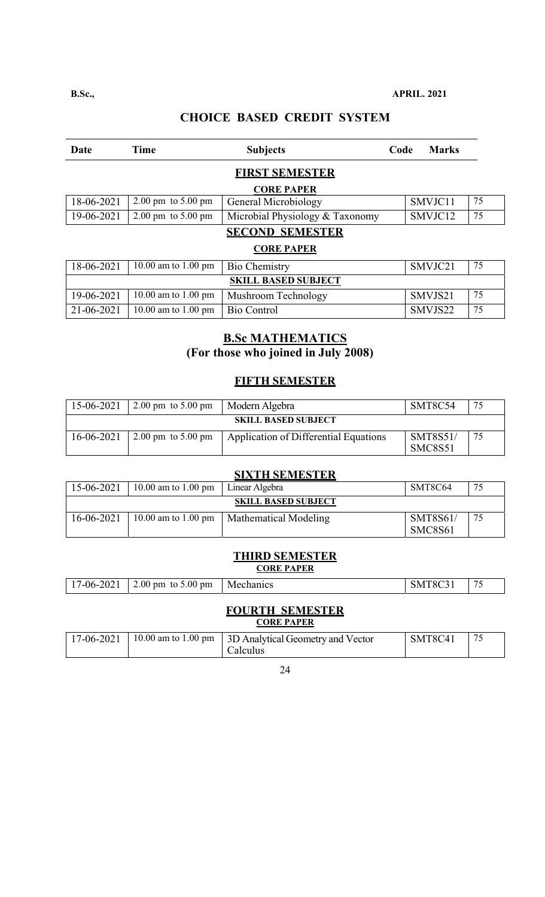| Date       | <b>Time</b>                            | <b>Subjects</b>                 | Code | <b>Marks</b> |    |
|------------|----------------------------------------|---------------------------------|------|--------------|----|
|            |                                        | <b>FIRST SEMESTER</b>           |      |              |    |
|            |                                        | <b>CORE PAPER</b>               |      |              |    |
| 18-06-2021 | $2.00 \text{ pm}$ to $5.00 \text{ pm}$ | General Microbiology            |      | SMVJC11      | 75 |
| 19-06-2021 | $2.00 \text{ pm}$ to $5.00 \text{ pm}$ | Microbial Physiology & Taxonomy |      | SMVJC12      | 75 |
|            |                                        | <b>SECOND SEMESTER</b>          |      |              |    |
|            |                                        | <b>CORE PAPER</b>               |      |              |    |
| 18-06-2021 | 10.00 am to 1.00 pm                    | <b>Bio Chemistry</b>            |      | SMVJC21      | 75 |
|            |                                        | <b>SKILL BASED SUBJECT</b>      |      |              |    |
| 19-06-2021 | 10.00 am to 1.00 pm                    | Mushroom Technology             |      | SMVJS21      | 75 |
| 21-06-2021 | 10.00 am to 1.00 pm                    | <b>Bio Control</b>              |      | SMVJS22      | 75 |

# **B.Sc MATHEMATICS (For those who joined in July 2008)**

## **FIFTH SEMESTER**

| 15-06-2021                 | $2.00 \text{ pm}$ to $5.00 \text{ pm}$ | Modern Algebra                        | SMT8C54                    | 75 |  |  |  |
|----------------------------|----------------------------------------|---------------------------------------|----------------------------|----|--|--|--|
| <b>SKILL BASED SUBJECT</b> |                                        |                                       |                            |    |  |  |  |
| 16-06-2021                 | $2.00 \text{ pm}$ to $5.00 \text{ pm}$ | Application of Differential Equations | <b>SMT8S51/</b><br>SMC8S51 | 75 |  |  |  |

### **SIXTH SEMESTER**

| 15-06-2021                 | 10.00 am to 1.00 pm | Linear Algebra        | SMT8C64                    | 75 |  |  |
|----------------------------|---------------------|-----------------------|----------------------------|----|--|--|
| <b>SKILL BASED SUBJECT</b> |                     |                       |                            |    |  |  |
| 16-06-2021                 | 10.00 am to 1.00 pm | Mathematical Modeling | <b>SMT8S61/</b><br>SMC8S61 | 75 |  |  |

## **THIRD SEMESTER**

#### **CORE PAPER**

| $-2021$<br>$17-06-$ | to $5.00 \text{ pm}$<br>$2.00 \text{ pm}$ | Mechanics | SMT8C3 | $\overline{\phantom{a}}$ |
|---------------------|-------------------------------------------|-----------|--------|--------------------------|
|---------------------|-------------------------------------------|-----------|--------|--------------------------|

#### **FOURTH SEMESTER CORE PAPER**

|  | 17-06-2021   10.00 am to 1.00 pm   3D Analytical Geometry and Vector | SMT8C41 |  |
|--|----------------------------------------------------------------------|---------|--|
|  | Calculus                                                             |         |  |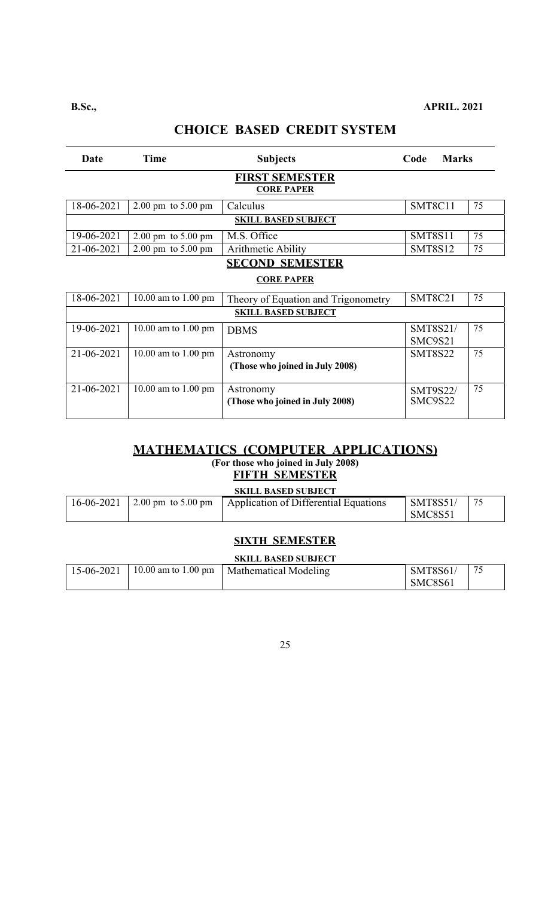# **CHOICE BASED CREDIT SYSTEM**

| Date                                       | Time                                   | <b>Subjects</b>                              | Code                       | <b>Marks</b> |  |  |  |
|--------------------------------------------|----------------------------------------|----------------------------------------------|----------------------------|--------------|--|--|--|
| <b>FIRST SEMESTER</b><br><b>CORE PAPER</b> |                                        |                                              |                            |              |  |  |  |
| 18-06-2021                                 | $2.00 \text{ pm}$ to $5.00 \text{ pm}$ | Calculus                                     | SMT8C11                    | 75           |  |  |  |
|                                            |                                        | <b>SKILL BASED SUBJECT</b>                   |                            |              |  |  |  |
| 19-06-2021                                 | $2.00 \text{ pm}$ to $5.00 \text{ pm}$ | M.S. Office                                  | <b>SMT8S11</b>             | 75           |  |  |  |
| 21-06-2021                                 | $2.00 \text{ pm}$ to $5.00 \text{ pm}$ | Arithmetic Ability                           | <b>SMT8S12</b>             | 75           |  |  |  |
|                                            |                                        | <b>SECOND SEMESTER</b>                       |                            |              |  |  |  |
|                                            |                                        | <b>CORE PAPER</b>                            |                            |              |  |  |  |
| 18-06-2021                                 | 10.00 am to 1.00 pm                    | Theory of Equation and Trigonometry          | <b>SMT8C21</b>             | 75           |  |  |  |
|                                            |                                        | <b>SKILL BASED SUBJECT</b>                   |                            |              |  |  |  |
| 19-06-2021                                 | 10.00 am to 1.00 pm                    | <b>DBMS</b>                                  | SMT8S21/<br>SMC9S21        | 75           |  |  |  |
| 21-06-2021                                 | 10.00 am to 1.00 pm                    | Astronomy<br>(Those who joined in July 2008) | <b>SMT8S22</b>             | 75           |  |  |  |
| 21-06-2021                                 | 10.00 am to 1.00 pm                    | Astronomy<br>(Those who joined in July 2008) | <b>SMT9S22/</b><br>SMC9S22 | 75           |  |  |  |

## **MATHEMATICS (COMPUTER APPLICATIONS) (For those who joined in July 2008)**

# **FIFTH SEMESTER**

#### **SKILL BASED SUBJECT**

|  |  | $\vert$ 16-06-2021 $\vert$ 2.00 pm to 5.00 pm $\vert$ Application of Differential Equations | <b>SMT8S51/</b> |  |  |
|--|--|---------------------------------------------------------------------------------------------|-----------------|--|--|
|  |  |                                                                                             | SMC8S51         |  |  |

### **SIXTH SEMESTER**

# **SKILL BASED SUBJECT**

|  | 15-06-2021   10.00 am to 1.00 pm   Mathematical Modeling | <b>SMT8S61/</b> | 75 |
|--|----------------------------------------------------------|-----------------|----|
|  |                                                          | SMC8S61         |    |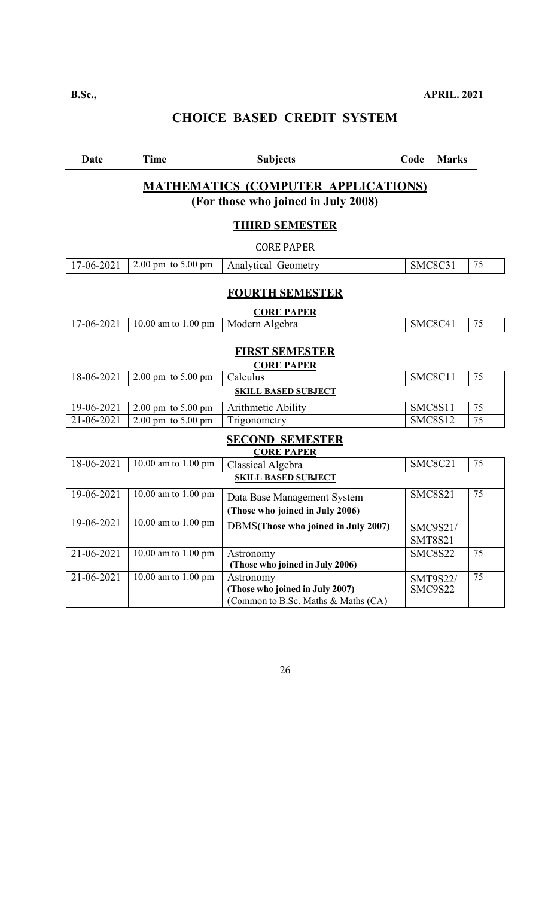| Date             | <b>Time</b>                                                                       | <b>Subjects</b>                                                                     | Code<br><b>Marks</b>       |                 |  |  |
|------------------|-----------------------------------------------------------------------------------|-------------------------------------------------------------------------------------|----------------------------|-----------------|--|--|
|                  | <b>MATHEMATICS (COMPUTER APPLICATIONS)</b><br>(For those who joined in July 2008) |                                                                                     |                            |                 |  |  |
|                  |                                                                                   | <b>THIRD SEMESTER</b>                                                               |                            |                 |  |  |
|                  |                                                                                   | <b>CORE PAPER</b>                                                                   |                            |                 |  |  |
| 17-06-2021       | 2.00 pm to 5.00 pm                                                                | Analytical Geometry                                                                 | SMC8C31                    | 75              |  |  |
|                  |                                                                                   | <b>FOURTH SEMESTER</b>                                                              |                            |                 |  |  |
|                  |                                                                                   | <b>CORE PAPER</b>                                                                   |                            |                 |  |  |
| 17-06-2021       | 10.00 am to 1.00 pm                                                               | Modern Algebra                                                                      | SMC8C41                    | 75              |  |  |
|                  |                                                                                   | <b>FIRST SEMESTER</b><br><b>CORE PAPER</b>                                          |                            |                 |  |  |
| 18-06-2021       | $2.00 \text{ pm}$ to $5.00 \text{ pm}$                                            | Calculus                                                                            | SMC8C11                    | 75              |  |  |
|                  |                                                                                   | <b>SKILL BASED SUBJECT</b>                                                          |                            |                 |  |  |
| 19-06-2021       | $2.00 \text{ pm}$ to $5.00 \text{ pm}$                                            | <b>Arithmetic Ability</b>                                                           | <b>SMC8S11</b>             | 75              |  |  |
| $21 - 06 - 2021$ | $2.00 \text{ pm}$ to $5.00 \text{ pm}$                                            | Trigonometry                                                                        | <b>SMC8S12</b>             | $\overline{75}$ |  |  |
|                  |                                                                                   | <b>SECOND SEMESTER</b><br><b>CORE PAPER</b>                                         |                            |                 |  |  |
| 18-06-2021       | 10.00 am to 1.00 pm                                                               | Classical Algebra                                                                   | SMC8C21                    | 75              |  |  |
|                  |                                                                                   | <b>SKILL BASED SUBJECT</b>                                                          |                            |                 |  |  |
| 19-06-2021       | 10.00 am to 1.00 pm                                                               | Data Base Management System<br>(Those who joined in July 2006)                      | <b>SMC8S21</b>             | 75              |  |  |
| 19-06-2021       | 10.00 am to 1.00 pm                                                               | DBMS(Those who joined in July 2007)                                                 | SMC9S21/<br><b>SMT8S21</b> |                 |  |  |
| 21-06-2021       | 10.00 am to 1.00 pm                                                               | Astronomy<br>(Those who joined in July 2006)                                        | <b>SMC8S22</b>             | 75              |  |  |
| 21-06-2021       | 10.00 am to 1.00 pm                                                               | Astronomy<br>(Those who joined in July 2007)<br>(Common to B.Sc. Maths & Maths (CA) | SMT9S22/<br>SMC9S22        | 75              |  |  |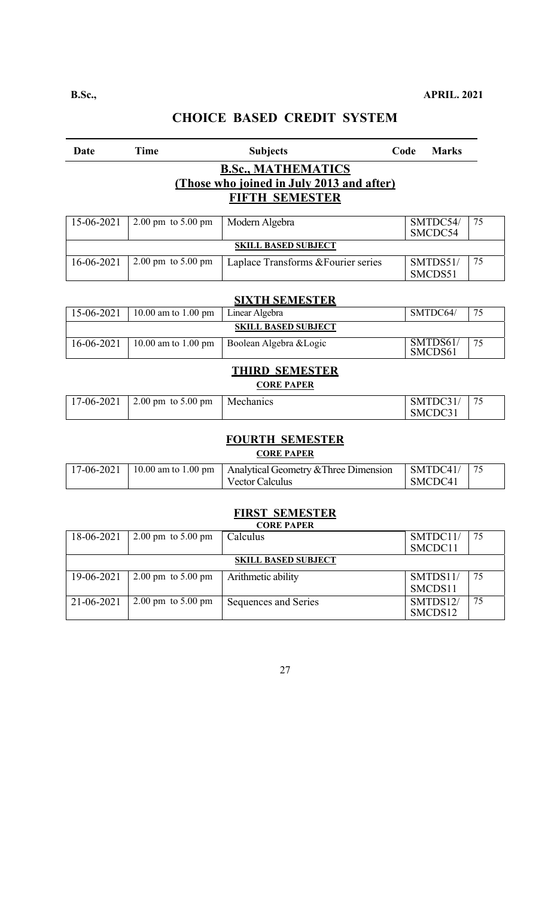| <b>Date</b> | Time                                   | <b>Subjects</b>                           | Code | <b>Marks</b>        |    |  |
|-------------|----------------------------------------|-------------------------------------------|------|---------------------|----|--|
|             |                                        | <b>B.Sc., MATHEMATICS</b>                 |      |                     |    |  |
|             |                                        | (Those who joined in July 2013 and after) |      |                     |    |  |
|             | <b>FIFTH SEMESTER</b>                  |                                           |      |                     |    |  |
|             |                                        |                                           |      |                     |    |  |
| 15-06-2021  | $2.00 \text{ pm}$ to $5.00 \text{ pm}$ | Modern Algebra                            |      | SMTDC54/            | 75 |  |
|             |                                        |                                           |      | SMCDC54             |    |  |
|             |                                        | <b>SKILL BASED SUBJECT</b>                |      |                     |    |  |
| 16-06-2021  | 2.00 pm to 5.00 pm                     | Laplace Transforms & Fourier series       |      | SMTDS51/            | 75 |  |
|             |                                        |                                           |      | SMCDS51             |    |  |
|             |                                        |                                           |      |                     |    |  |
|             |                                        | <b>SIXTH SEMESTER</b>                     |      |                     |    |  |
| 15-06-2021  | 10.00 am to 1.00 pm                    | Linear Algebra                            |      | SMTDC64/            | 75 |  |
|             |                                        | <b>SKILL BASED SUBJECT</b>                |      |                     |    |  |
| 16-06-2021  | 10.00 am to 1.00 pm                    | Boolean Algebra & Logic                   |      | SMTDS61/            | 75 |  |
|             |                                        |                                           |      | SMCDS61             |    |  |
|             |                                        | <b>THIRD SEMESTER</b>                     |      |                     |    |  |
|             |                                        | <b>CORE PAPER</b>                         |      |                     |    |  |
|             |                                        |                                           |      |                     | 75 |  |
| 17-06-2021  | $2.00 \text{ pm}$ to $5.00 \text{ pm}$ | Mechanics                                 |      | SMTDC31/<br>SMCDC31 |    |  |
|             |                                        |                                           |      |                     |    |  |
|             |                                        | <b>FOURTH SEMESTER</b>                    |      |                     |    |  |
|             |                                        |                                           |      |                     |    |  |
|             |                                        | <b>CORE PAPER</b>                         |      |                     |    |  |
| 17-06-2021  | 10.00 am to 1.00 pm                    | Analytical Geometry & Three Dimension     |      | SMTDC41/            | 75 |  |
|             |                                        | <b>Vector Calculus</b>                    |      | SMCDC41             |    |  |

# **FIRST SEMESTER**

|            | <b>CORE PAPER</b>                      |                      |          |     |  |  |
|------------|----------------------------------------|----------------------|----------|-----|--|--|
| 18-06-2021 | $2.00 \text{ pm}$ to $5.00 \text{ pm}$ | Calculus             | SMTDC11/ | -75 |  |  |
|            |                                        |                      | SMCDC11  |     |  |  |
|            | <b>SKILL BASED SUBJECT</b>             |                      |          |     |  |  |
| 19-06-2021 | $2.00 \text{ pm}$ to $5.00 \text{ pm}$ | Arithmetic ability   | SMTDS11/ | 75  |  |  |
|            |                                        |                      | SMCDS11  |     |  |  |
| 21-06-2021 | $2.00 \text{ pm}$ to $5.00 \text{ pm}$ | Sequences and Series | SMTDS12/ | 75  |  |  |
|            |                                        |                      | SMCDS12  |     |  |  |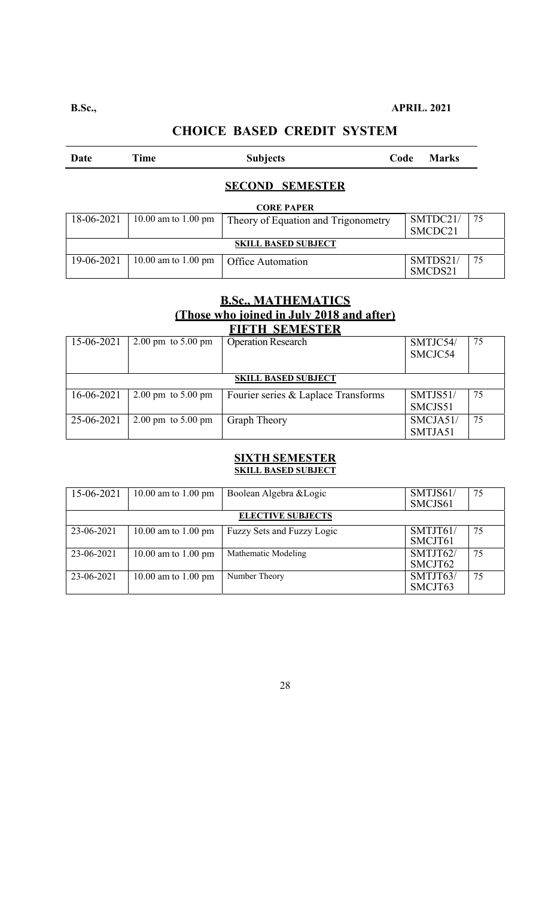# **CHOICE BASED CREDIT SYSTEM**

| Date                       | Time                          | <b>Subjects</b>                     | Code | <b>Marks</b> |    |  |
|----------------------------|-------------------------------|-------------------------------------|------|--------------|----|--|
|                            |                               | <b>SECOND SEMESTER</b>              |      |              |    |  |
|                            | <b>CORE PAPER</b>             |                                     |      |              |    |  |
| 18-06-2021                 | 10.00 am to 1.00 pm           | Theory of Equation and Trigonometry |      | SMTDC21/     | 75 |  |
|                            |                               |                                     |      | SMCDC21      |    |  |
| <b>SKILL BASED SUBJECT</b> |                               |                                     |      |              |    |  |
| 19-06-2021                 | 10.00 am to $1.00 \text{ pm}$ | Office Automation                   |      | SMTDS21/     | 75 |  |
|                            |                               |                                     |      | SMCDS21      |    |  |

### **B.Sc., MATHEMATICS (Those who joined in July 2018 and after) FIFTH SEMESTER**

| ГИГТИН ЭРМИРЭТЕЙ |                                        |                                     |          |    |  |  |
|------------------|----------------------------------------|-------------------------------------|----------|----|--|--|
| 15-06-2021       | $2.00 \text{ pm}$ to $5.00 \text{ pm}$ | <b>Operation Research</b>           | SMTJC54/ | 75 |  |  |
|                  |                                        |                                     | SMCJC54  |    |  |  |
|                  |                                        |                                     |          |    |  |  |
|                  | <b>SKILL BASED SUBJECT</b>             |                                     |          |    |  |  |
| 16-06-2021       | 2.00 pm to $5.00$ pm                   | Fourier series & Laplace Transforms | SMTJS51/ | 75 |  |  |
|                  |                                        |                                     | SMCJS51  |    |  |  |
| 25-06-2021       | $2.00 \text{ pm}$ to $5.00 \text{ pm}$ | <b>Graph Theory</b>                 | SMCJA51/ | 75 |  |  |
|                  |                                        |                                     | SMTJA51  |    |  |  |

### **SIXTH SEMESTER SKILL BASED SUBJECT**

| 15-06-2021 | 10.00 am to 1.00 pm      | Boolean Algebra & Logic    | SMTJS61/<br>SMCJS61 | 75 |  |
|------------|--------------------------|----------------------------|---------------------|----|--|
|            | <b>ELECTIVE SUBJECTS</b> |                            |                     |    |  |
| 23-06-2021 | 10.00 am to 1.00 pm      | Fuzzy Sets and Fuzzy Logic | SMTJT61/<br>SMCJT61 | 75 |  |
| 23-06-2021 | 10.00 am to 1.00 pm      | Mathematic Modeling        | SMTJT62/<br>SMCJT62 | 75 |  |
| 23-06-2021 | 10.00 am to 1.00 pm      | Number Theory              | SMTJT63/<br>SMCJT63 | 75 |  |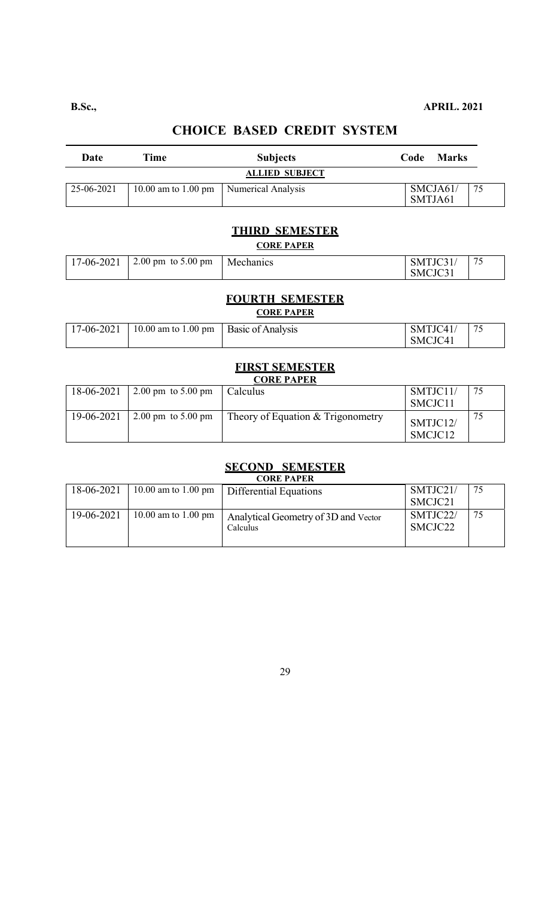# **CHOICE BASED CREDIT SYSTEM**

| Date                  | Time                | <b>Subjects</b>    | <b>Marks</b><br>Code       |  |  |
|-----------------------|---------------------|--------------------|----------------------------|--|--|
| <b>ALLIED SUBJECT</b> |                     |                    |                            |  |  |
| 25-06-2021            | 10.00 am to 1.00 pm | Numerical Analysis | SMCJA61/<br>-75<br>SMTJA61 |  |  |

# **THIRD SEMESTER**

### **CORE PAPER**

| 17-06-2021   2.00 pm to 5.00 pm | Mechanics | SMTJC31 | 76 |
|---------------------------------|-----------|---------|----|
|                                 |           | SMCJC31 |    |

### **FOURTH SEMESTER CORE PAPER**

| 17-06-2021   10.00 am to 1.00 pm   Basic of Analysis | SMTJC41/ | 75 |
|------------------------------------------------------|----------|----|
|                                                      | SMCJC41  |    |

### **FIRST SEMESTER CORE PAPER**

| 18-06-2021 | $2.00 \text{ pm}$ to 5.00 pm           | Calculus                            | SMTJC11/<br>SMCJC11             | 75 |  |
|------------|----------------------------------------|-------------------------------------|---------------------------------|----|--|
| 19-06-2021 | $2.00 \text{ pm}$ to $5.00 \text{ pm}$ | Theory of Equation $&$ Trigonometry | SMTJC12/<br>SMCJC <sub>12</sub> | 75 |  |

# **SECOND SEMESTER**

| <b>CORE PAPER</b> |                     |                                      |          |    |
|-------------------|---------------------|--------------------------------------|----------|----|
| 18-06-2021        | 10.00 am to 1.00 pm | Differential Equations               | SMTJC21/ | 75 |
|                   |                     |                                      | SMCJC21  |    |
| 19-06-2021        | 10.00 am to 1.00 pm | Analytical Geometry of 3D and Vector | SMTJC22/ | 75 |
|                   |                     | Calculus                             | SMCJC22  |    |
|                   |                     |                                      |          |    |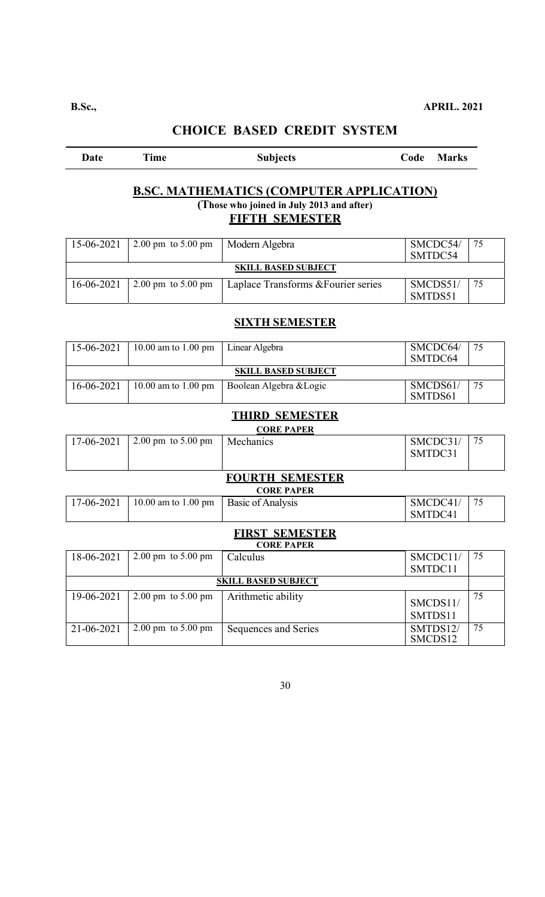| Date | Time | <b>Subjects</b>                                 | Code Marks |
|------|------|-------------------------------------------------|------------|
|      |      |                                                 |            |
|      |      | <b>B.SC. MATHEMATICS (COMPUTER APPLICATION)</b> |            |
|      |      | (Those who joined in July 2013 and after)       |            |
|      |      | <b>FIFTH SEMESTER</b>                           |            |

| 15-06-2021                 | $2.00 \text{ pm}$ to 5.00 pm           | Modern Algebra                      | SMCDC54/<br>SMTDC54 | 75 |  |  |
|----------------------------|----------------------------------------|-------------------------------------|---------------------|----|--|--|
| <b>SKILL BASED SUBJECT</b> |                                        |                                     |                     |    |  |  |
| 16-06-2021                 | $2.00 \text{ pm}$ to $5.00 \text{ pm}$ | Laplace Transforms & Fourier series | SMCDS51/            |    |  |  |
|                            |                                        |                                     | SMTDS51             |    |  |  |

### **SIXTH SEMESTER**

| 15-06-2021                 | 10.00 am to 1.00 pm | Linear Algebra          | SMCDC64/<br>SMTDC64 | 75 |  |  |
|----------------------------|---------------------|-------------------------|---------------------|----|--|--|
| <b>SKILL BASED SUBJECT</b> |                     |                         |                     |    |  |  |
| $16 - 06 - 2021$           | 10.00 am to 1.00 pm | Boolean Algebra & Logic | SMCDS61/<br>SMTDS61 | 75 |  |  |

### **THIRD SEMESTER**

|            | <b>CORE PAPER</b>                      |           |          |  |  |
|------------|----------------------------------------|-----------|----------|--|--|
| 17-06-2021 | $2.00 \text{ pm}$ to $5.00 \text{ pm}$ | Mechanics | SMCDC31/ |  |  |
|            |                                        |           | SMTDC31  |  |  |
|            |                                        |           |          |  |  |

## **FOURTH SEMESTER**

#### **CORE PAPER**

| 17-06-2021   10.00 am to 1.00 pm   Basic of Analysis |  | SMCDC41/ | 75 |  |
|------------------------------------------------------|--|----------|----|--|
|                                                      |  | SMTDC41  |    |  |

### **FIRST SEMESTER**

|                            | <b>CORE PAPER</b>                      |                      |                     |    |  |
|----------------------------|----------------------------------------|----------------------|---------------------|----|--|
| 18-06-2021                 | $2.00 \text{ pm}$ to $5.00 \text{ pm}$ | Calculus             | SMCDC11/            | 75 |  |
|                            |                                        |                      | SMTDC11             |    |  |
| <b>SKILL BASED SUBJECT</b> |                                        |                      |                     |    |  |
| 19-06-2021                 | $2.00 \text{ pm}$ to $5.00 \text{ pm}$ | Arithmetic ability   | SMCDS11/<br>SMTDS11 | 75 |  |
| 21-06-2021                 | $2.00 \text{ pm}$ to $5.00 \text{ pm}$ | Sequences and Series | SMTDS12/<br>SMCDS12 | 75 |  |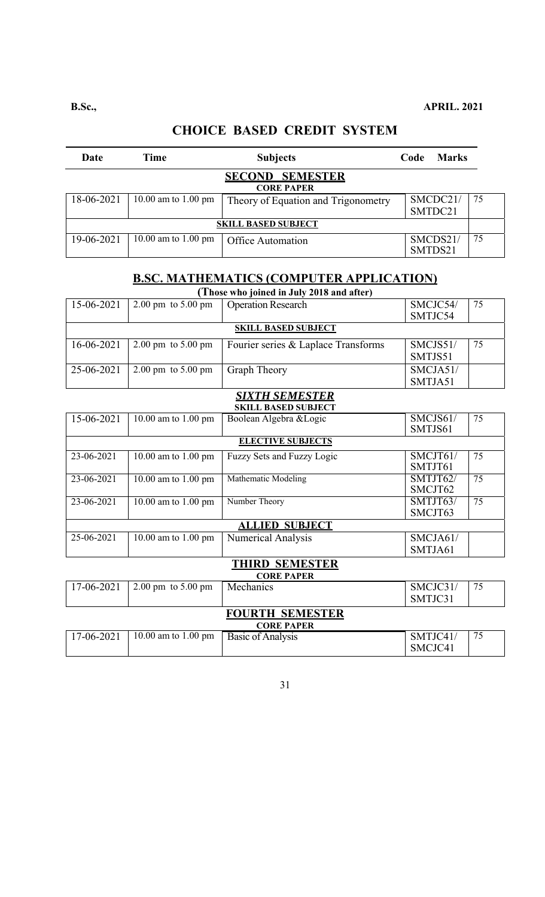# **CHOICE BASED CREDIT SYSTEM**

| Date                       | <b>Time</b>         | <b>Subjects</b>                             | Code    | <b>Marks</b>        |    |
|----------------------------|---------------------|---------------------------------------------|---------|---------------------|----|
|                            |                     | <b>SECOND SEMESTER</b><br><b>CORE PAPER</b> |         |                     |    |
| 18-06-2021                 | 10.00 am to 1.00 pm | Theory of Equation and Trigonometry         |         | SMCDC21/<br>SMTDC21 | 75 |
| <b>SKILL BASED SUBJECT</b> |                     |                                             |         |                     |    |
| 19-06-2021                 | 10.00 am to 1.00 pm | Office Automation                           | SMTDS21 | SMCDS21/            | 75 |

# **B.SC. MATHEMATICS (COMPUTER APPLICATION)**

| (Those who joined in July 2018 and after) |                                        |                                     |          |    |  |
|-------------------------------------------|----------------------------------------|-------------------------------------|----------|----|--|
| 15-06-2021                                | $2.00 \text{ pm}$ to $5.00 \text{ pm}$ | <b>Operation Research</b>           | SMCJC54/ | 75 |  |
|                                           |                                        |                                     | SMTJC54  |    |  |
| <b>SKILL BASED SUBJECT</b>                |                                        |                                     |          |    |  |
| 16-06-2021                                | $2.00 \text{ pm}$ to $5.00 \text{ pm}$ | Fourier series & Laplace Transforms | SMCJS51/ | 75 |  |
|                                           |                                        |                                     | SMTJS51  |    |  |
| 25-06-2021                                | $2.00 \text{ pm}$ to $5.00 \text{ pm}$ | Graph Theory                        | SMCJA51/ |    |  |
|                                           |                                        |                                     | SMTJA51  |    |  |

#### *SIXTH SEMESTER*  **SKILL BASED SUBJECT**

| 15-06-2021 | 10.00 am to 1.00 pm   | Boolean Algebra & Logic    | SMCJS61/                    | 75 |  |  |
|------------|-----------------------|----------------------------|-----------------------------|----|--|--|
|            |                       |                            | SMTJS61                     |    |  |  |
|            |                       | <b>ELECTIVE SUBJECTS</b>   |                             |    |  |  |
| 23-06-2021 | 10.00 am to 1.00 pm   | Fuzzy Sets and Fuzzy Logic | SMCJT61/                    | 75 |  |  |
|            |                       |                            | SMTJT61                     |    |  |  |
| 23-06-2021 | 10.00 am to 1.00 pm   | Mathematic Modeling        | $\overline{\text{SMTJT62}}$ | 75 |  |  |
|            |                       |                            | SMCJT62                     |    |  |  |
| 23-06-2021 | 10.00 am to 1.00 pm   | Number Theory              | SMTJT63/                    | 75 |  |  |
|            |                       |                            | SMCJT63                     |    |  |  |
|            | <b>ALLIED SUBJECT</b> |                            |                             |    |  |  |
| 25-06-2021 | 10.00 am to 1.00 pm   | Numerical Analysis         | SMCJA61/                    |    |  |  |
|            |                       |                            | SMTJA61                     |    |  |  |

# **THIRD SEMESTER**

| <b>CORE PAPER</b> |                        |                   |          |    |  |
|-------------------|------------------------|-------------------|----------|----|--|
| 17-06-2021        | 2.00 pm to $5.00$ pm   | Mechanics         | SMCJC31/ | 75 |  |
|                   |                        |                   | SMTJC31  |    |  |
|                   | <b>FOURTH SEMESTER</b> |                   |          |    |  |
|                   | <b>CORE PAPER</b>      |                   |          |    |  |
| 17-06-2021        | 10.00 am to 1.00 pm    | Basic of Analysis | SMTJC41/ | 75 |  |
|                   |                        |                   | SMCJC41  |    |  |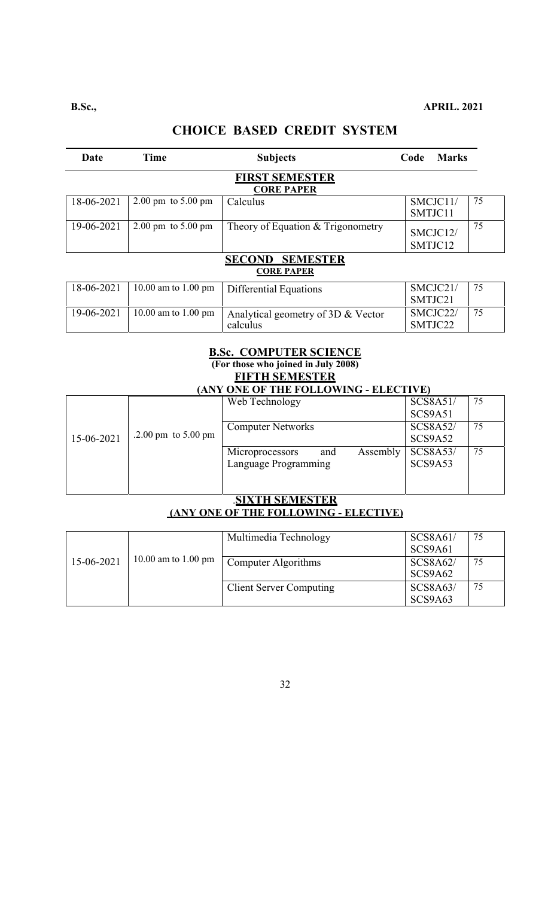# **CHOICE BASED CREDIT SYSTEM**

| Date                                                  | <b>Time</b>                            | <b>Subjects</b>                                | <b>Marks</b><br>Code |    |  |  |  |
|-------------------------------------------------------|----------------------------------------|------------------------------------------------|----------------------|----|--|--|--|
| <b>FIRST SEMESTER</b><br><b>CORE PAPER</b>            |                                        |                                                |                      |    |  |  |  |
| 18-06-2021                                            | $2.00 \text{ pm}$ to $5.00 \text{ pm}$ | Calculus                                       | SMCJC11/<br>SMTJC11  | 75 |  |  |  |
| 19-06-2021                                            | $2.00 \text{ pm}$ to $5.00 \text{ pm}$ | Theory of Equation & Trigonometry              | SMCJC12/<br>SMTJC12  | 75 |  |  |  |
| <b>SECOND</b><br><b>SEMESTER</b><br><b>CORE PAPER</b> |                                        |                                                |                      |    |  |  |  |
| 18-06-2021                                            | 10.00 am to 1.00 pm                    | Differential Equations                         | SMCJC21/<br>SMTJC21  | 75 |  |  |  |
| 19-06-2021                                            | 10.00 am to 1.00 pm                    | Analytical geometry of 3D & Vector<br>calculus | SMCJC22/<br>SMTJC22  | 75 |  |  |  |

### **B.Sc. COMPUTER SCIENCE (For those who joined in July 2008) FIFTH SEMESTER**

| <b>(ANY ONE OF THE FOLLOWING - ELECTIVE)</b> |  |                                    |                 |    |  |
|----------------------------------------------|--|------------------------------------|-----------------|----|--|
|                                              |  | Web Technology                     | SCS8A51/        | 75 |  |
|                                              |  |                                    | SCS9A51         |    |  |
|                                              |  | <b>Computer Networks</b>           | <b>SCS8A52/</b> | 75 |  |
| .2.00 pm to $5.00$ pm<br>15-06-2021          |  | SCS9A52                            |                 |    |  |
|                                              |  | Assembly<br>Microprocessors<br>and | <b>SCS8A53/</b> | 75 |  |
|                                              |  | Language Programming               | SCS9A53         |    |  |
|                                              |  |                                    |                 |    |  |
|                                              |  |                                    |                 |    |  |

### .**SIXTH SEMESTER (ANY ONE OF THE FOLLOWING - ELECTIVE)**

|            |                     | Multimedia Technology          | SCS8A61/<br>SCS9A61        | 75 |
|------------|---------------------|--------------------------------|----------------------------|----|
| 15-06-2021 | 10.00 am to 1.00 pm | Computer Algorithms            | SCS8A62/<br>SCS9A62        | 75 |
|            |                     | <b>Client Server Computing</b> | <b>SCS8A63/</b><br>SCS9A63 | 75 |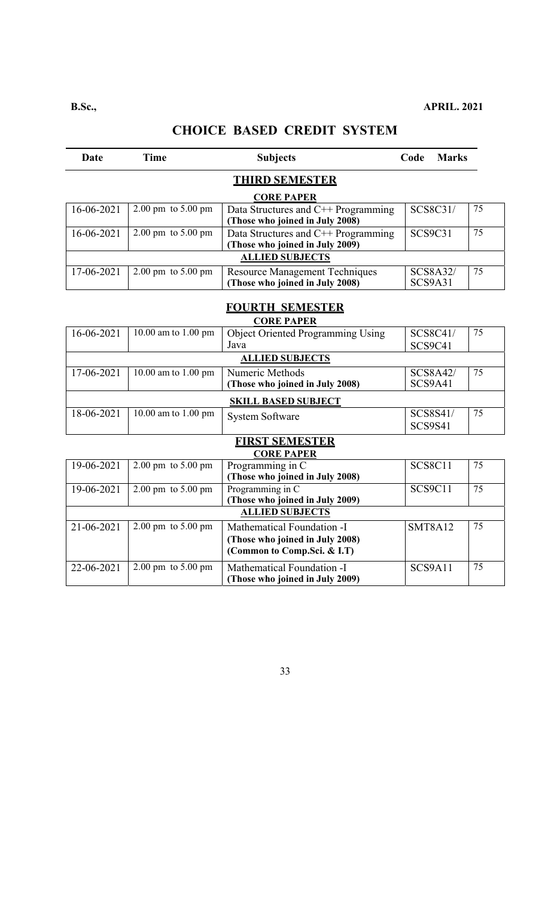# **CHOICE BASED CREDIT SYSTEM**

| <b>Date</b> | <b>Time</b>         | <b>Subjects</b>                                                                              | Code<br><b>Marks</b>       |                 |  |  |
|-------------|---------------------|----------------------------------------------------------------------------------------------|----------------------------|-----------------|--|--|
|             |                     | <b>THIRD SEMESTER</b>                                                                        |                            |                 |  |  |
|             |                     | <b>CORE PAPER</b>                                                                            |                            |                 |  |  |
| 16-06-2021  | 2.00 pm to 5.00 pm  | Data Structures and C++ Programming<br>(Those who joined in July 2008)                       | SCS8C31/                   | 75              |  |  |
| 16-06-2021  | 2.00 pm to 5.00 pm  | Data Structures and C++ Programming<br>(Those who joined in July 2009)                       | <b>SCS9C31</b>             | 75              |  |  |
|             |                     | <b>ALLIED SUBJECTS</b>                                                                       |                            |                 |  |  |
| 17-06-2021  | 2.00 pm to 5.00 pm  | Resource Management Techniques<br>(Those who joined in July 2008)                            | <b>SCS8A32/</b><br>SCS9A31 | 75              |  |  |
|             |                     |                                                                                              |                            |                 |  |  |
|             |                     | <b>FOURTH SEMESTER</b><br><b>CORE PAPER</b>                                                  |                            |                 |  |  |
| 16-06-2021  | 10.00 am to 1.00 pm | <b>Object Oriented Programming Using</b><br>Java                                             | SCS8C41/<br>SCS9C41        | 75              |  |  |
|             |                     | <b>ALLIED SUBJECTS</b>                                                                       |                            |                 |  |  |
| 17-06-2021  | 10.00 am to 1.00 pm | Numeric Methods<br>(Those who joined in July 2008)                                           | <b>SCS8A42/</b><br>SCS9A41 | 75              |  |  |
|             |                     | <b>SKILL BASED SUBJECT</b>                                                                   |                            |                 |  |  |
| 18-06-2021  | 10.00 am to 1.00 pm | <b>System Software</b>                                                                       | SCS8S41/<br><b>SCS9S41</b> | 75              |  |  |
|             |                     | <b>FIRST SEMESTER</b>                                                                        |                            |                 |  |  |
|             |                     | <b>CORE PAPER</b>                                                                            |                            |                 |  |  |
| 19-06-2021  | 2.00 pm to 5.00 pm  | Programming in C<br>(Those who joined in July 2008)                                          | <b>SCS8C11</b>             | 75              |  |  |
| 19-06-2021  | 2.00 pm to 5.00 pm  | Programming in C<br>(Those who joined in July 2009)                                          | <b>SCS9C11</b>             | $\overline{75}$ |  |  |
|             |                     | <b>ALLIED SUBJECTS</b>                                                                       |                            |                 |  |  |
| 21-06-2021  | 2.00 pm to 5.00 pm  | Mathematical Foundation -I<br>(Those who joined in July 2008)<br>(Common to Comp.Sci. & I.T) | <b>SMT8A12</b>             | 75              |  |  |
| 22-06-2021  | 2.00 pm to 5.00 pm  | Mathematical Foundation -I<br>(Those who joined in July 2009)                                | SCS9A11                    | 75              |  |  |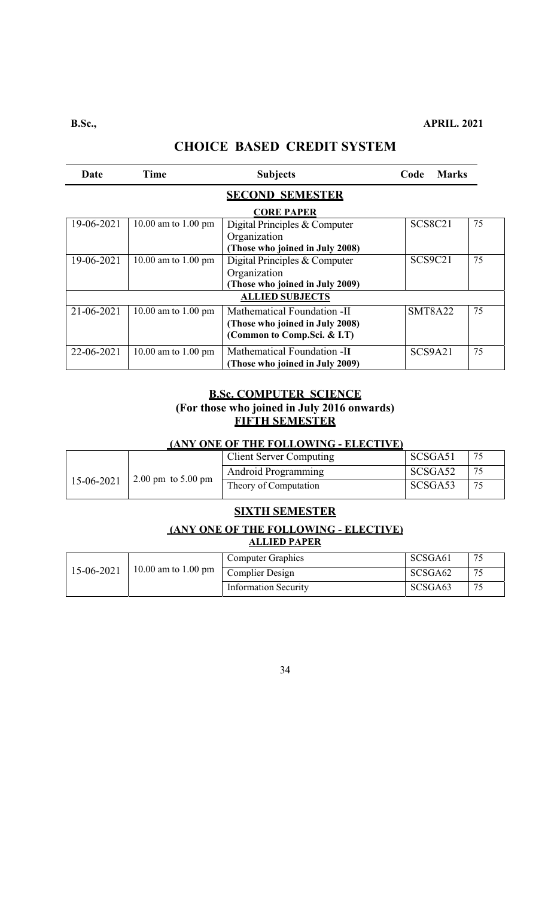| Date              | Time                   | <b>Subjects</b>                                                                               | <b>Marks</b><br>Code |    |  |  |  |
|-------------------|------------------------|-----------------------------------------------------------------------------------------------|----------------------|----|--|--|--|
|                   | <b>SECOND SEMESTER</b> |                                                                                               |                      |    |  |  |  |
| <b>CORE PAPER</b> |                        |                                                                                               |                      |    |  |  |  |
| 19-06-2021        | 10.00 am to 1.00 pm    | Digital Principles & Computer<br>Organization<br>(Those who joined in July 2008)              | <b>SCS8C21</b>       | 75 |  |  |  |
| 19-06-2021        | 10.00 am to 1.00 pm    | Digital Principles & Computer<br>Organization<br>(Those who joined in July 2009)              | SCS9C21              | 75 |  |  |  |
|                   |                        | <b>ALLIED SUBJECTS</b>                                                                        |                      |    |  |  |  |
| 21-06-2021        | 10.00 am to 1.00 pm    | Mathematical Foundation -II<br>(Those who joined in July 2008)<br>(Common to Comp.Sci. & I.T) | <b>SMT8A22</b>       | 75 |  |  |  |
| 22-06-2021        | 10.00 am to 1.00 pm    | Mathematical Foundation -II<br>(Those who joined in July 2009)                                | SCS9A21              | 75 |  |  |  |

### **B.Sc. COMPUTER SCIENCE (For those who joined in July 2016 onwards) FIFTH SEMESTER**

### **(ANY ONE OF THE FOLLOWING - ELECTIVE)**

|            |                                        | <b>Client Server Computing</b> | SCSGA51 | 75 |
|------------|----------------------------------------|--------------------------------|---------|----|
| 15-06-2021 | $2.00 \text{ pm}$ to $5.00 \text{ pm}$ | Android Programming            | SCSGA52 | 75 |
|            |                                        | Theory of Computation          | SCSGA53 | 75 |

### **SIXTH SEMESTER**

### **(ANY ONE OF THE FOLLOWING - ELECTIVE) ALLIED PAPER**

|            |                     | Computer Graphics           | SCSGA61             | $\overline{\phantom{a}}$ |
|------------|---------------------|-----------------------------|---------------------|--------------------------|
| 15-06-2021 | 10.00 am to 1.00 pm | Complier Design             | SCSGA <sub>62</sub> | 75                       |
|            |                     | <b>Information Security</b> | SCSGA <sub>63</sub> | 75                       |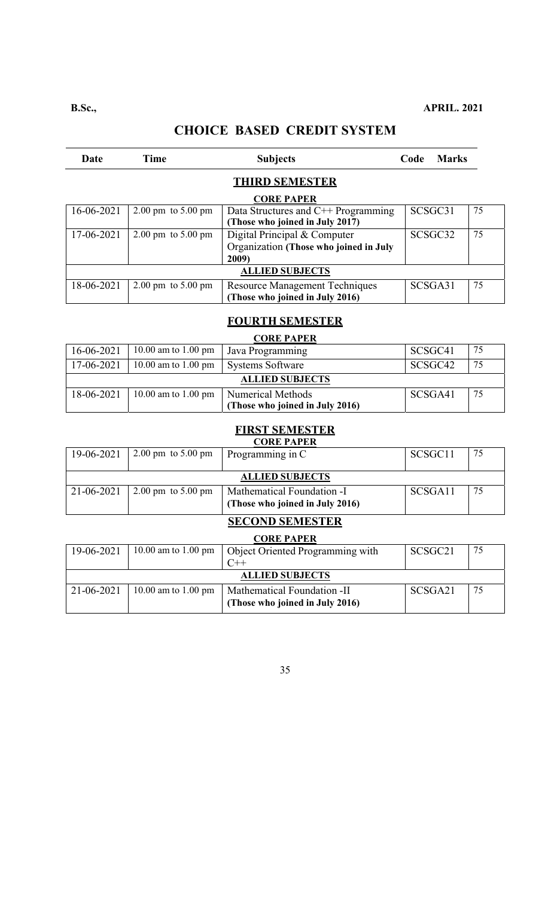# **CHOICE BASED CREDIT SYSTEM**

| Date                   | Time                                   | <b>Subjects</b>                                                                | <b>Marks</b><br>Code |    |  |  |  |
|------------------------|----------------------------------------|--------------------------------------------------------------------------------|----------------------|----|--|--|--|
| <b>THIRD SEMESTER</b>  |                                        |                                                                                |                      |    |  |  |  |
|                        | <b>CORE PAPER</b>                      |                                                                                |                      |    |  |  |  |
| 16-06-2021             | $2.00 \text{ pm}$ to $5.00 \text{ pm}$ | Data Structures and C++ Programming<br>(Those who joined in July 2017)         | SCSGC31              | 75 |  |  |  |
| 17-06-2021             | $2.00 \text{ pm}$ to $5.00 \text{ pm}$ | Digital Principal & Computer<br>Organization (Those who joined in July<br>2009 | SCSGC <sub>32</sub>  | 75 |  |  |  |
| <b>ALLIED SUBJECTS</b> |                                        |                                                                                |                      |    |  |  |  |
| 18-06-2021             | $2.00 \text{ pm}$ to $5.00 \text{ pm}$ | <b>Resource Management Techniques</b><br>(Those who joined in July 2016)       | SCSGA31              | 75 |  |  |  |

### **FOURTH SEMESTER**

#### **CORE PAPER**  16-06-2021 10.00 am to 1.00 pm Java Programming SCSGC41 75 17-06-2021 10.00 am to 1.00 pm Systems Software SCSGC42 75 **ALLIED SUBJECTS** 18-06-2021 10.00 am to 1.00 pm Numerical Methods **(Those who joined in July 2016)**  SCSGA41 75

#### **FIRST SEMESTER CORE PAPER**

| 19-06-2021             | $2.00 \text{ pm}$ to $5.00 \text{ pm}$ | Programming in C                                              | SCSGC <sub>11</sub> | 75 |  |  |
|------------------------|----------------------------------------|---------------------------------------------------------------|---------------------|----|--|--|
| <b>ALLIED SUBJECTS</b> |                                        |                                                               |                     |    |  |  |
| 21-06-2021             | $2.00 \text{ pm}$ to 5.00 pm           | Mathematical Foundation -I<br>(Those who joined in July 2016) | SCSGA11             | 75 |  |  |

# **SECOND SEMESTER**

| <b>CORE PAPER</b>      |                     |                                  |         |    |  |
|------------------------|---------------------|----------------------------------|---------|----|--|
| 19-06-2021             | 10.00 am to 1.00 pm | Object Oriented Programming with | SCSGC21 | 75 |  |
|                        |                     |                                  |         |    |  |
| <b>ALLIED SUBJECTS</b> |                     |                                  |         |    |  |
| 21-06-2021             | 10.00 am to 1.00 pm | Mathematical Foundation -II      | SCSGA21 | 75 |  |
|                        |                     | (Those who joined in July 2016)  |         |    |  |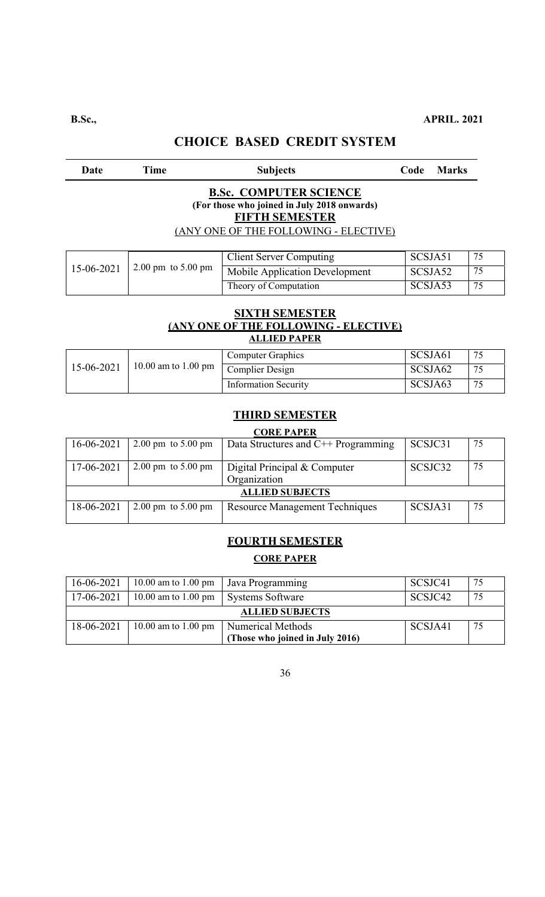## Date Time Subjects Code Marks **B.Sc. COMPUTER SCIENCE (For those who joined in July 2018 onwards) FIFTH SEMESTER**  (ANY ONE OF THE FOLLOWING - ELECTIVE) Г T Client Server Computing SCSJA51 75

| 15-06-2021 |                                        | <b>Client Server Computing</b> | SCSJA51 | 75 |
|------------|----------------------------------------|--------------------------------|---------|----|
|            | $2.00 \text{ pm}$ to $5.00 \text{ pm}$ | Mobile Application Development | SCSJA52 | 75 |
|            |                                        | Theory of Computation          | SCSJA53 | 75 |

#### **SIXTH SEMESTER (ANY ONE OF THE FOLLOWING - ELECTIVE) ALLIED PAPER**

| 15-06-2021 |                                                                               | <b>Computer Graphics</b>    | SCSJA61 | 75 |
|------------|-------------------------------------------------------------------------------|-----------------------------|---------|----|
|            | $10.00$ am to 1.00 pm $\sqrt{\frac{\text{Complier}}{\text{Complier}}}$ Design |                             | SCSJA62 | 75 |
|            |                                                                               | <b>Information Security</b> | SCSJA63 | 75 |

### **THIRD SEMESTER**

### **CORE PAPER**

| $\sim$                 |                                        |                                              |         |    |  |  |
|------------------------|----------------------------------------|----------------------------------------------|---------|----|--|--|
| 16-06-2021             | $2.00 \text{ pm}$ to $5.00 \text{ pm}$ | Data Structures and $C++$ Programming        | SCSJC31 | 75 |  |  |
| 17-06-2021             | $2.00 \text{ pm}$ to $5.00 \text{ pm}$ | Digital Principal & Computer<br>Organization | SCSJC32 | 75 |  |  |
| <b>ALLIED SUBJECTS</b> |                                        |                                              |         |    |  |  |
| 18-06-2021             | $2.00 \text{ pm}$ to $5.00 \text{ pm}$ | <b>Resource Management Techniques</b>        | SCSJA31 | 75 |  |  |

# **FOURTH SEMESTER CORE PAPER**

| 16-06-2021             | 10.00 am to 1.00 pm | Java Programming                | SCSJC41 | 75 |
|------------------------|---------------------|---------------------------------|---------|----|
| 17-06-2021             | 10.00 am to 1.00 pm | Systems Software                | SCSJC42 | 75 |
| <b>ALLIED SUBJECTS</b> |                     |                                 |         |    |
| 18-06-2021             | 10.00 am to 1.00 pm | Numerical Methods               | SCSJA41 | 75 |
|                        |                     | (Those who joined in July 2016) |         |    |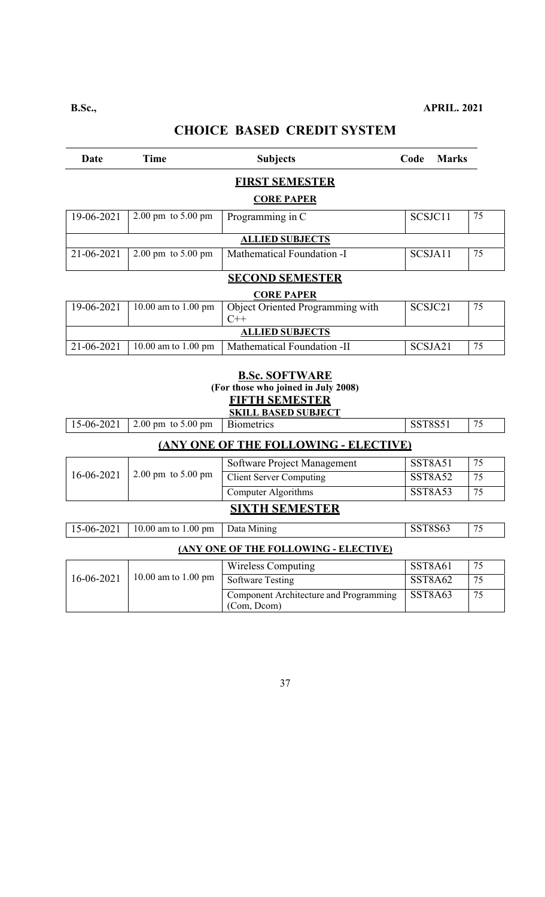| Date                     | <b>Time</b>                            | <b>Subjects</b>                                                                       | Code<br><b>Marks</b>                   |    |
|--------------------------|----------------------------------------|---------------------------------------------------------------------------------------|----------------------------------------|----|
|                          |                                        | <b>FIRST SEMESTER</b>                                                                 |                                        |    |
|                          |                                        | <b>CORE PAPER</b>                                                                     |                                        |    |
| 19-06-2021               | 2.00 pm to 5.00 pm                     | Programming in C                                                                      | SCSJC11                                | 75 |
|                          |                                        | <b>ALLIED SUBJECTS</b>                                                                |                                        |    |
| 21-06-2021               | 2.00 pm to 5.00 pm                     | Mathematical Foundation -I                                                            | SCSJA11                                | 75 |
|                          |                                        | <b>SECOND SEMESTER</b>                                                                |                                        |    |
|                          |                                        | <b>CORE PAPER</b>                                                                     |                                        |    |
| 19-06-2021               | 10.00 am to 1.00 pm                    | Object Oriented Programming with<br>$C++$                                             | SCSJC21                                | 75 |
|                          |                                        | <b>ALLIED SUBJECTS</b>                                                                |                                        |    |
| 21-06-2021               | 10.00 am to 1.00 pm                    | Mathematical Foundation -II                                                           | SCSJA21                                | 75 |
|                          |                                        | <b>B.Sc. SOFTWARE</b><br>(For those who joined in July 2008)<br><b>FIFTH SEMESTER</b> |                                        |    |
|                          | 2.00 pm to 5.00 pm                     | <b>SKILL BASED SUBJECT</b><br><b>Biometrics</b>                                       | <b>SST8S51</b>                         | 75 |
|                          |                                        | <b>(ANY ONE OF THE FOLLOWING - ELECTIVE)</b>                                          |                                        |    |
|                          |                                        | Software Project Management                                                           | <b>SST8A51</b>                         | 75 |
|                          | $2.00 \text{ pm}$ to $5.00 \text{ pm}$ | <b>Client Server Computing</b>                                                        | <b>SST8A52</b>                         | 75 |
|                          |                                        | <b>Computer Algorithms</b>                                                            | <b>SST8A53</b>                         | 75 |
| 15-06-2021<br>16-06-2021 |                                        | <b>SIXTH SEMESTER</b>                                                                 |                                        |    |
|                          | 10.00 am to 1.00 pm                    | Data Mining                                                                           | SST8S63                                | 75 |
|                          |                                        | (ANY ONE OF THE FOLLOWING - ELECTIVE)                                                 |                                        |    |
|                          |                                        | <b>Wireless Computing</b>                                                             | SST8A61                                | 75 |
| 15-06-2021<br>16-06-2021 | 10.00 am to 1.00 pm                    | <b>Software Testing</b><br>Component Architecture and Programming                     | SST <sub>8</sub> A62<br><b>SST8A63</b> | 75 |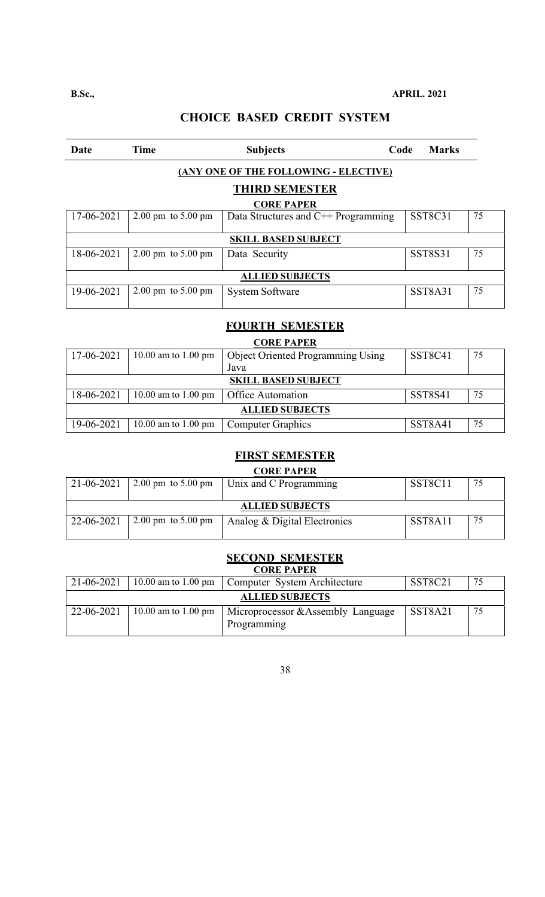| Date       | <b>Time</b>                            | <b>Subjects</b>                       | Code | <b>Marks</b>   |    |
|------------|----------------------------------------|---------------------------------------|------|----------------|----|
|            |                                        | (ANY ONE OF THE FOLLOWING - ELECTIVE) |      |                |    |
|            |                                        | <b>THIRD SEMESTER</b>                 |      |                |    |
|            |                                        | <b>CORE PAPER</b>                     |      |                |    |
| 17-06-2021 | $2.00 \text{ pm}$ to $5.00 \text{ pm}$ | Data Structures and C++ Programming   |      | <b>SST8C31</b> | 75 |
|            |                                        | <b>SKILL BASED SUBJECT</b>            |      |                |    |
| 18-06-2021 | $2.00 \text{ pm}$ to $5.00 \text{ pm}$ | Data Security                         |      | <b>SST8S31</b> | 75 |
|            |                                        | <b>ALLIED SUBJECTS</b>                |      |                |    |
| 19-06-2021 | $2.00 \text{ pm}$ to $5.00 \text{ pm}$ | <b>System Software</b>                |      | SST8A31        | 75 |

# **FOURTH SEMESTER**

|            | <b>CORE PAPER</b>             |                                          |                                  |    |
|------------|-------------------------------|------------------------------------------|----------------------------------|----|
| 17-06-2021 | 10.00 am to $1.00 \text{ pm}$ | <b>Object Oriented Programming Using</b> | SST <sub>8</sub> C <sub>41</sub> | 75 |
|            |                               | Java                                     |                                  |    |
|            |                               | <b>SKILL BASED SUBJECT</b>               |                                  |    |
| 18-06-2021 | 10.00 am to $1.00 \text{ pm}$ | <b>Office Automation</b>                 | <b>SST8S41</b>                   | 75 |
|            | <b>ALLIED SUBJECTS</b>        |                                          |                                  |    |
| 19-06-2021 | 10.00 am to 1.00 pm           | <b>Computer Graphics</b>                 | SST8A41                          | 75 |

## **FIRST SEMESTER**

|            |                                        | <b>CORE PAPER</b>            |         |    |
|------------|----------------------------------------|------------------------------|---------|----|
| 21-06-2021 | $2.00 \text{ pm}$ to $5.00 \text{ pm}$ | Unix and C Programming       | SST8C11 | 75 |
|            |                                        |                              |         |    |
|            |                                        | <b>ALLIED SUBJECTS</b>       |         |    |
|            |                                        |                              |         |    |
| 22-06-2021 | $2.00 \text{ pm}$ to $5.00 \text{ pm}$ | Analog & Digital Electronics | SST8A11 | 75 |
|            |                                        |                              |         |    |
|            |                                        |                              |         |    |

## **SECOND SEMESTER**

|            |                        | <b>CORE PAPER</b>                                 |         |    |
|------------|------------------------|---------------------------------------------------|---------|----|
| 21-06-2021 | 10.00 am to 1.00 pm    | Computer System Architecture                      | SST8C21 | 75 |
|            | <b>ALLIED SUBJECTS</b> |                                                   |         |    |
| 22-06-2021 | 10.00 am to 1.00 pm    | Microprocessor & Assembly Language<br>Programming | SST8A21 | 75 |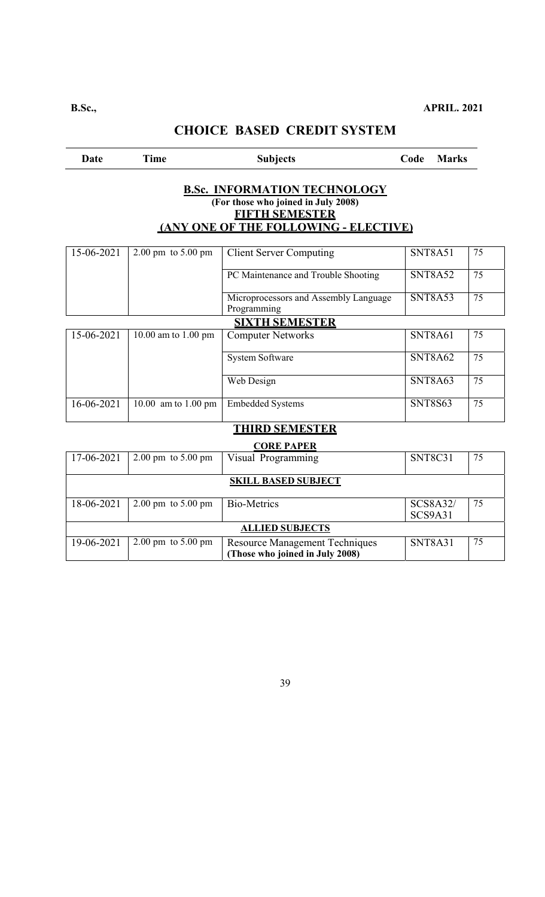| Date       | <b>Time</b>                            | <b>Subjects</b>                                                                                                                              | Code<br><b>Marks</b>              |    |
|------------|----------------------------------------|----------------------------------------------------------------------------------------------------------------------------------------------|-----------------------------------|----|
|            |                                        | <b>B.Sc. INFORMATION TECHNOLOGY</b><br>(For those who joined in July 2008)<br><b>FIFTH SEMESTER</b><br>(ANY ONE OF THE FOLLOWING - ELECTIVE) |                                   |    |
| 15-06-2021 | $2.00 \text{ pm}$ to $5.00 \text{ pm}$ | <b>Client Server Computing</b>                                                                                                               | SNT8A51                           | 75 |
|            |                                        | PC Maintenance and Trouble Shooting                                                                                                          | <b>SNT8A52</b>                    | 75 |
|            |                                        | Microprocessors and Assembly Language<br>Programming                                                                                         | <b>SNT8A53</b>                    | 75 |
|            |                                        | <b>SIXTH SEMESTER</b>                                                                                                                        |                                   |    |
| 15-06-2021 | 10.00 am to 1.00 pm                    | <b>Computer Networks</b>                                                                                                                     | <b>SNT8A61</b>                    | 75 |
|            |                                        | System Software                                                                                                                              | SNT8A62                           | 75 |
|            |                                        | Web Design                                                                                                                                   | <b>SNT8A63</b>                    | 75 |
| 16-06-2021 | 10.00 am to 1.00 pm                    | <b>Embedded Systems</b>                                                                                                                      | <b>SNT8S63</b>                    | 75 |
|            |                                        | <b>THIRD SEMESTER</b>                                                                                                                        |                                   |    |
|            |                                        | <b>CORE PAPER</b>                                                                                                                            |                                   |    |
| 17-06-2021 | 2.00 pm to 5.00 pm                     | Visual Programming                                                                                                                           | <b>SNT8C31</b>                    | 75 |
|            |                                        | <b>SKILL BASED SUBJECT</b>                                                                                                                   |                                   |    |
| 18-06-2021 | $2.00 \text{ pm}$ to $5.00 \text{ pm}$ | <b>Bio-Metrics</b>                                                                                                                           | <b>SCS8A32/</b><br><b>SCS9A31</b> | 75 |
|            |                                        | <b>ALLIED SUBJECTS</b>                                                                                                                       |                                   |    |
| 19-06-2021 | $2.00 \text{ pm}$ to $5.00 \text{ pm}$ | <b>Resource Management Techniques</b>                                                                                                        | <b>SNT8A31</b>                    | 75 |

39

**(Those who joined in July 2008)**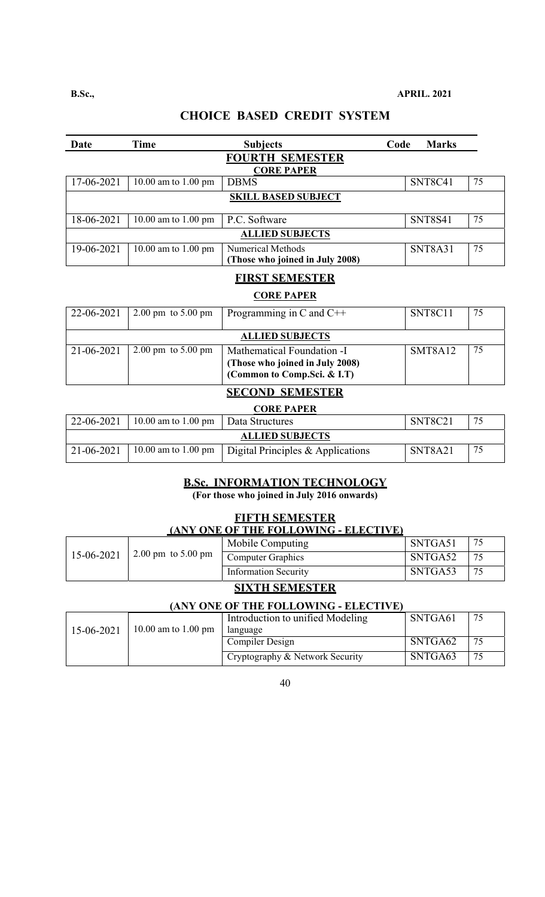| Date       | <b>Time</b>                            | <b>Subjects</b>                                               | Code<br><b>Marks</b> |    |
|------------|----------------------------------------|---------------------------------------------------------------|----------------------|----|
|            |                                        | <b>FOURTH SEMESTER</b>                                        |                      |    |
| 17-06-2021 | 10.00 am to 1.00 pm                    | <b>CORE PAPER</b><br><b>DBMS</b>                              | SNT8C41              | 75 |
|            |                                        | <b>SKILL BASED SUBJECT</b>                                    |                      |    |
| 18-06-2021 | 10.00 am to 1.00 pm                    | P.C. Software                                                 | <b>SNT8S41</b>       | 75 |
|            |                                        | <b>ALLIED SUBJECTS</b>                                        |                      |    |
| 19-06-2021 | 10.00 am to 1.00 pm                    | <b>Numerical Methods</b><br>(Those who joined in July 2008)   | SNT8A31              | 75 |
|            |                                        | <b>FIRST SEMESTER</b>                                         |                      |    |
|            |                                        | <b>CORE PAPER</b>                                             |                      |    |
| 22-06-2021 | $2.00 \text{ pm}$ to $5.00 \text{ pm}$ | Programming in C and $C++$                                    | SNT8C11              | 75 |
|            |                                        | <b>ALLIED SUBJECTS</b>                                        |                      |    |
| 21-06-2021 | $2.00 \text{ pm}$ to $5.00 \text{ pm}$ | Mathematical Foundation -I<br>(Those who joined in July 2008) | <b>SMT8A12</b>       | 75 |
|            |                                        | (Common to Comp. Sci. & I.T)<br><b>SECOND SEMESTER</b>        |                      |    |
|            |                                        | <b>CORE PAPER</b>                                             |                      |    |

| 22-06-2021 | $10.00$ am to 1.00 pm $\vert$ Data Structures |                                                         | SNT8C21 | 75 |  |  |
|------------|-----------------------------------------------|---------------------------------------------------------|---------|----|--|--|
|            | <b>ALLIED SUBJECTS</b>                        |                                                         |         |    |  |  |
| 21-06-2021 |                                               | 10.00 am to 1.00 pm   Digital Principles & Applications | SNT8A21 | 75 |  |  |

### **B.Sc. INFORMATION TECHNOLOGY**

**(For those who joined in July 2016 onwards)** 

# **FIFTH SEMESTER**

#### **(ANY ONE OF THE FOLLOWING - ELECTIVE)**

|            |                                        | Mobile Computing            | SNTGA51 |  |
|------------|----------------------------------------|-----------------------------|---------|--|
| 15-06-2021 | $2.00 \text{ pm}$ to $5.00 \text{ pm}$ | <b>Computer Graphics</b>    | SNTGA52 |  |
|            |                                        | <b>Information Security</b> | SNTGA53 |  |
|            |                                        | CIVERTI CENTROFIED          |         |  |

#### **SIXTH SEMESTER**

#### **(ANY ONE OF THE FOLLOWING - ELECTIVE)**

| 15-06-2021 | 10.00 am to 1.00 pm | Introduction to unified Modeling<br>language | SNTGA61 | 75 |
|------------|---------------------|----------------------------------------------|---------|----|
|            |                     | Compiler Design                              | SNTGA62 | 75 |
|            |                     | Cryptography & Network Security              | SNTGA63 | 75 |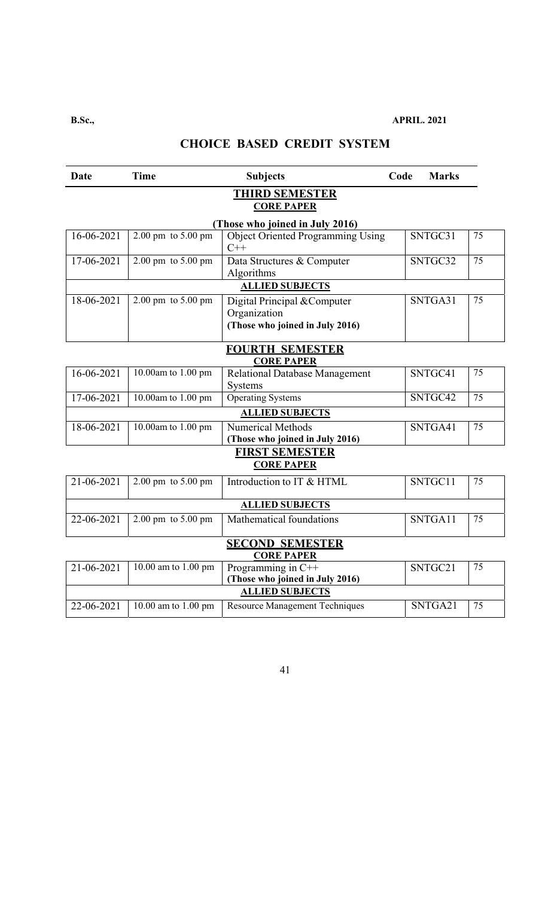**B.Sc., APRIL. 2021** 

# **CHOICE BASED CREDIT SYSTEM**

| <b>Date</b> | <b>Time</b>                            | <b>Subjects</b>                                                                 | Code | <b>Marks</b> |                 |
|-------------|----------------------------------------|---------------------------------------------------------------------------------|------|--------------|-----------------|
|             |                                        | <b>THIRD SEMESTER</b><br><b>CORE PAPER</b>                                      |      |              |                 |
| 16-06-2021  | $2.00 \text{ pm}$ to $5.00 \text{ pm}$ | (Those who joined in July 2016)<br><b>Object Oriented Programming Using</b>     |      | SNTGC31      | 75              |
|             |                                        | $C++$                                                                           |      |              |                 |
| 17-06-2021  | 2.00 pm to 5.00 pm                     | Data Structures & Computer<br>Algorithms                                        |      | SNTGC32      | 75              |
|             |                                        | <b>ALLIED SUBJECTS</b>                                                          |      |              |                 |
| 18-06-2021  | 2.00 pm to 5.00 pm                     | Digital Principal & Computer<br>Organization<br>(Those who joined in July 2016) |      | SNTGA31      | 75              |
|             |                                        | <b>FOURTH SEMESTER</b><br><b>CORE PAPER</b>                                     |      |              |                 |
| 16-06-2021  | 10.00am to 1.00 pm                     | Relational Database Management<br>Systems                                       |      | SNTGC41      | 75              |
| 17-06-2021  | 10.00am to 1.00 pm                     | <b>Operating Systems</b>                                                        |      | SNTGC42      | 75              |
|             |                                        | <b>ALLIED SUBJECTS</b>                                                          |      |              |                 |
| 18-06-2021  | 10.00am to 1.00 pm                     | Numerical Methods<br>(Those who joined in July 2016)                            |      | SNTGA41      | 75              |
|             |                                        | <b>FIRST SEMESTER</b><br><b>CORE PAPER</b>                                      |      |              |                 |
| 21-06-2021  | 2.00 pm to 5.00 pm                     | Introduction to IT & HTML                                                       |      | SNTGC11      | 75              |
|             |                                        | <b>ALLIED SUBJECTS</b>                                                          |      |              |                 |
| 22-06-2021  | 2.00 pm to 5.00 pm                     | Mathematical foundations                                                        |      | SNTGA11      | 75              |
|             |                                        | <b>SECOND SEMESTER</b><br><b>CORE PAPER</b>                                     |      |              |                 |
| 21-06-2021  | 10.00 am to 1.00 pm                    | Programming in $C++$<br>(Those who joined in July 2016)                         |      | SNTGC21      | 75              |
|             |                                        | <b>ALLIED SUBJECTS</b>                                                          |      |              |                 |
| 22-06-2021  | 10.00 am to 1.00 pm                    | <b>Resource Management Techniques</b>                                           |      | SNTGA21      | $\overline{75}$ |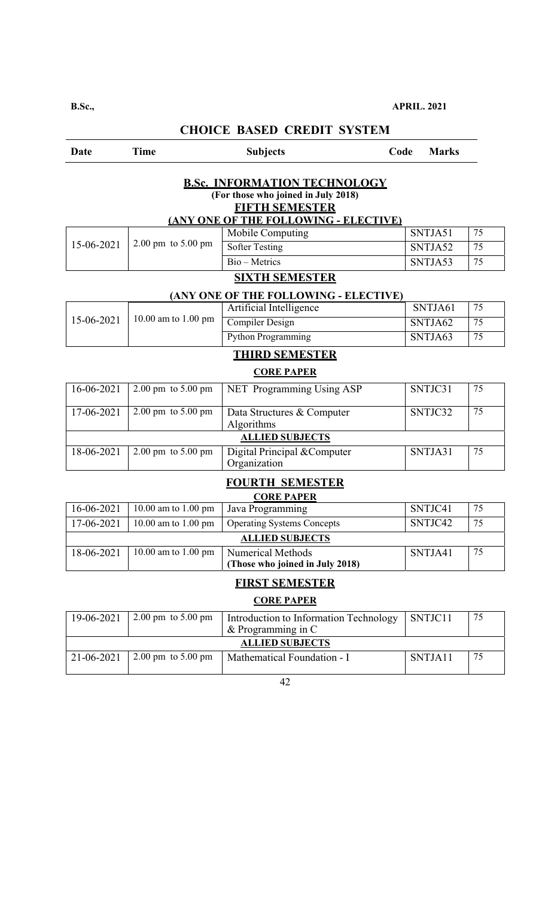| Date             | <b>Time</b>                            | <b>Subjects</b>                                                                                                                              | Code | <b>Marks</b> |                 |
|------------------|----------------------------------------|----------------------------------------------------------------------------------------------------------------------------------------------|------|--------------|-----------------|
|                  |                                        | <b>B.Sc. INFORMATION TECHNOLOGY</b><br>(For those who joined in July 2018)<br><b>FIFTH SEMESTER</b><br>(ANY ONE OF THE FOLLOWING - ELECTIVE) |      |              |                 |
|                  |                                        | Mobile Computing                                                                                                                             |      | SNTJA51      | 75              |
| 15-06-2021       | $2.00$ pm to $5.00$ pm                 | <b>Softer Testing</b>                                                                                                                        |      | SNTJA52      | 75              |
|                  |                                        | Bio - Metrics                                                                                                                                |      | SNTJA53      | 75              |
|                  |                                        | <b>SIXTH SEMESTER</b>                                                                                                                        |      |              |                 |
|                  |                                        | (ANY ONE OF THE FOLLOWING - ELECTIVE)                                                                                                        |      |              |                 |
|                  |                                        | Artificial Intelligence                                                                                                                      |      | SNTJA61      | 75              |
| 15-06-2021       | 10.00 am to 1.00 pm                    | <b>Compiler Design</b>                                                                                                                       |      | SNTJA62      | $\overline{75}$ |
|                  |                                        | <b>Python Programming</b>                                                                                                                    |      | SNTJA63      | $\overline{75}$ |
|                  |                                        | <b>THIRD SEMESTER</b>                                                                                                                        |      |              |                 |
|                  |                                        | <b>CORE PAPER</b>                                                                                                                            |      |              |                 |
| 16-06-2021       | $2.00 \text{ pm}$ to $5.00 \text{ pm}$ | NET Programming Using ASP                                                                                                                    |      | SNTJC31      | 75              |
| 17-06-2021       | 2.00 pm to 5.00 pm                     | Data Structures & Computer<br>Algorithms                                                                                                     |      | SNTJC32      | 75              |
|                  |                                        | <b>ALLIED SUBJECTS</b>                                                                                                                       |      |              |                 |
| 18-06-2021       | $2.00 \text{ pm}$ to $5.00 \text{ pm}$ | Digital Principal &Computer<br>Organization                                                                                                  |      | SNTJA31      | 75              |
|                  |                                        | <b>FOURTH SEMESTER</b><br><b>CORE PAPER</b>                                                                                                  |      |              |                 |
| 16-06-2021       | $\overline{10.00}$ am to 1.00 pm       | Java Programming                                                                                                                             |      | SNTJC41      | 75              |
| $17 - 06 - 2021$ | 10.00 am to 1.00 pm                    | Operating Systems Concepts                                                                                                                   |      | SNTJC42      | 75              |
|                  |                                        | <b>ALLIED SUBJECTS</b>                                                                                                                       |      |              |                 |
| 18-06-2021       | 10.00 am to 1.00 pm                    | <b>Numerical Methods</b><br>(Those who joined in July 2018)                                                                                  |      | SNTJA41      | 75              |
|                  |                                        | <b>FIRST SEMESTER</b>                                                                                                                        |      |              |                 |
|                  |                                        | <b>CORE PAPER</b>                                                                                                                            |      |              |                 |
| 19-06-2021       | $2.00 \text{ pm}$ to $5.00 \text{ pm}$ | Introduction to Information Technology<br>& Programming in C                                                                                 |      | SNTJC11      | 75              |
|                  |                                        | <b>ALLIED SUBJECTS</b>                                                                                                                       |      |              |                 |
| 21-06-2021       | $2.00 \text{ pm}$ to $5.00 \text{ pm}$ | Mathematical Foundation - I                                                                                                                  |      | SNTJA11      | 75              |
|                  |                                        |                                                                                                                                              |      |              |                 |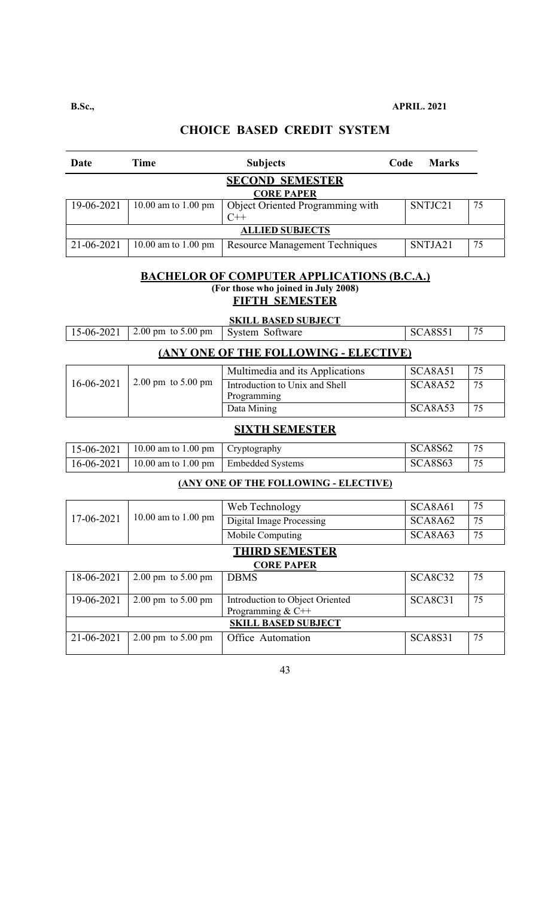| Date                   | Time                          | <b>Subjects</b>                  | Code | <b>Marks</b> |    |
|------------------------|-------------------------------|----------------------------------|------|--------------|----|
|                        |                               | <b>SECOND SEMESTER</b>           |      |              |    |
|                        |                               | <b>CORE PAPER</b>                |      |              |    |
| 19-06-2021             | 10.00 am to $1.00 \text{ pm}$ | Object Oriented Programming with |      | SNTJC21      | 75 |
|                        |                               | $C++$                            |      |              |    |
| <b>ALLIED SUBJECTS</b> |                               |                                  |      |              |    |
| 21-06-2021             | 10.00 am to 1.00 pm           | Resource Management Techniques   |      | SNTJA21      | 75 |

#### **BACHELOR OF COMPUTER APPLICATIONS (B.C.A.)**

**(For those who joined in July 2008)** 

**FIFTH SEMESTER** 

|                                              | <b>SKILL BASED SUBJECT</b> |                                 |         |    |  |
|----------------------------------------------|----------------------------|---------------------------------|---------|----|--|
| 15-06-2021                                   | 2.00 pm to 5.00 pm         | System Software                 | SCA8S51 | 75 |  |
| <b>(ANY ONE OF THE FOLLOWING - ELECTIVE)</b> |                            |                                 |         |    |  |
|                                              |                            | Multimedia and its Applications | SCA8A51 | 75 |  |
| $16-06-2021$                                 | 2.00 pm to $5.00$ pm       | Introduction to Unix and Shell  | SCA8A52 | 75 |  |

# **SIXTH SEMESTER**

Data Mining SCA8A53 75

Programming

| 15-06-2021   10.00 am to 1.00 pm   Cryptography     | SCASS62 |  |
|-----------------------------------------------------|---------|--|
| 16-06-2021   10.00 am to 1.00 pm   Embedded Systems | SCA8S63 |  |

#### **(ANY ONE OF THE FOLLOWING - ELECTIVE)**

|                            |                                        | Web Technology                  | SCA8A61                          | 75 |  |
|----------------------------|----------------------------------------|---------------------------------|----------------------------------|----|--|
| 17-06-2021                 | 10.00 am to 1.00 pm                    | <b>Digital Image Processing</b> | SCA8A62                          | 75 |  |
|                            |                                        | Mobile Computing                | SCA8A63                          | 75 |  |
| <b>THIRD SEMESTER</b>      |                                        |                                 |                                  |    |  |
|                            | <b>CORE PAPER</b>                      |                                 |                                  |    |  |
| 18-06-2021                 | $2.00 \text{ pm}$ to $5.00 \text{ pm}$ | <b>DBMS</b>                     | SCA8C32                          | 75 |  |
|                            |                                        |                                 |                                  |    |  |
| 19-06-2021                 | $2.00 \text{ pm}$ to $5.00 \text{ pm}$ | Introduction to Object Oriented | SCA <sub>8</sub> C <sub>31</sub> | 75 |  |
|                            |                                        | Programming & $C++$             |                                  |    |  |
| <b>SKILL BASED SUBJECT</b> |                                        |                                 |                                  |    |  |
| 21-06-2021                 | $2.00 \text{ pm}$ to $5.00 \text{ pm}$ | Office Automation               | <b>SCA8S31</b>                   | 75 |  |
|                            |                                        |                                 |                                  |    |  |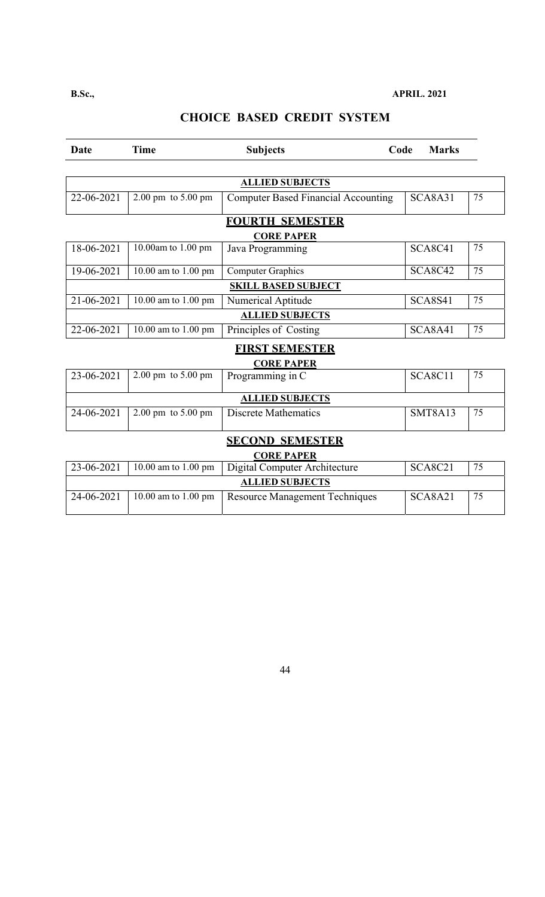| Date              | <b>Time</b>                            | <b>Subjects</b>                            | Code | <b>Marks</b>   |    |  |
|-------------------|----------------------------------------|--------------------------------------------|------|----------------|----|--|
|                   |                                        |                                            |      |                |    |  |
|                   | <b>ALLIED SUBJECTS</b>                 |                                            |      |                |    |  |
| 22-06-2021        | $2.00 \text{ pm}$ to $5.00 \text{ pm}$ | <b>Computer Based Financial Accounting</b> |      | SCA8A31        | 75 |  |
|                   |                                        | <b>FOURTH SEMESTER</b>                     |      |                |    |  |
|                   |                                        | <b>CORE PAPER</b>                          |      |                |    |  |
| 18-06-2021        | 10.00am to 1.00 pm                     | Java Programming                           |      | <b>SCA8C41</b> | 75 |  |
| 19-06-2021        | 10.00 am to 1.00 pm                    | <b>Computer Graphics</b>                   |      | <b>SCA8C42</b> | 75 |  |
|                   | <b>SKILL BASED SUBJECT</b>             |                                            |      |                |    |  |
| 21-06-2021        | 10.00 am to 1.00 pm                    | Numerical Aptitude                         |      | <b>SCA8S41</b> | 75 |  |
|                   |                                        | <b>ALLIED SUBJECTS</b>                     |      |                |    |  |
| 22-06-2021        | 10.00 am to 1.00 pm                    | Principles of Costing                      |      | SCA8A41        | 75 |  |
|                   |                                        | <b>FIRST SEMESTER</b>                      |      |                |    |  |
|                   |                                        | <b>CORE PAPER</b>                          |      |                |    |  |
| $23 - 06 - 2021$  | $2.00$ pm to 5.00 pm                   | Programming in C                           |      | SCA8C11        | 75 |  |
|                   |                                        | <b>ALLIED SUBJECTS</b>                     |      |                |    |  |
| 24-06-2021        | $2.00 \text{ pm}$ to $5.00 \text{ pm}$ | <b>Discrete Mathematics</b>                |      | <b>SMT8A13</b> | 75 |  |
|                   |                                        | <b>SECOND SEMESTER</b>                     |      |                |    |  |
| <b>CORE PAPER</b> |                                        |                                            |      |                |    |  |
| 23-06-2021        | 10.00 am to 1.00 pm                    | <b>Digital Computer Architecture</b>       |      | <b>SCA8C21</b> | 75 |  |
|                   |                                        | <b>ALLIED SUBJECTS</b>                     |      |                |    |  |
| 24-06-2021        | 10.00 am to 1.00 pm                    | <b>Resource Management Techniques</b>      |      | <b>SCA8A21</b> | 75 |  |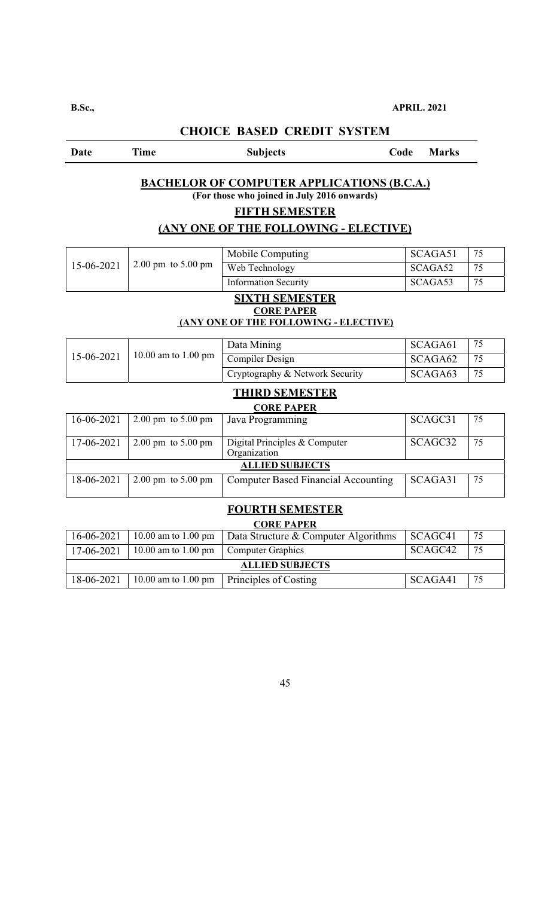#### Date Time Subjects Code Marks

#### **BACHELOR OF COMPUTER APPLICATIONS (B.C.A.)**

**(For those who joined in July 2016 onwards)** 

#### **FIFTH SEMESTER**

# **(ANY ONE OF THE FOLLOWING - ELECTIVE)**

|            |                                        | Mobile Computing                              | SCAGA51 | 75 |
|------------|----------------------------------------|-----------------------------------------------|---------|----|
| 15-06-2021 | $2.00 \text{ pm}$ to $5.00 \text{ pm}$ | Web Technology                                | SCAGA52 | 75 |
|            |                                        | <b>Information Security</b>                   | SCAGA53 | 75 |
|            |                                        | <b>SIXTH SEMESTER</b>                         |         |    |
|            |                                        | <b>CORE PAPER</b>                             |         |    |
|            |                                        | (ANY ONE OF THE FOLLOWING - ELECTIVE)         |         |    |
|            |                                        | Data Mining                                   | SCAGA61 | 75 |
| 15-06-2021 | 10.00 am to 1.00 pm                    | Compiler Design                               | SCAGA62 | 75 |
|            |                                        | Cryptography & Network Security               | SCAGA63 | 75 |
|            |                                        | <b>THIRD SEMESTER</b>                         |         |    |
|            |                                        | <b>CORE PAPER</b>                             |         |    |
| 16-06-2021 | $2.00 \text{ pm}$ to $5.00 \text{ pm}$ | Java Programming                              | SCAGC31 | 75 |
|            |                                        |                                               |         |    |
| 17-06-2021 | $2.00 \text{ pm}$ to $5.00 \text{ pm}$ | Digital Principles & Computer<br>Organization | SCAGC32 | 75 |
|            |                                        | <b>ALLIED SUBJECTS</b>                        |         |    |
| 18-06-2021 | $2.00 \text{ pm}$ to $5.00 \text{ pm}$ | <b>Computer Based Financial Accounting</b>    | SCAGA31 | 75 |
|            |                                        |                                               |         |    |
|            |                                        | <b>FOURTH SEMESTER</b>                        |         |    |
|            |                                        | <b>CORE PAPER</b>                             |         |    |
| 16-06-2021 | 10.00 am to 1.00 pm                    | Data Structure & Computer Algorithms          | SCAGC41 | 75 |
| 17-06-2021 | 10.00 am to 1.00 pm                    | <b>Computer Graphics</b>                      | SCAGC42 | 75 |
|            |                                        | <b>ALLIED SUBJECTS</b>                        |         |    |
| 18-06-2021 | 10.00 am to 1.00 pm                    | Principles of Costing                         | SCAGA41 | 75 |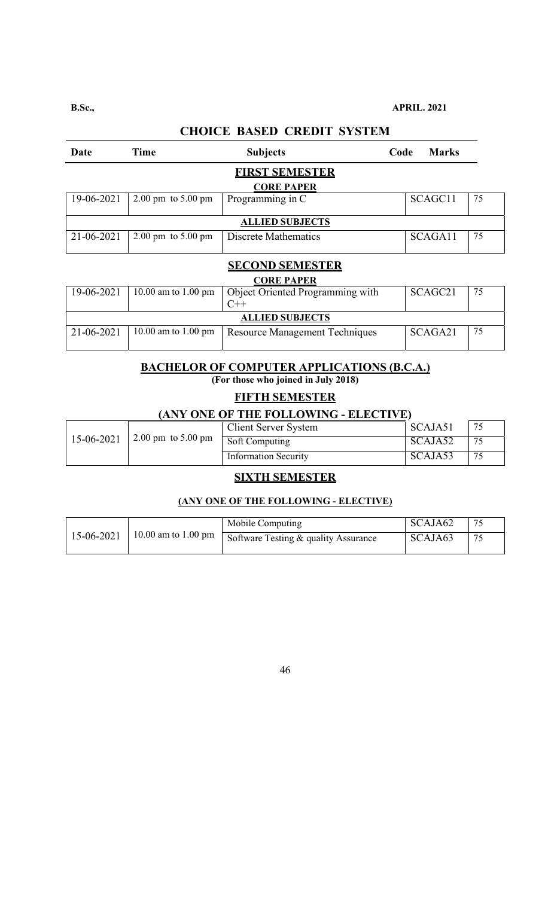$\sim$ 

| Date                                       | Time                                   | <b>Subjects</b>        | Code | <b>Marks</b> |    |
|--------------------------------------------|----------------------------------------|------------------------|------|--------------|----|
| <b>FIRST SEMESTER</b><br><b>CORE PAPER</b> |                                        |                        |      |              |    |
| 19-06-2021                                 | $2.00 \text{ pm}$ to $5.00 \text{ pm}$ | Programming in C       |      | SCAGC11      | 75 |
| <b>ALLIED SUBJECTS</b>                     |                                        |                        |      |              |    |
| 21-06-2021                                 | $2.00 \text{ pm}$ to $5.00 \text{ pm}$ | Discrete Mathematics   |      | SCAGA11      | 75 |
|                                            |                                        | <b>CECOND CEMECTED</b> |      |              |    |

# **CHOICE BASED CREDIT SYSTEM**

#### **SECOND SEMESTER CORE PAPER**

| CORE PAPER             |                     |                                  |                     |    |  |
|------------------------|---------------------|----------------------------------|---------------------|----|--|
| 19-06-2021             | 10.00 am to 1.00 pm | Object Oriented Programming with | SCAGC <sub>21</sub> | 75 |  |
|                        |                     |                                  |                     |    |  |
| <b>ALLIED SUBJECTS</b> |                     |                                  |                     |    |  |
| 21-06-2021             | 10.00 am to 1.00 pm | Resource Management Techniques   | SCAGA21             | 75 |  |
|                        |                     |                                  |                     |    |  |

## **BACHELOR OF COMPUTER APPLICATIONS (B.C.A.)**

**(For those who joined in July 2018)** 

#### **FIFTH SEMESTER**

#### **(ANY ONE OF THE FOLLOWING - ELECTIVE)**

|            |                              | Client Server System        | SCAJA51 |     |
|------------|------------------------------|-----------------------------|---------|-----|
| 15-06-2021 | $2.00 \text{ pm}$ to 5.00 pm | Soft Computing              | SCAJA52 |     |
|            |                              | <b>Information Security</b> | SCAJA53 | -75 |

## **SIXTH SEMESTER**

#### **(ANY ONE OF THE FOLLOWING - ELECTIVE)**

| 15-06-2021 | Mobile Computing                                                                        | SCAJA62 |  |
|------------|-----------------------------------------------------------------------------------------|---------|--|
|            | $\frac{1}{1}$ 10.00 am to 1.00 pm $\sqrt{\text{Software Testing}} \&$ quality Assurance | SCAJA63 |  |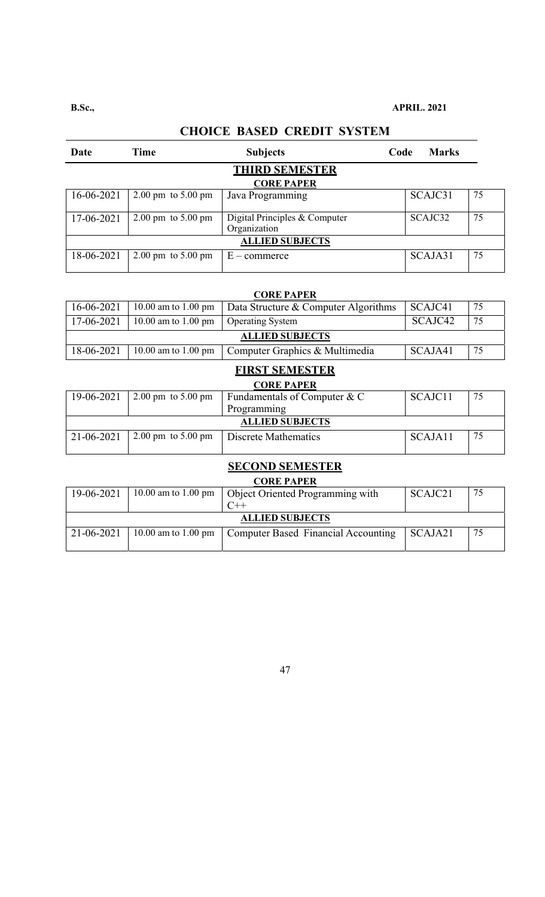#### **B.Sc., APRIL. 2021**

# Date Time Subjects Code Marks **THIRD SEMESTER CORE PAPER**  16-06-2021 2.00 pm to 5.00 pm Java Programming SCAJC31 75 17-06-2021 2.00 pm to 5.00 pm Digital Principles & Computer Organization SCAJC32 75 **ALLIED SUBJECTS**   $18-06-2021$  2.00 pm to 5.00 pm E – commerce SCAJA31 75

#### **CHOICE BASED CREDIT SYSTEM**

| <b>CORE PAPER</b> |  |
|-------------------|--|
|-------------------|--|

| 16-06-2021             |                                        | 10.00 am to 1.00 pm   Data Structure & Computer Algorithms | SCAJC41 | 75 |  |
|------------------------|----------------------------------------|------------------------------------------------------------|---------|----|--|
| 17-06-2021             | 10.00 am to 1.00 pm   Operating System |                                                            | SCAJC42 | 75 |  |
| <b>ALLIED SUBJECTS</b> |                                        |                                                            |         |    |  |
| 18-06-2021             |                                        | 10.00 am to 1.00 pm   Computer Graphics & Multimedia       | SCAJA41 | 75 |  |

#### **FIRST SEMESTER CORE PAPER**

| UUKE FAFEK             |                                                             |                                |         |    |  |
|------------------------|-------------------------------------------------------------|--------------------------------|---------|----|--|
| 19-06-2021             | $\vert 2.00 \text{ pm} \, \text{to } 5.00 \text{ pm} \vert$ | Fundamentals of Computer $& C$ | SCAJC11 | 75 |  |
|                        |                                                             | Programming                    |         |    |  |
| <b>ALLIED SUBJECTS</b> |                                                             |                                |         |    |  |
| 21-06-2021             | 2.00 pm to 5.00 pm                                          | Discrete Mathematics           | SCAJA11 | 75 |  |
|                        |                                                             |                                |         |    |  |

#### **SECOND SEMESTER**

**CORE PAPER** 

| $\sim$                 |                     |                                     |         |    |  |  |
|------------------------|---------------------|-------------------------------------|---------|----|--|--|
| 19-06-2021             | 10.00 am to 1.00 pm | Object Oriented Programming with    | SCAJC21 | 75 |  |  |
|                        |                     |                                     |         |    |  |  |
| <b>ALLIED SUBJECTS</b> |                     |                                     |         |    |  |  |
| 21-06-2021             | 10.00 am to 1.00 pm | Computer Based Financial Accounting | SCAJA21 | 75 |  |  |
|                        |                     |                                     |         |    |  |  |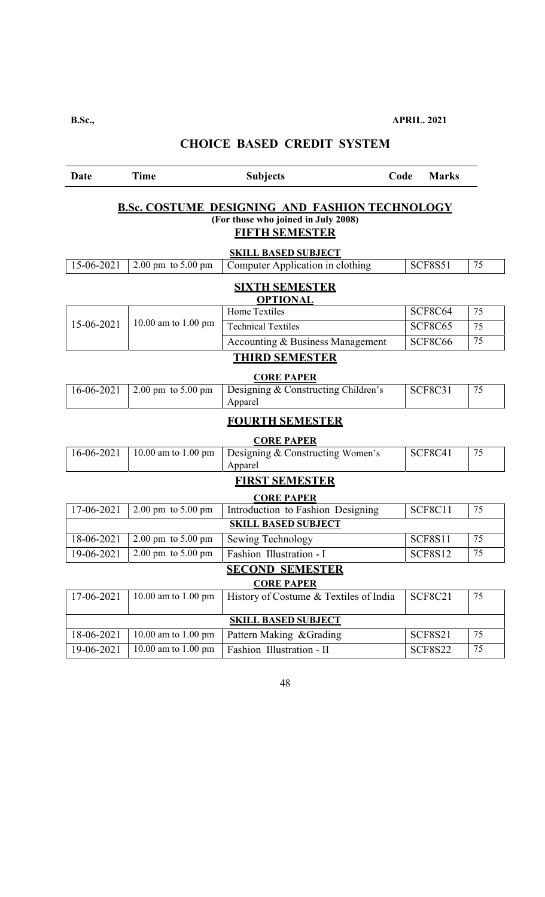| Date                                                                                                                  | <b>Time</b>                                 | <b>Subjects</b>                                | Code | <b>Marks</b>   |    |  |  |
|-----------------------------------------------------------------------------------------------------------------------|---------------------------------------------|------------------------------------------------|------|----------------|----|--|--|
| <b>B.Sc. COSTUME DESIGNING AND FASHION TECHNOLOGY</b><br>(For those who joined in July 2008)<br><b>FIFTH SEMESTER</b> |                                             |                                                |      |                |    |  |  |
|                                                                                                                       |                                             | <b>SKILL BASED SUBJECT</b>                     |      |                |    |  |  |
| 15-06-2021                                                                                                            | $2.00 \text{ pm}$ to $5.00 \text{ pm}$      | Computer Application in clothing               |      | <b>SCF8S51</b> | 75 |  |  |
|                                                                                                                       |                                             | <b>SIXTH SEMESTER</b><br><b>OPTIONAL</b>       |      |                |    |  |  |
|                                                                                                                       |                                             | <b>Home Textiles</b>                           |      | SCF8C64        | 75 |  |  |
| 15-06-2021                                                                                                            | 10.00 am to 1.00 pm                         | <b>Technical Textiles</b>                      |      | <b>SCF8C65</b> | 75 |  |  |
|                                                                                                                       |                                             | Accounting & Business Management               |      | SCF8C66        | 75 |  |  |
|                                                                                                                       |                                             | <b>THIRD SEMESTER</b>                          |      |                |    |  |  |
|                                                                                                                       |                                             | <b>CORE PAPER</b>                              |      |                |    |  |  |
| 16-06-2021                                                                                                            | $2.00 \text{ pm}$ to $5.00 \text{ pm}$      | Designing & Constructing Children's<br>Apparel |      | <b>SCF8C31</b> | 75 |  |  |
|                                                                                                                       |                                             | <b>FOURTH SEMESTER</b>                         |      |                |    |  |  |
|                                                                                                                       |                                             | <b>CORE PAPER</b>                              |      |                |    |  |  |
| $16 - 06 - 2021$                                                                                                      | 10.00 am to 1.00 pm                         | Designing & Constructing Women's<br>Apparel    |      | <b>SCF8C41</b> | 75 |  |  |
|                                                                                                                       |                                             | <b>FIRST SEMESTER</b>                          |      |                |    |  |  |
|                                                                                                                       |                                             | <b>CORE PAPER</b>                              |      |                |    |  |  |
| 17-06-2021                                                                                                            | 2.00 pm to 5.00 pm                          | Introduction to Fashion Designing              |      | <b>SCF8C11</b> | 75 |  |  |
|                                                                                                                       |                                             | <b>SKILL BASED SUBJECT</b>                     |      |                |    |  |  |
| 18-06-2021                                                                                                            | 2.00 pm to 5.00 pm                          | Sewing Technology                              |      | <b>SCF8S11</b> | 75 |  |  |
| 19-06-2021                                                                                                            | $2.00 \text{ pm}$ to $5.00 \text{ pm}$      | Fashion Illustration - I                       |      | <b>SCF8S12</b> | 75 |  |  |
|                                                                                                                       | <b>SECOND SEMESTER</b><br><b>CORE PAPER</b> |                                                |      |                |    |  |  |
| 17-06-2021                                                                                                            | 10.00 am to 1.00 pm                         | History of Costume & Textiles of India         |      | <b>SCF8C21</b> | 75 |  |  |
|                                                                                                                       |                                             | <b>SKILL BASED SUBJECT</b>                     |      |                |    |  |  |
| 18-06-2021                                                                                                            | 10.00 am to 1.00 pm                         | Pattern Making & Grading                       |      | <b>SCF8S21</b> | 75 |  |  |
| 19-06-2021                                                                                                            | 10.00 am to 1.00 pm                         | Fashion Illustration - II                      |      | <b>SCF8S22</b> | 75 |  |  |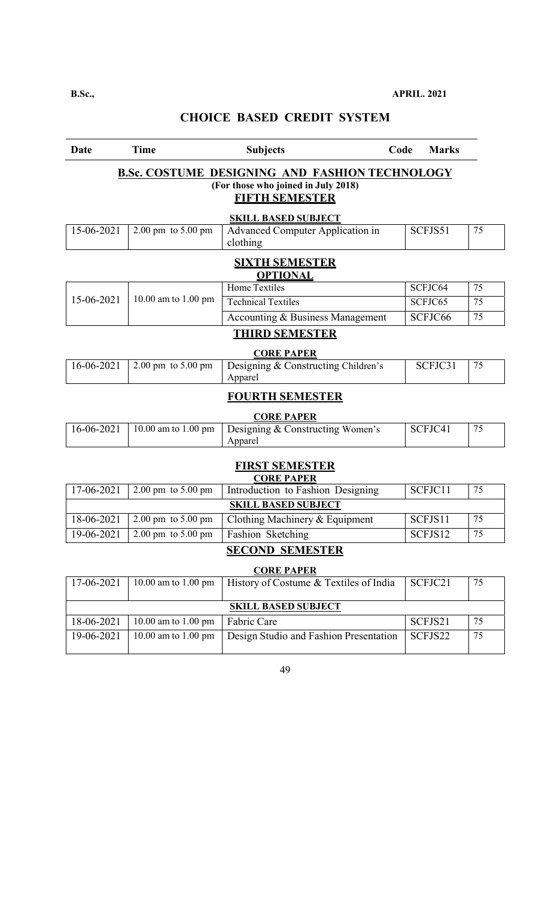| Ð<br>٠ |  |
|--------|--|
|--------|--|

| Date       | <b>Time</b>                            | <b>Subjects</b>                                                                                                       | Code<br><b>Marks</b> |    |  |  |  |
|------------|----------------------------------------|-----------------------------------------------------------------------------------------------------------------------|----------------------|----|--|--|--|
|            |                                        | <b>B.Sc. COSTUME DESIGNING AND FASHION TECHNOLOGY</b><br>(For those who joined in July 2018)<br><b>FIFTH SEMESTER</b> |                      |    |  |  |  |
|            |                                        | <b>SKILL BASED SUBJECT</b>                                                                                            |                      |    |  |  |  |
| 15-06-2021 | $2.00 \text{ pm}$ to $5.00 \text{ pm}$ | <b>Advanced Computer Application in</b><br>clothing                                                                   | SCFJS51              | 75 |  |  |  |
|            |                                        | <b>SIXTH SEMESTER</b><br><b>OPTIONAL</b>                                                                              |                      |    |  |  |  |
|            |                                        | <b>Home Textiles</b>                                                                                                  | SCFJC64              | 75 |  |  |  |
| 15-06-2021 | 10.00 am to 1.00 pm                    | <b>Technical Textiles</b>                                                                                             | SCFJC65              | 75 |  |  |  |
|            |                                        | Accounting & Business Management                                                                                      | SCFJC66              | 75 |  |  |  |
|            |                                        | <b>THIRD SEMESTER</b>                                                                                                 |                      |    |  |  |  |
|            |                                        | <b>CORE PAPER</b>                                                                                                     |                      |    |  |  |  |
| 16-06-2021 | $2.00 \text{ pm}$ to $5.00 \text{ pm}$ | Designing & Constructing Children's<br>Apparel                                                                        | SCFJC31              | 75 |  |  |  |
|            |                                        | <b>FOURTH SEMESTER</b>                                                                                                |                      |    |  |  |  |
|            |                                        | <b>CORE PAPER</b>                                                                                                     |                      |    |  |  |  |
| 16-06-2021 | 10.00 am to 1.00 pm                    | Designing & Constructing Women's<br>Apparel                                                                           | SCFJC41              | 75 |  |  |  |
|            |                                        | <b>FIRST SEMESTER</b>                                                                                                 |                      |    |  |  |  |
|            |                                        | <b>CORE PAPER</b>                                                                                                     |                      |    |  |  |  |
| 17-06-2021 | 2.00 pm to 5.00 pm                     | Introduction to Fashion Designing                                                                                     | SCFJC11              | 75 |  |  |  |
|            |                                        | <b>SKILL BASED SUBJECT</b>                                                                                            |                      |    |  |  |  |
| 18-06-2021 | 2.00 pm to 5.00 pm                     | Clothing Machinery & Equipment                                                                                        | SCFJS11              | 75 |  |  |  |
| 19-06-2021 | $2.00 \text{ pm}$ to $5.00 \text{ pm}$ | Fashion Sketching                                                                                                     | SCFJS12              | 75 |  |  |  |
|            |                                        | <b>SECOND SEMESTER</b>                                                                                                |                      |    |  |  |  |
|            |                                        | <b>CORE PAPER</b>                                                                                                     |                      |    |  |  |  |
| 17-06-2021 | 10.00 am to 1.00 pm                    | History of Costume & Textiles of India                                                                                | SCFJC21              | 75 |  |  |  |
|            | <b>SKILL BASED SUBJECT</b>             |                                                                                                                       |                      |    |  |  |  |
| 18-06-2021 | 10.00 am to 1.00 pm                    | Fabric Care                                                                                                           | SCFJS21              | 75 |  |  |  |
| 19-06-2021 | 10.00 am to 1.00 pm                    | Design Studio and Fashion Presentation                                                                                | SCFJS22              | 75 |  |  |  |
|            |                                        |                                                                                                                       |                      |    |  |  |  |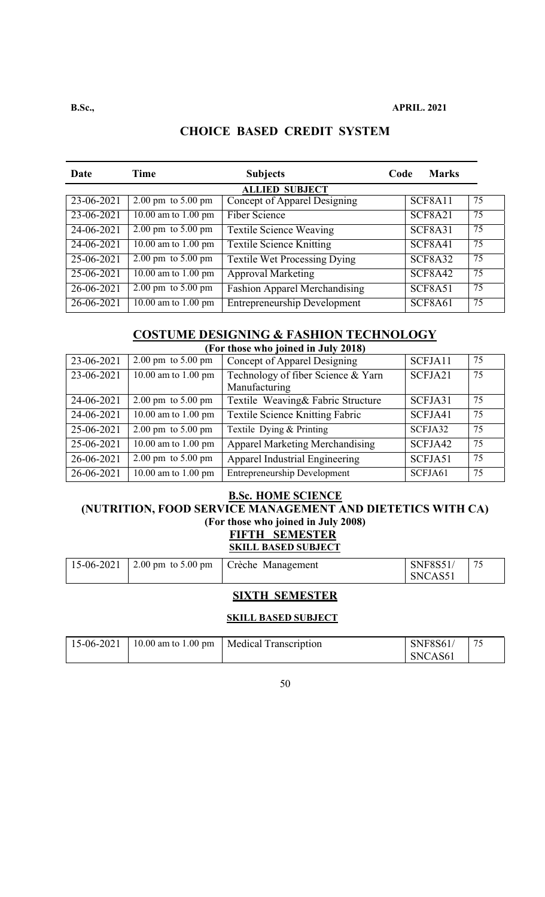| Date                    | Time                                   | <b>Subjects</b>                      | Code | <b>Marks</b>         |    |  |  |
|-------------------------|----------------------------------------|--------------------------------------|------|----------------------|----|--|--|
|                         | <b>ALLIED SUBJECT</b>                  |                                      |      |                      |    |  |  |
| 23-06-2021              | $2.00 \text{ pm}$ to $5.00 \text{ pm}$ | Concept of Apparel Designing         |      | SCF8A11              | 75 |  |  |
| 23-06-2021              | $10.00$ am to $1.00$ pm                | <b>Fiber Science</b>                 |      | <b>SCF8A21</b>       | 75 |  |  |
| $24 - 06 - 2021$        | $2.00 \text{ pm}$ to $5.00 \text{ pm}$ | <b>Textile Science Weaving</b>       |      | <b>SCF8A31</b>       | 75 |  |  |
| 24-06-2021              | 10.00 am to 1.00 pm                    | <b>Textile Science Knitting</b>      |      | SCF8A41              | 75 |  |  |
| $\overline{25-06-20}21$ | $2.00 \text{ pm}$ to $5.00 \text{ pm}$ | <b>Textile Wet Processing Dying</b>  |      | SCF8A32              | 75 |  |  |
| $25 - 06 - 2021$        | $10.00$ am to $1.00$ pm                | <b>Approval Marketing</b>            |      | $\overline{SCF8A42}$ | 75 |  |  |
| 26-06-2021              | $2.00 \text{ pm}$ to $5.00 \text{ pm}$ | <b>Fashion Apparel Merchandising</b> |      | SCF8A51              | 75 |  |  |
| 26-06-2021              | 10.00 am to $1.00 \text{ pm}$          | <b>Entrepreneurship Development</b>  |      | <b>SCF8A61</b>       | 75 |  |  |

## **COSTUME DESIGNING & FASHION TECHNOLOGY**

| (For those who joined in July 2018) |                                        |                                        |         |    |  |  |
|-------------------------------------|----------------------------------------|----------------------------------------|---------|----|--|--|
| 23-06-2021                          | $2.00 \text{ pm}$ to $5.00 \text{ pm}$ | Concept of Apparel Designing           | SCFJA11 | 75 |  |  |
| 23-06-2021                          | 10.00 am to 1.00 pm                    | Technology of fiber Science & Yarn     | SCFJA21 | 75 |  |  |
|                                     |                                        | Manufacturing                          |         |    |  |  |
| 24-06-2021                          | $2.00 \text{ pm}$ to $5.00 \text{ pm}$ | Textile Weaving& Fabric Structure      | SCFJA31 | 75 |  |  |
| 24-06-2021                          | 10.00 am to 1.00 pm                    | <b>Textile Science Knitting Fabric</b> | SCFJA41 | 75 |  |  |
| 25-06-2021                          | $2.00 \text{ pm}$ to $5.00 \text{ pm}$ | Textile Dying & Printing               | SCFJA32 | 75 |  |  |
| 25-06-2021                          | 10.00 am to 1.00 pm                    | <b>Apparel Marketing Merchandising</b> | SCFJA42 | 75 |  |  |
| 26-06-2021                          | $2.00 \text{ pm}$ to $5.00 \text{ pm}$ | Apparel Industrial Engineering         | SCFJA51 | 75 |  |  |
| 26-06-2021                          | 10.00 am to 1.00 pm                    | <b>Entrepreneurship Development</b>    | SCFJA61 | 75 |  |  |

#### **B.Sc. HOME SCIENCE**

#### **(NUTRITION, FOOD SERVICE MANAGEMENT AND DIETETICS WITH CA) (For those who joined in July 2008) FIFTH SEMESTER SKILL BASED SUBJECT**

|  | $\mid$ 15-06-2021 $\mid$ 2.00 pm to 5.00 pm $\mid$ Crèche Management | <b>SNF8S51</b><br>SNCAS51 |  |
|--|----------------------------------------------------------------------|---------------------------|--|
|  |                                                                      |                           |  |

#### **SIXTH SEMESTER**

#### **SKILL BASED SUBJECT**

|  | 15-06-2021   10.00 am to 1.00 pm   Medical Transcription | <b>SNF8S61</b> | 75 |
|--|----------------------------------------------------------|----------------|----|
|  |                                                          | SNCAS61        |    |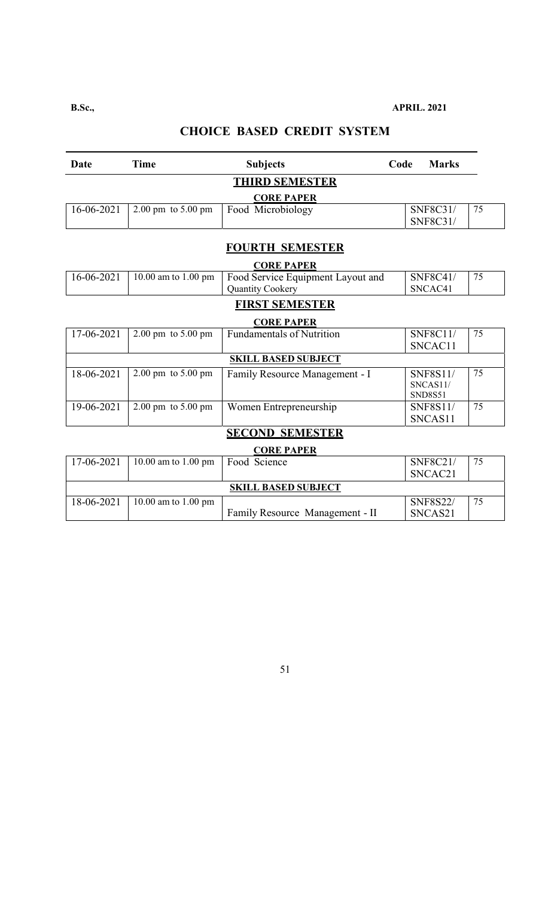#### **B.Sc., APRIL. 2021**

# **CHOICE BASED CREDIT SYSTEM**

| Date       | <b>Time</b>                            | <b>Subjects</b>                   | Code | <b>Marks</b>    |    |
|------------|----------------------------------------|-----------------------------------|------|-----------------|----|
|            |                                        | <b>THIRD SEMESTER</b>             |      |                 |    |
|            |                                        | <b>CORE PAPER</b>                 |      |                 |    |
| 16-06-2021 | $2.00 \text{ pm}$ to $5.00 \text{ pm}$ | Food Microbiology                 |      | SNF8C31/        | 75 |
|            |                                        |                                   |      | SNF8C31/        |    |
|            |                                        | <b>FOURTH SEMESTER</b>            |      |                 |    |
|            |                                        | <b>CORE PAPER</b>                 |      |                 |    |
| 16-06-2021 | 10.00 am to 1.00 pm                    | Food Service Equipment Layout and |      | <b>SNF8C41/</b> | 75 |
|            |                                        | Quantity Cookery                  |      | SNCAC41         |    |
|            |                                        | <b>FIRST SEMESTER</b>             |      |                 |    |
|            |                                        | <b>CORE PAPER</b>                 |      |                 |    |
| 17-06-2021 | $2.00 \text{ pm}$ to $5.00 \text{ pm}$ | <b>Fundamentals of Nutrition</b>  |      | <b>SNF8C11/</b> | 75 |
|            |                                        |                                   |      | SNCAC11         |    |
|            |                                        | <b>SKILL BASED SUBJECT</b>        |      |                 |    |
| 18-06-2021 | $2.00 \text{ pm}$ to $5.00 \text{ pm}$ | Family Resource Management - I    |      | <b>SNF8S11/</b> | 75 |
|            |                                        |                                   |      | SNCAS11/        |    |
|            |                                        |                                   |      | <b>SND8S51</b>  |    |
| 19-06-2021 | $2.00 \text{ pm}$ to $5.00 \text{ pm}$ | Women Entrepreneurship            |      | <b>SNF8S11/</b> | 75 |
|            |                                        |                                   |      | SNCAS11         |    |
|            |                                        | <b>SECOND SEMESTER</b>            |      |                 |    |
|            |                                        | <b>CORE PAPER</b>                 |      |                 |    |
| 17-06-2021 | $\overline{10.00}$ am to 1.00 pm       | Food Science                      |      | SNF8C21/        | 75 |
|            |                                        |                                   |      | SNCAC21         |    |
|            |                                        | <b>SKILL BASED SUBJECT</b>        |      |                 |    |
| 18-06-2021 | 10.00 am to 1.00 pm                    |                                   |      | <b>SNF8S22/</b> | 75 |
|            |                                        | Family Resource Management - II   |      | SNCAS21         |    |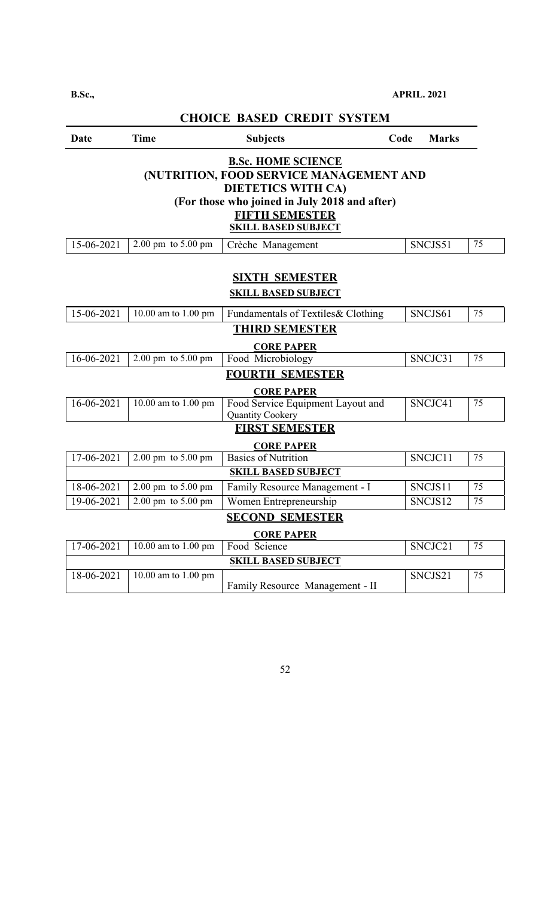**B.Sc., APRIL. 2021**

| <b>CHOICE BASED CREDIT SYSTEM</b>                                                                                                                                                                  |                                        |                                                       |      |              |    |  |
|----------------------------------------------------------------------------------------------------------------------------------------------------------------------------------------------------|----------------------------------------|-------------------------------------------------------|------|--------------|----|--|
| Date                                                                                                                                                                                               | <b>Time</b>                            | <b>Subjects</b>                                       | Code | <b>Marks</b> |    |  |
| <b>B.Sc. HOME SCIENCE</b><br>(NUTRITION, FOOD SERVICE MANAGEMENT AND<br><b>DIETETICS WITH CA)</b><br>(For those who joined in July 2018 and after)<br>FIFTH SEMESTER<br><b>SKILL BASED SUBJECT</b> |                                        |                                                       |      |              |    |  |
| 15-06-2021                                                                                                                                                                                         | 2.00 pm to 5.00 pm                     | Crèche Management                                     |      | SNCJS51      | 75 |  |
| <b>SIXTH SEMESTER</b><br><b>SKILL BASED SUBJECT</b>                                                                                                                                                |                                        |                                                       |      |              |    |  |
| 15-06-2021                                                                                                                                                                                         | 10.00 am to 1.00 pm                    | Fundamentals of Textiles& Clothing                    |      | SNCJS61      | 75 |  |
|                                                                                                                                                                                                    |                                        | <b>THIRD SEMESTER</b><br><b>CORE PAPER</b>            |      |              |    |  |
| 16-06-2021                                                                                                                                                                                         | 2.00 pm to 5.00 pm                     | Food Microbiology                                     |      | SNCJC31      | 75 |  |
|                                                                                                                                                                                                    |                                        | <b>FOURTH SEMESTER</b><br><b>CORE PAPER</b>           |      |              |    |  |
| 16-06-2021                                                                                                                                                                                         | 10.00 am to 1.00 pm                    | Food Service Equipment Layout and<br>Quantity Cookery |      | SNCJC41      | 75 |  |
|                                                                                                                                                                                                    |                                        | <b>FIRST SEMESTER</b><br><b>CORE PAPER</b>            |      |              |    |  |
| 17-06-2021                                                                                                                                                                                         | 2.00 pm to 5.00 pm                     | <b>Basics of Nutrition</b>                            |      | SNCJC11      | 75 |  |
|                                                                                                                                                                                                    |                                        | <b>SKILL BASED SUBJECT</b>                            |      |              |    |  |
| 18-06-2021                                                                                                                                                                                         | 2.00 pm to 5.00 pm                     | Family Resource Management - I                        |      | SNCJS11      | 75 |  |
| 19-06-2021                                                                                                                                                                                         | $2.00 \text{ pm}$ to $5.00 \text{ pm}$ | Women Entrepreneurship                                |      | SNCJS12      | 75 |  |
|                                                                                                                                                                                                    |                                        | <b>SECOND SEMESTER</b><br><b>CORE PAPER</b>           |      |              |    |  |
| 17-06-2021                                                                                                                                                                                         | $\overline{10.00}$ am to 1.00 pm       | Food Science                                          |      | SNCJC21      | 75 |  |
|                                                                                                                                                                                                    |                                        | <b>SKILL BASED SUBJECT</b>                            |      |              |    |  |
| 18-06-2021                                                                                                                                                                                         | 10.00 am to 1.00 pm                    | Family Resource Management - II                       |      | SNCJS21      | 75 |  |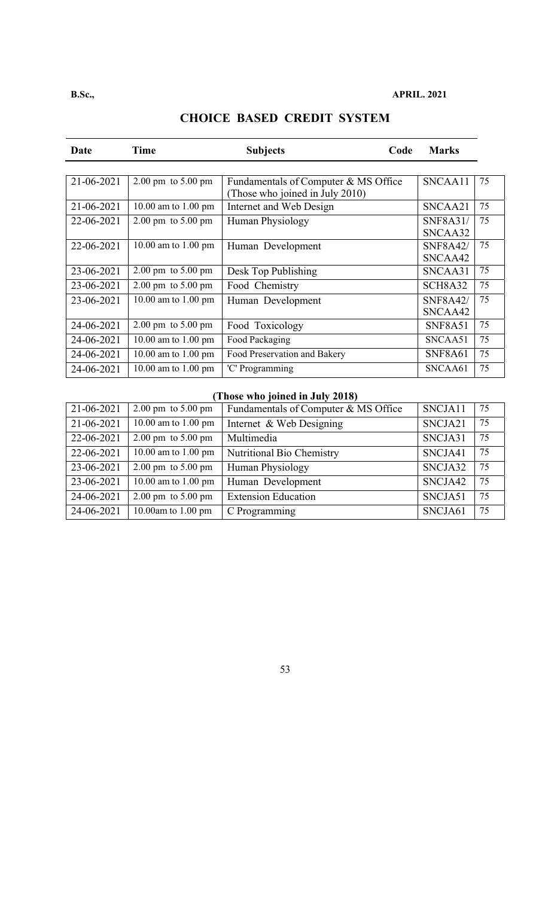| Date       | Time                                   | <b>Subjects</b>                                                         | Code | <b>Marks</b>               |    |
|------------|----------------------------------------|-------------------------------------------------------------------------|------|----------------------------|----|
|            |                                        |                                                                         |      |                            |    |
| 21-06-2021 | $2.00 \text{ pm}$ to $5.00 \text{ pm}$ | Fundamentals of Computer & MS Office<br>(Those who joined in July 2010) |      | SNCAA11                    | 75 |
| 21-06-2021 | 10.00 am to 1.00 pm                    | Internet and Web Design                                                 |      | SNCAA21                    | 75 |
| 22-06-2021 | $2.00 \text{ pm}$ to $5.00 \text{ pm}$ | <b>Human Physiology</b>                                                 |      | <b>SNF8A31/</b><br>SNCAA32 | 75 |
| 22-06-2021 | 10.00 am to 1.00 pm                    | Human Development                                                       |      | <b>SNF8A42/</b><br>SNCAA42 | 75 |
| 23-06-2021 | $2.00 \text{ pm}$ to $5.00 \text{ pm}$ | Desk Top Publishing                                                     |      | SNCAA31                    | 75 |
| 23-06-2021 | $2.00 \text{ pm}$ to $5.00 \text{ pm}$ | Food Chemistry                                                          |      | SCH8A32                    | 75 |
| 23-06-2021 | 10.00 am to 1.00 pm                    | Human Development                                                       |      | <b>SNF8A42/</b><br>SNCAA42 | 75 |
| 24-06-2021 | $2.00 \text{ pm}$ to $5.00 \text{ pm}$ | Food Toxicology                                                         |      | <b>SNF8A51</b>             | 75 |
| 24-06-2021 | 10.00 am to 1.00 pm                    | Food Packaging                                                          |      | SNCAA51                    | 75 |
| 24-06-2021 | 10.00 am to 1.00 pm                    | Food Preservation and Bakery                                            |      | <b>SNF8A61</b>             | 75 |
| 24-06-2021 | 10.00 am to 1.00 pm                    | 'C' Programming                                                         |      | SNCAA61                    | 75 |

# **(Those who joined in July 2018)**

| 21-06-2021 | $2.00 \text{ pm}$ to $5.00 \text{ pm}$ | Fundamentals of Computer & MS Office | SNCJA11 | 75 |
|------------|----------------------------------------|--------------------------------------|---------|----|
| 21-06-2021 | 10.00 am to 1.00 pm                    | Internet & Web Designing             | SNCJA21 | 75 |
| 22-06-2021 | $2.00 \text{ pm}$ to $5.00 \text{ pm}$ | Multimedia                           | SNCJA31 | 75 |
| 22-06-2021 | 10.00 am to 1.00 pm                    | Nutritional Bio Chemistry            | SNCJA41 | 75 |
| 23-06-2021 | $2.00 \text{ pm}$ to $5.00 \text{ pm}$ | Human Physiology                     | SNCJA32 | 75 |
| 23-06-2021 | 10.00 am to 1.00 pm                    | Human Development                    | SNCJA42 | 75 |
| 24-06-2021 | $2.00 \text{ pm}$ to $5.00 \text{ pm}$ | <b>Extension Education</b>           | SNCJA51 | 75 |
| 24-06-2021 | 10.00am to 1.00 pm                     | C Programming                        | SNCJA61 | 75 |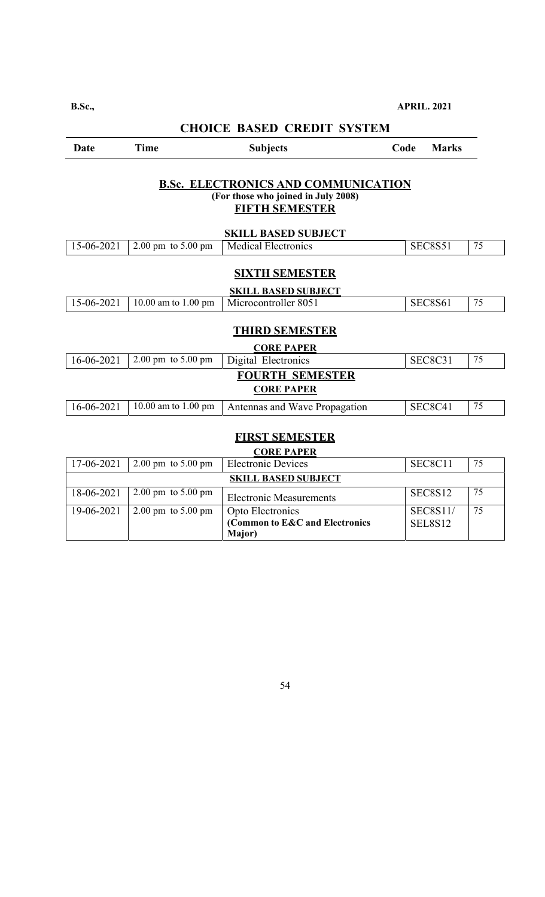#### **B.Sc., APRIL. 2021**

**CHOICE BASED CREDIT SYSTEM** 

| <b>Marks</b>                                                                                               | Code           | <b>Subjects</b>                                                                             | Time                                   | Date       |  |  |
|------------------------------------------------------------------------------------------------------------|----------------|---------------------------------------------------------------------------------------------|----------------------------------------|------------|--|--|
| <b>B.Sc. ELECTRONICS AND COMMUNICATION</b><br>(For those who joined in July 2008)<br><b>FIFTH SEMESTER</b> |                |                                                                                             |                                        |            |  |  |
|                                                                                                            |                | <b>SKILL BASED SUBJECT</b>                                                                  |                                        |            |  |  |
| 75                                                                                                         | <b>SEC8S51</b> | <b>Medical Electronics</b>                                                                  | $2.00 \text{ pm}$ to $5.00 \text{ pm}$ | 15-06-2021 |  |  |
| 75                                                                                                         | <b>SEC8S61</b> | <b>SIXTH SEMESTER</b><br><b>SKILL BASED SUBJECT</b><br>Microcontroller 8051                 | 10.00 am to 1.00 pm                    | 15-06-2021 |  |  |
| <b>THIRD SEMESTER</b>                                                                                      |                |                                                                                             |                                        |            |  |  |
| 75                                                                                                         |                | <b>CORE PAPER</b>                                                                           |                                        |            |  |  |
|                                                                                                            | <b>SEC8C31</b> |                                                                                             |                                        |            |  |  |
|                                                                                                            |                | <b>CORE PAPER</b>                                                                           |                                        |            |  |  |
| 75                                                                                                         | SEC8C41        | Antennas and Wave Propagation                                                               | 10.00 am to 1.00 pm                    | 16-06-2021 |  |  |
|                                                                                                            |                | Digital Electronics<br><b>FOURTH SEMESTER</b><br><b>FIRST SEMESTER</b><br><b>CORE PAPER</b> | $2.00 \text{ pm}$ to $5.00 \text{ pm}$ | 16-06-2021 |  |  |

| 17-06-2021                 | $2.00 \text{ pm}$ to $5.00 \text{ pm}$ | <b>Electronic Devices</b>      | SEC8C11             | 75 |
|----------------------------|----------------------------------------|--------------------------------|---------------------|----|
| <b>SKILL BASED SUBJECT</b> |                                        |                                |                     |    |
| 18-06-2021                 | $2.00 \text{ pm}$ to $5.00 \text{ pm}$ | <b>Electronic Measurements</b> | SEC8S <sub>12</sub> | 75 |
| 19-06-2021                 | $2.00 \text{ pm}$ to $5.00 \text{ pm}$ | Opto Electronics               | <b>SEC8S11/</b>     | 75 |
|                            |                                        | (Common to E&C and Electronics | SEL8S12             |    |
|                            |                                        | <b>Major</b> )                 |                     |    |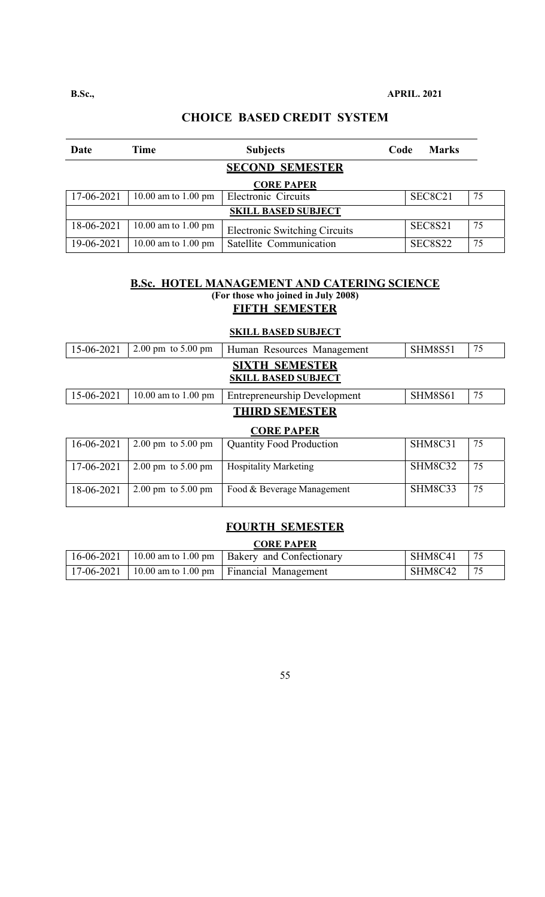| Date                       | Time                | <b>Subjects</b>                      | Code | <b>Marks</b>   |    |
|----------------------------|---------------------|--------------------------------------|------|----------------|----|
|                            |                     | <b>SECOND SEMESTER</b>               |      |                |    |
|                            |                     | <b>CORE PAPER</b>                    |      |                |    |
| 17-06-2021                 | 10.00 am to 1.00 pm | Electronic Circuits                  |      | SEC8C21        | 75 |
| <b>SKILL BASED SUBJECT</b> |                     |                                      |      |                |    |
| 18-06-2021                 | 10.00 am to 1.00 pm | <b>Electronic Switching Circuits</b> |      | SEC8S21        | 75 |
| 19-06-2021                 | 10.00 am to 1.00 pm | Satellite Communication              |      | <b>SEC8S22</b> | 75 |

#### **B.Sc. HOTEL MANAGEMENT AND CATERING SCIENCE (For those who joined in July 2008) FIFTH SEMESTER**

#### **SKILL BASED SUBJECT**

| 15-06-2021        | $2.00 \text{ pm}$ to $5.00 \text{ pm}$ | Human Resources Management                          | <b>SHM8S51</b> | 75 |  |
|-------------------|----------------------------------------|-----------------------------------------------------|----------------|----|--|
|                   |                                        | <b>SIXTH SEMESTER</b><br><b>SKILL BASED SUBJECT</b> |                |    |  |
| 15-06-2021        | 10.00 am to 1.00 pm                    | <b>Entrepreneurship Development</b>                 | <b>SHM8S61</b> | 75 |  |
|                   |                                        | <b>THIRD SEMESTER</b>                               |                |    |  |
| <b>CORE PAPER</b> |                                        |                                                     |                |    |  |
|                   |                                        |                                                     |                |    |  |
| 16-06-2021        | $2.00 \text{ pm}$ to $5.00 \text{ pm}$ | <b>Quantity Food Production</b>                     | SHM8C31        | 75 |  |
| 17-06-2021        | $2.00 \text{ pm}$ to $5.00 \text{ pm}$ | <b>Hospitality Marketing</b>                        | SHM8C32        | 75 |  |

## **FOURTH SEMESTER**

#### **CORE PAPER**

|  | $16-06-2021$   10.00 am to 1.00 pm   Bakery and Confectionary | SHM8C41 |  |
|--|---------------------------------------------------------------|---------|--|
|  | 17-06-2021   10.00 am to 1.00 pm   Financial Management       | SHM8C42 |  |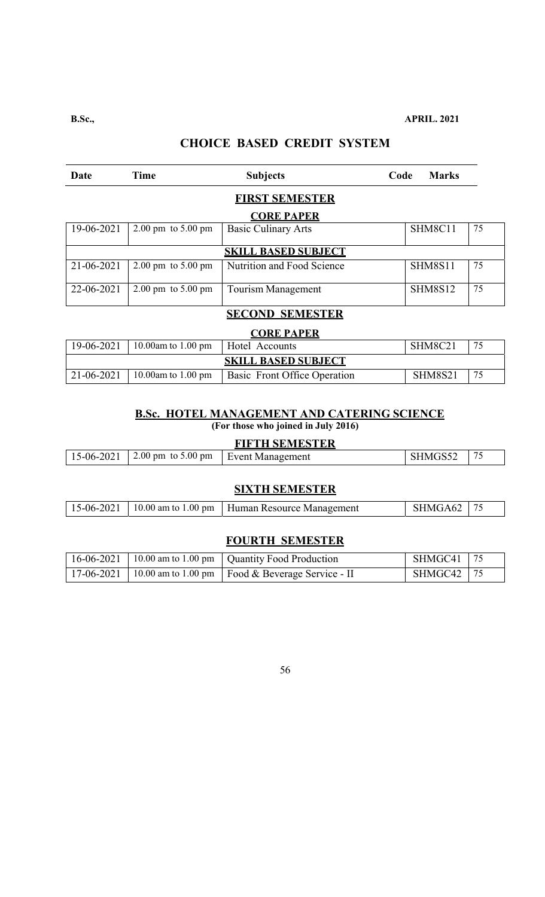**B.Sc., APRIL. 2021** 

# **CHOICE BASED CREDIT SYSTEM**

| Date                   | <b>Time</b>                            | <b>Subjects</b>              | Code | <b>Marks</b>   |    |  |
|------------------------|----------------------------------------|------------------------------|------|----------------|----|--|
|                        |                                        | <b>FIRST SEMESTER</b>        |      |                |    |  |
|                        |                                        | <b>CORE PAPER</b>            |      |                |    |  |
| 19-06-2021             | $2.00 \text{ pm}$ to $5.00 \text{ pm}$ | <b>Basic Culinary Arts</b>   |      | SHM8C11        | 75 |  |
|                        |                                        | <b>SKILL BASED SUBJECT</b>   |      |                |    |  |
| 21-06-2021             | $2.00 \text{ pm}$ to $5.00 \text{ pm}$ | Nutrition and Food Science   |      | <b>SHM8S11</b> | 75 |  |
| 22-06-2021             | $2.00 \text{ pm}$ to $5.00 \text{ pm}$ | <b>Tourism Management</b>    |      | <b>SHM8S12</b> | 75 |  |
| <b>SECOND SEMESTER</b> |                                        |                              |      |                |    |  |
|                        |                                        | <b>CORE PAPER</b>            |      |                |    |  |
| 19-06-2021             | 10.00am to $1.00$ pm                   | Hotel Accounts               |      | SHM8C21        | 75 |  |
|                        |                                        | <b>SKILL BASED SUBJECT</b>   |      |                |    |  |
| 21-06-2021             | 10.00am to $1.00$ pm                   | Basic Front Office Operation |      | <b>SHM8S21</b> | 75 |  |

#### **B.Sc. HOTEL MANAGEMENT AND CATERING SCIENCE (For those who joined in July 2016)**

## **FIFTH SEMESTER**

|  | $_{\odot}$ -06- $^{\circ}$<br>204 | $0.00~\mathrm{pm}$<br>$\angle 00 \text{ pm}$ to 5' | Event<br>Management | M | $ -$<br>ت |
|--|-----------------------------------|----------------------------------------------------|---------------------|---|-----------|
|--|-----------------------------------|----------------------------------------------------|---------------------|---|-----------|

#### **SIXTH SEMESTER**

|  |  | 15-06-2021   10.00 am to 1.00 pm   Human Resource Management | SHMGA62 |  |
|--|--|--------------------------------------------------------------|---------|--|
|--|--|--------------------------------------------------------------|---------|--|

### **FOURTH SEMESTER**

|  | $16-06-2021$   10.00 am to 1.00 pm   Quantity Food Production   | SHMGC41   75 |  |
|--|-----------------------------------------------------------------|--------------|--|
|  | 17-06-2021   10.00 am to 1.00 pm   Food & Beverage Service - II | SHMGC42   75 |  |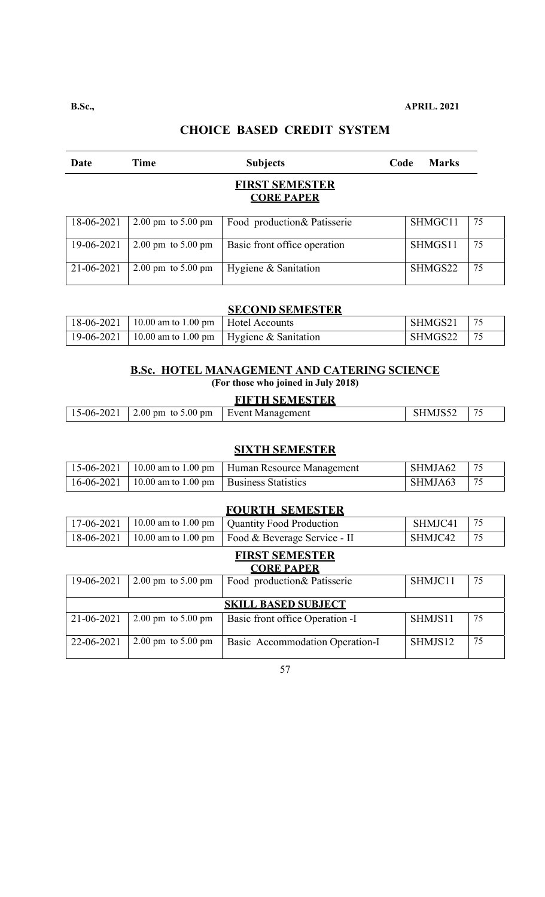| Date       | Time                                   | <b>Subjects</b>                            | Code | <b>Marks</b> |    |
|------------|----------------------------------------|--------------------------------------------|------|--------------|----|
|            |                                        | <b>FIRST SEMESTER</b><br><b>CORE PAPER</b> |      |              |    |
| 18-06-2021 | $2.00 \text{ pm}$ to $5.00 \text{ pm}$ | Food production& Patisserie                |      | SHMGC11      | 75 |
| 19-06-2021 | $2.00 \text{ pm}$ to $5.00 \text{ pm}$ | Basic front office operation               |      | SHMGS11      | 75 |
| 21-06-2021 | $2.00 \text{ pm}$ to $5.00 \text{ pm}$ | Hygiene & Sanitation                       |      | SHMGS22      | 75 |

| 18-06-2021   10.00 am to 1.00 pm   Hotel Accounts |                                                         | SHMGS21 | <u>75</u> |
|---------------------------------------------------|---------------------------------------------------------|---------|-----------|
|                                                   | 19-06-2021   10.00 am to 1.00 pm   Hygiene & Sanitation | SHMGS22 | 175       |

#### **B.Sc. HOTEL MANAGEMENT AND CATERING SCIENCE**

**(For those who joined in July 2018)** 

#### **FIFTH SEMESTER**

| $\overline{\phantom{a}}$<br>$2.00$ pm to 5<br>$5.00 \text{ pm}$<br>2021<br>$15-06-2$<br><u>чм.</u><br>– Event<br>Managemen<br>$\overline{\phantom{0}}$<br>$\sim$ $\sim$ $\sim$ $\sim$ $\sim$ $\sim$ |
|-----------------------------------------------------------------------------------------------------------------------------------------------------------------------------------------------------|
|-----------------------------------------------------------------------------------------------------------------------------------------------------------------------------------------------------|

#### **SIXTH SEMESTER**

|                                                          | 15-06-2021   10.00 am to 1.00 pm   Human Resource Management | SHMJA62 | 75              |
|----------------------------------------------------------|--------------------------------------------------------------|---------|-----------------|
| $16-06-2021$   10.00 am to 1.00 pm   Business Statistics |                                                              | SHMJA63 | $\frac{175}{2}$ |

#### **FOURTH SEMESTER**

|  | 17-06-2021   10.00 am to 1.00 pm   Quantity Food Production     | SHMJC41              |  |
|--|-----------------------------------------------------------------|----------------------|--|
|  | 18-06-2021   10.00 am to 1.00 pm   Food & Beverage Service - II | <sup>1</sup> SHMJC42 |  |

#### **FIRST SEMESTER CORE PAPER**

| 19-06-2021 | $2.00 \text{ pm}$ to $5.00 \text{ pm}$ | <b>Food production &amp; Patisserie</b> | SHMJC11 | 75 |
|------------|----------------------------------------|-----------------------------------------|---------|----|
|            |                                        |                                         |         |    |
|            |                                        | <b>SKILL BASED SUBJECT</b>              |         |    |
| 21-06-2021 | $2.00 \text{ pm}$ to $5.00 \text{ pm}$ | Basic front office Operation -I         | SHMJS11 | 75 |
|            |                                        |                                         |         |    |
| 22-06-2021 | $2.00 \text{ pm}$ to $5.00 \text{ pm}$ | Basic Accommodation Operation-I         | SHMJS12 | 75 |
|            |                                        |                                         |         |    |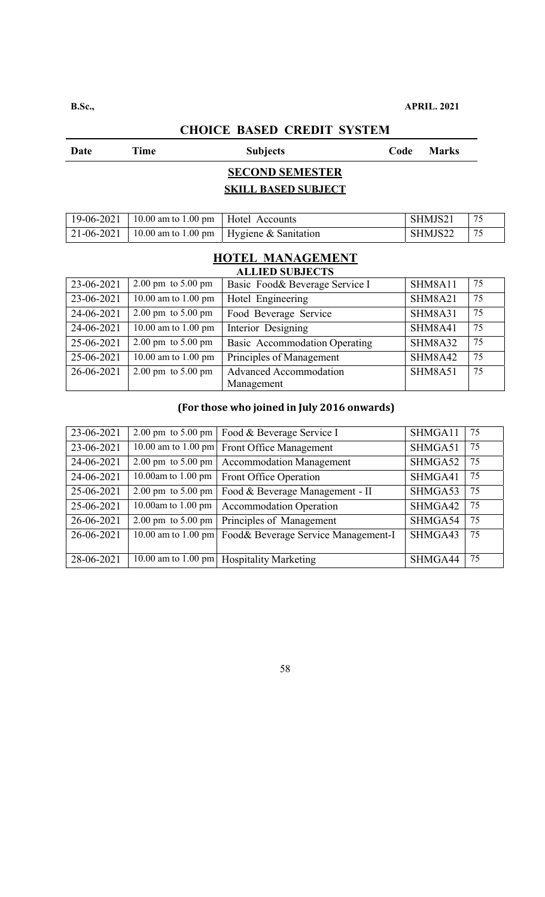# **Date** Time Subjects Code Marks **SECOND SEMESTER SKILL BASED SUBJECT**  19-06-2021 10.00 am to 1.00 pm Hotel Accounts SHMJS21 75 21-06-2021 | 10.00 am to 1.00 pm | Hygiene & Sanitation | SHMJS22 | 75 **HOTEL MANAGEMENT ALLIED SUBJECTS**  23-06-2021 2.00 pm to 5.00 pm Basic Food& Beverage Service I SHM8A11 75 23-06-2021 | 10.00 am to 1.00 pm | Hotel Engineering | SHM8A21 | 75

| 24-06-2021 | $2.00 \text{ pm}$ to $5.00 \text{ pm}$ | Food Beverage Service         | SHM8A31        | 75 |
|------------|----------------------------------------|-------------------------------|----------------|----|
| 24-06-2021 | 10.00 am to 1.00 pm                    | Interior Designing            | SHM8A41        | 75 |
| 25-06-2021 | $2.00 \text{ pm}$ to $5.00 \text{ pm}$ | Basic Accommodation Operating | <b>SHM8A32</b> | 75 |
| 25-06-2021 | 10.00 am to 1.00 pm                    | Principles of Management      | <b>SHM8A42</b> | 75 |
| 26-06-2021 | $2.00 \text{ pm}$ to $5.00 \text{ pm}$ | <b>Advanced Accommodation</b> | <b>SHM8A51</b> | 75 |
|            |                                        | Management                    |                |    |

#### **(For those who joined in July 2016 onwards)**

| 23-06-2021 | 2.00 pm to $5.00$ pm                   | Food & Beverage Service I                 | SHMGA11 | 75 |
|------------|----------------------------------------|-------------------------------------------|---------|----|
| 23-06-2021 | $\sqrt{10.00}$ am to 1.00 pm           | Front Office Management                   | SHMGA51 | 75 |
| 24-06-2021 | 2.00 pm to 5.00 pm                     | <b>Accommodation Management</b>           | SHMGA52 | 75 |
| 24-06-2021 | 10.00am to 1.00 pm                     | Front Office Operation                    | SHMGA41 | 75 |
| 25-06-2021 | $2.00 \text{ pm}$ to $5.00 \text{ pm}$ | Food & Beverage Management - II           | SHMGA53 | 75 |
| 25-06-2021 | 10.00am to 1.00 pm                     | <b>Accommodation Operation</b>            | SHMGA42 | 75 |
| 26-06-2021 | 2.00 pm to $5.00$ pm                   | Principles of Management                  | SHMGA54 | 75 |
| 26-06-2021 | 10.00 am to 1.00 pm                    | Food& Beverage Service Management-I       | SHMGA43 | 75 |
|            |                                        |                                           |         |    |
| 28-06-2021 |                                        | 10.00 am to 1.00 pm Hospitality Marketing | SHMGA44 | 75 |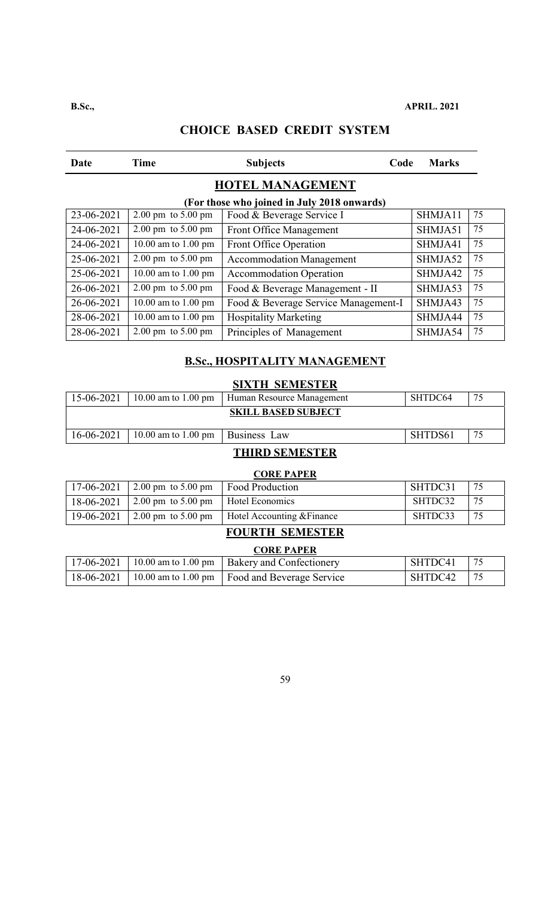# Date Time Subjects Code Marks **HOTEL MANAGEMENT (For those who joined in July 2018 onwards)**  23-06-2021 2.00 pm to 5.00 pm Food & Beverage Service I SHMJA11 75 24-06-2021 2.00 pm to 5.00 pm Front Office Management SHMJA51 75 24-06-2021 | 10.00 am to 1.00 pm | Front Office Operation | SHMJA41 | 75 25-06-2021 2.00 pm to 5.00 pm Accommodation Management SHMJA52 75 25-06-2021 10.00 am to 1.00 pm Accommodation Operation SHMJA42 75 26-06-2021 2.00 pm to 5.00 pm | Food & Beverage Management - II | SHMJA53 75 26-06-2021 10.00 am to 1.00 pm Food & Beverage Service Management-I SHMJA43 75 28-06-2021 | 10.00 am to 1.00 pm | Hospitality Marketing | SHMJA44 | 75 28-06-2021 2.00 pm to 5.00 pm Principles of Management SHMJA54 75

# **CHOICE BASED CREDIT SYSTEM**

#### **B.Sc., HOSPITALITY MANAGEMENT**

| 15-06-2021 | $10.00$ am to 1.00 pm              | Human Resource Management  | 75<br>SHTDC64 |    |
|------------|------------------------------------|----------------------------|---------------|----|
|            |                                    | <b>SKILL BASED SUBJECT</b> |               |    |
| 16-06-2021 | 10.00 am to 1.00 pm   Business Law |                            | SHTDS61       | 75 |

#### **THIRD SEMESTER**

| <b>CORE PAPER</b> |                                        |                            |         |    |  |
|-------------------|----------------------------------------|----------------------------|---------|----|--|
| 17-06-2021        | $2.00 \text{ pm}$ to $5.00 \text{ pm}$ | <b>Food Production</b>     | SHTDC31 | 75 |  |
| 18-06-2021        | 2.00 pm to 5.00 pm                     | Hotel Economics            | SHTDC32 | 75 |  |
| 19-06-2021        | $2.00 \text{ pm}$ to 5.00 pm           | Hotel Accounting & Finance | SHTDC33 | 75 |  |

#### **FOURTH SEMESTER**

| <b>CORE PAPER</b> |  |                                                              |         |    |  |
|-------------------|--|--------------------------------------------------------------|---------|----|--|
| $17-06-2021$      |  | 10.00 am to 1.00 pm   Bakery and Confectionery               | SHTDC41 | 75 |  |
|                   |  | 18-06-2021   10.00 am to 1.00 pm   Food and Beverage Service | SHTDC42 |    |  |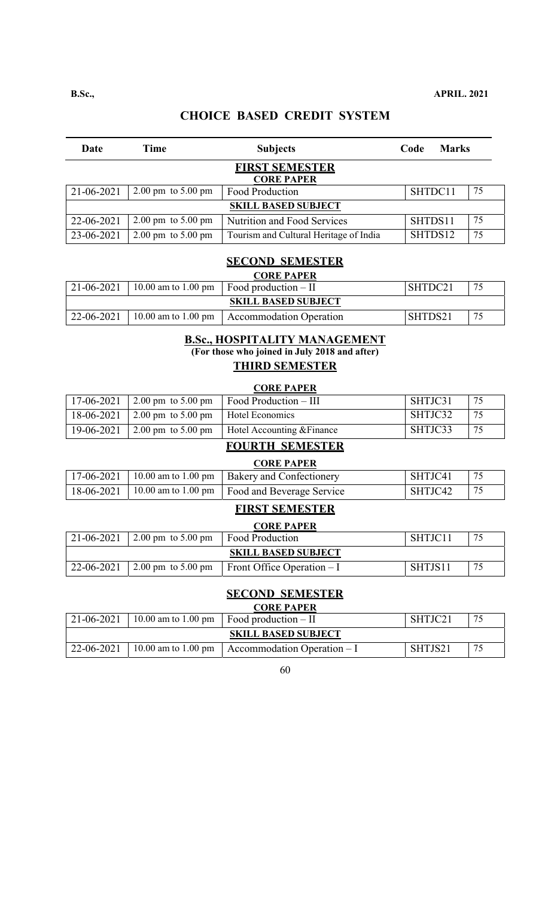| Date                                       | Time                                   | <b>Subjects</b>                        | Code    | <b>Marks</b> |    |  |
|--------------------------------------------|----------------------------------------|----------------------------------------|---------|--------------|----|--|
| <b>FIRST SEMESTER</b><br><b>CORE PAPER</b> |                                        |                                        |         |              |    |  |
| 21-06-2021                                 | $2.00 \text{ pm}$ to $5.00 \text{ pm}$ | Food Production                        | SHTDC11 |              | 75 |  |
|                                            |                                        | <b>SKILL BASED SUBJECT</b>             |         |              |    |  |
| 22-06-2021                                 | 2.00 pm to $5.00$ pm                   | Nutrition and Food Services            | SHTDS11 |              | 75 |  |
| 23-06-2021                                 | $2.00 \text{ pm}$ to $5.00 \text{ pm}$ | Tourism and Cultural Heritage of India | SHTDS12 |              | 75 |  |
| CEOQUE CEMECTED                            |                                        |                                        |         |              |    |  |

#### **SECOND SEMESTER CORE PAPER**

| 21-06-2021                 |  | UUKE FAFEK<br>$10.00$ am to 1.00 pm $\vert$ Food production – II | SHTDC21 | 75 |  |  |
|----------------------------|--|------------------------------------------------------------------|---------|----|--|--|
| <b>SKILL BASED SUBJECT</b> |  |                                                                  |         |    |  |  |
| 22-06-2021                 |  | $\vert$ 10.00 am to 1.00 pm $\vert$ Accommodation Operation      | SHTDS21 | 75 |  |  |

#### **B.Sc., HOSPITALITY MANAGEMENT (For those who joined in July 2018 and after) THIRD SEMESTER**

#### **CORE PAPER**

| $17-06-2021$ |                                                    | 2.00 pm to 5.00 pm   Food Production $-$ III    | SHTJC31 | -75 |
|--------------|----------------------------------------------------|-------------------------------------------------|---------|-----|
| 18-06-2021   | $\vert$ 2.00 pm to 5.00 pm $\vert$ Hotel Economics |                                                 | SHTJC32 | 75  |
| 19-06-2021   |                                                    | 2.00 pm to 5.00 pm   Hotel Accounting & Finance | SHTJC33 | -75 |

# **FOURTH SEMESTER**

#### **CORE PAPER**

|  | $17-06-2021$   10.00 am to 1.00 pm   Bakery and Confectionery                 | SHTJC41 |  |
|--|-------------------------------------------------------------------------------|---------|--|
|  | $\mid$ 18-06-2021 $\mid$ 10.00 am to 1.00 pm $\mid$ Food and Beverage Service | SHTJC42 |  |

### **FIRST SEMESTER**

| <b>CORE PAPER</b>          |                                                   |                                    |         |    |  |  |
|----------------------------|---------------------------------------------------|------------------------------------|---------|----|--|--|
|                            | 21-06-2021   2.00 pm to 5.00 pm   Food Production |                                    | SHTJC11 | 75 |  |  |
| <b>SKILL BASED SUBJECT</b> |                                                   |                                    |         |    |  |  |
| 22-06-2021                 | 2.00 pm to 5.00 pm                                | $\vert$ Front Office Operation – I | SHTJS11 | 75 |  |  |

#### **SECOND SEMESTER CORE PAPER**

| <b>CORE PAPER</b>          |  |                                                         |         |    |  |  |
|----------------------------|--|---------------------------------------------------------|---------|----|--|--|
| 21-06-2021                 |  | 10.00 am to 1.00 pm Food production $-$ II              | SHTJC21 | 75 |  |  |
| <b>SKILL BASED SUBJECT</b> |  |                                                         |         |    |  |  |
| 22-06-2021                 |  | 10.00 am to 1.00 pm $\vert$ Accommodation Operation – I | SHTJS21 | 75 |  |  |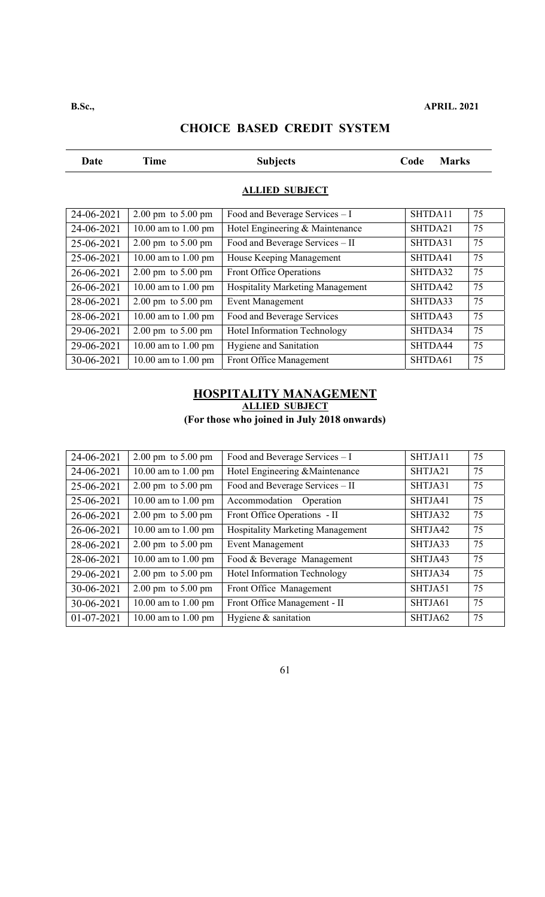# Date Time Subjects Code Marks **ALLIED SUBJECT**  24-06-2021 2.00 pm to 5.00 pm Food and Beverage Services  $-1$  SHTDA11 75 24-06-2021 10.00 am to 1.00 pm Hotel Engineering & Maintenance SHTDA21 75  $25-06-2021$  2.00 pm to 5.00 pm Food and Beverage Services – II SHTDA31 75 25-06-2021 | 10.00 am to 1.00 pm | House Keeping Management | SHTDA41 | 75 26-06-2021 2.00 pm to 5.00 pm Front Office Operations SHTDA32 75 26-06-2021 | 10.00 am to 1.00 pm | Hospitality Marketing Management | SHTDA42 | 75 28-06-2021 2.00 pm to 5.00 pm Event Management SHTDA33 75  $28-06-2021$  10.00 am to 1.00 pm Food and Beverage Services SHTDA43 75 29-06-2021 2.00 pm to 5.00 pm Hotel Information Technology SHTDA34 75 29-06-2021 10.00 am to 1.00 pm Hygiene and Sanitation SHTDA44 75 30-06-2021 10.00 am to 1.00 pm Front Office Management SHTDA61 75

# **CHOICE BASED CREDIT SYSTEM**

# **HOSPITALITY MANAGEMENT ALLIED SUBJECT**

**(For those who joined in July 2018 onwards)** 

| 24-06-2021 | $2.00 \text{ pm}$ to $5.00 \text{ pm}$ | Food and Beverage Services - I          | SHTJA11 | 75 |
|------------|----------------------------------------|-----------------------------------------|---------|----|
| 24-06-2021 | 10.00 am to 1.00 pm                    | Hotel Engineering & Maintenance         | SHTJA21 | 75 |
| 25-06-2021 | $2.00 \text{ pm}$ to $5.00 \text{ pm}$ | Food and Beverage Services - II         | SHTJA31 | 75 |
| 25-06-2021 | 10.00 am to 1.00 pm                    | Accommodation Operation                 | SHTJA41 | 75 |
| 26-06-2021 | $2.00 \text{ pm}$ to $5.00 \text{ pm}$ | Front Office Operations - II            | SHTJA32 | 75 |
| 26-06-2021 | 10.00 am to 1.00 pm                    | <b>Hospitality Marketing Management</b> | SHTJA42 | 75 |
| 28-06-2021 | $2.00 \text{ pm}$ to $5.00 \text{ pm}$ | <b>Event Management</b>                 | SHTJA33 | 75 |
| 28-06-2021 | 10.00 am to 1.00 pm                    | Food & Beverage Management              | SHTJA43 | 75 |
| 29-06-2021 | $2.00 \text{ pm}$ to $5.00 \text{ pm}$ | Hotel Information Technology            | SHTJA34 | 75 |
| 30-06-2021 | $2.00 \text{ pm}$ to $5.00 \text{ pm}$ | Front Office Management                 | SHTJA51 | 75 |
| 30-06-2021 | 10.00 am to 1.00 pm                    | Front Office Management - II            | SHTJA61 | 75 |
| 01-07-2021 | 10.00 am to 1.00 pm                    | Hygiene & sanitation                    | SHTJA62 | 75 |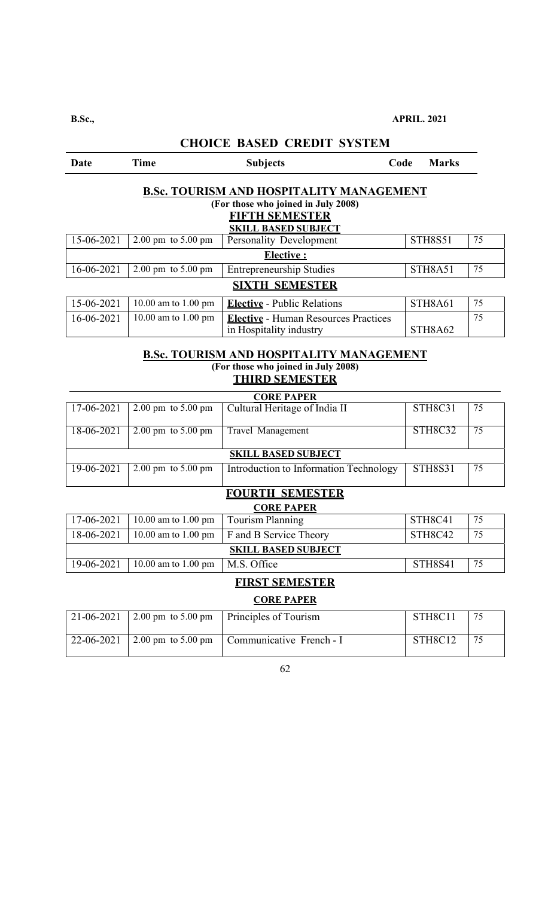| Date                                            | <b>Time</b>                            | <b>Subjects</b>                             | Code | <b>Marks</b>   |    |  |  |
|-------------------------------------------------|----------------------------------------|---------------------------------------------|------|----------------|----|--|--|
| <b>B.Sc. TOURISM AND HOSPITALITY MANAGEMENT</b> |                                        |                                             |      |                |    |  |  |
|                                                 |                                        | (For those who joined in July 2008)         |      |                |    |  |  |
|                                                 |                                        | <b>FIFTH SEMESTER</b>                       |      |                |    |  |  |
|                                                 |                                        | <b>SKILL BASED SUBJECT</b>                  |      |                |    |  |  |
| 15-06-2021                                      | $2.00 \text{ pm}$ to $5.00 \text{ pm}$ | <b>Personality Development</b>              |      | <b>STH8S51</b> | 75 |  |  |
|                                                 |                                        | Elective:                                   |      |                |    |  |  |
| 16-06-2021                                      | $2.00 \text{ pm}$ to $5.00 \text{ pm}$ | <b>Entrepreneurship Studies</b>             |      | STH8A51        | 75 |  |  |
| <b>SIXTH SEMESTER</b>                           |                                        |                                             |      |                |    |  |  |
| 15-06-2021                                      | 10.00 am to 1.00 pm                    | <b>Elective</b> - Public Relations          |      | STH8A61        | 75 |  |  |
| 16-06-2021                                      | 10.00 am to 1.00 pm                    | <b>Elective</b> - Human Resources Practices |      |                | 75 |  |  |
|                                                 |                                        | in Hospitality industry                     |      | STH8A62        |    |  |  |

#### **B.Sc. TOURISM AND HOSPITALITY MANAGEMENT (For those who joined in July 2008) THIRD SEMESTER**

| <b>CORE PAPER</b>          |                                        |                                        |                |    |  |  |
|----------------------------|----------------------------------------|----------------------------------------|----------------|----|--|--|
| 17-06-2021                 | $2.00 \text{ pm}$ to $5.00 \text{ pm}$ | Cultural Heritage of India II          | STH8C31        | 75 |  |  |
|                            |                                        |                                        |                |    |  |  |
| 18-06-2021                 | $2.00 \text{ pm}$ to $5.00 \text{ pm}$ | Travel Management                      | STH8C32        | 75 |  |  |
|                            |                                        |                                        |                |    |  |  |
| <b>SKILL BASED SUBJECT</b> |                                        |                                        |                |    |  |  |
| 19-06-2021                 | $2.00 \text{ pm}$ to $5.00 \text{ pm}$ | Introduction to Information Technology | <b>STH8S31</b> | 75 |  |  |
|                            |                                        |                                        |                |    |  |  |

# **FOURTH SEMESTER**

| <b>CORE PAPER</b>          |  |                                                                  |    |  |  |  |
|----------------------------|--|------------------------------------------------------------------|----|--|--|--|
| 10.00 am to 1.00 pm        |  | STH8C41                                                          | 75 |  |  |  |
| $10.00$ am to 1.00 pm      |  | STH8C42                                                          | 75 |  |  |  |
| <b>SKILL BASED SUBJECT</b> |  |                                                                  |    |  |  |  |
| 10.00 am to 1.00 pm        |  | STH8S41                                                          | 75 |  |  |  |
|                            |  | Tourism Planning<br><b>F</b> and B Service Theory<br>M.S. Office |    |  |  |  |

# **FIRST SEMESTER**

#### **CORE PAPER**

|  | 21-06-2021 2.00 pm to 5.00 pm   Principles of Tourism  | STH8C11 |  |
|--|--------------------------------------------------------|---------|--|
|  | 22-06-2021 2.00 pm to 5.00 pm Communicative French - I | STH8C12 |  |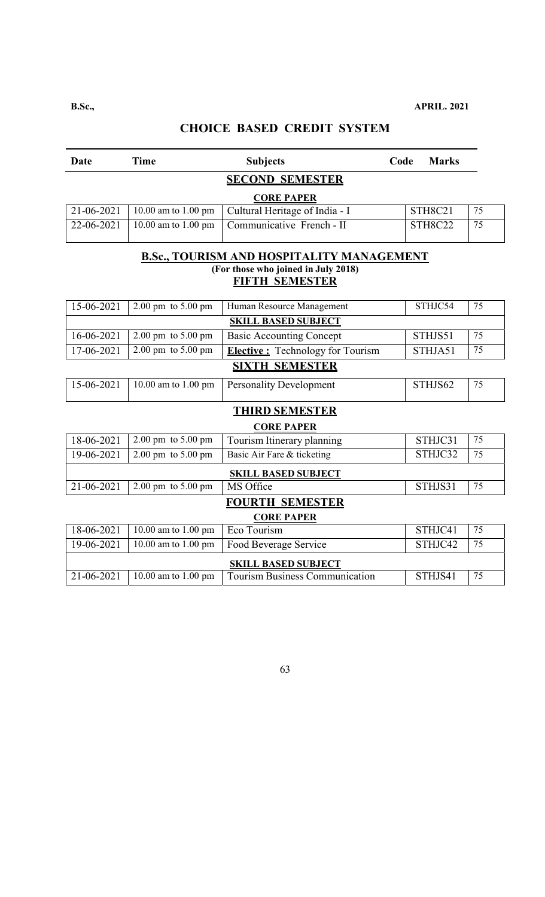| Date              | <b>Time</b>                            | <b>Subjects</b>                                  | Code | <b>Marks</b>   |                 |  |
|-------------------|----------------------------------------|--------------------------------------------------|------|----------------|-----------------|--|
|                   |                                        | <b>SECOND SEMESTER</b>                           |      |                |                 |  |
| <b>CORE PAPER</b> |                                        |                                                  |      |                |                 |  |
| 21-06-2021        | 10.00 am to 1.00 pm                    | Cultural Heritage of India - I                   |      | STH8C21        | 75              |  |
| 22-06-2021        | 10.00 am to 1.00 pm                    | Communicative French - II                        |      | <b>STH8C22</b> | 75              |  |
|                   |                                        | <b>B.Sc., TOURISM AND HOSPITALITY MANAGEMENT</b> |      |                |                 |  |
|                   |                                        | (For those who joined in July 2018)              |      |                |                 |  |
|                   |                                        | <b>FIFTH SEMESTER</b>                            |      |                |                 |  |
| 15-06-2021        | $2.00 \text{ pm}$ to $5.00 \text{ pm}$ | Human Resource Management                        |      | STHJC54        | 75              |  |
|                   |                                        | <b>SKILL BASED SUBJECT</b>                       |      |                |                 |  |
| $16 - 06 - 2021$  | $2.00 \text{ pm}$ to $5.00 \text{ pm}$ | <b>Basic Accounting Concept</b>                  |      | STHJS51        | 75              |  |
| 17-06-2021        | $2.00 \text{ pm}$ to $5.00 \text{ pm}$ | <b>Elective:</b> Technology for Tourism          |      | STHJA51        | 75              |  |
|                   |                                        | <b>SIXTH SEMESTER</b>                            |      |                |                 |  |
| 15-06-2021        | 10.00 am to 1.00 pm                    | <b>Personality Development</b>                   |      | STHJS62        | 75              |  |
|                   |                                        | <b>THIRD SEMESTER</b>                            |      |                |                 |  |
|                   |                                        | <b>CORE PAPER</b>                                |      |                |                 |  |
| 18-06-2021        | 2.00 pm to 5.00 pm                     | Tourism Itinerary planning                       |      | STHJC31        | 75              |  |
| 19-06-2021        | 2.00 pm to 5.00 pm                     | Basic Air Fare & ticketing                       |      | STHJC32        | 75              |  |
|                   |                                        | <b>SKILL BASED SUBJECT</b>                       |      |                |                 |  |
| 21-06-2021        | $2.00 \text{ pm}$ to $5.00 \text{ pm}$ | MS Office                                        |      | STHJS31        | $\overline{75}$ |  |
|                   |                                        | <b>FOURTH SEMESTER</b>                           |      |                |                 |  |
|                   |                                        | <b>CORE PAPER</b>                                |      |                |                 |  |
| 18-06-2021        | 10.00 am to 1.00 pm                    | Eco Tourism                                      |      | STHJC41        | 75              |  |
| 19-06-2021        | 10.00 am to 1.00 pm                    | Food Beverage Service                            |      | STHJC42        | 75              |  |
|                   |                                        | <b>SKILL BASED SUBJECT</b>                       |      |                |                 |  |
| 21-06-2021        | 10.00 am to 1.00 pm                    | <b>Tourism Business Communication</b>            |      | STHJS41        | 75              |  |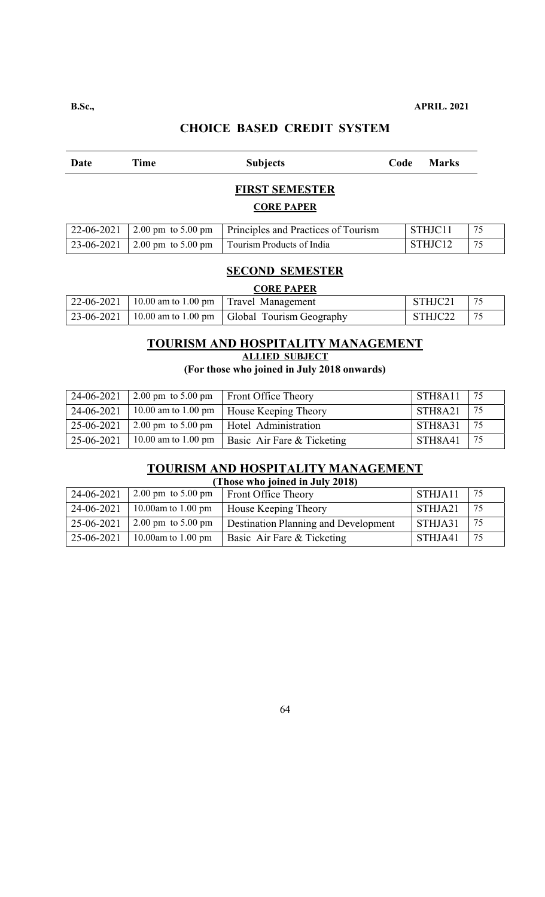| Date                                       | Time                                   | <b>Subjects</b>                     | Code | <b>Marks</b> |    |  |  |
|--------------------------------------------|----------------------------------------|-------------------------------------|------|--------------|----|--|--|
| <b>FIRST SEMESTER</b><br><b>CORE PAPER</b> |                                        |                                     |      |              |    |  |  |
| 22-06-2021                                 | $2.00 \text{ pm}$ to $5.00 \text{ pm}$ | Principles and Practices of Tourism |      | STHJC11      | 75 |  |  |
| 23-06-2021                                 | $2.00 \text{ pm}$ to $5.00 \text{ pm}$ | Tourism Products of India           |      | STHJC12      | 75 |  |  |

#### **SECOND SEMESTER**

| <b>CORE PAPER</b> |  |                                                                                 |         |  |  |
|-------------------|--|---------------------------------------------------------------------------------|---------|--|--|
|                   |  | 22-06-2021   10.00 am to 1.00 pm   Travel Management                            | STHJC21 |  |  |
|                   |  | $\vert$ 23-06-2021 $\vert$ 10.00 am to 1.00 pm $\vert$ Global Tourism Geography | STHJC22 |  |  |

# **TOURISM AND HOSPITALITY MANAGEMENT ALLIED SUBJECT**

## **(For those who joined in July 2018 onwards)**

| 24-06-2021 | $2.00 \text{ pm}$ to $5.00 \text{ pm}$   Front Office Theory | STH8A11 | $\frac{75}{2}$ |
|------------|--------------------------------------------------------------|---------|----------------|
| 24-06-2021 | 10.00 am to 1.00 pm   House Keeping Theory                   | STH8A21 | $\frac{75}{2}$ |
| 25-06-2021 | 2.00 pm to 5.00 pm   Hotel Administration                    | STH8A31 | l 75           |
| 25-06-2021 | 10.00 am to 1.00 pm   Basic Air Fare & Ticketing             | STH8A41 | 75             |

# **TOURISM AND HOSPITALITY MANAGEMENT**

| (Those who joined in July 2018) |                              |                                      |         |     |  |
|---------------------------------|------------------------------|--------------------------------------|---------|-----|--|
| 24-06-2021                      | $2.00 \text{ pm}$ to 5.00 pm | <b>Front Office Theory</b>           | STHJA11 | -75 |  |
| 24-06-2021                      | 10.00am to 1.00 pm           | <b>House Keeping Theory</b>          | STHJA21 | 75  |  |
| 25-06-2021                      | 2.00 pm to $5.00$ pm         | Destination Planning and Development | STHJA31 | 75  |  |
| 25-06-2021                      | 10.00am to 1.00 pm           | Basic Air Fare & Ticketing           | STHJA41 | 75  |  |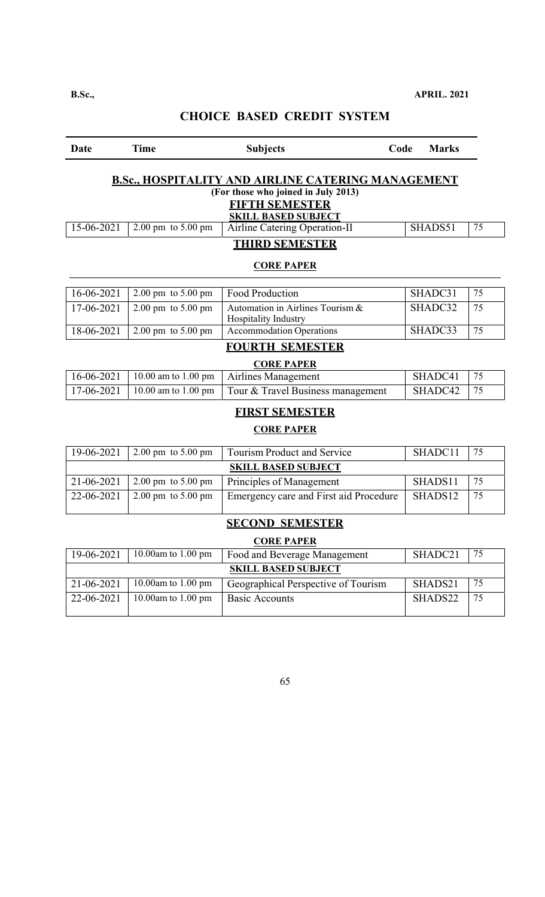# Date Time Subjects Code Marks **B.Sc., HOSPITALITY AND AIRLINE CATERING MANAGEMENT (For those who joined in July 2013) FIFTH SEMESTER SKILL BASED SUBJECT**  15-06-2021 2.00 pm to 5.00 pm | Airline Catering Operation-II SHADS51 75 **THIRD SEMESTER CORE PAPER**  16-06-2021 | 2.00 pm to 5.00 pm | Food Production | SHADC31 | 75 17-06-2021 2.00 pm to 5.00 pm Automation in Airlines Tourism  $\&$ Hospitality Industry SHADC32 |  $75$ 18-06-2021 2.00 pm to 5.00 pm Accommodation Operations SHADC33 75 **FOURTH SEMESTER CORE PAPER**  16-06-2021 10.00 am to 1.00 pm Airlines Management SHADC41 75 17-06-2021 10.00 am to 1.00 pm Tour & Travel Business management SHADC42 75 **FIRST SEMESTER CORE PAPER**  19-06-2021 2.00 pm to 5.00 pm Tourism Product and Service SHADC11 75 **SKILL BASED SUBJECT**  21-06-2021 2.00 pm to 5.00 pm Principles of Management SHADS11 75 22-06-2021 2.00 pm to 5.00 pm Emergency care and First aid Procedure SHADS12  $\vert$  75 **SECOND SEMESTER CORE PAPER**  19-06-2021 10.00am to 1.00 pm Food and Beverage Management SHADC21 75 **SKILL BASED SUBJECT**  21-06-2021 | 10.00am to 1.00 pm | Geographical Perspective of Tourism | SHADS21 | 75 22-06-2021 10.00am to 1.00 pm Basic Accounts SHADS22 75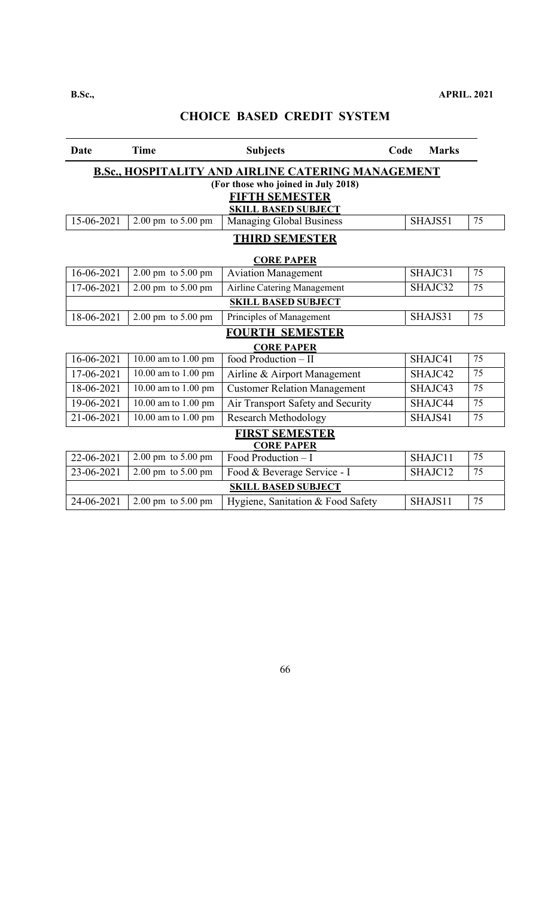| Date                                       | <b>Time</b>                                               | <b>Subjects</b>                                     | Code | <b>Marks</b> |    |  |  |
|--------------------------------------------|-----------------------------------------------------------|-----------------------------------------------------|------|--------------|----|--|--|
|                                            | <b>B.Sc., HOSPITALITY AND AIRLINE CATERING MANAGEMENT</b> |                                                     |      |              |    |  |  |
|                                            |                                                           | (For those who joined in July 2018)                 |      |              |    |  |  |
|                                            |                                                           | <b>FIFTH SEMESTER</b><br><b>SKILL BASED SUBJECT</b> |      |              |    |  |  |
| 15-06-2021                                 | $2.00 \text{ pm}$ to $5.00 \text{ pm}$                    | <b>Managing Global Business</b>                     |      | SHAJS51      | 75 |  |  |
|                                            |                                                           | <b>THIRD SEMESTER</b>                               |      |              |    |  |  |
|                                            |                                                           | <b>CORE PAPER</b>                                   |      |              |    |  |  |
| 16-06-2021                                 | 2.00 pm to 5.00 pm                                        | <b>Aviation Management</b>                          |      | SHAJC31      | 75 |  |  |
| 17-06-2021                                 | $2.00$ pm to 5.00 pm                                      | <b>Airline Catering Management</b>                  |      | SHAJC32      | 75 |  |  |
|                                            |                                                           | <b>SKILL BASED SUBJECT</b>                          |      |              |    |  |  |
| 18-06-2021                                 | 2.00 pm to 5.00 pm                                        | Principles of Management                            |      | SHAJS31      | 75 |  |  |
|                                            |                                                           | <b>FOURTH SEMESTER</b>                              |      |              |    |  |  |
|                                            |                                                           | <b>CORE PAPER</b>                                   |      |              |    |  |  |
| 16-06-2021                                 | 10.00 am to 1.00 pm                                       | food Production - II                                |      | SHAJC41      | 75 |  |  |
| 17-06-2021                                 | 10.00 am to 1.00 pm                                       | Airline & Airport Management                        |      | SHAJC42      | 75 |  |  |
| 18-06-2021                                 | 10.00 am to 1.00 pm                                       | <b>Customer Relation Management</b>                 |      | SHAJC43      | 75 |  |  |
| 19-06-2021                                 | $10.00$ am to $1.00$ pm                                   | Air Transport Safety and Security                   |      | SHAJC44      | 75 |  |  |
| 21-06-2021                                 | 10.00 am to 1.00 pm                                       | <b>Research Methodology</b>                         |      | SHAJS41      | 75 |  |  |
| <b>FIRST SEMESTER</b><br><b>CORE PAPER</b> |                                                           |                                                     |      |              |    |  |  |
| 22-06-2021                                 | 2.00 pm to 5.00 pm                                        | Food Production - I                                 |      | SHAJC11      | 75 |  |  |
| 23-06-2021                                 | 2.00 pm to 5.00 pm                                        | Food & Beverage Service - I                         |      | SHAJC12      | 75 |  |  |
|                                            |                                                           | <b>SKILL BASED SUBJECT</b>                          |      |              |    |  |  |
| 24-06-2021                                 | $2.00 \text{ pm}$ to $5.00 \text{ pm}$                    | Hygiene, Sanitation & Food Safety                   |      | SHAJS11      | 75 |  |  |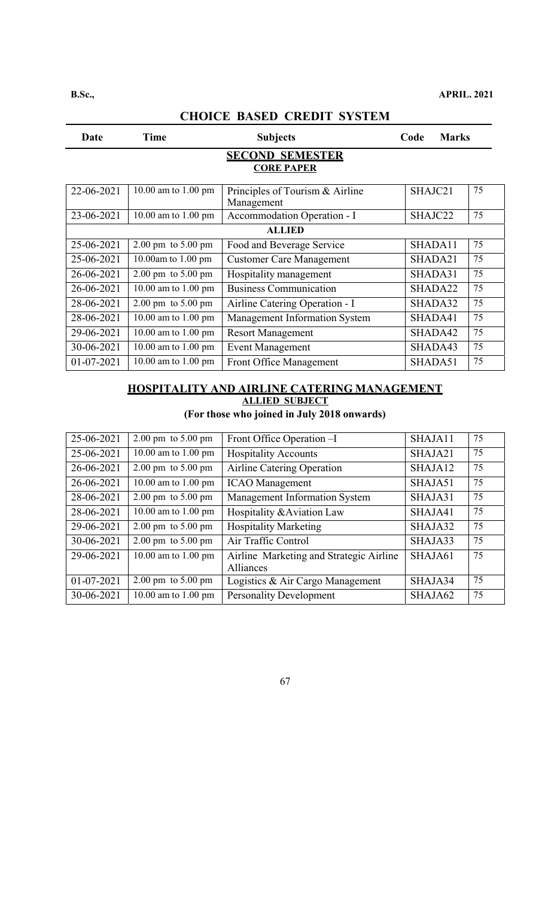| Date                                        | Time                                   | <b>Subjects</b>                               | <b>Marks</b><br>Code |    |  |  |
|---------------------------------------------|----------------------------------------|-----------------------------------------------|----------------------|----|--|--|
| <b>SECOND SEMESTER</b><br><b>CORE PAPER</b> |                                        |                                               |                      |    |  |  |
| 22-06-2021                                  | 10.00 am to 1.00 pm                    | Principles of Tourism & Airline<br>Management | SHAJC21              | 75 |  |  |
| 23-06-2021                                  | 10.00 am to 1.00 pm                    | Accommodation Operation - I                   | SHAJC22              | 75 |  |  |
|                                             | <b>ALLIED</b>                          |                                               |                      |    |  |  |
| 25-06-2021                                  | $2.00 \text{ pm}$ to $5.00 \text{ pm}$ | Food and Beverage Service                     | SHADA11              | 75 |  |  |
| 25-06-2021                                  | 10.00am to $1.00$ pm                   | <b>Customer Care Management</b>               | SHADA21              | 75 |  |  |
| 26-06-2021                                  | $2.00 \text{ pm}$ to $5.00 \text{ pm}$ | Hospitality management                        | SHADA31              | 75 |  |  |
| 26-06-2021                                  | 10.00 am to 1.00 pm                    | <b>Business Communication</b>                 | SHADA22              | 75 |  |  |
| 28-06-2021                                  | $2.00 \text{ pm}$ to $5.00 \text{ pm}$ | Airline Catering Operation - I                | SHADA32              | 75 |  |  |
| 28-06-2021                                  | 10.00 am to 1.00 pm                    | Management Information System                 | SHADA41              | 75 |  |  |
| 29-06-2021                                  | 10.00 am to 1.00 pm                    | <b>Resort Management</b>                      | SHADA42              | 75 |  |  |
| 30-06-2021                                  | 10.00 am to $1.00 \text{ pm}$          | <b>Event Management</b>                       | SHADA43              | 75 |  |  |
| 01-07-2021                                  | 10.00 am to 1.00 pm                    | <b>Front Office Management</b>                | SHADA51              | 75 |  |  |

### **HOSPITALITY AND AIRLINE CATERING MANAGEMENT ALLIED SUBJECT**

**(For those who joined in July 2018 onwards)** 

| 25-06-2021   | $2.00 \text{ pm}$ to $5.00 \text{ pm}$ | Front Office Operation -I                            | SHAJA11 | 75 |
|--------------|----------------------------------------|------------------------------------------------------|---------|----|
| 25-06-2021   | 10.00 am to $1.00$ pm                  | <b>Hospitality Accounts</b>                          | SHAJA21 | 75 |
| 26-06-2021   | $2.00 \text{ pm}$ to $5.00 \text{ pm}$ | Airline Catering Operation                           | SHAJA12 | 75 |
| 26-06-2021   | 10.00 am to 1.00 pm                    | <b>ICAO</b> Management                               | SHAJA51 | 75 |
| 28-06-2021   | $2.00 \text{ pm}$ to $5.00 \text{ pm}$ | Management Information System                        | SHAJA31 | 75 |
| 28-06-2021   | 10.00 am to 1.00 pm                    | Hospitality & Aviation Law                           | SHAJA41 | 75 |
| 29-06-2021   | $2.00 \text{ pm}$ to $5.00 \text{ pm}$ | <b>Hospitality Marketing</b>                         | SHAJA32 | 75 |
| 30-06-2021   | $2.00 \text{ pm}$ to $5.00 \text{ pm}$ | Air Traffic Control                                  | SHAJA33 | 75 |
| 29-06-2021   | 10.00 am to 1.00 pm                    | Airline Marketing and Strategic Airline<br>Alliances | SHAJA61 | 75 |
| $01-07-2021$ | $2.00 \text{ pm}$ to $5.00 \text{ pm}$ | Logistics & Air Cargo Management                     | SHAJA34 | 75 |
| 30-06-2021   | 10.00 am to $1.00 \text{ pm}$          | <b>Personality Development</b>                       | SHAJA62 | 75 |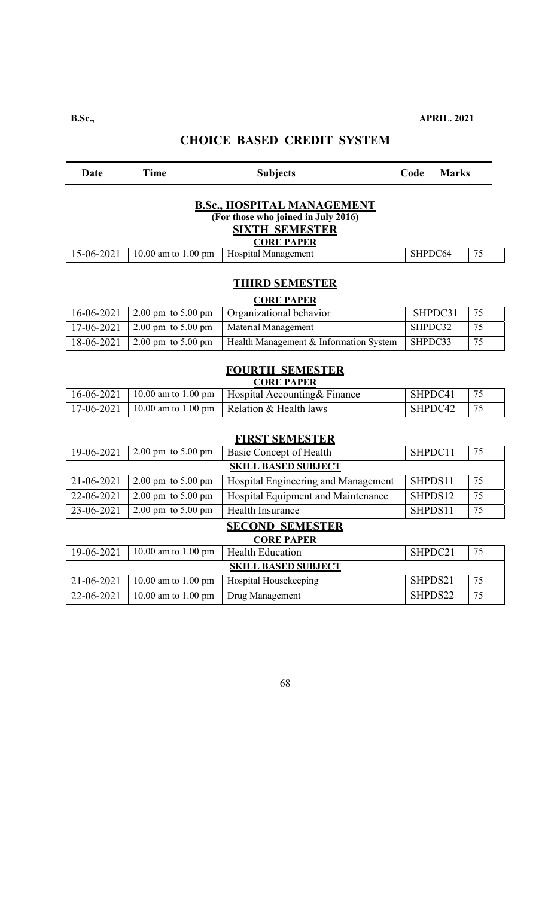| <b>Date</b>                                                                                                            | <b>Time</b>                                | <b>Subjects</b>                        | Code<br><b>Marks</b> |    |  |  |
|------------------------------------------------------------------------------------------------------------------------|--------------------------------------------|----------------------------------------|----------------------|----|--|--|
| <b>B.Sc., HOSPITAL MANAGEMENT</b><br>(For those who joined in July 2016)<br><b>SIXTH SEMESTER</b><br><b>CORE PAPER</b> |                                            |                                        |                      |    |  |  |
| 15-06-2021                                                                                                             | 10.00 am to 1.00 pm                        | <b>Hospital Management</b>             | SHPDC64              | 75 |  |  |
|                                                                                                                        | <b>THIRD SEMESTER</b><br><b>CORE PAPER</b> |                                        |                      |    |  |  |
| $16 - 06 - 2021$                                                                                                       | 2.00 pm to 5.00 pm                         | Organizational behavior                | SHPDC31              | 75 |  |  |
| 17-06-2021                                                                                                             | 2.00 pm to 5.00 pm                         | Material Management                    | SHPDC32              | 75 |  |  |
| 18-06-2021                                                                                                             | 2.00 pm to 5.00 pm                         | Health Management & Information System | SHPDC33              | 75 |  |  |
| <b>FOURTH SEMESTER</b><br><b>CORE PAPER</b>                                                                            |                                            |                                        |                      |    |  |  |
| 16-06-2021                                                                                                             | $10.00$ am to $1.00$ pm                    | Hospital Accounting& Finance           | SHPDC41              | 75 |  |  |
| 17-06-2021                                                                                                             | 10.00 am to 1.00 pm                        | Relation & Health laws                 | SHPDC42              | 75 |  |  |
|                                                                                                                        |                                            | <b>FIRST SEMESTER</b>                  |                      |    |  |  |
| 19-06-2021                                                                                                             | 2.00 pm to 5.00 pm                         | <b>Basic Concept of Health</b>         | SHPDC11              | 75 |  |  |
|                                                                                                                        |                                            | <b>SKILL BASED SUBJECT</b>             |                      |    |  |  |
| 21-06-2021                                                                                                             | $2.00$ pm to $5.00$ pm                     | Hospital Engineering and Management    | SHPDS11              | 75 |  |  |
| 22-06-2021                                                                                                             | 2.00 pm to 5.00 pm                         | Hospital Equipment and Maintenance     | SHPDS12              | 75 |  |  |
| 23-06-2021                                                                                                             | $2.00$ pm to 5.00 pm                       | <b>Health Insurance</b>                | SHPDS11              | 75 |  |  |
| <b>SECOND SEMESTER</b><br><b>CORE PAPER</b>                                                                            |                                            |                                        |                      |    |  |  |
| 19-06-2021                                                                                                             | 10.00 am to 1.00 pm                        | <b>Health Education</b>                | SHPDC21              | 75 |  |  |
|                                                                                                                        |                                            | <b>SKILL BASED SUBJECT</b>             |                      |    |  |  |
| 21-06-2021                                                                                                             | 10.00 am to 1.00 pm                        | Hospital Housekeeping                  | SHPDS21              | 75 |  |  |
| 22-06-2021                                                                                                             | 10.00 am to 1.00 pm                        | <b>Drug Management</b>                 | SHPDS22              | 75 |  |  |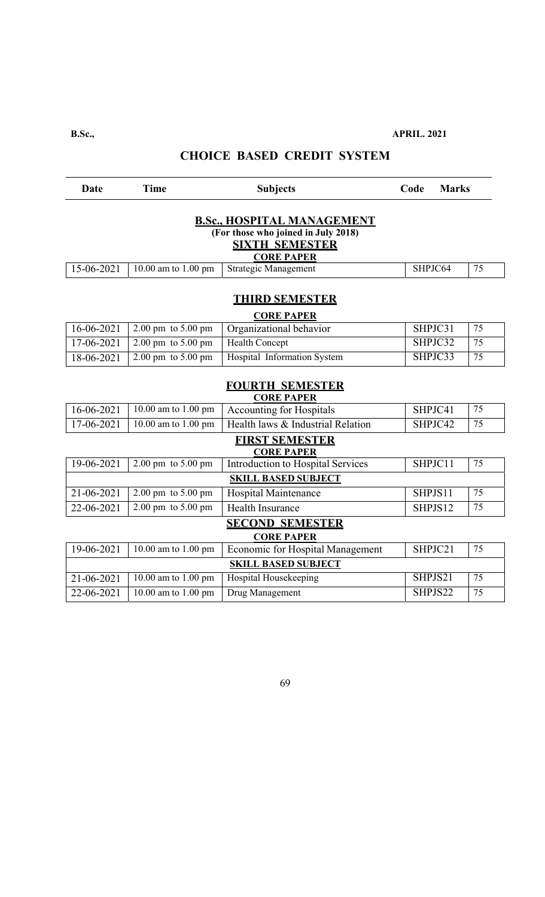**B.Sc., APRIL. 2021** 

# **CHOICE BASED CREDIT SYSTEM**

| Date       | Time                | <b>Subjects</b>             | Code    | <b>Marks</b> |    |
|------------|---------------------|-----------------------------|---------|--------------|----|
|            |                     |                             |         |              |    |
| 15-06-2021 | 10.00 am to 1.00 pm | <b>Strategic Management</b> | SHPJC64 |              | 75 |
|            |                     |                             |         |              |    |

# **THIRD SEMESTER**

| <b>CORE PAPER</b> |                                        |                                                            |         |     |  |
|-------------------|----------------------------------------|------------------------------------------------------------|---------|-----|--|
| 16-06-2021        |                                        | $\vert$ 2.00 pm to 5.00 pm $\vert$ Organizational behavior | SHPJC31 | -75 |  |
| 17-06-2021        | 2.00 pm to 5.00 pm                     | <b>Health Concept</b>                                      | SHPJC32 | -75 |  |
| 18-06-2021        | $2.00 \text{ pm}$ to $5.00 \text{ pm}$ | Hospital Information System                                | SHPJC33 | 75  |  |

# **FOURTH SEMESTER**

| <b>CORE PAPER</b> |                                        |                                         |         |    |  |  |
|-------------------|----------------------------------------|-----------------------------------------|---------|----|--|--|
| 16-06-2021        | 10.00 am to 1.00 pm                    | <b>Accounting for Hospitals</b>         | SHPJC41 | 75 |  |  |
| 17-06-2021        | 10.00 am to 1.00 pm                    | Health laws & Industrial Relation       | SHPJC42 | 75 |  |  |
|                   | <b>FIRST SEMESTER</b>                  |                                         |         |    |  |  |
|                   |                                        | <b>CORE PAPER</b>                       |         |    |  |  |
| 19-06-2021        | $2.00 \text{ pm}$ to $5.00 \text{ pm}$ | Introduction to Hospital Services       | SHPJC11 | 75 |  |  |
|                   | <b>SKILL BASED SUBJECT</b>             |                                         |         |    |  |  |
| 21-06-2021        | $2.00 \text{ pm}$ to $5.00 \text{ pm}$ | Hospital Maintenance                    | SHPJS11 | 75 |  |  |
| 22-06-2021        | $2.00 \text{ pm}$ to $5.00 \text{ pm}$ | Health Insurance                        | SHPJS12 | 75 |  |  |
|                   |                                        | <b>SECOND SEMESTER</b>                  |         |    |  |  |
|                   |                                        | <b>CORE PAPER</b>                       |         |    |  |  |
| 19-06-2021        | 10.00 am to 1.00 pm                    | <b>Economic for Hospital Management</b> | SHPJC21 | 75 |  |  |
|                   | <b>SKILL BASED SUBJECT</b>             |                                         |         |    |  |  |
| 21-06-2021        | 10.00 am to 1.00 pm                    | Hospital Housekeeping                   | SHPJS21 | 75 |  |  |
| 22-06-2021        | 10.00 am to 1.00 pm                    | Drug Management                         | SHPJS22 | 75 |  |  |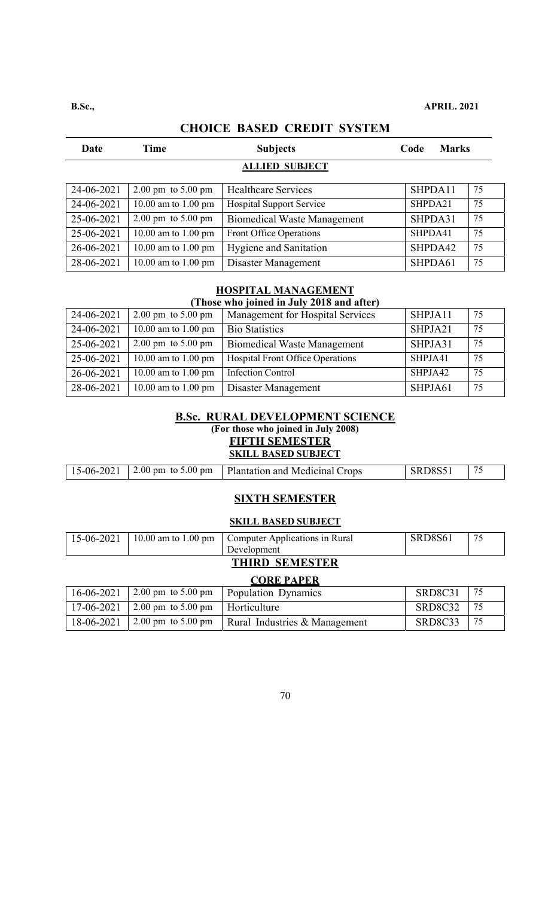| Date                  | Time                                   | <b>Subjects</b>                    | Code    | <b>Marks</b> |    |  |
|-----------------------|----------------------------------------|------------------------------------|---------|--------------|----|--|
| <b>ALLIED SUBJECT</b> |                                        |                                    |         |              |    |  |
| 24-06-2021            | $2.00 \text{ pm}$ to $5.00 \text{ pm}$ | <b>Healthcare Services</b>         | SHPDA11 |              | 75 |  |
| 24-06-2021            | 10.00 am to 1.00 pm                    | <b>Hospital Support Service</b>    | SHPDA21 |              | 75 |  |
| 25-06-2021            | $2.00 \text{ pm}$ to $5.00 \text{ pm}$ | <b>Biomedical Waste Management</b> | SHPDA31 |              | 75 |  |
| 25-06-2021            | 10.00 am to 1.00 pm                    | Front Office Operations            | SHPDA41 |              | 75 |  |
| 26-06-2021            | 10.00 am to 1.00 pm                    | <b>Hygiene and Sanitation</b>      | SHPDA42 |              | 75 |  |
| 28-06-2021            | 10.00 am to 1.00 pm                    | Disaster Management                | SHPDA61 |              | 75 |  |

# **HOSPITAL MANAGEMENT**

#### **(Those who joined in July 2018 and after)**

| 24-06-2021 | $2.00 \text{ pm}$ to $5.00 \text{ pm}$ | Management for Hospital Services        | SHPJA11 | 75 |
|------------|----------------------------------------|-----------------------------------------|---------|----|
| 24-06-2021 | 10.00 am to 1.00 pm                    | <b>Bio Statistics</b>                   | SHPJA21 | 75 |
| 25-06-2021 | $2.00 \text{ pm}$ to $5.00 \text{ pm}$ | <b>Biomedical Waste Management</b>      | SHPJA31 | 75 |
| 25-06-2021 | 10.00 am to 1.00 pm                    | <b>Hospital Front Office Operations</b> | SHPJA41 | 75 |
| 26-06-2021 | 10.00 am to 1.00 pm                    | <b>Infection Control</b>                | SHPJA42 | 75 |
| 28-06-2021 | 10.00 am to 1.00 pm                    | Disaster Management                     | SHPJA61 | 75 |

#### **B.Sc. RURAL DEVELOPMENT SCIENCE (For those who joined in July 2008) FIFTH SEMESTER SKILL BASED SUBJECT**

| 15-06-2021   2.00 pm to 5.00 pm   Plantation and Medicinal Crops<br>SRD8S5 |
|----------------------------------------------------------------------------|
|----------------------------------------------------------------------------|

#### **SIXTH SEMESTER**

#### **SKILL BASED SUBJECT**

| SRD8S61<br>75<br>  15-06-2021   10.00 am to 1.00 pm   Computer Applications in Rural<br>Development |  |
|-----------------------------------------------------------------------------------------------------|--|
|-----------------------------------------------------------------------------------------------------|--|

| <b>THIRD SEMESTER</b> |
|-----------------------|
|                       |

#### **CORE PAPER**

| $16 - 06 - 2021$ |                                                | $\vert$ 2.00 pm to 5.00 pm $\vert$ Population Dynamics | SRD8C31    |    |
|------------------|------------------------------------------------|--------------------------------------------------------|------------|----|
|                  | 17-06-2021   2.00 pm to 5.00 pm   Horticulture |                                                        | SRD8C32 75 |    |
| 18-06-2021       |                                                | 2.00 pm to 5.00 pm   Rural Industries $&$ Management   | SRD8C33    | 75 |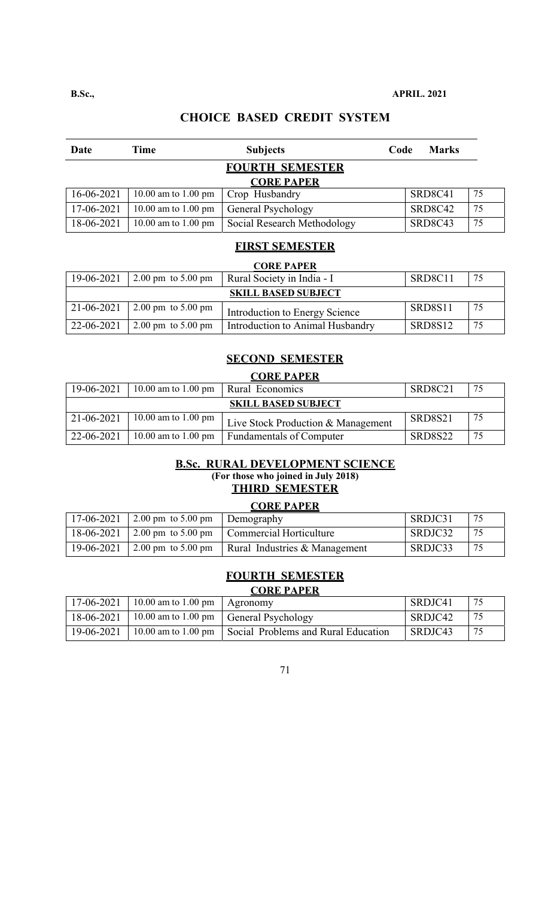| Date       | Time                          | <b>Subjects</b>             | Code | <b>Marks</b> |    |
|------------|-------------------------------|-----------------------------|------|--------------|----|
|            |                               | <b>FOURTH SEMESTER</b>      |      |              |    |
|            |                               | <b>CORE PAPER</b>           |      |              |    |
| 16-06-2021 | 10.00 am to 1.00 pm           | Crop Husbandry              |      | SRD8C41      | 75 |
| 17-06-2021 | 10.00 am to 1.00 pm           | General Psychology          |      | SRD8C42      | 75 |
| 18-06-2021 | 10.00 am to $1.00 \text{ pm}$ | Social Research Methodology |      | SRD8C43      | 75 |

#### **FIRST SEMESTER**

# **CORE PAPER**

| 19-06-2021                 | $2.00 \text{ pm}$ to $5.00 \text{ pm}$ | Rural Society in India - I       | SRD8C11        | 75 |  |
|----------------------------|----------------------------------------|----------------------------------|----------------|----|--|
| <b>SKILL BASED SUBJECT</b> |                                        |                                  |                |    |  |
| 21-06-2021                 | $12.00 \text{ pm}$ to 5.00 pm          | Introduction to Energy Science   | SRD8S11        | 75 |  |
| 22-06-2021                 | $2.00 \text{ pm}$ to $5.00 \text{ pm}$ | Introduction to Animal Husbandry | <b>SRD8S12</b> | 75 |  |

#### **SECOND SEMESTER**

| <b>CORE PAPER</b> |                               |                                    |         |    |  |
|-------------------|-------------------------------|------------------------------------|---------|----|--|
| 19-06-2021        | 10.00 am to 1.00 pm           | Rural Economics                    | SRD8C21 | 75 |  |
|                   | <b>SKILL BASED SUBJECT</b>    |                                    |         |    |  |
| 21-06-2021        | 10.00 am to $1.00 \text{ pm}$ | Live Stock Production & Management | SRD8S21 | 75 |  |
| 22-06-2021        | 10.00 am to 1.00 pm           | <b>Fundamentals of Computer</b>    | SRD8S22 | 75 |  |

# **B.Sc. RURAL DEVELOPMENT SCIENCE**

**(For those who joined in July 2018) THIRD SEMESTER** 

# **CORE PAPER**

| 17-06-2021 | 2.00 pm to 5.00 pm | UVINE 1 A1 EIN<br>Demography               | SRDJC31 | 75 |
|------------|--------------------|--------------------------------------------|---------|----|
| 18-06-2021 |                    | 2.00 pm to 5.00 pm Commercial Horticulture | SRDJC32 | 75 |
| 19-06-2021 | 2.00 pm to 5.00 pm | Rural Industries & Management              | SRDJC33 | 75 |

# **FOURTH SEMESTER**

### **CORE PAPER**

|            | 17-06-2021   10.00 am to 1.00 pm   Agronomy |                                                           | SRDJC41 |    |
|------------|---------------------------------------------|-----------------------------------------------------------|---------|----|
| 18-06-2021 |                                             | $10.00$ am to 1.00 pm $\vert$ General Psychology          | SRDJC42 | 75 |
| 19-06-2021 |                                             | 10.00 am to 1.00 pm   Social Problems and Rural Education | SRDJC43 | 75 |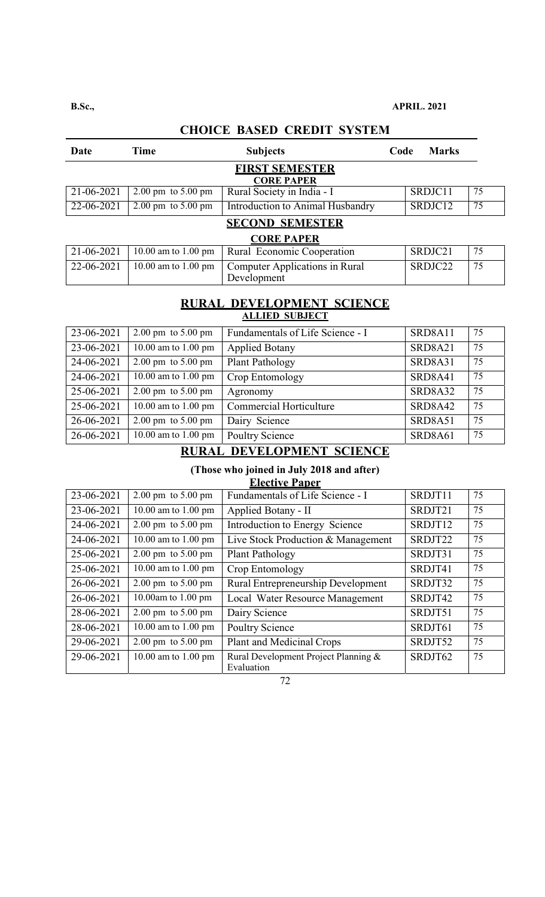| Date       | Time                                   | <b>Subjects</b>                                      | Code | <b>Marks</b> |    |
|------------|----------------------------------------|------------------------------------------------------|------|--------------|----|
|            |                                        | <b>FIRST SEMESTER</b>                                |      |              |    |
|            |                                        | <b>CORE PAPER</b>                                    |      |              |    |
| 21-06-2021 | $2.00 \text{ pm}$ to $5.00 \text{ pm}$ | Rural Society in India - I                           |      | SRDJC11      | 75 |
| 22-06-2021 | $2.00 \text{ pm}$ to $5.00 \text{ pm}$ | <b>Introduction to Animal Husbandry</b>              |      | SRDJC12      | 75 |
|            |                                        | <b>SECOND SEMESTER</b>                               |      |              |    |
|            |                                        | <b>CORE PAPER</b>                                    |      |              |    |
| 21-06-2021 | 10.00 am to 1.00 pm                    | Rural Economic Cooperation                           |      | SRDJC21      | 75 |
| 22-06-2021 | 10.00 am to 1.00 pm                    | <b>Computer Applications in Rural</b><br>Development |      | SRDJC22      | 75 |

#### **RURAL DEVELOPMENT SCIENCE ALLIED SUBJECT**

| 23-06-2021 | $2.00 \text{ pm}$ to $5.00 \text{ pm}$ | Fundamentals of Life Science - I | SRD8A11        | 75 |
|------------|----------------------------------------|----------------------------------|----------------|----|
| 23-06-2021 | 10.00 am to 1.00 pm                    | <b>Applied Botany</b>            | SRD8A21        | 75 |
| 24-06-2021 | $2.00 \text{ pm}$ to $5.00 \text{ pm}$ | Plant Pathology                  | SRD8A31        | 75 |
| 24-06-2021 | 10.00 am to 1.00 pm                    | Crop Entomology                  | SRD8A41        | 75 |
| 25-06-2021 | $2.00 \text{ pm}$ to $5.00 \text{ pm}$ | Agronomy                         | SRD8A32        | 75 |
| 25-06-2021 | 10.00 am to 1.00 pm                    | <b>Commercial Horticulture</b>   | <b>SRD8A42</b> | 75 |
| 26-06-2021 | $2.00 \text{ pm}$ to $5.00 \text{ pm}$ | Dairy Science                    | SRD8A51        | 75 |
| 26-06-2021 | 10.00 am to 1.00 pm                    | <b>Poultry Science</b>           | SRD8A61        | 75 |

# **RURAL DEVELOPMENT SCIENCE**

#### **(Those who joined in July 2018 and after)**

| <b>Elective Paper</b> |
|-----------------------|
|-----------------------|

| 23-06-2021 | $2.00 \text{ pm}$ to $5.00 \text{ pm}$ | Fundamentals of Life Science - I                   | SRDJT11 | 75 |
|------------|----------------------------------------|----------------------------------------------------|---------|----|
| 23-06-2021 | 10.00 am to 1.00 pm                    | Applied Botany - II                                | SRDJT21 | 75 |
| 24-06-2021 | $2.00 \text{ pm}$ to $5.00 \text{ pm}$ | Introduction to Energy Science                     | SRDJT12 | 75 |
| 24-06-2021 | 10.00 am to 1.00 pm                    | Live Stock Production & Management                 | SRDJT22 | 75 |
| 25-06-2021 | $2.00 \text{ pm}$ to $5.00 \text{ pm}$ | Plant Pathology                                    | SRDJT31 | 75 |
| 25-06-2021 | 10.00 am to 1.00 pm                    | Crop Entomology                                    | SRDJT41 | 75 |
| 26-06-2021 | $2.00 \text{ pm}$ to $5.00 \text{ pm}$ | Rural Entrepreneurship Development                 | SRDJT32 | 75 |
| 26-06-2021 | 10.00am to $1.00$ pm                   | Local Water Resource Management                    | SRDJT42 | 75 |
| 28-06-2021 | $2.00 \text{ pm}$ to $5.00 \text{ pm}$ | Dairy Science                                      | SRDJT51 | 75 |
| 28-06-2021 | 10.00 am to 1.00 pm                    | <b>Poultry Science</b>                             | SRDJT61 | 75 |
| 29-06-2021 | $2.00 \text{ pm}$ to $5.00 \text{ pm}$ | Plant and Medicinal Crops                          | SRDJT52 | 75 |
| 29-06-2021 | 10.00 am to 1.00 pm                    | Rural Development Project Planning &<br>Evaluation | SRDJT62 | 75 |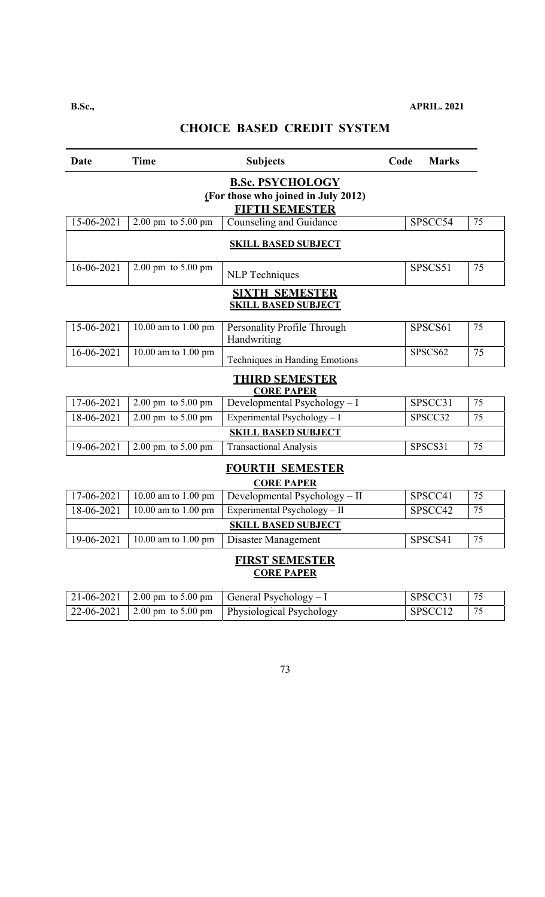| Date                                                                                    | <b>Time</b>                            | <b>Subjects</b>                            | <b>Marks</b><br>Code |    |  |  |  |
|-----------------------------------------------------------------------------------------|----------------------------------------|--------------------------------------------|----------------------|----|--|--|--|
| <b>B.Sc. PSYCHOLOGY</b><br>(For those who joined in July 2012)<br><b>FIFTH SEMESTER</b> |                                        |                                            |                      |    |  |  |  |
| 15-06-2021                                                                              | 2.00 pm to $5.00$ pm                   | Counseling and Guidance                    | SPSCC54              | 75 |  |  |  |
| <b>SKILL BASED SUBJECT</b>                                                              |                                        |                                            |                      |    |  |  |  |
| 16-06-2021                                                                              | $2.00 \text{ pm}$ to $5.00 \text{ pm}$ | <b>NLP</b> Techniques                      | SPSCS51              | 75 |  |  |  |
| <b>SIXTH SEMESTER</b><br><b>SKILL BASED SUBJECT</b>                                     |                                        |                                            |                      |    |  |  |  |
| 15-06-2021                                                                              | 10.00 am to 1.00 pm                    | Personality Profile Through<br>Handwriting | SPSCS61              | 75 |  |  |  |
| 16-06-2021                                                                              | 10.00 am to 1.00 pm                    | Techniques in Handing Emotions             | SPSCS62              | 75 |  |  |  |
|                                                                                         |                                        | <b>THIRD SEMESTER</b><br><b>CORE PAPER</b> |                      |    |  |  |  |
| 17-06-2021                                                                              | $2.00 \text{ pm}$ to $5.00 \text{ pm}$ | Developmental Psychology - I               | SPSCC31              | 75 |  |  |  |
| 18-06-2021                                                                              | 2.00 pm to 5.00 pm                     | Experimental Psychology - I                | SPSCC32              | 75 |  |  |  |
|                                                                                         |                                        | <b>SKILL BASED SUBJECT</b>                 |                      |    |  |  |  |
| 19-06-2021                                                                              | $2.00 \text{ pm}$ to $5.00 \text{ pm}$ | <b>Transactional Analysis</b>              | SPSCS31              | 75 |  |  |  |
| <b>FOURTH SEMESTER</b><br><b>CORE PAPER</b>                                             |                                        |                                            |                      |    |  |  |  |
| 17-06-2021                                                                              | 10.00 am to 1.00 pm                    | Developmental Psychology - II              | SPSCC41              | 75 |  |  |  |
| 18-06-2021                                                                              | 10.00 am to 1.00 pm                    | Experimental Psychology - $II$             | SPSCC42              | 75 |  |  |  |
|                                                                                         |                                        | <b>SKILL BASED SUBJECT</b>                 |                      |    |  |  |  |
| 19-06-2021                                                                              | 10.00 am to 1.00 pm                    | Disaster Management                        | SPSCS41              | 75 |  |  |  |
|                                                                                         |                                        | <b>FIRST SEMESTER</b><br><b>CORE PAPER</b> |                      |    |  |  |  |

|  | 21-06-2021   2.00 pm to 5.00 pm   General Psychology - I                    | SPSCC31             |  |
|--|-----------------------------------------------------------------------------|---------------------|--|
|  | $\mid$ 22-06-2021 $\mid$ 2.00 pm to 5.00 pm $\mid$ Physiological Psychology | SPSCC <sub>12</sub> |  |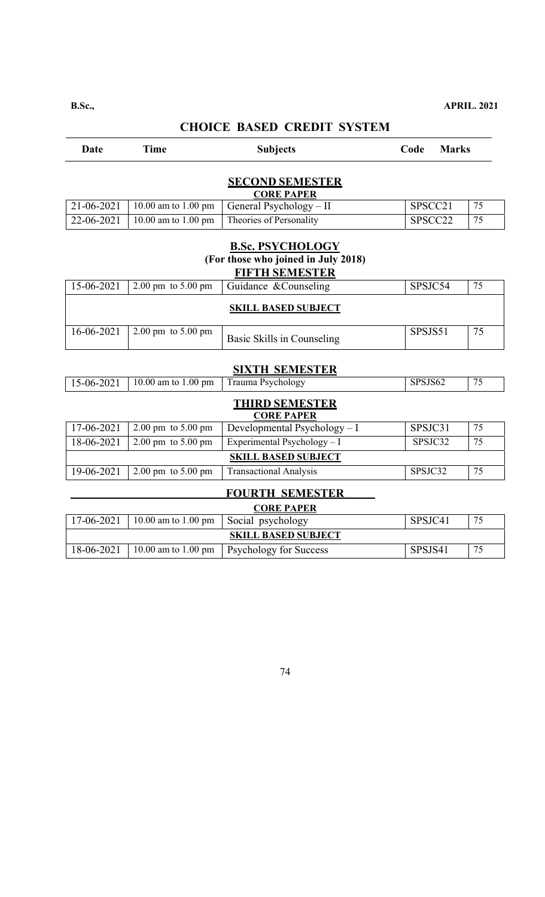# **Date** Time Subjects Code Marks **SECOND SEMESTER CORE PAPER**  21-06-2021 | 10.00 am to 1.00 pm | General Psychology – II | SPSCC21 | 75  $22-06-2021$  | 10.00 am to 1.00 pm | Theories of Personality | SPSCC22 | 75 **B.Sc. PSYCHOLOGY (For those who joined in July 2018) FIFTH SEMESTER SIXTH SEMESTER THIRD SEMESTER CORE PAPER**   $17-06-2021$  2.00 pm to 5.00 pm Developmental Psychology - I SPSJC31 75  $18-06-2021$  2.00 pm to 5.00 pm Experimental Psychology - I SPSJC32 75 **SKILL BASED SUBJECT**  19-06-2021 2.00 pm to 5.00 pm Transactional Analysis SPSJC32 75  **FOURTH SEMESTER CORE PAPER**  17-06-2021 10.00 am to 1.00 pm Social psychology SPSJC41 75 **SKILL BASED SUBJECT**  18-06-2021 | 10.00 am to 1.00 pm | Psychology for Success | SPSJS41 | 75 15-06-2021 2.00 pm to 5.00 pm Guidance &Counseling SPSJC54 75 **SKILL BASED SUBJECT**   $16-06-2021$   $2.00 \text{ pm}$  to 5.00 pm Basic Skills in Counseling SPSJS51  $\frac{1}{5}$ 15-06-2021 | 10.00 am to 1.00 pm | Trauma Psychology | SPSJS62 | 75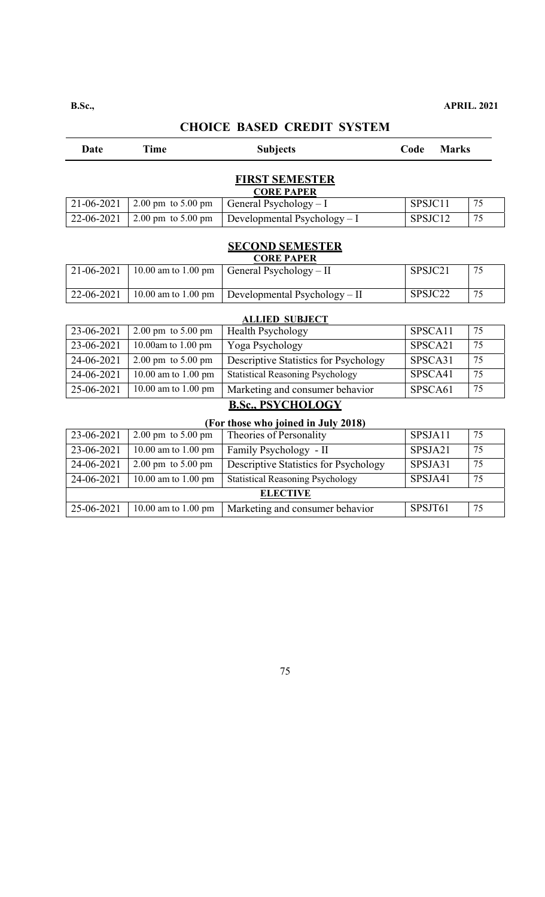# **Date** Time Subjects Code Marks **FIRST SEMESTER CORE PAPER**   $21-06-2021$  2.00 pm to 5.00 pm General Psychology – I SPSJC11 75 22-06-2021 | 2.00 pm to 5.00 pm | Developmental Psychology – I | SPSJC12 |  $75$ **SECOND SEMESTER CORE PAPER**  21-06-2021 | 10.00 am to 1.00 pm | General Psychology – II SPSJC21 | 75  $22-06-2021$  10.00 am to 1.00 pm Developmental Psychology – II SPSJC22 75 **ALLIED SUBJECT**  23-06-2021 2.00 pm to 5.00 pm | Health Psychology | SPSCA11 | 75 23-06-2021 | 10.00am to 1.00 pm | Yoga Psychology | SPSCA21 | 75 24-06-2021 2.00 pm to 5.00 pm Descriptive Statistics for Psychology SPSCA31  $\mid$  75 24-06-2021 10.00 am to 1.00 pm Statistical Reasoning Psychology SPSCA41 75  $25-06-2021$  | 10.00 am to 1.00 pm | Marketing and consumer behavior | SPSCA61 | 75 **B.Sc., PSYCHOLOGY (For those who joined in July 2018)**   $23-06-2021$  2.00 pm to 5.00 pm Theories of Personality SPSJA11 75 23-06-2021 | 10.00 am to 1.00 pm | Family Psychology - II SPSJA21 | 75  $24-06-2021$  2.00 pm to 5.00 pm Descriptive Statistics for Psychology SPSJA31 75 24-06-2021 | 10.00 am to 1.00 pm | Statistical Reasoning Psychology | SPSJA41 |  $75$ **ELECTIVE**  $25-06-2021$  | 10.00 am to 1.00 pm | Marketing and consumer behavior | SPSJT61 | 75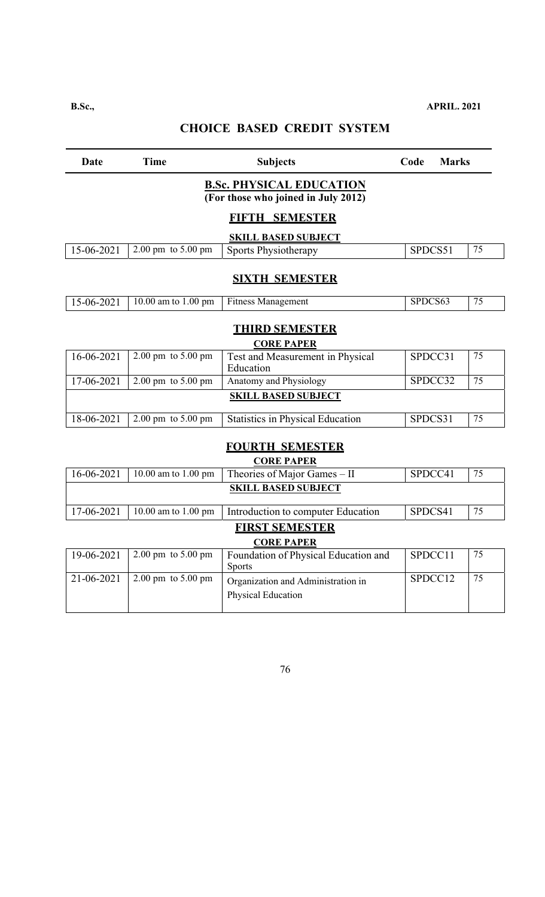| Date                                       | <b>Time</b>                                  | <b>Subjects</b>                                                        | Code    | <b>Marks</b> |    |  |  |
|--------------------------------------------|----------------------------------------------|------------------------------------------------------------------------|---------|--------------|----|--|--|
|                                            |                                              | <b>B.Sc. PHYSICAL EDUCATION</b><br>(For those who joined in July 2012) |         |              |    |  |  |
| FIFTH SEMESTER                             |                                              |                                                                        |         |              |    |  |  |
|                                            |                                              | <b>SKILL BASED SUBJECT</b>                                             |         |              |    |  |  |
| 15-06-2021                                 | $2.00 \overline{pm}$ to $5.00 \overline{pm}$ | Sports Physiotherapy                                                   | SPDCS51 |              | 75 |  |  |
|                                            |                                              | <b>SIXTH SEMESTER</b>                                                  |         |              |    |  |  |
| 15-06-2021                                 | 10.00 am to 1.00 pm                          | <b>Fitness Management</b>                                              | SPDCS63 |              | 75 |  |  |
|                                            | <b>THIRD SEMESTER</b><br><b>CORE PAPER</b>   |                                                                        |         |              |    |  |  |
| $16 - 06 - 2021$                           | $2.00 \text{ pm}$ to $5.00 \text{ pm}$       | Test and Measurement in Physical<br>Education                          |         | SPDCC31      | 75 |  |  |
| 17-06-2021                                 | $2.00 \text{ pm}$ to $5.00 \text{ pm}$       | Anatomy and Physiology                                                 |         | SPDCC32      | 75 |  |  |
|                                            |                                              | <b>SKILL BASED SUBJECT</b>                                             |         |              |    |  |  |
| 18-06-2021                                 | 2.00 pm to 5.00 pm                           | <b>Statistics in Physical Education</b>                                | SPDCS31 |              | 75 |  |  |
|                                            |                                              | <b>FOURTH SEMESTER</b><br><b>CORE PAPER</b>                            |         |              |    |  |  |
| 16-06-2021                                 | $\overline{10.00}$ am to 1.00 pm             | Theories of Major Games - II                                           |         | SPDCC41      | 75 |  |  |
|                                            |                                              | <b>SKILL BASED SUBJECT</b>                                             |         |              |    |  |  |
| $17 - 06 - 2021$                           | 10.00 am to 1.00 pm                          | Introduction to computer Education                                     | SPDCS41 |              | 75 |  |  |
| <b>FIRST SEMESTER</b><br><b>CORE PAPER</b> |                                              |                                                                        |         |              |    |  |  |
| 19-06-2021                                 | 2.00 pm to 5.00 pm                           | Foundation of Physical Education and<br>Sports                         |         | SPDCC11      | 75 |  |  |
| 21-06-2021                                 | $2.00 \text{ pm}$ to $5.00 \text{ pm}$       | Organization and Administration in<br>Physical Education               |         | SPDCC12      | 75 |  |  |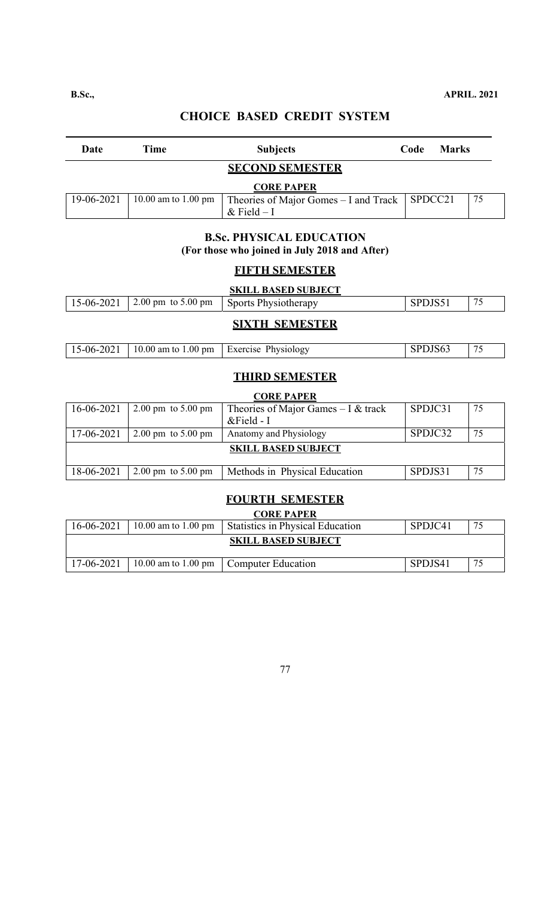| <b>STATE OF STATE OF STATE OF STATE OF STATE OF STATE OF STATE OF STATE OF STATE OF STATE OF STATE OF STATE OF S</b> |  |
|----------------------------------------------------------------------------------------------------------------------|--|
|----------------------------------------------------------------------------------------------------------------------|--|

| Date                   | Time | <b>Subjects</b>                                                                        | Code | <b>Marks</b> |    |  |
|------------------------|------|----------------------------------------------------------------------------------------|------|--------------|----|--|
| <b>SECOND SEMESTER</b> |      |                                                                                        |      |              |    |  |
|                        |      | <b>CORE PAPER</b>                                                                      |      |              |    |  |
| 19-06-2021             |      | 10.00 am to 1.00 pm   Theories of Major Gomes – I and Track   SPDCC21<br>$&$ Field – I |      |              | 75 |  |

### **B.Sc. PHYSICAL EDUCATION (For those who joined in July 2018 and After)**

# **FIFTH SEMESTER**

|                       |                                 | <b>SKILL BASED SUBJECT</b>  |         |    |  |  |
|-----------------------|---------------------------------|-----------------------------|---------|----|--|--|
|                       | 15-06-2021   2.00 pm to 5.00 pm | <b>Sports Physiotherapy</b> | SPDJS51 | 75 |  |  |
| <b>SIXTH SEMESTER</b> |                                 |                             |         |    |  |  |

| $-2021$<br>5-06- | $10.00$ am to<br>$1.00 \text{ pm}$ | Physiology<br>Exercise | DJOV. | $\sim$ $\sim$<br>ب |
|------------------|------------------------------------|------------------------|-------|--------------------|

### **THIRD SEMESTER**

### **CORE PAPER**

| 16-06-2021                 | $2.00 \text{ pm}$ to $5.00 \text{ pm}$ | Theories of Major Games $-1$ & track | SPDJC31 | 75 |  |  |
|----------------------------|----------------------------------------|--------------------------------------|---------|----|--|--|
|                            |                                        | $&$ Field - I                        |         |    |  |  |
| 17-06-2021                 | $2.00 \text{ pm}$ to $5.00 \text{ pm}$ | Anatomy and Physiology               | SPDJC32 | 75 |  |  |
| <b>SKILL BASED SUBJECT</b> |                                        |                                      |         |    |  |  |
| 18-06-2021                 | $2.00 \text{ pm}$ to $5.00 \text{ pm}$ | Methods in Physical Education        | SPDJS31 | 75 |  |  |

### **FOURTH SEMESTER**

# **CORE PAPER**  16-06-2021 10.00 am to 1.00 pm Statistics in Physical Education SPDJC41 75 **SKILL BASED SUBJECT**  17-06-2021 10.00 am to 1.00 pm Computer Education SPDJS41 75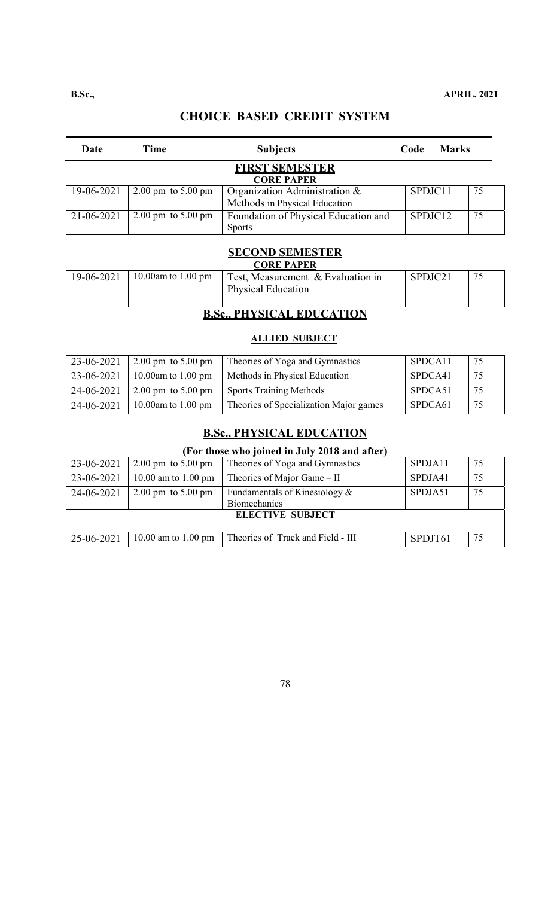| Date                                       | Time                                   | <b>Subjects</b>                                                | Code    | <b>Marks</b> |    |  |
|--------------------------------------------|----------------------------------------|----------------------------------------------------------------|---------|--------------|----|--|
| <b>FIRST SEMESTER</b><br><b>CORE PAPER</b> |                                        |                                                                |         |              |    |  |
| 19-06-2021                                 | $2.00 \text{ pm}$ to $5.00 \text{ pm}$ | Organization Administration &<br>Methods in Physical Education | SPDJC11 |              | 75 |  |
| 21-06-2021                                 | $2.00 \text{ pm}$ to $5.00 \text{ pm}$ | Foundation of Physical Education and<br><b>Sports</b>          | SPDJC12 |              | 75 |  |

### **SECOND SEMESTER**

| <b>CORE PAPER</b> |                                        |                                                                |         |  |  |  |  |
|-------------------|----------------------------------------|----------------------------------------------------------------|---------|--|--|--|--|
| 19-06-2021        | 10.00am to 1.00 pm                     | Test, Measurement & Evaluation in<br><b>Physical Education</b> | SPDJC21 |  |  |  |  |
|                   | <b>NIIVALO LE PINILO LEIONI</b><br>n a |                                                                |         |  |  |  |  |

### **B.Sc., PHYSICAL EDUCATION**

### **ALLIED SUBJECT**

| 23-06-2021 | $12.00 \text{ pm}$ to 5.00 pm | Theories of Yoga and Gymnastics        | SPDCA11 | 75  |
|------------|-------------------------------|----------------------------------------|---------|-----|
| 23-06-2021 | 10.00am to 1.00 pm            | Methods in Physical Education          | SPDCA41 | 75  |
| 24-06-2021 | 2.00 pm to $5.00$ pm          | <b>Sports Training Methods</b>         | SPDCA51 | 75  |
| 24-06-2021 | 10.00am to 1.00 pm            | Theories of Specialization Major games | SPDCA61 | -75 |

### **B.Sc., PHYSICAL EDUCATION**

### **(For those who joined in July 2018 and after)**

| 23-06-2021              | $2.00 \text{ pm}$ to $5.00 \text{ pm}$ | Theories of Yoga and Gymnastics                         | SPDJA11 | 75 |  |  |
|-------------------------|----------------------------------------|---------------------------------------------------------|---------|----|--|--|
| 23-06-2021              | 10.00 am to 1.00 pm                    | Theories of Major Game $-$ II                           | SPDJA41 | 75 |  |  |
| 24-06-2021              | $2.00 \text{ pm}$ to $5.00 \text{ pm}$ | Fundamentals of Kinesiology $\&$<br><b>Biomechanics</b> | SPDJA51 | 75 |  |  |
| <b>ELECTIVE SUBJECT</b> |                                        |                                                         |         |    |  |  |
| 25-06-2021              | 10.00 am to 1.00 pm                    | Theories of Track and Field - III                       | SPDJT61 | 75 |  |  |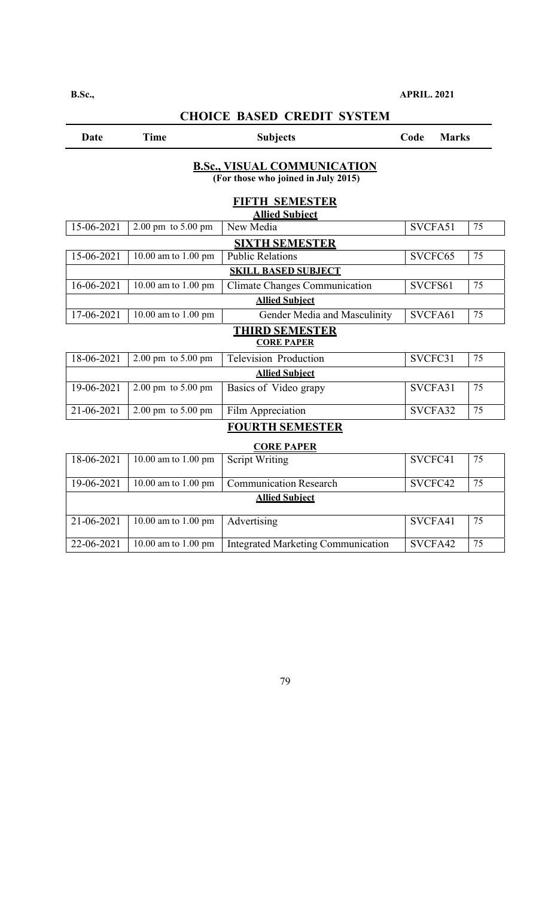### **B.Sc., APRIL. 2021**

| Date       | <b>Time</b>                            | <b>Subjects</b>                                                                                    | Code<br><b>Marks</b> |    |
|------------|----------------------------------------|----------------------------------------------------------------------------------------------------|----------------------|----|
|            |                                        | <b>B.Sc., VISUAL COMMUNICATION</b><br>(For those who joined in July 2015)<br><b>FIFTH SEMESTER</b> |                      |    |
|            |                                        | <b>Allied Subiect</b>                                                                              |                      |    |
| 15-06-2021 | $2.00 \text{ pm}$ to $5.00 \text{ pm}$ | New Media                                                                                          | SVCFA51              | 75 |
|            |                                        | <b>SIXTH SEMESTER</b>                                                                              |                      |    |
| 15-06-2021 | 10.00 am to 1.00 pm                    | <b>Public Relations</b>                                                                            | SVCFC65              | 75 |
|            |                                        | <b>SKILL BASED SUBJECT</b>                                                                         |                      |    |
| 16-06-2021 | 10.00 am to 1.00 pm                    | <b>Climate Changes Communication</b>                                                               | SVCFS61              | 75 |
|            |                                        | <b>Allied Subiect</b>                                                                              |                      |    |
| 17-06-2021 | 10.00 am to 1.00 pm                    | Gender Media and Masculinity                                                                       | SVCFA61              | 75 |
|            |                                        | <b>THIRD SEMESTER</b><br><b>CORE PAPER</b>                                                         |                      |    |
| 18-06-2021 | $2.00 \text{ pm}$ to $5.00 \text{ pm}$ | <b>Television Production</b>                                                                       | SVCFC31              | 75 |
|            |                                        | <b>Allied Subiect</b>                                                                              |                      |    |
| 19-06-2021 | $2.00 \text{ pm}$ to $5.00 \text{ pm}$ | Basics of Video grapy                                                                              | SVCFA31              | 75 |
| 21-06-2021 | $2.00 \text{ pm}$ to $5.00 \text{ pm}$ | Film Appreciation                                                                                  | SVCFA32              | 75 |
|            |                                        | <b>FOURTH SEMESTER</b>                                                                             |                      |    |
|            |                                        | <b>CORE PAPER</b>                                                                                  |                      |    |
| 18-06-2021 | $\overline{10.00}$ am to 1.00 pm       | <b>Script Writing</b>                                                                              | SVCFC41              | 75 |
| 19-06-2021 | 10.00 am to 1.00 pm                    | <b>Communication Research</b>                                                                      | SVCFC42              | 75 |
|            |                                        | <b>Allied Subject</b>                                                                              |                      |    |
|            |                                        |                                                                                                    |                      |    |

### **CHOICE BASED CREDIT SYSTEM**

79

22-06-2021 10.00 am to 1.00 pm Integrated Marketing Communication SVCFA42 75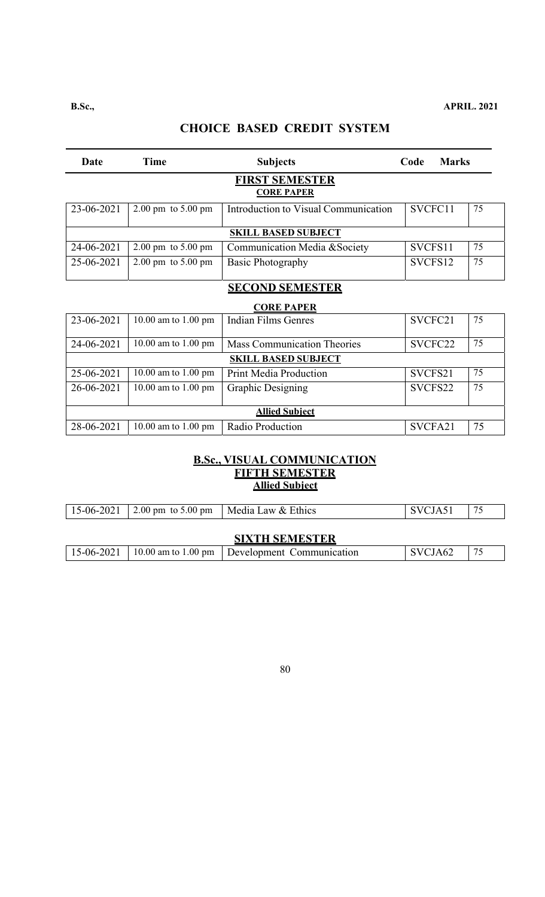#### **B.Sc., APRIL. 2021**

# **CHOICE BASED CREDIT SYSTEM**

| Date       | <b>Time</b>                            | <b>Subjects</b>                      | Code    | <b>Marks</b> |    |
|------------|----------------------------------------|--------------------------------------|---------|--------------|----|
|            |                                        | FIRST SEMESTER<br><b>CORE PAPER</b>  |         |              |    |
| 23-06-2021 | $2.00 \text{ pm}$ to $5.00 \text{ pm}$ | Introduction to Visual Communication | SVCFC11 |              | 75 |
|            |                                        | <b>SKILL BASED SUBJECT</b>           |         |              |    |
| 24-06-2021 | $2.00 \text{ pm}$ to $5.00 \text{ pm}$ | Communication Media & Society        | SVCFS11 |              | 75 |
| 25-06-2021 | $2.00 \text{ pm}$ to $5.00 \text{ pm}$ | Basic Photography                    | SVCFS12 |              | 75 |
|            |                                        | <b>SECOND SEMESTER</b>               |         |              |    |
|            |                                        | <b>CORE PAPER</b>                    |         |              |    |
| 23-06-2021 | 10.00 am to 1.00 pm                    | <b>Indian Films Genres</b>           | SVCFC21 |              | 75 |
| 24-06-2021 | 10.00 am to 1.00 pm                    | <b>Mass Communication Theories</b>   | SVCFC22 |              | 75 |
|            |                                        | <b>SKILL BASED SUBJECT</b>           |         |              |    |
| 25-06-2021 | 10.00 am to $1.00$ pm                  | <b>Print Media Production</b>        | SVCFS21 |              | 75 |
| 26-06-2021 | 10.00 am to 1.00 pm                    | <b>Graphic Designing</b>             | SVCFS22 |              | 75 |
|            |                                        | <b>Allied Subject</b>                |         |              |    |
| 28-06-2021 | 10.00 am to $1.00 \text{ pm}$          | Radio Production                     | SVCFA21 |              | 75 |

### **B.Sc., VISUAL COMMUNICATION FIFTH SEMESTER Allied Subject**

|                       | 15-06-2021   2.00 pm to 5.00 pm | Media Law & Ethics                                            | SVCJA51 | 75 |  |
|-----------------------|---------------------------------|---------------------------------------------------------------|---------|----|--|
|                       |                                 |                                                               |         |    |  |
| <b>SIXTH SEMESTER</b> |                                 |                                                               |         |    |  |
| 15-06-2021            |                                 | $\vert$ 10.00 am to 1.00 pm $\vert$ Development Communication | SVCJA62 | 75 |  |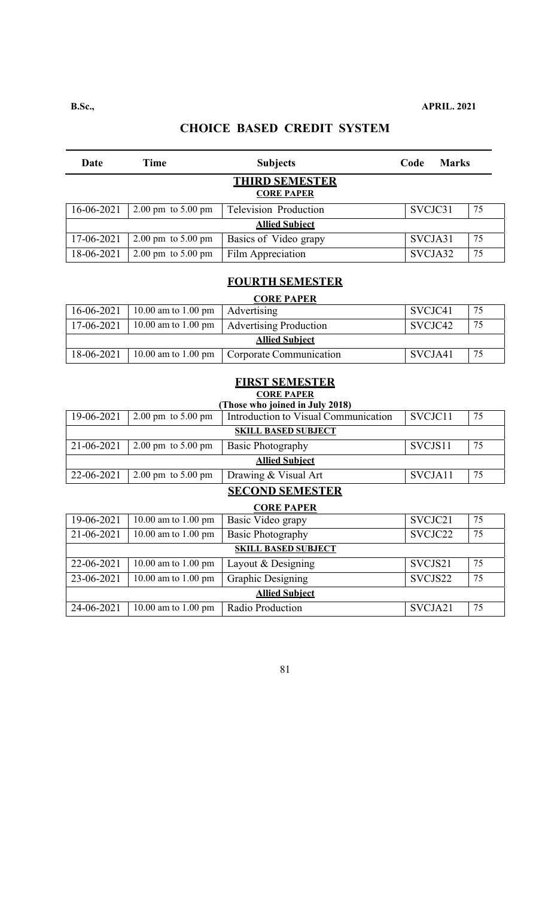| Date                                       | Time                                   | <b>Subjects</b>              | Code    | <b>Marks</b> |    |  |
|--------------------------------------------|----------------------------------------|------------------------------|---------|--------------|----|--|
| <b>THIRD SEMESTER</b><br><b>CORE PAPER</b> |                                        |                              |         |              |    |  |
| 16-06-2021                                 | $2.00 \text{ pm}$ to $5.00 \text{ pm}$ | <b>Television Production</b> | SVCJC31 |              | 75 |  |
| <b>Allied Subiect</b>                      |                                        |                              |         |              |    |  |
| 17-06-2021                                 | $2.00 \text{ pm}$ to $5.00 \text{ pm}$ | Basics of Video grapy        | SVCJA31 |              | 75 |  |
| 18-06-2021                                 | $2.00 \text{ pm}$ to $5.00 \text{ pm}$ | Film Appreciation            | SVCJA32 |              | 75 |  |

### **FOURTH SEMESTER**

### **CORE PAPER**

| 16-06-2021            | 10.00 am to 1.00 pm | Advertising             | SVCJC41 | 75 |  |
|-----------------------|---------------------|-------------------------|---------|----|--|
| 17-06-2021            | 10.00 am to 1.00 pm | Advertising Production  | SVCJC42 | 75 |  |
| <b>Allied Subiect</b> |                     |                         |         |    |  |
| 18-06-2021            | 10.00 am to 1.00 pm | Corporate Communication | SVCJA41 | 75 |  |

### **FIRST SEMESTER CORE PAPER**

| Those who joined in July 2018) |                                        |                                      |         |    |  |
|--------------------------------|----------------------------------------|--------------------------------------|---------|----|--|
| 19-06-2021                     | $2.00 \text{ pm}$ to $5.00 \text{ pm}$ | Introduction to Visual Communication | SVCJC11 | 75 |  |
| <b>SKILL BASED SUBJECT</b>     |                                        |                                      |         |    |  |
| 21-06-2021                     | $2.00 \text{ pm}$ to $5.00 \text{ pm}$ | <b>Basic Photography</b>             | SVCJS11 | 75 |  |
| <b>Allied Subiect</b>          |                                        |                                      |         |    |  |
| 22-06-2021                     | $2.00 \text{ pm}$ to $5.00 \text{ pm}$ | Drawing & Visual Art                 | SVCJA11 | 75 |  |
|                                |                                        |                                      |         |    |  |

#### **SECOND SEMESTER**

| <b>CORE PAPER</b>     |                            |                          |         |    |  |
|-----------------------|----------------------------|--------------------------|---------|----|--|
| 19-06-2021            | 10.00 am to 1.00 pm        | Basic Video grapy        | SVCJC21 | 75 |  |
| 21-06-2021            | 10.00 am to 1.00 pm        | <b>Basic Photography</b> | SVCJC22 | 75 |  |
|                       | <b>SKILL BASED SUBJECT</b> |                          |         |    |  |
| 22-06-2021            | 10.00 am to 1.00 pm        | Layout & Designing       | SVCJS21 | 75 |  |
| 23-06-2021            | 10.00 am to 1.00 pm        | <b>Graphic Designing</b> | SVCJS22 | 75 |  |
| <b>Allied Subiect</b> |                            |                          |         |    |  |
| 24-06-2021            | 10.00 am to 1.00 pm        | Radio Production         | SVCJA21 | 75 |  |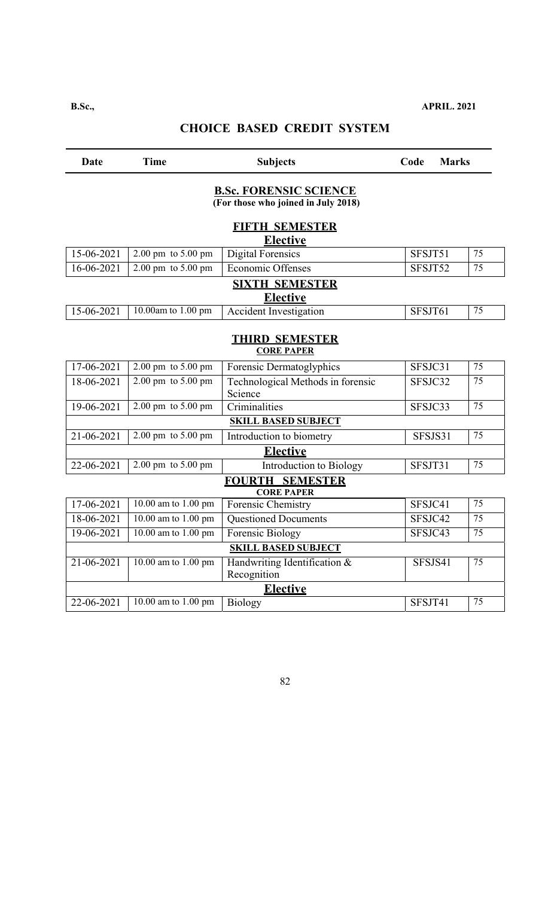| Date                                       | <b>Time</b>                            | <b>Subjects</b>                                                       | Code    | <b>Marks</b> |  |
|--------------------------------------------|----------------------------------------|-----------------------------------------------------------------------|---------|--------------|--|
|                                            |                                        | <b>B.S.c. FORENSIC SCIENCE</b><br>(For those who joined in July 2018) |         |              |  |
|                                            |                                        | <b>FIFTH SEMESTER</b><br><b>Elective</b>                              |         |              |  |
| 15-06-2021                                 | 2.00 pm to 5.00 pm                     | <b>Digital Forensics</b>                                              | SFSJT51 | 75           |  |
| 16-06-2021                                 | $2.00 \text{ pm}$ to $5.00 \text{ pm}$ | Economic Offenses                                                     | SFSJT52 | 75           |  |
|                                            |                                        | <b>SIXTH SEMESTER</b><br><b>Elective</b>                              |         |              |  |
| 15-06-2021                                 | 10.00am to 1.00 pm                     | <b>Accident Investigation</b>                                         | SFSJT61 | 75           |  |
| <b>THIRD SEMESTER</b><br><b>CORE PAPER</b> |                                        |                                                                       |         |              |  |
| 17-06-2021                                 | 2.00 pm to 5.00 pm                     | Forensic Dermatoglyphics                                              | SFSJC31 | 75           |  |
| 18-06-2021                                 | 2.00 pm to 5.00 pm                     | Technological Methods in forensic<br>Science                          | SFSJC32 | 75           |  |
| 19-06-2021                                 | 2.00 pm to 5.00 pm                     | Criminalities                                                         | SFSJC33 | 75           |  |
|                                            |                                        | <b>SKILL BASED SUBJECT</b>                                            |         |              |  |
| 21-06-2021                                 | 2.00 pm to 5.00 pm                     | Introduction to biometry                                              | SFSJS31 | 75           |  |
|                                            |                                        | <b>Elective</b>                                                       |         |              |  |
| 22-06-2021                                 | 2.00 pm to 5.00 pm                     | Introduction to Biology                                               | SFSJT31 | 75           |  |
|                                            |                                        | <b>FOURTH SEMESTER</b><br><b>CORE PAPER</b>                           |         |              |  |
| $17 - 06 - 2021$                           | 10.00 am to 1.00 pm                    | <b>Forensic Chemistry</b>                                             | SFSJC41 | 75           |  |
| 18-06-2021                                 | 10.00 am to 1.00 pm                    | <b>Questioned Documents</b>                                           | SFSJC42 | 75           |  |
| 19-06-2021                                 | 10.00 am to 1.00 pm                    | Forensic Biology                                                      | SFSJC43 | 75           |  |
|                                            |                                        | <b>SKILL BASED SUBJECT</b>                                            |         |              |  |
| 21-06-2021                                 | 10.00 am to 1.00 pm                    | Handwriting Identification &<br>Recognition                           | SFSJS41 | 75           |  |
|                                            |                                        | <b>Elective</b>                                                       |         |              |  |
| 22-06-2021                                 | 10.00 am to 1.00 pm                    | Biology                                                               | SFSJT41 | 75           |  |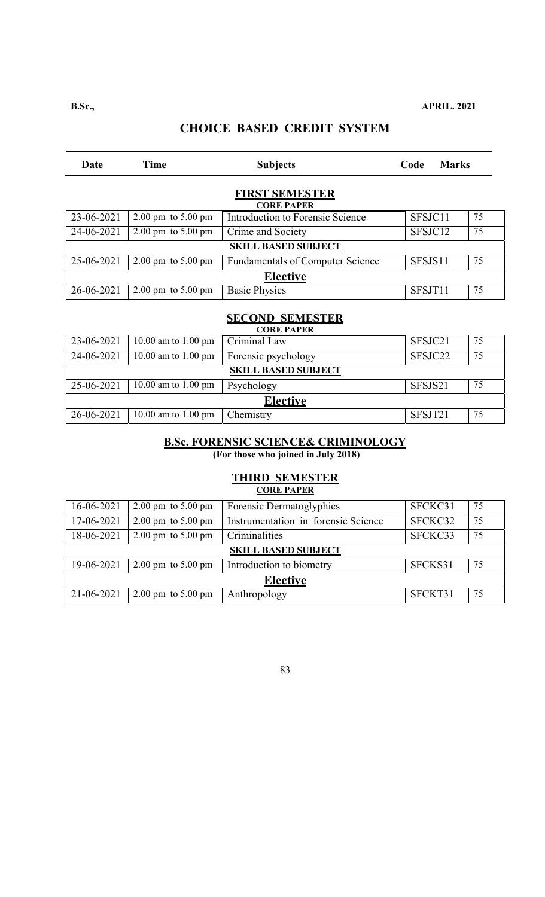| Date                                       | <b>Time</b>                            | <b>Subjects</b>                             | Code    | <b>Marks</b> |  |  |
|--------------------------------------------|----------------------------------------|---------------------------------------------|---------|--------------|--|--|
| <b>FIRST SEMESTER</b><br><b>CORE PAPER</b> |                                        |                                             |         |              |  |  |
| 23-06-2021                                 | $2.00 \text{ pm}$ to $5.00 \text{ pm}$ | Introduction to Forensic Science            | SFSJC11 | 75           |  |  |
| 24-06-2021                                 | $2.00 \text{ pm}$ to $5.00 \text{ pm}$ | Crime and Society                           | SFSJC12 | 75           |  |  |
|                                            |                                        | <b>SKILL BASED SUBJECT</b>                  |         |              |  |  |
| 25-06-2021                                 | $2.00 \text{ pm}$ to $5.00 \text{ pm}$ | <b>Fundamentals of Computer Science</b>     | SFSJS11 | 75           |  |  |
| <b>Elective</b>                            |                                        |                                             |         |              |  |  |
| 26-06-2021                                 | $2.00 \text{ pm}$ to $5.00 \text{ pm}$ | <b>Basic Physics</b>                        | SFSJT11 | 75           |  |  |
|                                            |                                        |                                             |         |              |  |  |
|                                            |                                        | <b>SECOND SEMESTER</b><br><b>CORE PAPER</b> |         |              |  |  |
| 23-06-2021                                 | 10.00 am to 1.00 pm                    | Criminal Law                                | SFSJC21 | 75           |  |  |
| 24-06-2021                                 | 10.00 am to 1.00 pm                    | Forensic psychology                         | SFSJC22 | 75           |  |  |
|                                            | <b>SKILL BASED SUBJECT</b>             |                                             |         |              |  |  |
| 25-06-2021                                 | 10.00 am to 1.00 pm                    | Psychology                                  | SFSJS21 | 75           |  |  |
|                                            |                                        | <b>Elective</b>                             |         |              |  |  |
| 26-06-2021                                 | 10.00 am to $1.00 \text{ pm}$          | Chemistry                                   | SFSJT21 | 75           |  |  |

#### **B.Sc. FORENSIC SCIENCE& CRIMINOLOGY**

**(For those who joined in July 2018)** 

| <b>THIRD SEMESTER</b><br><b>CORE PAPER</b> |                                        |                                     |         |    |  |
|--------------------------------------------|----------------------------------------|-------------------------------------|---------|----|--|
| 16-06-2021                                 | $2.00 \text{ pm}$ to $5.00 \text{ pm}$ | Forensic Dermatoglyphics            | SFCKC31 | 75 |  |
| 17-06-2021                                 | $2.00 \text{ pm}$ to $5.00 \text{ pm}$ | Instrumentation in forensic Science | SFCKC32 | 75 |  |
| 18-06-2021                                 | $2.00 \text{ pm}$ to $5.00 \text{ pm}$ | Criminalities                       | SFCKC33 | 75 |  |
|                                            |                                        | <b>SKILL BASED SUBJECT</b>          |         |    |  |
| 19-06-2021                                 | $2.00 \text{ pm}$ to $5.00 \text{ pm}$ | Introduction to biometry            | SFCKS31 | 75 |  |
| <b>Elective</b>                            |                                        |                                     |         |    |  |
| 21-06-2021                                 | $2.00 \text{ pm}$ to $5.00 \text{ pm}$ | Anthropology                        | SFCKT31 | 75 |  |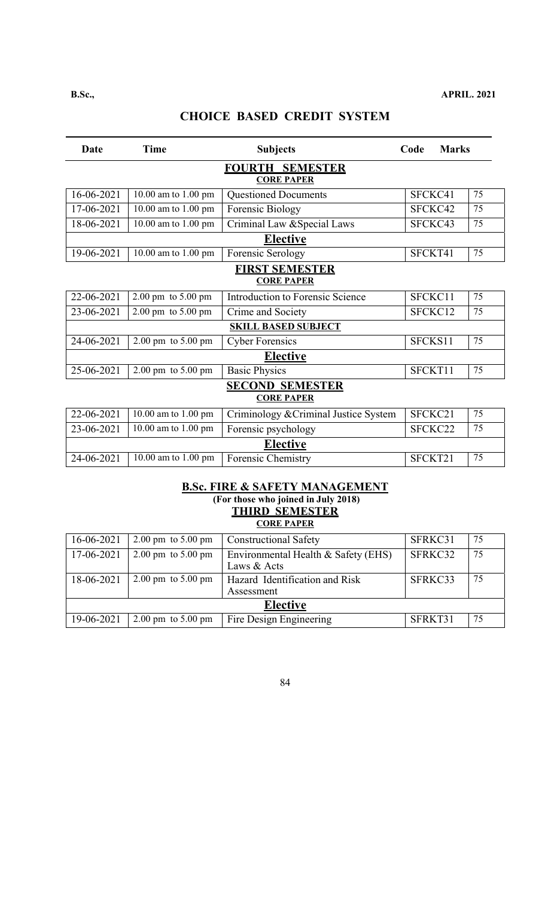| <b>Date</b>                                 | <b>Time</b>                            | <b>Subjects</b>                         | Code<br><b>Marks</b> |    |  |  |
|---------------------------------------------|----------------------------------------|-----------------------------------------|----------------------|----|--|--|
| <b>FOURTH SEMESTER</b><br><b>CORE PAPER</b> |                                        |                                         |                      |    |  |  |
| 16-06-2021                                  | 10.00 am to 1.00 pm                    | <b>Questioned Documents</b>             | SFCKC41              | 75 |  |  |
| 17-06-2021                                  | 10.00 am to 1.00 pm                    | Forensic Biology                        | SFCKC42              | 75 |  |  |
|                                             |                                        |                                         |                      |    |  |  |
| 18-06-2021                                  | 10.00 am to 1.00 pm                    | Criminal Law & Special Laws             | SFCKC43              | 75 |  |  |
|                                             |                                        | <b>Elective</b>                         |                      |    |  |  |
| 19-06-2021                                  | 10.00 am to 1.00 pm                    | Forensic Serology                       | SFCKT41              | 75 |  |  |
|                                             |                                        | <b>FIRST SEMESTER</b>                   |                      |    |  |  |
|                                             |                                        | <b>CORE PAPER</b>                       |                      |    |  |  |
| 22-06-2021                                  | 2.00 pm to 5.00 pm                     | <b>Introduction to Forensic Science</b> | SFCKC11              | 75 |  |  |
| 23-06-2021                                  | 2.00 pm to 5.00 pm                     | Crime and Society                       | SFCKC12              | 75 |  |  |
|                                             |                                        | <b>SKILL BASED SUBJECT</b>              |                      |    |  |  |
| 24-06-2021                                  | $2.00 \text{ pm}$ to $5.00 \text{ pm}$ | <b>Cyber Forensics</b>                  | SFCKS11              | 75 |  |  |
|                                             |                                        | <b>Elective</b>                         |                      |    |  |  |
| 25-06-2021                                  | $2.00 \text{ pm}$ to $5.00 \text{ pm}$ | <b>Basic Physics</b>                    | SFCKT11              | 75 |  |  |
|                                             |                                        | <b>SECOND SEMESTER</b>                  |                      |    |  |  |
|                                             |                                        | <b>CORE PAPER</b>                       |                      |    |  |  |
| 22-06-2021                                  | 10.00 am to 1.00 pm                    | Criminology & Criminal Justice System   | SFCKC21              | 75 |  |  |
| 23-06-2021                                  | 10.00 am to 1.00 pm                    | Forensic psychology                     | SFCKC22              | 75 |  |  |
|                                             |                                        | <b>Elective</b>                         |                      |    |  |  |
| 24-06-2021                                  | 10.00 am to 1.00 pm                    | Forensic Chemistry                      | SFCKT21              | 75 |  |  |

#### **B.Sc. FIRE & SAFETY MANAGEMENT (For those who joined in July 2018) THIRD SEMESTER CORE PAPER**

| 16-06-2021      | $2.00 \text{ pm}$ to $5.00 \text{ pm}$ | <b>Constructional Safety</b>        | SFRKC31 | 75 |  |
|-----------------|----------------------------------------|-------------------------------------|---------|----|--|
| 17-06-2021      | 2.00 pm to $5.00$ pm                   | Environmental Health & Safety (EHS) | SFRKC32 | 75 |  |
|                 |                                        | Laws & Acts                         |         |    |  |
| 18-06-2021      | $2.00 \text{ pm}$ to $5.00 \text{ pm}$ | Hazard Identification and Risk      | SFRKC33 | 75 |  |
|                 |                                        | Assessment                          |         |    |  |
| <b>Elective</b> |                                        |                                     |         |    |  |
| 19-06-2021      | $2.00 \text{ pm}$ to $5.00 \text{ pm}$ | Fire Design Engineering             | SFRKT31 | 75 |  |
|                 |                                        |                                     |         |    |  |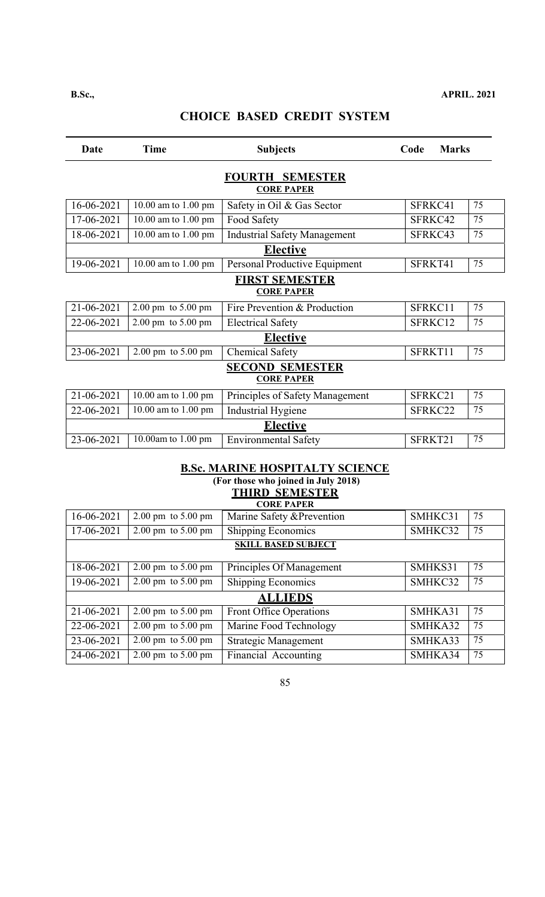| Date                                        | <b>Time</b>                                | <b>Subjects</b>                             | <b>Marks</b><br>Code |    |  |  |
|---------------------------------------------|--------------------------------------------|---------------------------------------------|----------------------|----|--|--|
| <b>FOURTH SEMESTER</b><br><b>CORE PAPER</b> |                                            |                                             |                      |    |  |  |
| 16-06-2021                                  | 10.00 am to 1.00 pm                        | Safety in Oil & Gas Sector                  | SFRKC41              | 75 |  |  |
| 17-06-2021                                  | 10.00 am to 1.00 pm                        | Food Safety                                 | SFRKC42              | 75 |  |  |
| 18-06-2021                                  | 10.00 am to 1.00 pm                        | <b>Industrial Safety Management</b>         | SFRKC43              | 75 |  |  |
|                                             |                                            | <b>Elective</b>                             |                      |    |  |  |
| 19-06-2021                                  | 10.00 am to 1.00 pm                        | Personal Productive Equipment               | SFRKT41              | 75 |  |  |
|                                             | <b>FIRST SEMESTER</b><br><b>CORE PAPER</b> |                                             |                      |    |  |  |
| 21-06-2021                                  | $2.00 \text{ pm}$ to $5.00 \text{ pm}$     | Fire Prevention & Production                | SFRKC11              | 75 |  |  |
| 22-06-2021                                  | $2.00 \text{ pm}$ to $5.00 \text{ pm}$     | <b>Electrical Safety</b>                    | SFRKC12              | 75 |  |  |
|                                             |                                            | <b>Elective</b>                             |                      |    |  |  |
| 23-06-2021                                  | $2.00 \text{ pm}$ to $5.00 \text{ pm}$     | <b>Chemical Safety</b>                      | SFRKT11              | 75 |  |  |
|                                             |                                            | <b>SECOND SEMESTER</b><br><b>CORE PAPER</b> |                      |    |  |  |
| 21-06-2021                                  | 10.00 am to 1.00 pm                        | Principles of Safety Management             | SFRKC21              | 75 |  |  |
| 22-06-2021                                  | 10.00 am to 1.00 pm                        | <b>Industrial Hygiene</b>                   | SFRKC22              | 75 |  |  |
|                                             | <b>Elective</b>                            |                                             |                      |    |  |  |
| 23-06-2021                                  | 10.00am to 1.00 pm                         | <b>Environmental Safety</b>                 | SFRKT21              | 75 |  |  |
|                                             |                                            |                                             |                      |    |  |  |

#### **B.Sc. MARINE HOSPITALTY SCIENCE (For those who joined in July 2018) THIRD SEMESTER**

| <b>CORE PAPER</b> |                                        |                                |         |    |  |
|-------------------|----------------------------------------|--------------------------------|---------|----|--|
| 16-06-2021        | $2.00 \text{ pm}$ to $5.00 \text{ pm}$ | Marine Safety & Prevention     | SMHKC31 | 75 |  |
| 17-06-2021        | $2.00 \text{ pm}$ to $5.00 \text{ pm}$ | <b>Shipping Economics</b>      | SMHKC32 | 75 |  |
|                   | <b>SKILL BASED SUBJECT</b>             |                                |         |    |  |
|                   |                                        |                                |         |    |  |
| 18-06-2021        | $2.00 \text{ pm}$ to $5.00 \text{ pm}$ | Principles Of Management       | SMHKS31 | 75 |  |
| 19-06-2021        | 2.00 pm to $5.00 \text{ pm}$           | <b>Shipping Economics</b>      | SMHKC32 | 75 |  |
|                   |                                        | <b>ALLIEDS</b>                 |         |    |  |
| 21-06-2021        | $2.00 \text{ pm}$ to $5.00 \text{ pm}$ | <b>Front Office Operations</b> | SMHKA31 | 75 |  |
| 22-06-2021        | $2.00 \text{ pm}$ to $5.00 \text{ pm}$ | Marine Food Technology         | SMHKA32 | 75 |  |
| 23-06-2021        | $2.00 \text{ pm}$ to $5.00 \text{ pm}$ | <b>Strategic Management</b>    | SMHKA33 | 75 |  |
| 24-06-2021        | $2.00 \text{ pm}$ to $5.00 \text{ pm}$ | Financial Accounting           | SMHKA34 | 75 |  |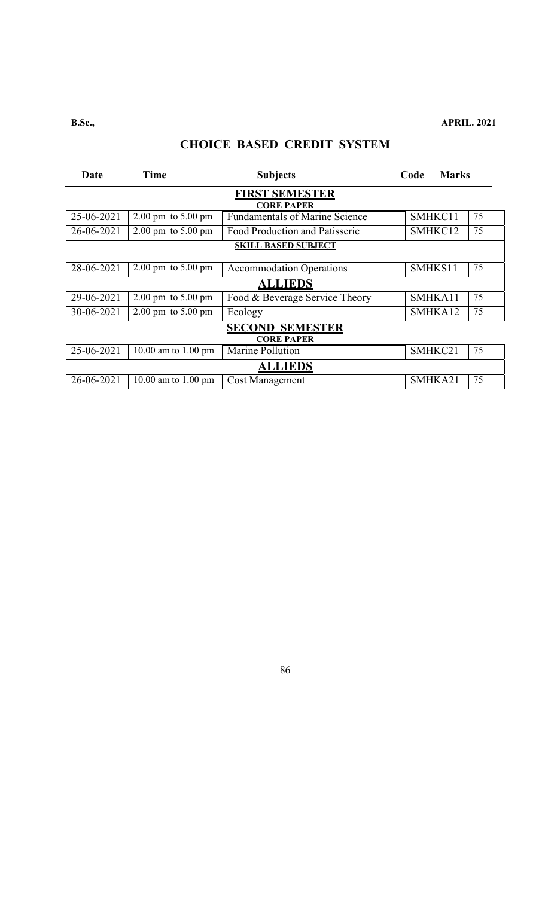| Date                  | <b>Time</b>                            | <b>Subjects</b>                                            | <b>Marks</b><br>Code |    |  |
|-----------------------|----------------------------------------|------------------------------------------------------------|----------------------|----|--|
| <b>FIRST SEMESTER</b> |                                        |                                                            |                      |    |  |
| 25-06-2021            | $2.00 \text{ pm}$ to $5.00 \text{ pm}$ | <b>CORE PAPER</b><br><b>Fundamentals of Marine Science</b> | SMHKC11              | 75 |  |
| 26-06-2021            | $2.00 \text{ pm}$ to $5.00 \text{ pm}$ | Food Production and Patisserie                             | SMHKC12              | 75 |  |
|                       | <b>SKILL BASED SUBJECT</b>             |                                                            |                      |    |  |
|                       |                                        |                                                            |                      | 75 |  |
| 28-06-2021            | $2.00 \text{ pm}$ to $5.00 \text{ pm}$ | <b>Accommodation Operations</b>                            | SMHKS11              |    |  |
|                       |                                        | <b>ALLIEDS</b>                                             |                      |    |  |
| 29-06-2021            | $2.00 \text{ pm}$ to $5.00 \text{ pm}$ | Food & Beverage Service Theory                             | SMHKA11              | 75 |  |
| 30-06-2021            | $2.00 \text{ pm}$ to $5.00 \text{ pm}$ | Ecology                                                    | SMHKA12              | 75 |  |
|                       |                                        | <b>SECOND SEMESTER</b>                                     |                      |    |  |
|                       |                                        | <b>CORE PAPER</b>                                          |                      |    |  |
| 25-06-2021            | 10.00 am to $1.00 \text{ pm}$          | Marine Pollution                                           | SMHKC21              | 75 |  |
|                       |                                        | <b>ALLIEDS</b>                                             |                      |    |  |
| 26-06-2021            | 10.00 am to 1.00 pm                    | <b>Cost Management</b>                                     | SMHKA21              | 75 |  |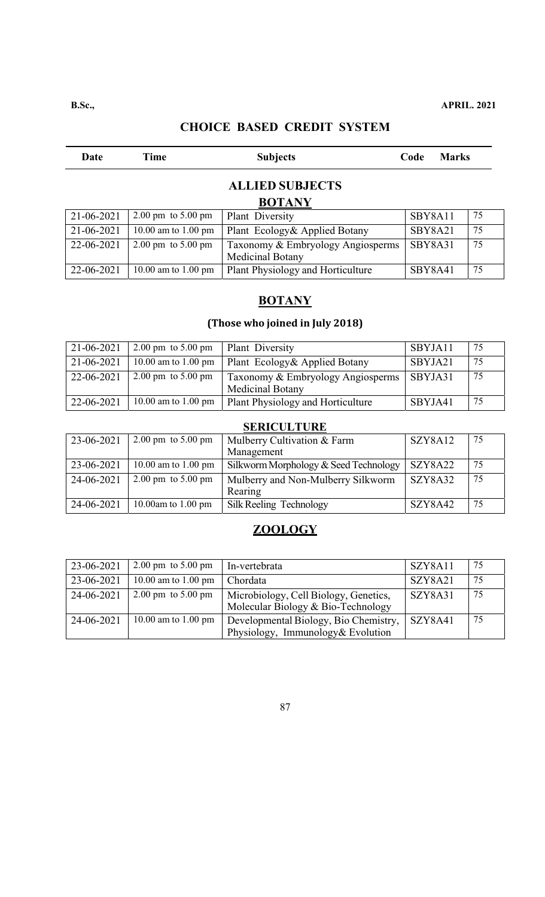### **B.Sc., APRIL. 2021**

### **CHOICE BASED CREDIT SYSTEM**

| Date       | Time                                   | <b>Subjects</b>                   | Code    | <b>Marks</b> |
|------------|----------------------------------------|-----------------------------------|---------|--------------|
|            |                                        | <b>ALLIED SUBJECTS</b>            |         |              |
|            |                                        | <b>BOTANY</b>                     |         |              |
| 21-06-2021 | $2.00 \text{ pm}$ to $5.00 \text{ pm}$ | Plant Diversity                   | SBY8A11 | 75           |
| 21-06-2021 | 10.00 am to 1.00 pm                    | Plant Ecology& Applied Botany     | SBY8A21 | 75           |
| 22-06-2021 | $2.00 \text{ pm}$ to $5.00 \text{ pm}$ | Taxonomy & Embryology Angiosperms | SBY8A31 | 75           |
|            |                                        | Medicinal Botany                  |         |              |
| 22-06-2021 | 10.00 am to 1.00 pm                    | Plant Physiology and Horticulture | SBY8A41 | 75           |

# **BOTANY**

# **(Those who joined in July 2018)**

| 21-06-2021 | $2.00 \text{ pm}$ to $5.00 \text{ pm}$ | Plant Diversity                   | SBYJA11 | -75 |
|------------|----------------------------------------|-----------------------------------|---------|-----|
| 21-06-2021 | 10.00 am to 1.00 pm                    | Plant Ecology& Applied Botany     | SBYJA21 | 75  |
| 22-06-2021 | 2.00 pm to $5.00$ pm                   | Taxonomy & Embryology Angiosperms | SBYJA31 | 75  |
|            |                                        | <b>Medicinal Botany</b>           |         |     |
| 22-06-2021 | 10.00 am to 1.00 pm                    | Plant Physiology and Horticulture | SBYJA41 | 75  |

# **SERICULTURE**

| 23-06-2021 | $2.00 \text{ pm}$ to $5.00 \text{ pm}$ | <b>Mulberry Cultivation &amp; Farm</b> | SZY8A12 | 75 |
|------------|----------------------------------------|----------------------------------------|---------|----|
|            |                                        | Management                             |         |    |
| 23-06-2021 | 10.00 am to 1.00 pm                    | Silkworm Morphology & Seed Technology  | SZY8A22 | 75 |
| 24-06-2021 | 2.00 pm to $5.00$ pm                   | Mulberry and Non-Mulberry Silkworm     | SZY8A32 | 75 |
|            |                                        | Rearing                                |         |    |
| 24-06-2021 | 10.00am to $1.00$ pm                   | Silk Reeling Technology                | SZY8A42 | 75 |

# **ZOOLOGY**

| 23-06-2021 | $2.00 \text{ pm}$ to $5.00 \text{ pm}$ | In-vertebrata                                                               | SZY8A11 | 75 |
|------------|----------------------------------------|-----------------------------------------------------------------------------|---------|----|
| 23-06-2021 | 10.00 am to 1.00 pm                    | Chordata                                                                    | SZY8A21 | 75 |
| 24-06-2021 | $2.00 \text{ pm}$ to $5.00 \text{ pm}$ | Microbiology, Cell Biology, Genetics,<br>Molecular Biology & Bio-Technology | SZY8A31 | 75 |
| 24-06-2021 | 10.00 am to 1.00 pm                    | Developmental Biology, Bio Chemistry,                                       | SZY8A41 | 75 |
|            |                                        | Physiology, Immunology& Evolution                                           |         |    |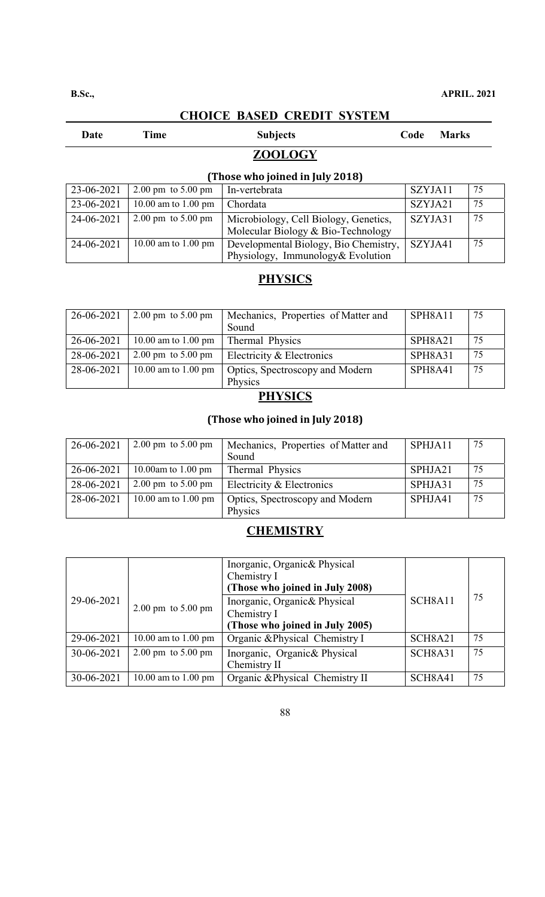| Date | <b>Time</b> | <b>Subjects</b> | Code<br><b>Marks</b> |
|------|-------------|-----------------|----------------------|
|      |             | <b>ZOOLOGY</b>  |                      |

### **(Those who joined in July 2018)**

| I LNOSE WNO JOINEG IN JUIV ZUT8J |                                        |                                                                             |         |    |
|----------------------------------|----------------------------------------|-----------------------------------------------------------------------------|---------|----|
| 23-06-2021                       | $2.00 \text{ pm}$ to $5.00 \text{ pm}$ | In-vertebrata                                                               | SZYJA11 | 75 |
| 23-06-2021                       | 10.00 am to 1.00 pm                    | Chordata                                                                    | SZYJA21 | 75 |
| 24-06-2021                       | $2.00 \text{ pm}$ to $5.00 \text{ pm}$ | Microbiology, Cell Biology, Genetics,<br>Molecular Biology & Bio-Technology | SZYJA31 | 75 |
| 24-06-2021                       | 10.00 am to 1.00 pm                    | Developmental Biology, Bio Chemistry,<br>Physiology, Immunology& Evolution  | SZYJA41 | 75 |

### **PHYSICS**

| 26-06-2021 | 2.00 pm to $5.00$ pm                   | Mechanics, Properties of Matter and | SPH8A11 | 75 |
|------------|----------------------------------------|-------------------------------------|---------|----|
|            |                                        | Sound                               |         |    |
| 26-06-2021 | 10.00 am to 1.00 pm                    | Thermal Physics                     | SPH8A21 | 75 |
| 28-06-2021 | $2.00 \text{ pm}$ to $5.00 \text{ pm}$ | Electricity & Electronics           | SPH8A31 | 75 |
| 28-06-2021 | 10.00 am to 1.00 pm                    | Optics, Spectroscopy and Modern     | SPH8A41 | 75 |
|            |                                        | Physics                             |         |    |

### **PHYSICS**

### **(Those who joined in July 2018)**

| 26-06-2021 | 2.00 pm to $5.00$ pm                   | Mechanics, Properties of Matter and<br>Sound | SPHJA11 | 75 |
|------------|----------------------------------------|----------------------------------------------|---------|----|
|            |                                        |                                              |         |    |
| 26-06-2021 | 10.00am to 1.00 pm                     | Thermal Physics                              | SPHJA21 | 75 |
| 28-06-2021 | $2.00 \text{ pm}$ to $5.00 \text{ pm}$ | Electricity & Electronics                    | SPHJA31 | 75 |
| 28-06-2021 | 10.00 am to 1.00 pm                    | Optics, Spectroscopy and Modern<br>Physics   | SPHJA41 | 75 |
|            |                                        |                                              |         |    |

### **CHEMISTRY**

| 29-06-2021 | $2.00 \text{ pm}$ to $5.00 \text{ pm}$ | Inorganic, Organic& Physical<br>Chemistry I<br>(Those who joined in July 2008)<br>Inorganic, Organic& Physical<br>Chemistry I<br>(Those who joined in July 2005) | SCH8A11 | 75 |
|------------|----------------------------------------|------------------------------------------------------------------------------------------------------------------------------------------------------------------|---------|----|
| 29-06-2021 | 10.00 am to 1.00 pm                    | Organic & Physical Chemistry I                                                                                                                                   | SCH8A21 | 75 |
| 30-06-2021 | $2.00 \text{ pm}$ to $5.00 \text{ pm}$ | Inorganic, Organic& Physical<br>Chemistry II                                                                                                                     | SCH8A31 | 75 |
| 30-06-2021 | 10.00 am to 1.00 pm                    | Organic & Physical Chemistry II                                                                                                                                  | SCH8A41 | 75 |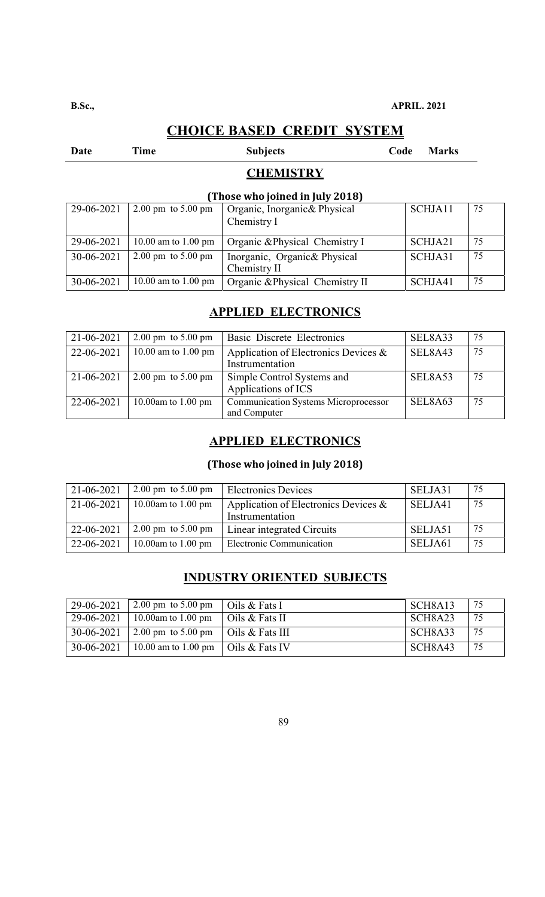# Date Time Subjects Code Marks

## **CHEMISTRY**

### **(Those who joined in July 2018)**

| 29-06-2021 | $2.00 \text{ pm}$ to $5.00 \text{ pm}$ | Organic, Inorganic& Physical    | SCHJA11 | 75 |
|------------|----------------------------------------|---------------------------------|---------|----|
|            |                                        | Chemistry I                     |         |    |
|            |                                        |                                 |         |    |
| 29-06-2021 | 10.00 am to 1.00 pm                    | Organic & Physical Chemistry I  | SCHJA21 | 75 |
| 30-06-2021 | $2.00 \text{ pm}$ to $5.00 \text{ pm}$ | Inorganic, Organic& Physical    | SCHJA31 | 75 |
|            |                                        | Chemistry II                    |         |    |
| 30-06-2021 | 10.00 am to 1.00 pm                    | Organic & Physical Chemistry II | SCHJA41 | 75 |

### **APPLIED ELECTRONICS**

| 21-06-2021 | $2.00 \text{ pm}$ to $5.00 \text{ pm}$ | Basic Discrete Electronics                                  | SEL8A33 | 75 |
|------------|----------------------------------------|-------------------------------------------------------------|---------|----|
| 22-06-2021 | 10.00 am to 1.00 pm                    | Application of Electronics Devices $\&$<br>Instrumentation  | SEL8A43 | 75 |
| 21-06-2021 | $2.00 \text{ pm}$ to $5.00 \text{ pm}$ | Simple Control Systems and<br>Applications of ICS           | SEL8A53 | 75 |
| 22-06-2021 | 10.00am to $1.00$ pm                   | <b>Communication Systems Microprocessor</b><br>and Computer | SEL8A63 | 75 |

### **APPLIED ELECTRONICS**

### **(Those who joined in July 2018)**

| 21-06-2021 | 2.00 pm to $5.00$ pm | <b>Electronics Devices</b>                                 | SELJA31 | 75 |
|------------|----------------------|------------------------------------------------------------|---------|----|
| 21-06-2021 | 10.00am to 1.00 pm   | Application of Electronics Devices $\&$<br>Instrumentation | SELJA41 | 75 |
| 22-06-2021 | 2.00 pm to $5.00$ pm | Linear integrated Circuits                                 | SELJA51 | 75 |
| 22-06-2021 | 10.00am to 1.00 pm   | Electronic Communication                                   | SELJA61 | 75 |

# **INDUSTRY ORIENTED SUBJECTS**

| 29-06-2021 | 2.00 pm to 5.00 pm $\vert$ Oils & Fats I   | SCH <sub>8</sub> A <sub>13</sub> | -75 |
|------------|--------------------------------------------|----------------------------------|-----|
| 29-06-2021 | 10.00am to 1.00 pm $\vert$ Oils & Fats II  | SCH8A23                          | 75  |
| 30-06-2021 | 2.00 pm to 5.00 pm $\vert$ Oils & Fats III | SCH <sub>8</sub> A <sub>33</sub> | 75  |
| 30-06-2021 | 10.00 am to 1.00 pm $\vert$ Oils & Fats IV | SCH <sub>8</sub> A <sub>43</sub> | 75  |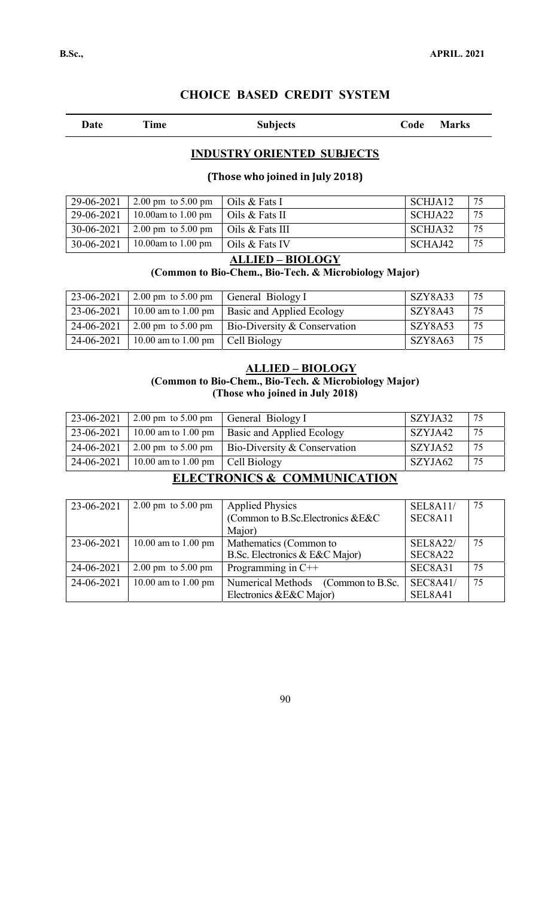Date Time Subjects Code Marks

### **INDUSTRY ORIENTED SUBJECTS**

#### **(Those who joined in July 2018)**

| 29-06-2021       | $2.00 \text{ pm}$ to $5.00 \text{ pm}$     | $\overline{\phantom{a}}$ Oils & Fats I  | SCHJA12 | 75 |
|------------------|--------------------------------------------|-----------------------------------------|---------|----|
| 29-06-2021       | $10.00$ am to $1.00$ pm                    | $\overline{\phantom{a}}$ Oils & Fats II | SCHJA22 | 75 |
| $30 - 06 - 2021$ | 2.00 pm to 5.00 pm $\vert$ Oils & Fats III |                                         | SCHJA32 | 75 |
| $30-06-2021$     | $10.00$ am to $1.00$ pm                    | $\overline{\phantom{a}}$ Oils & Fats IV | SCHAJ42 | 75 |

### **ALLIED – BIOLOGY**

### **(Common to Bio-Chem., Bio-Tech. & Microbiology Major)**

| 23-06-2021 | $\vert 2.00 \text{ pm} \, \text{to} \, 5.00 \text{ pm} \vert$ | General Biology I                       | SZY8A33 | 75  |
|------------|---------------------------------------------------------------|-----------------------------------------|---------|-----|
| 23-06-2021 | 10.00 am to 1.00 pm                                           | <b>Basic and Applied Ecology</b>        | SZY8A43 | 75  |
| 24-06-2021 | $\vert 2.00 \text{ pm} \vert$ to 5.00 pm                      | <b>Bio-Diversity &amp; Conservation</b> | SZY8A53 | 75  |
| 24-06-2021 | 10.00 am to 1.00 pm                                           | Cell Biology                            | SZY8A63 | -75 |

#### **ALLIED – BIOLOGY (Common to Bio-Chem., Bio-Tech. & Microbiology Major) (Those who joined in July 2018)**

| 23-06-2021 | $\vert 2.00 \text{ pm} \, \text{to } 5.00 \text{ pm} \vert$ | General Biology I                       | SZYJA32 | 75 |
|------------|-------------------------------------------------------------|-----------------------------------------|---------|----|
| 23-06-2021 | 10.00 am to 1.00 pm                                         | <b>Basic and Applied Ecology</b>        | SZYJA42 | 75 |
| 24-06-2021 | $2.00 \text{ pm}$ to 5.00 pm                                | <b>Bio-Diversity &amp; Conservation</b> | SZYJA52 | 75 |
| 24-06-2021 | 10.00 am to 1.00 pm                                         | Cell Biology                            | SZYJA62 | 75 |

### **ELECTRONICS & COMMUNICATION**

| 23-06-2021 | $2.00 \text{ pm}$ to $5.00 \text{ pm}$ | <b>Applied Physics</b>                        | <b>SEL8A11/</b> | 75 |
|------------|----------------------------------------|-----------------------------------------------|-----------------|----|
|            |                                        | (Common to B.Sc.Electronics &E&C              | SEC8A11         |    |
|            |                                        | Major)                                        |                 |    |
| 23-06-2021 | 10.00 am to 1.00 pm                    | Mathematics (Common to                        | <b>SEL8A22/</b> | 75 |
|            |                                        | B.Sc. Electronics & E&C Major)                | SEC8A22         |    |
| 24-06-2021 | $2.00 \text{ pm}$ to $5.00 \text{ pm}$ | Programming in $C++$                          | SEC8A31         | 75 |
| 24-06-2021 | 10.00 am to 1.00 pm                    | <b>Numerical Methods</b><br>(Common to B.Sc.) | <b>SEC8A41/</b> | 75 |
|            |                                        | Electronics & E&C Major)                      | SEL8A41         |    |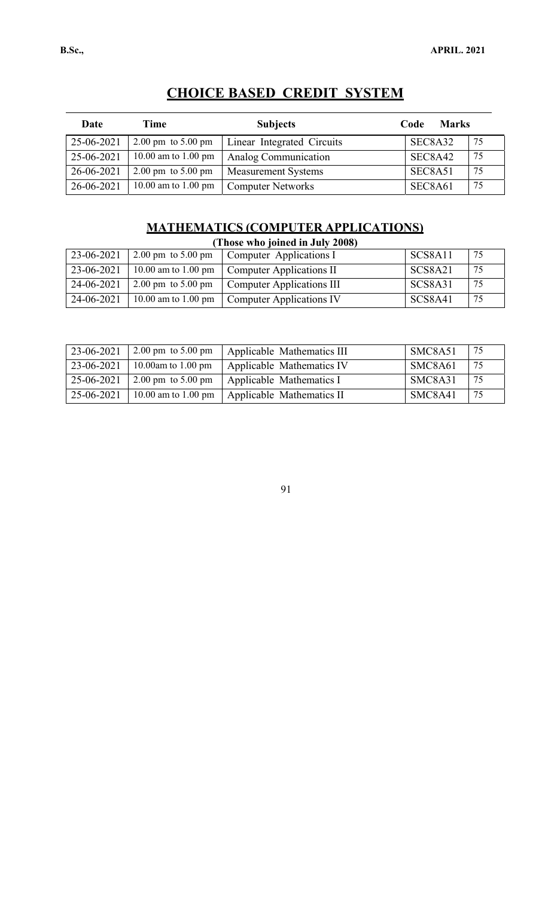| Date       | Time                                   | <b>Subjects</b>            | <b>Marks</b><br>Code |    |
|------------|----------------------------------------|----------------------------|----------------------|----|
| 25-06-2021 | $2.00 \text{ pm}$ to $5.00 \text{ pm}$ | Linear Integrated Circuits | SEC8A32              | 75 |
| 25-06-2021 | 10.00 am to 1.00 pm                    | Analog Communication       | SEC8A42              | 75 |
| 26-06-2021 | $2.00 \text{ pm}$ to $5.00 \text{ pm}$ | <b>Measurement Systems</b> | SEC8A51              | 75 |
| 26-06-2021 | 10.00 am to 1.00 pm                    | <b>Computer Networks</b>   | SEC8A61              | 75 |

# **MATHEMATICS (COMPUTER APPLICATIONS)**

| (Those who joined in July 2008) |                                        |                                  |                |     |  |
|---------------------------------|----------------------------------------|----------------------------------|----------------|-----|--|
| 23-06-2021                      | $2.00 \text{ pm}$ to $5.00 \text{ pm}$ | Computer Applications I          | SCS8A11        | 75  |  |
| 23-06-2021                      | 10.00 am to 1.00 pm                    | Computer Applications II         | SCS8A21        | -75 |  |
| 24-06-2021                      | $2.00 \text{ pm}$ to $5.00 \text{ pm}$ | <b>Computer Applications III</b> | SCS8A31        | -75 |  |
| 24-06-2021                      | 10.00 am to 1.00 pm                    | <b>Computer Applications IV</b>  | <b>SCS8A41</b> | -75 |  |

| 23-06-2021 | 2.00 pm to $5.00$ pm | Applicable Mathematics III | SMC8A51 | -75 |
|------------|----------------------|----------------------------|---------|-----|
| 23-06-2021 | 10.00am to 1.00 pm   | Applicable Mathematics IV  | SMC8A61 | 75  |
| 25-06-2021 | 2.00 pm to $5.00$ pm | Applicable Mathematics I   | SMC8A31 | 75  |
| 25-06-2021 | 10.00 am to 1.00 pm  | Applicable Mathematics II  | SMC8A41 | 75  |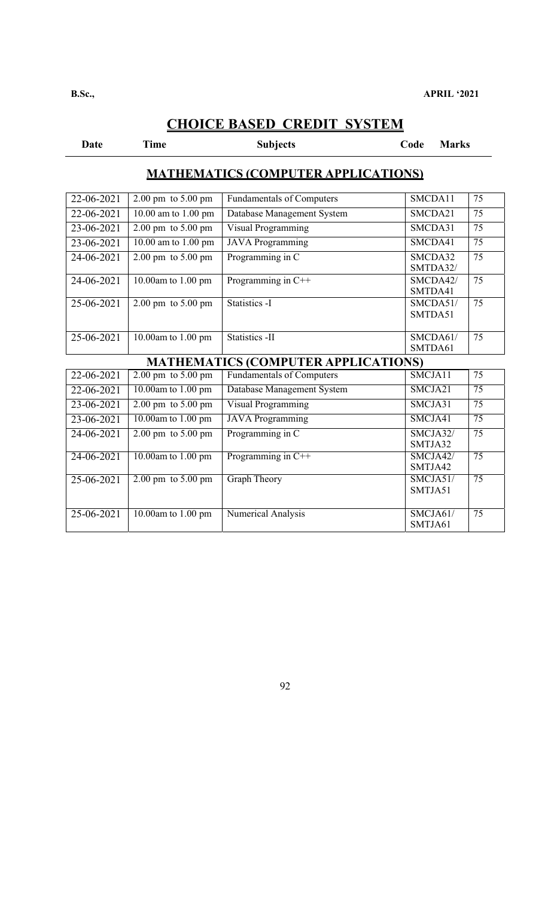**Date Code Marks Code Marks Code Marks** 

SMTJA32

SMTJA42

SMTJA51

SMTJA61

75

75

75

75

### **MATHEMATICS (COMPUTER APPLICATIONS)**

| 22-06-2021                                 | $2.00 \text{ pm}$ to $5.00 \text{ pm}$ | <b>Fundamentals of Computers</b> | SMCDA11             | 75 |  |  |  |
|--------------------------------------------|----------------------------------------|----------------------------------|---------------------|----|--|--|--|
| 22-06-2021                                 | 10.00 am to 1.00 pm                    | Database Management System       | SMCDA21             | 75 |  |  |  |
| 23-06-2021                                 | $2.00 \text{ pm}$ to $5.00 \text{ pm}$ | Visual Programming               | SMCDA31             | 75 |  |  |  |
| 23-06-2021                                 | 10.00 am to 1.00 pm                    | <b>JAVA</b> Programming          | SMCDA41             | 75 |  |  |  |
| 24-06-2021                                 | $2.00 \text{ pm}$ to $5.00 \text{ pm}$ | Programming in C                 | SMCDA32<br>SMTDA32/ | 75 |  |  |  |
| 24-06-2021                                 | 10.00am to $1.00$ pm                   | Programming in C++               | SMCDA42/<br>SMTDA41 | 75 |  |  |  |
| 25-06-2021                                 | $2.00 \text{ pm}$ to $5.00 \text{ pm}$ | Statistics -I                    | SMCDA51/<br>SMTDA51 | 75 |  |  |  |
| 25-06-2021                                 | 10.00am to $1.00$ pm                   | Statistics -II                   | SMCDA61/<br>SMTDA61 | 75 |  |  |  |
| <b>MATHEMATICS (COMPUTER APPLICATIONS)</b> |                                        |                                  |                     |    |  |  |  |
| 22-06-2021                                 | $2.00 \text{ pm}$ to $5.00 \text{ pm}$ | <b>Fundamentals of Computers</b> | SMCJA11             | 75 |  |  |  |
| 22-06-2021                                 | 10.00am to $1.00$ pm                   | Database Management System       | SMCJA21             | 75 |  |  |  |
| 23-06-2021                                 | $2.00 \text{ pm}$ to $5.00 \text{ pm}$ | Visual Programming               | SMCJA31             | 75 |  |  |  |

23-06-2021 10.00am to 1.00 pm JAVA Programming SMCJA41 75

24-06-2021 2.00 pm to 5.00 pm Programming in C SMCJA32/

24-06-2021 10.00am to 1.00 pm Programming in C++ SMCJA42/

25-06-2021 2.00 pm to 5.00 pm Graph Theory SMCJA51/

25-06-2021 10.00am to 1.00 pm Numerical Analysis SMCJA61/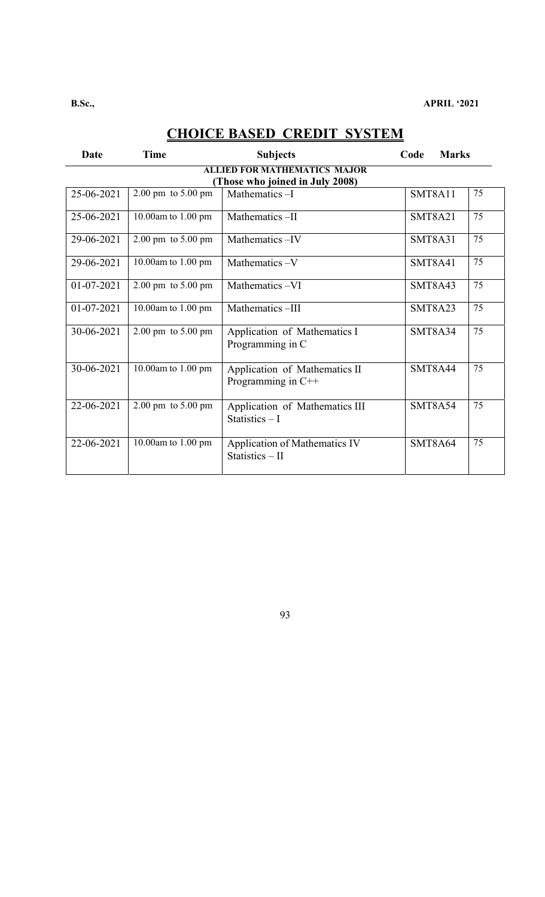| Date                                                                   | <b>Time</b>                            | <b>Subjects</b>                                       | <b>Marks</b><br>Code |    |  |  |  |
|------------------------------------------------------------------------|----------------------------------------|-------------------------------------------------------|----------------------|----|--|--|--|
| <b>ALLIED FOR MATHEMATICS MAJOR</b><br>(Those who joined in July 2008) |                                        |                                                       |                      |    |  |  |  |
| 25-06-2021                                                             | $2.00 \text{ pm}$ to $5.00 \text{ pm}$ | Mathematics-I                                         | SMT8A11              | 75 |  |  |  |
| 25-06-2021                                                             | 10.00am to 1.00 pm                     | Mathematics-II                                        | <b>SMT8A21</b>       | 75 |  |  |  |
| 29-06-2021                                                             | $2.00 \text{ pm}$ to $5.00 \text{ pm}$ | Mathematics-IV                                        | <b>SMT8A31</b>       | 75 |  |  |  |
| 29-06-2021                                                             | 10.00am to 1.00 pm                     | Mathematics-V                                         | SMT8A41              | 75 |  |  |  |
| 01-07-2021                                                             | $2.00 \text{ pm}$ to $5.00 \text{ pm}$ | Mathematics-VI                                        | <b>SMT8A43</b>       | 75 |  |  |  |
| 01-07-2021                                                             | 10.00am to $1.00$ pm                   | Mathematics-III                                       | <b>SMT8A23</b>       | 75 |  |  |  |
| 30-06-2021                                                             | $2.00 \text{ pm}$ to $5.00 \text{ pm}$ | Application of Mathematics I<br>Programming in C      | SMT8A34              | 75 |  |  |  |
| 30-06-2021                                                             | 10.00am to $1.00$ pm                   | Application of Mathematics II<br>Programming in $C++$ | SMT8A44              | 75 |  |  |  |
| 22-06-2021                                                             | 2.00 pm to 5.00 pm                     | Application of Mathematics III<br>Statistics $-1$     | SMT8A54              | 75 |  |  |  |
| 22-06-2021                                                             | 10.00am to 1.00 pm                     | Application of Mathematics IV<br>Statistics - II      | SMT8A64              | 75 |  |  |  |